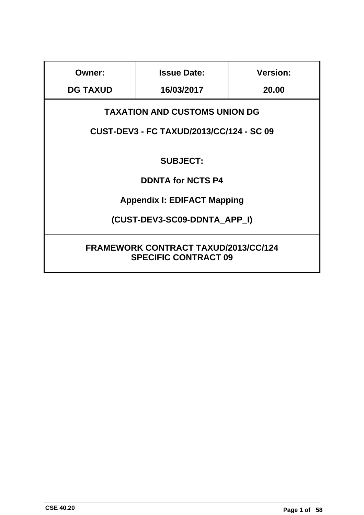| <b>Owner:</b>                                                              | <b>Issue Date:</b>                       | <b>Version:</b> |  |  |  |  |  |
|----------------------------------------------------------------------------|------------------------------------------|-----------------|--|--|--|--|--|
| <b>DG TAXUD</b>                                                            | 16/03/2017                               | 20.00           |  |  |  |  |  |
| <b>TAXATION AND CUSTOMS UNION DG</b>                                       |                                          |                 |  |  |  |  |  |
|                                                                            | CUST-DEV3 - FC TAXUD/2013/CC/124 - SC 09 |                 |  |  |  |  |  |
|                                                                            | <b>SUBJECT:</b>                          |                 |  |  |  |  |  |
|                                                                            | <b>DDNTA for NCTS P4</b>                 |                 |  |  |  |  |  |
|                                                                            | <b>Appendix I: EDIFACT Mapping</b>       |                 |  |  |  |  |  |
|                                                                            | (CUST-DEV3-SC09-DDNTA APP I)             |                 |  |  |  |  |  |
| <b>FRAMEWORK CONTRACT TAXUD/2013/CC/124</b><br><b>SPECIFIC CONTRACT 09</b> |                                          |                 |  |  |  |  |  |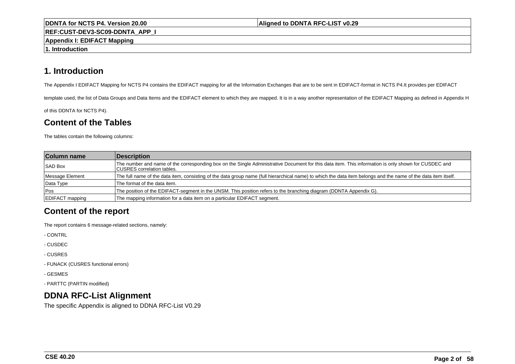#### **Aligned to DDNTA RFC-LIST v0.29**

**REF:CUST-DEV3-SC09-DDNTA\_APP\_I**

**Appendix I: EDIFACT Mapping**

**1. Introduction**

# **1. Introduction**

The Appendix I EDIFACT Mapping for NCTS P4 contains the EDIFACT mapping for all the Information Exchanges that are to be sent in EDIFACT-format in NCTS P4.It provides per EDIFACT

template used, the list of Data Groups and Data Items and the EDIFACT element to which they are mapped. It is in a way another representation of the EDIFACT Mapping as defined in Appendix H

of this DDNTA for NCTS P4).

# **Content of the Tables**

The tables contain the following columns:

| <b>Column name</b>     | Description                                                                                                                                                                        |
|------------------------|------------------------------------------------------------------------------------------------------------------------------------------------------------------------------------|
| <b>SAD Box</b>         | The number and name of the corresponding box on the Single Administrative Document for this data item. This information is only shown for CUSDEC and<br>CUSRES correlation tables. |
| Message Element        | The full name of the data item, consisting of the data group name (full hierarchical name) to which the data item belongs and the name of the data item itself.                    |
| Data Type              | The format of the data item.                                                                                                                                                       |
| <b>Pos</b>             | The position of the EDIFACT-segment in the UNSM. This position refers to the branching diagram (DDNTA Appendix G).                                                                 |
| <b>EDIFACT</b> mapping | The mapping information for a data item on a particular EDIFACT segment.                                                                                                           |

# **Content of the report**

The report contains 6 message-related sections, namely:

- CONTRL

- CUSDEC

- CUSRES

- FUNACK (CUSRES functional errors)

- GESMES

- PARTTC (PARTIN modified)

# **DDNA RFC-List Alignment**

The specific Appendix is aligned to DDNA RFC-List V0.29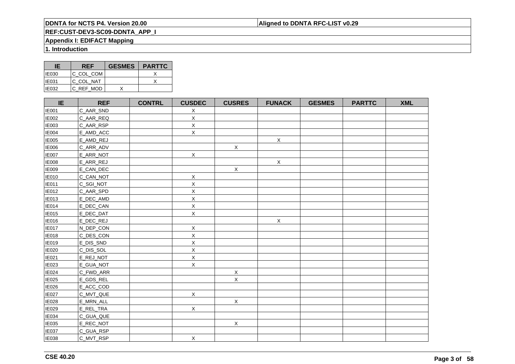### **Aligned to DDNTA RFC-LIST v0.29**

# **REF:CUST-DEV3-SC09-DDNTA\_APP\_I**

### **Appendix I: EDIFACT Mapping**

**1. Introduction**

| IE           | <b>REF</b> | <b>GESMES</b> | <b>PARTTC</b> |
|--------------|------------|---------------|---------------|
| <b>IE030</b> | IC COL COM |               |               |
| <b>IE031</b> | IC COL NAT |               |               |
| IE032        | C REF MOD  |               |               |

| IE           | <b>REF</b> | <b>CONTRL</b> | <b>CUSDEC</b> | <b>CUSRES</b> | <b>FUNACK</b> | <b>GESMES</b> | <b>PARTTC</b> | <b>XML</b> |
|--------------|------------|---------------|---------------|---------------|---------------|---------------|---------------|------------|
| <b>IE001</b> | C_AAR_SND  |               | X             |               |               |               |               |            |
| <b>IE002</b> | C_AAR_REQ  |               | X             |               |               |               |               |            |
| <b>IE003</b> | C_AAR_RSP  |               | $\mathsf X$   |               |               |               |               |            |
| <b>IE004</b> | E_AMD_ACC  |               | $\mathsf X$   |               |               |               |               |            |
| <b>IE005</b> | E_AMD_REJ  |               |               |               | $\mathsf X$   |               |               |            |
| <b>IE006</b> | C_ARR_ADV  |               |               | $\mathsf X$   |               |               |               |            |
| <b>IE007</b> | E_ARR_NOT  |               | $\mathsf X$   |               |               |               |               |            |
| <b>IE008</b> | E_ARR_REJ  |               |               |               | $\mathsf X$   |               |               |            |
| <b>IE009</b> | E_CAN_DEC  |               |               | $\mathsf X$   |               |               |               |            |
| <b>IE010</b> | C_CAN_NOT  |               | $\mathsf X$   |               |               |               |               |            |
| <b>IE011</b> | C_SGI_NOT  |               | $\mathsf X$   |               |               |               |               |            |
| <b>IE012</b> | C_AAR_SPD  |               | $\mathsf X$   |               |               |               |               |            |
| <b>IE013</b> | E_DEC_AMD  |               | $\mathsf X$   |               |               |               |               |            |
| <b>IE014</b> | E_DEC_CAN  |               | X             |               |               |               |               |            |
| <b>IE015</b> | E_DEC_DAT  |               | X             |               |               |               |               |            |
| <b>IE016</b> | E_DEC_REJ  |               |               |               | $\mathsf X$   |               |               |            |
| <b>IE017</b> | N_DEP_CON  |               | $\mathsf X$   |               |               |               |               |            |
| <b>IE018</b> | C_DES_CON  |               | $\mathsf X$   |               |               |               |               |            |
| <b>IE019</b> | E_DIS_SND  |               | X             |               |               |               |               |            |
| <b>IE020</b> | C_DIS_SOL  |               | $\mathsf X$   |               |               |               |               |            |
| IE021        | E_REJ_NOT  |               | $\mathsf X$   |               |               |               |               |            |
| IE023        | E_GUA_NOT  |               | $\mathsf{X}$  |               |               |               |               |            |
| IE024        | C_FWD_ARR  |               |               | $\mathsf X$   |               |               |               |            |
| <b>IE025</b> | E_GDS_REL  |               |               | $\mathsf X$   |               |               |               |            |
| IE026        | E_ACC_COD  |               |               |               |               |               |               |            |
| <b>IE027</b> | C_MVT_QUE  |               | $\mathsf X$   |               |               |               |               |            |
| <b>IE028</b> | E_MRN_ALL  |               |               | $\mathsf X$   |               |               |               |            |
| IE029        | E_REL_TRA  |               | $\mathsf{X}$  |               |               |               |               |            |
| <b>IE034</b> | C_GUA_QUE  |               |               |               |               |               |               |            |
| IE035        | E_REC_NOT  |               |               | $\mathsf X$   |               |               |               |            |
| <b>IE037</b> | C_GUA_RSP  |               |               |               |               |               |               |            |
| <b>IE038</b> | C_MVT_RSP  |               | $\mathsf X$   |               |               |               |               |            |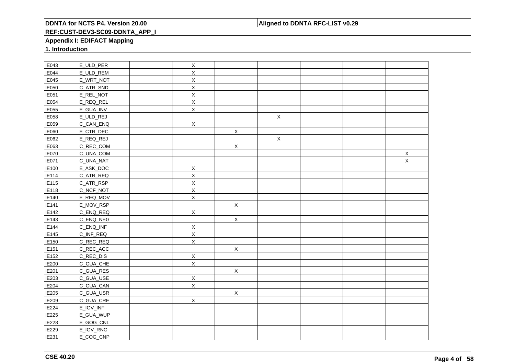### **Aligned to DDNTA RFC-LIST v0.29**

### **REF:CUST-DEV3-SC09-DDNTA\_APP\_I**

### **Appendix I: EDIFACT Mapping**

**1. Introduction**

| IE043        | E_ULD_PER | $\mathsf X$  |              |             |  |             |
|--------------|-----------|--------------|--------------|-------------|--|-------------|
| <b>IE044</b> | E_ULD_REM | $\mathsf{X}$ |              |             |  |             |
| IE045        | E_WRT_NOT | X            |              |             |  |             |
| <b>IE050</b> | C_ATR_SND | $\mathsf X$  |              |             |  |             |
| IE051        | E_REL_NOT | $\mathsf X$  |              |             |  |             |
| IE054        | E_REQ_REL | $\mathsf X$  |              |             |  |             |
| IE055        | E_GUA_INV | $\mathsf X$  |              |             |  |             |
| IE058        | E_ULD_REJ |              |              | $\mathsf X$ |  |             |
| IE059        | C_CAN_ENQ | $\mathsf X$  |              |             |  |             |
| IE060        | E_CTR_DEC |              | $\mathsf X$  |             |  |             |
| IE062        | E_REQ_REJ |              |              | $\mathsf X$ |  |             |
| IE063        | C_REC_COM |              | $\mathsf X$  |             |  |             |
| IE070        | C_UNA_COM |              |              |             |  | $\mathsf X$ |
| IE071        | C_UNA_NAT |              |              |             |  | $\mathsf X$ |
| IE100        | E_ASK_DOC | $\mathsf X$  |              |             |  |             |
| IE114        | C_ATR_REQ | $\mathsf X$  |              |             |  |             |
| E115         | C_ATR_RSP | $\mathsf X$  |              |             |  |             |
| IE118        | C_NCF_NOT | $\mathsf X$  |              |             |  |             |
| IE140        | E_REQ_MOV | $\mathsf X$  |              |             |  |             |
| IE141        | E_MOV_RSP |              | $\mathsf{X}$ |             |  |             |
| IE142        | C_ENQ_REQ | $\mathsf X$  |              |             |  |             |
| IE143        | C_ENQ_NEG |              | $\mathsf{X}$ |             |  |             |
| IE144        | C_ENQ_INF | $\mathsf X$  |              |             |  |             |
| IE145        | C_INF_REQ | $\mathsf X$  |              |             |  |             |
| IE150        | C_REC_REQ | $\mathsf X$  |              |             |  |             |
| IE151        | C_REC_ACC |              | $\mathsf{X}$ |             |  |             |
| IE152        | C_REC_DIS | $\mathsf X$  |              |             |  |             |
| IE200        | C_GUA_CHE | $\mathsf X$  |              |             |  |             |
| IE201        | C_GUA_RES |              | $\mathsf{X}$ |             |  |             |
| IE203        | C_GUA_USE | $\mathsf X$  |              |             |  |             |
| <b>IE204</b> | C_GUA_CAN | $\mathsf X$  |              |             |  |             |
| IE205        | C_GUA_USR |              | X            |             |  |             |
| IE209        | C_GUA_CRE | $\mathsf X$  |              |             |  |             |
| IE224        | E_IGV_INF |              |              |             |  |             |
| IE225        | E_GUA_WUP |              |              |             |  |             |
| IE228        | E_GOG_CNL |              |              |             |  |             |
| IE229        | E_IGV_RNG |              |              |             |  |             |
| IE231        | E_COG_CNP |              |              |             |  |             |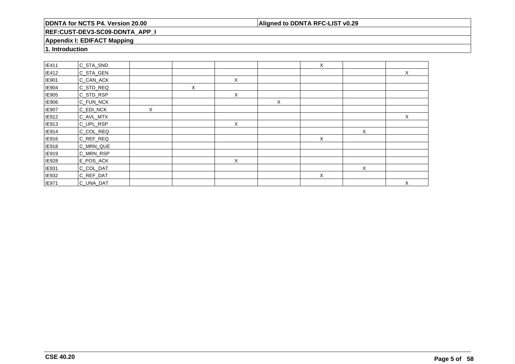### **Aligned to DDNTA RFC-LIST v0.29**

### **REF:CUST-DEV3-SC09-DDNTA\_APP\_I**

### **Appendix I: EDIFACT Mapping**

**1. Introduction**

| IE411        | C_STA_SND |   |   |   |   | X |   |   |
|--------------|-----------|---|---|---|---|---|---|---|
| <b>IE412</b> | C_STA_GEN |   |   |   |   |   |   | X |
| IE901        | C_CAN_ACK |   |   | X |   |   |   |   |
| IE904        | C_STD_REQ |   | X |   |   |   |   |   |
| <b>IE905</b> | C_STD_RSP |   |   | X |   |   |   |   |
| IE906        | C_FUN_NCK |   |   |   | X |   |   |   |
| IE907        | C_EDI_NCK | Χ |   |   |   |   |   |   |
| IE912        | C_AVL_MTX |   |   |   |   |   |   | X |
| <b>IE913</b> | C_UPL_RSP |   |   | X |   |   |   |   |
| IE914        | C_COL_REQ |   |   |   |   |   | Χ |   |
| IE916        | C_REF_REQ |   |   |   |   | X |   |   |
| <b>IE918</b> | C_MRN_QUE |   |   |   |   |   |   |   |
| IE919        | C_MRN_RSP |   |   |   |   |   |   |   |
| IE928        | E_POS_ACK |   |   | X |   |   |   |   |
| IE931        | C_COL_DAT |   |   |   |   |   | X |   |
| IE932        | C_REF_DAT |   |   |   |   | X |   |   |
| <b>IE971</b> | C_UNA_DAT |   |   |   |   |   |   | X |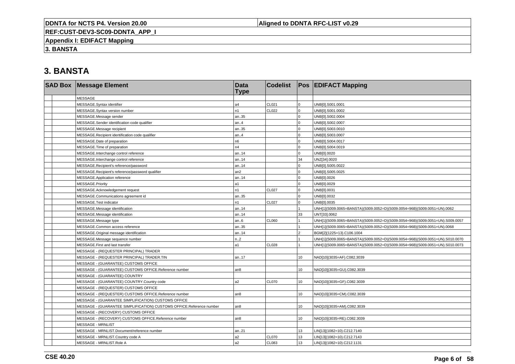### **Aligned to DDNTA RFC-LIST v0.29**

**REF:CUST-DEV3-SC09-DDNTA\_APP\_I**

**Appendix I: EDIFACT Mapping**

**3. BANSTA**

| <b>SAD Box Message Element</b>                                       | <b>Data</b><br><b>Type</b> | <b>Codelist</b> |                | <b>Pos EDIFACT Mapping</b>                                                   |
|----------------------------------------------------------------------|----------------------------|-----------------|----------------|------------------------------------------------------------------------------|
| <b>MESSAGE</b>                                                       |                            |                 |                |                                                                              |
| MESSAGE.Syntax identifier                                            | a4                         | CL021           | $\overline{0}$ | UNB[0].S001.0001                                                             |
| MESSAGE.Syntax version number                                        | n1                         | CL022           | $\mathbf 0$    | UNB[0].S001.0002                                                             |
| MESSAGE.Message sender                                               | an35                       |                 | $\mathbf 0$    | UNB[0].S002.0004                                                             |
| MESSAGE.Sender identification code qualifier                         | an.4                       |                 | $\Omega$       | UNB[0].S002.0007                                                             |
| MESSAGE.Message recipient                                            | an35                       |                 | $\mathbf 0$    | UNB[0].S003.0010                                                             |
| MESSAGE.Recipient identification code qualifier                      | an.4                       |                 | $\mathbf 0$    | UNB[0].S003.0007                                                             |
| MESSAGE.Date of preparation                                          | n6                         |                 | $\mathbf 0$    | UNB[0].S004.0017                                                             |
| MESSAGE. Time of preparation                                         | n4                         |                 | $\Omega$       | UNB[0].S004.0019                                                             |
| MESSAGE.Interchange control reference                                | an14                       |                 | $\mathbf{0}$   | UNB[0].0020                                                                  |
| MESSAGE.Interchange control reference                                | an14                       |                 | 34             | UNZ[34].0020                                                                 |
| MESSAGE.Recipient's reference/password                               | an14                       |                 | $\Omega$       | UNB[0].S005.0022                                                             |
| MESSAGE.Recipient's reference/password qualifier                     | an2                        |                 | $\mathbf 0$    | UNB[0].S005.0025                                                             |
| MESSAGE.Application reference                                        | an14                       |                 | $\mathbf 0$    | UNB[0].0026                                                                  |
| MESSAGE.Priority                                                     | a1                         |                 | $\mathbf 0$    | UNB[0].0029                                                                  |
| MESSAGE.Acknowledgement request                                      | n1                         | <b>CL027</b>    | $\mathbf 0$    | UNB[0].0031                                                                  |
| MESSAGE.Communications agreement id                                  | an35                       |                 | $\overline{0}$ | UNB[0].0032                                                                  |
| MESSAGE.Test indicator                                               | n1                         | <b>CL027</b>    | $\overline{0}$ | UNB[0].0035                                                                  |
| MESSAGE.Message identification                                       | an14                       |                 |                | UNH[1](S009.0065=BANSTA)(S009.0052=D)(S009.0054=96B)(S009.0051=UN).0062      |
| MESSAGE.Message identification                                       | an14                       |                 | 33             | UNT[33].0062                                                                 |
| MESSAGE.Message type                                                 | an.6                       | CL060           |                | UNH[1](S009.0065=BANSTA)(S009.0052=D)(S009.0054=96B)(S009.0051=UN).S009.0057 |
| MESSAGE.Common access reference                                      | an35                       |                 |                | UNH[1](S009.0065=BANSTA)(S009.0052=D)(S009.0054=96B)(S009.0051=UN).0068      |
| MESSAGE.Original message identification                              | an14                       |                 | $\mathcal{P}$  | BGM[2](1225=13).C106.1004                                                    |
| MESSAGE.Message sequence number                                      | n.2                        |                 |                | UNH[1](S009.0065=BANSTA)(S009.0052=D)(S009.0054=96B)(S009.0051=UN).S010.0070 |
| MESSAGE.First and last transfer                                      | a1                         | <b>CL028</b>    |                | UNH[1](S009.0065=BANSTA)(S009.0052=D)(S009.0054=96B)(S009.0051=UN).S010.0073 |
| MESSAGE - (REQUESTER PRINCIPAL) TRADER                               |                            |                 |                |                                                                              |
| MESSAGE - (REQUESTER PRINCIPAL) TRADER.TIN                           | an17                       |                 | 10             | NAD[10](3035=AF).C082.3039                                                   |
| MESSAGE - (GUARANTEE) CUSTOMS OFFICE                                 |                            |                 |                |                                                                              |
| MESSAGE - (GUARANTEE) CUSTOMS OFFICE.Reference number                | an8                        |                 | 10             | NAD[10](3035=GU).C082.3039                                                   |
| MESSAGE - (GUARANTEE) COUNTRY                                        |                            |                 |                |                                                                              |
| MESSAGE - (GUARANTEE) COUNTRY.Country code                           | a2                         | <b>CL070</b>    | 10             | NAD[10](3035=GF).C082.3039                                                   |
| MESSAGE - (REQUESTER) CUSTOMS OFFICE                                 |                            |                 |                |                                                                              |
| MESSAGE - (REQUESTER) CUSTOMS OFFICE.Reference number                | an8                        |                 | 10             | NAD[10](3035=CM).C082.3039                                                   |
| MESSAGE - (GUARANTEE SIMPLIFICATION) CUSTOMS OFFICE                  |                            |                 |                |                                                                              |
| MESSAGE - (GUARANTEE SIMPLIFICATION) CUSTOMS OFFICE.Reference number | an8                        |                 | 10             | NAD[10](3035=AM).C082.3039                                                   |
| MESSAGE - (RECOVERY) CUSTOMS OFFICE                                  |                            |                 |                |                                                                              |
| MESSAGE - (RECOVERY) CUSTOMS OFFICE.Reference number                 | an8                        |                 | 10             | NAD[10](3035=RE).C082.3039                                                   |
| <b>MESSAGE - MRNLIST</b>                                             |                            |                 |                |                                                                              |
| MESSAGE - MRNLIST.Document/reference number                          | an21                       |                 | 13             | LIN[13](1082=10).C212.7140                                                   |
| MESSAGE - MRNLIST.Country code A                                     | a2                         | <b>CL070</b>    | 13             | LIN[13](1082=10).C212.7143                                                   |
| MESSAGE - MRNLIST.Role A                                             | a2                         | <b>CL083</b>    | 13             | LIN[13](1082=10).C212.1131                                                   |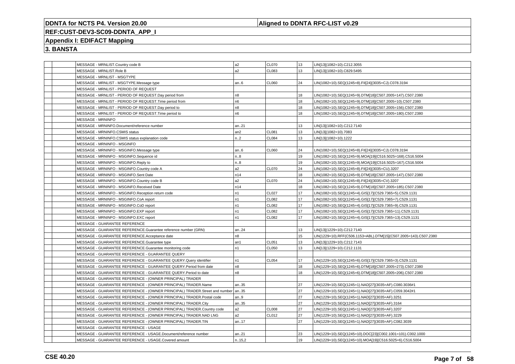### **Aligned to DDNTA RFC-LIST v0.29**

# **REF:CUST-DEV3-SC09-DDNTA\_APP\_I**

### **Appendix I: EDIFACT Mapping**

| MESSAGE - MRNLIST.Country code B                                                  | a2              | <b>CL070</b> | 13 | LIN[13](1082=10).C212.3055                                       |
|-----------------------------------------------------------------------------------|-----------------|--------------|----|------------------------------------------------------------------|
| MESSAGE - MRNLIST.Role B                                                          | a <sub>2</sub>  | CL083        | 13 | LIN[13](1082=10).C829.5495                                       |
| MESSAGE - MRNLIST - MSGTYPE                                                       |                 |              |    |                                                                  |
| MESSAGE - MRNLIST - MSGTYPE.Message type                                          | an6             | <b>CL060</b> | 24 | LIN(1082=10).SEQ(1245=8).FII[24](3035=CJ).C078.3194              |
| MESSAGE - MRNLIST - PERIOD OF REQUEST                                             |                 |              |    |                                                                  |
| MESSAGE - MRNLIST - PERIOD OF REQUEST.Day period from                             | n8              |              | 18 | LIN(1082=10).SEQ(1245=9).DTM[18](C507.2005=147).C507.2380        |
| MESSAGE - MRNLIST - PERIOD OF REQUEST. Time period from                           | n <sub>6</sub>  |              | 18 | LIN(1082=10).SEQ(1245=9).DTM[18](C507.2005=10).C507.2380         |
| MESSAGE - MRNLIST - PERIOD OF REQUEST.Day period to                               | n <sub>8</sub>  |              | 18 | LIN(1082=10).SEQ(1245=9).DTM[18](C507.2005=156).C507.2380        |
| MESSAGE - MRNLIST - PERIOD OF REQUEST. Time period to                             | n6              |              | 18 | LIN(1082=10).SEQ(1245=9).DTM[18](C507.2005=180).C507.2380        |
| <b>MESSAGE - MRNINFO</b>                                                          |                 |              |    |                                                                  |
| MESSAGE - MRNINFO.Document/reference number                                       | an21            |              | 13 | LIN[13](1082=10).C212.7140                                       |
| MESSAGE - MRNINFO.CSMIS status                                                    | an <sub>2</sub> | <b>CL081</b> | 13 | LIN[13](1082=10).7083                                            |
| MESSAGE - MRNINFO.CSMIS status explanation code                                   | n2              | <b>CL084</b> | 13 | LIN[13](1082=10).1222                                            |
| MESSAGE - MRNINFO - MSGINFO                                                       |                 |              |    |                                                                  |
| MESSAGE - MRNINFO - MSGINFO.Message type                                          | an6             | <b>CL060</b> | 24 | LIN(1082=10).SEQ(1245=8).FII[24](3035=CJ).C078.3194              |
| MESSAGE - MRNINFO - MSGINFO.Sequence id                                           | n.8             |              | 19 | LIN(1082=10).SEQ(1245=9).MOA[19](C516.5025=168).C516.5004        |
| MESSAGE - MRNINFO - MSGINFO.Reply to                                              | n8              |              | 19 | LIN(1082=10).SEQ(1245=9).MOA[19](C516.5025=167).C516.5004        |
| MESSAGE - MRNINFO - MSGINFO.Country code A                                        | a <sub>2</sub>  | CL070        | 24 | LIN(1082=10).SEQ(1245=8).FII[24](3035=CU).3207                   |
| MESSAGE - MRNINFO - MSGINFO.Sent Date                                             | n14             |              | 18 | LIN(1082=10).SEQ(1245=9).DTM[18](C507.2005=147).C507.2380        |
| MESSAGE - MRNINFO - MSGINFO.Country code B                                        | a2              | <b>CL070</b> | 24 | LIN(1082=10).SEQ(1245=8).FII[24](3035=CV).3207                   |
| MESSAGE - MRNINFO - MSGINFO.Received Date                                         | n14             |              | 18 | LIN(1082=10).SEQ(1245=9).DTM[18](C507.2005=185).C507.2380        |
| MESSAGE - MRNINFO - MSGINFO.Reception return code                                 | n <sub>1</sub>  | <b>CL027</b> | 17 | LIN(1082=10).SEQ(1245=4).GIS[17](C529.7365=5).C529.1131          |
| MESSAGE - MRNINFO - MSGINFO.CoA report                                            | n <sub>1</sub>  | <b>CL082</b> | 17 | LIN(1082=10).SEQ(1245=4).GIS[17](C529.7365=7).C529.1131          |
| MESSAGE - MRNINFO - MSGINFO.CoD report                                            | n <sub>1</sub>  | <b>CL082</b> | 17 | LIN(1082=10).SEQ(1245=4).GIS[17](C529.7365=9).C529.1131          |
| MESSAGE - MRNINFO - MSGINFO.EXP report                                            | n <sub>1</sub>  | CL082        | 17 | LIN(1082=10).SEQ(1245=4).GIS[17](C529.7365=11).C529.1131         |
| MESSAGE - MRNINFO - MSGINFO.EXC report                                            | n <sub>1</sub>  | CL082        | 17 | LIN(1082=10).SEQ(1245=4).GIS[17](C529.7365=13).C529.1131         |
| MESSAGE - GUARANTEE REFERENCE                                                     |                 |              |    |                                                                  |
| MESSAGE - GUARANTEE REFERENCE.Guarantee reference number (GRN)                    | an24            |              | 13 | LIN[13](1229=10).C212.7140                                       |
| MESSAGE - GUARANTEE REFERENCE.Acceptance date                                     | n8              |              | 15 | LIN(1229=10).RFF(C506.1153=ABL).DTM[15](C507.2005=143).C507.2380 |
| MESSAGE - GUARANTEE REFERENCE.Guarantee type                                      | an1             | CL051        | 13 | LIN[13](1229=10).C212.7143                                       |
| MESSAGE - GUARANTEE REFERENCE.Guarantee monitoring code                           | n <sub>1</sub>  | <b>CL050</b> | 13 | LIN[13](1229=10).C212.1131                                       |
| MESSAGE - GUARANTEE REFERENCE - GUARANTEE QUERY                                   |                 |              |    |                                                                  |
| MESSAGE - GUARANTEE REFERENCE - GUARANTEE QUERY.Query identifier                  | n1              | CL054        | 17 | LIN(1229=10).SEQ(1245=6).GIS[17](C529.7365=3).C529.1131          |
| MESSAGE - GUARANTEE REFERENCE - GUARANTEE QUERY. Period from date                 | n8              |              | 18 | LIN(1229=10).SEQ(1245=6).DTM[18](C507.2005=273).C507.2380        |
| MESSAGE - GUARANTEE REFERENCE - GUARANTEE QUERY.Period to date                    | n <sub>8</sub>  |              | 18 | LIN(1229=10).SEQ(1245=6).DTM[18](C507.2005=206).C507.2380        |
| MESSAGE - GUARANTEE REFERENCE - (OWNER PRINCIPAL) TRADER                          |                 |              |    |                                                                  |
| MESSAGE - GUARANTEE REFERENCE - (OWNER PRINCIPAL) TRADER.Name                     | an35            |              | 27 | LIN(1229=10).SEQ(1245=1).NAD[27](3035=AF).C080.3036#1            |
| MESSAGE - GUARANTEE REFERENCE - (OWNER PRINCIPAL) TRADER.Street and number   an35 |                 |              | 27 | LIN(1229=10).SEQ(1245=1).NAD[27](3035=AF).C059.3042#1            |
| MESSAGE - GUARANTEE REFERENCE - (OWNER PRINCIPAL) TRADER.Postal code              | an9             |              | 27 | LIN(1229=10).SEQ(1245=1).NAD[27](3035=AF).3251                   |
| MESSAGE - GUARANTEE REFERENCE - (OWNER PRINCIPAL) TRADER.City                     | an35            |              | 27 | LIN(1229=10).SEQ(1245=1).NAD[27](3035=AF).3164                   |
| MESSAGE - GUARANTEE REFERENCE - (OWNER PRINCIPAL) TRADER.Country code             | a <sub>2</sub>  | <b>CL008</b> | 27 | LIN(1229=10).SEQ(1245=1).NAD[27](3035=AF).3207                   |
| MESSAGE - GUARANTEE REFERENCE - (OWNER PRINCIPAL) TRADER.NAD LNG                  | a2              | CL012        | 27 | LIN(1229=10).SEQ(1245=1).NAD[27](3035=AF).3229                   |
| MESSAGE - GUARANTEE REFERENCE - (OWNER PRINCIPAL) TRADER.TIN                      | an17            |              | 27 | LIN(1229=10).SEQ(1245=1).NAD[27](3035=AF).C082.3039              |
| MESSAGE - GUARANTEE REFERENCE - USAGE                                             |                 |              |    |                                                                  |
| MESSAGE - GUARANTEE REFERENCE - USAGE.Document/reference number                   | an21            |              | 23 | LIN(1229=10).SEQ(1245=10).DOC[23](C002.1001=101).C002.1000       |
| MESSAGE - GUARANTEE REFERENCE - USAGE.Covered amount                              | n15,2           |              | 19 | LIN(1229=10).SEQ(1245=10).MOA[19](C516.5025=6).C516.5004         |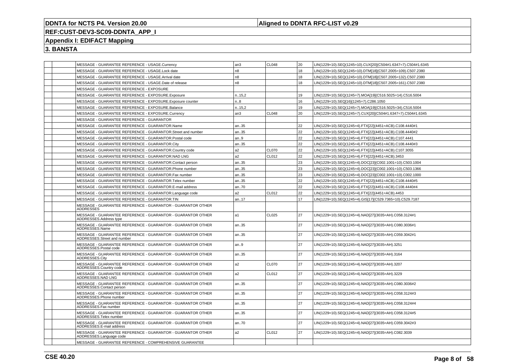#### **Aligned to DDNTA RFC-LIST v0.29**

### **REF:CUST-DEV3-SC09-DDNTA\_APP\_I**

### **Appendix I: EDIFACT Mapping**

|  | MESSAGE - GUARANTEE REFERENCE - USAGE.Currency                                             | l an3          | CL048             | 20 | LIN(1229=10).SEQ(1245=10).CUX[20](C504#1.6347=7).C504#1.6345 |
|--|--------------------------------------------------------------------------------------------|----------------|-------------------|----|--------------------------------------------------------------|
|  | MESSAGE - GUARANTEE REFERENCE - USAGE.Lock date                                            | n <sub>8</sub> |                   | 18 | LIN(1229=10).SEQ(1245=10).DTM[18](C507.2005=109).C507.2380   |
|  | MESSAGE - GUARANTEE REFERENCE - USAGE.Arrival date                                         | n8             |                   | 18 | LIN(1229=10).SEQ(1245=10).DTM[18](C507.2005=132).C507.2380   |
|  | MESSAGE - GUARANTEE REFERENCE - USAGE.Date of release                                      | n <sub>8</sub> |                   | 18 | LIN(1229=10).SEQ(1245=10).DTM[18](C507.2005=161).C507.2380   |
|  | MESSAGE - GUARANTEE REFERENCE - EXPOSURE                                                   |                |                   |    |                                                              |
|  | MESSAGE - GUARANTEE REFERENCE - EXPOSURE.Exposure                                          | n.15,2         |                   | 19 | IN(1229=10).SEQ(1245=7).MOA[19](C516.5025=14).C516.5004      |
|  | MESSAGE - GUARANTEE REFERENCE - EXPOSURE.Exposure counter                                  | n.8            |                   | 16 | LIN(1229=10).SEQ[16](1245=7).C286.1050                       |
|  | MESSAGE - GUARANTEE REFERENCE - EXPOSURE.Balance                                           | n15,2          |                   | 19 | LIN(1229=10).SEQ(1245=7).MOA[19](C516.5025=34).C516.5004     |
|  | MESSAGE - GUARANTEE REFERENCE - EXPOSURE.Currency                                          | l an3          | CL048             | 20 | LIN(1229=10).SEQ(1245=7).CUX[20](C504#1.6347=7).C504#1.6345  |
|  | MESSAGE - GUARANTEE REFERENCE - GUARANTOR                                                  |                |                   |    |                                                              |
|  | MESSAGE - GUARANTEE REFERENCE - GUARANTOR.Name                                             | an35           |                   | 22 | LIN(1229=10).SEQ(1245=4).FTX[22](4451=ACB).C108.4440#1       |
|  | MESSAGE - GUARANTEE REFERENCE - GUARANTOR.Street and number                                | an35           |                   | 22 | LIN(1229=10).SEQ(1245=4).FTX[22](4451=ACB).C108.4440#2       |
|  | MESSAGE - GUARANTEE REFERENCE - GUARANTOR.Postal code                                      | an9            |                   | 22 | LIN(1229=10).SEQ(1245=4).FTX[22](4451=ACB).C107.4441         |
|  | MESSAGE - GUARANTEE REFERENCE - GUARANTOR.City                                             | an35           |                   | 22 | LIN(1229=10).SEQ(1245=4).FTX[22](4451=ACB).C108.4440#3       |
|  | MESSAGE - GUARANTEE REFERENCE - GUARANTOR.Country code                                     | a2             | <b>CL070</b>      | 22 | LIN(1229=10).SEQ(1245=4).FTX[22](4451=ACB).C107.3055         |
|  | MESSAGE - GUARANTEE REFERENCE - GUARANTOR.NAD LNG                                          | a <sub>2</sub> | CL012             | 22 | LIN(1229=10).SEQ(1245=4).FTX[22](4451=ACB).3453              |
|  | MESSAGE - GUARANTEE REFERENCE - GUARANTOR.Contact person                                   | an35           |                   | 23 | IN(1229=10).SEQ(1245=4).DOC[23](C002.1001=10).C503.1004      |
|  | MESSAGE - GUARANTEE REFERENCE - GUARANTOR.Phone number                                     | an35           |                   | 23 | LIN(1229=10).SEQ(1245=4).DOC[23](C002.1001=10).C503.1366     |
|  | MESSAGE - GUARANTEE REFERENCE - GUARANTOR.Fax number                                       | an35           |                   | 23 | LIN(1229=10).SEQ(1245=4).DOC[23](C002.1001=10).C002.1000     |
|  | MESSAGE - GUARANTEE REFERENCE - GUARANTOR. Telex number                                    | an35           |                   | 22 | LIN(1229=10).SEQ(1245=4).FTX[22](4451=ACB).C108.4440#5       |
|  | MESSAGE - GUARANTEE REFERENCE - GUARANTOR.E-mail address                                   | an70           |                   | 22 | LIN(1229=10).SEQ(1245=4).FTX[22](4451=ACB).C108.4440#4       |
|  | MESSAGE - GUARANTEE REFERENCE - GUARANTOR.Language code                                    | a2             | CL012             | 22 | LIN(1229=10).SEQ(1245=4).FTX[22](4451=ACB).4453              |
|  | MESSAGE - GUARANTEE REFERENCE - GUARANTOR.TIN                                              | an17           |                   | 17 | LIN(1229=10).SEQ(1245=4).GIS[17](C529.7365=10).C529.7187     |
|  | MESSAGE - GUARANTEE REFERENCE - GUARANTOR - GUARANTOR OTHER<br><b>ADDRESSES</b>            |                |                   |    |                                                              |
|  | MESSAGE - GUARANTEE REFERENCE - GUARANTOR - GUARANTOR OTHER<br>ADDRESSES.Address type      | l a1           | CL <sub>025</sub> | 27 | LIN(1229=10).SEQ(1245=4).NAD[27](3035=AH).C058.3124#1        |
|  | MESSAGE - GUARANTEE REFERENCE - GUARANTOR - GUARANTOR OTHER<br>ADDRESSES.Name              | an35           |                   | 27 | LIN(1229=10).SEQ(1245=4).NAD[27](3035=AH).C080.3036#1        |
|  | MESSAGE - GUARANTEE REFERENCE - GUARANTOR - GUARANTOR OTHER<br>ADDRESSES.Street and number | an35           |                   | 27 | LIN(1229=10).SEQ(1245=4).NAD[27](3035=AH).C059.3042#1        |
|  | MESSAGE - GUARANTEE REFERENCE - GUARANTOR - GUARANTOR OTHER<br>ADDRESSES.Postal code       | an.9           |                   | 27 | LIN(1229=10).SEQ(1245=4).NAD[27](3035=AH).3251               |
|  | MESSAGE - GUARANTEE REFERENCE - GUARANTOR - GUARANTOR OTHER<br>ADDRESSES.City              | an35           |                   | 27 | LIN(1229=10).SEQ(1245=4).NAD[27](3035=AH).3164               |
|  | MESSAGE - GUARANTEE REFERENCE - GUARANTOR - GUARANTOR OTHER<br>ADDRESSES.Country code      | a2             | CL070             | 27 | LIN(1229=10).SEQ(1245=4).NAD[27](3035=AH).3207               |
|  | MESSAGE - GUARANTEE REFERENCE - GUARANTOR - GUARANTOR OTHER<br>ADDRESSES.NAD LNG           | a <sub>2</sub> | CL012             | 27 | LIN(1229=10).SEQ(1245=4).NAD[27](3035=AH).3229               |
|  | MESSAGE - GUARANTEE REFERENCE - GUARANTOR - GUARANTOR OTHER<br>ADDRESSES.Contact person    | an35           |                   | 27 | LIN(1229=10).SEQ(1245=4).NAD[27](3035=AH).C080.3036#2        |
|  | MESSAGE - GUARANTEE REFERENCE - GUARANTOR - GUARANTOR OTHER<br>ADDRESSES.Phone number      | an35           |                   | 27 | LIN(1229=10).SEQ(1245=4).NAD[27](3035=AH).C058.3124#3        |
|  | MESSAGE - GUARANTEE REFERENCE - GUARANTOR - GUARANTOR OTHER<br>ADDRESSES.Fax number        | an35           |                   | 27 | LIN(1229=10).SEQ(1245=4).NAD[27](3035=AH).C058.3124#4        |
|  | MESSAGE - GUARANTEE REFERENCE - GUARANTOR - GUARANTOR OTHER<br>ADDRESSES.Telex number      | an $35$        |                   | 27 | LIN(1229=10).SEQ(1245=4).NAD[27](3035=AH).C058.3124#5        |
|  | MESSAGE - GUARANTEE REFERENCE - GUARANTOR - GUARANTOR OTHER<br>ADDRESSES.E-mail address    | an70           |                   | 27 | IN(1229=10).SEQ(1245=4).NAD[27](3035=AH).C059.3042#3         |
|  | MESSAGE - GUARANTEE REFERENCE - GUARANTOR - GUARANTOR OTHER<br>ADDRESSES.Language code     | a2             | CL012             | 27 | LIN(1229=10).SEQ(1245=4).NAD[27](3035=AH).C082.3039          |
|  | MESSAGE - GUARANTEE REFERENCE - COMPREHENSIVE GUARANTEE                                    |                |                   |    |                                                              |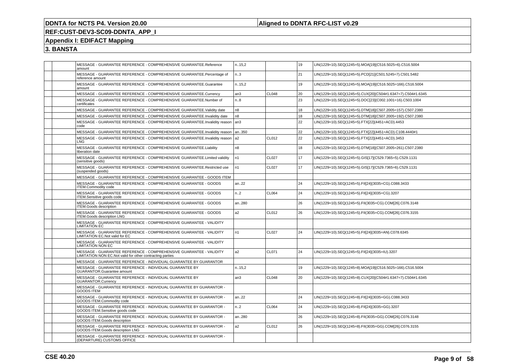### **Aligned to DDNTA RFC-LIST v0.29**

# **REF:CUST-DEV3-SC09-DDNTA\_APP\_I**

### **Appendix I: EDIFACT Mapping**

| MESSAGE - GUARANTEE REFERENCE - COMPREHENSIVE GUARANTEE.Reference<br>amount                                                     | n.15,2           |                   | 19 | LIN(1229=10).SEQ(1245=5).MOA[19](C516.5025=6).C516.5004     |
|---------------------------------------------------------------------------------------------------------------------------------|------------------|-------------------|----|-------------------------------------------------------------|
| MESSAGE - GUARANTEE REFERENCE - COMPREHENSIVE GUARANTEE.Percentage of<br>reference amount                                       | n.3              |                   | 21 | LIN(1229=10).SEQ(1245=5).PCD[21](C501.5245=7).C501.5482     |
| MESSAGE - GUARANTEE REFERENCE - COMPREHENSIVE GUARANTEE.Guarantee<br>amount                                                     | n.15,2           |                   | 19 | LIN(1229=10).SEQ(1245=5).MOA[19](C516.5025=166).C516.5004   |
| MESSAGE - GUARANTEE REFERENCE - COMPREHENSIVE GUARANTEE.Currency                                                                | an3              | CL048             | 20 | LIN(1229=10).SEQ(1245=5).CUX[20](C504#1.6347=7).C504#1.6345 |
| MESSAGE - GUARANTEE REFERENCE - COMPREHENSIVE GUARANTEE.Number of<br>certificates                                               | n8               |                   | 23 | LIN(1229=10).SEQ(1245=5).DOC[23](C002.1001=16).C503.1004    |
| MESSAGE - GUARANTEE REFERENCE - COMPREHENSIVE GUARANTEE. Validity date                                                          | n8               |                   | 18 | LIN(1229=10).SEQ(1245=5).DTM[18](C507.2005=157).C507.2380   |
| MESSAGE - GUARANTEE REFERENCE - COMPREHENSIVE GUARANTEE.Invalidity date                                                         | n8               |                   | 18 | LIN(1229=10).SEQ(1245=5).DTM[18](C507.2005=192).C507.2380   |
| MESSAGE - GUARANTEE REFERENCE - COMPREHENSIVE GUARANTEE.Invalidity reason<br>code                                               | an <sub>3</sub>  |                   | 22 | LIN(1229=10).SEQ(1245=5).FTX[22](4451=ACD).4453             |
| MESSAGE - GUARANTEE REFERENCE - COMPREHENSIVE GUARANTEE.Invalidity reason                                                       | an350            |                   | 22 | LIN(1229=10).SEQ(1245=5).FTX[22](4451=ACD).C108.4440#1      |
| MESSAGE - GUARANTEE REFERENCE - COMPREHENSIVE GUARANTEE.Invalidity reason<br>LNG                                                | a2               | CL012             | 22 | LIN(1229=10).SEQ(1245=5).FTX[22](4451=ACD).3453             |
| MESSAGE - GUARANTEE REFERENCE - COMPREHENSIVE GUARANTEE.Liability<br>liberation date                                            | n8               |                   | 18 | LIN(1229=10).SEQ(1245=5).DTM[18](C507.2005=261).C507.2380   |
| MESSAGE - GUARANTEE REFERENCE - COMPREHENSIVE GUARANTEE.Limited validity<br>(sensitive goods)                                   | n1               | CL <sub>027</sub> | 17 | LIN(1229=10).SEQ(1245=5).GIS[17](C529.7365=5).C529.1131     |
| MESSAGE - GUARANTEE REFERENCE - COMPREHENSIVE GUARANTEE.Restricted use<br>(suspended goods)                                     | n1               | CL027             | 17 | LIN(1229=10).SEQ(1245=5).GIS[17](C529.7365=6).C529.1131     |
| MESSAGE - GUARANTEE REFERENCE - COMPREHENSIVE GUARANTEE - GOODS ITEM                                                            |                  |                   |    |                                                             |
| MESSAGE - GUARANTEE REFERENCE - COMPREHENSIVE GUARANTEE - GOODS<br><b>ITEM.Commodity code</b>                                   | an22             |                   | 24 | LIN(1229=10).SEQ(1245=5).FII[24](3035=CG).C088.3433         |
| MESSAGE - GUARANTEE REFERENCE - COMPREHENSIVE GUARANTEE - GOODS<br>ITEM.Sensitive goods code                                    | n.2              | CL064             | 24 | LIN(1229=10).SEQ(1245=5).FII[24](3035=CG).3207              |
| MESSAGE - GUARANTEE REFERENCE - COMPREHENSIVE GUARANTEE - GOODS<br><b>ITEM.Goods description</b>                                | an280            |                   | 26 | LIN(1229=10).SEQ(1245=5).FII(3035=CG).COM[26].C076.3148     |
| MESSAGE - GUARANTEE REFERENCE - COMPREHENSIVE GUARANTEE - GOODS<br><b>ITEM.Goods description LNG</b>                            | a2               | CL012             | 26 | LIN(1229=10).SEQ(1245=5).FII(3035=CG).COM[26].C076.3155     |
| MESSAGE - GUARANTEE REFERENCE - COMPREHENSIVE GUARANTEE - VALIDITY<br><b>LIMITATION EC</b>                                      |                  |                   |    |                                                             |
| MESSAGE - GUARANTEE REFERENCE - COMPREHENSIVE GUARANTEE - VALIDITY<br><b>LIMITATION EC.Not valid for EC</b>                     | n <sub>1</sub>   | CL027             | 24 | LIN(1229=10).SEQ(1245=5).FII[24](3035=AN).C078.6345         |
| MESSAGE - GUARANTEE REFERENCE - COMPREHENSIVE GUARANTEE - VALIDITY<br><b>LIMITATION NON EC</b>                                  |                  |                   |    |                                                             |
| MESSAGE - GUARANTEE REFERENCE - COMPREHENSIVE GUARANTEE - VALIDITY<br>LIMITATION NON EC.Not valid for other contracting parties | a <sub>2</sub>   | CL071             | 24 | LIN(1229=10).SEQ(1245=5).FII[24](3035=IU).3207              |
| MESSAGE - GUARANTEE REFERENCE - INDIVIDUAL GUARANTEE BY GUARANTOR                                                               |                  |                   |    |                                                             |
| MESSAGE - GUARANTEE REFERENCE - INDIVIDUAL GUARANTEE BY<br><b>GUARANTOR.Guarantee amount</b>                                    | n.15,2           |                   | 19 | LIN(1229=10).SEQ(1245=8).MOA[19](C516.5025=166).C516.5004   |
| MESSAGE - GUARANTEE REFERENCE - INDIVIDUAL GUARANTEE BY<br><b>GUARANTOR.Currency</b>                                            | an3              | CL048             | 20 | LIN(1229=10).SEQ(1245=8).CUX[20](C504#1.6347=7).C504#1.6345 |
| MESSAGE - GUARANTEE REFERENCE - INDIVIDUAL GUARANTEE BY GUARANTOR -<br>GOODS ITEM                                               |                  |                   |    |                                                             |
| MESSAGE - GUARANTEE REFERENCE - INDIVIDUAL GUARANTEE BY GUARANTOR -<br>GOODS ITEM.Commodity code                                | an22             |                   | 24 | LIN(1229=10).SEQ(1245=8).FII[24](3035=GG).C088.3433         |
| MESSAGE - GUARANTEE REFERENCE - INDIVIDUAL GUARANTEE BY GUARANTOR -<br>GOODS ITEM.Sensitive goods code                          | n <sub>1</sub> 2 | CL064             | 24 | LIN(1229=10).SEQ(1245=8).FII[24](3035=GG).3207              |
| MESSAGE - GUARANTEE REFERENCE - INDIVIDUAL GUARANTEE BY GUARANTOR -<br>GOODS ITEM.Goods description                             | an280            |                   | 26 | LIN(1229=10).SEQ(1245=8).FII(3035=GG).COM[26].C076.3148     |
| MESSAGE - GUARANTEE REFERENCE - INDIVIDUAL GUARANTEE BY GUARANTOR -<br>GOODS ITEM.Goods description LNG                         | a2               | CL012             | 26 | LIN(1229=10).SEQ(1245=8).FII(3035=GG).COM[26].C076.3155     |
| MESSAGE - GUARANTEE REFERENCE - INDIVIDUAL GUARANTEE BY GUARANTOR -<br>(DEPARTURE) CUSTOMS OFFICE                               |                  |                   |    |                                                             |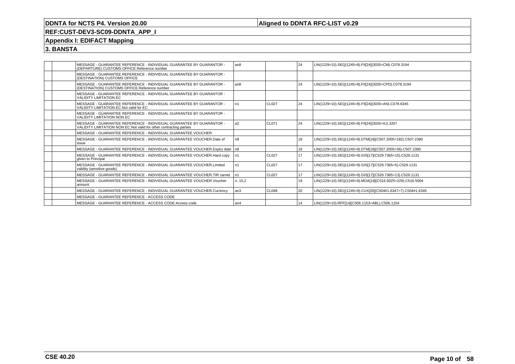### **Aligned to DDNTA RFC-LIST v0.29**

## **REF:CUST-DEV3-SC09-DDNTA\_APP\_I**

### **Appendix I: EDIFACT Mapping**

|  | MESSAGE - GUARANTEE REFERENCE - INDIVIDUAL GUARANTEE BY GUARANTOR -<br>(DEPARTURE) CUSTOMS OFFICE.Reference number                         | l an8          |                   | 24   | LIN(1229=10).SEQ(1245=8).FII[24](3035=CM).C078.3194         |
|--|--------------------------------------------------------------------------------------------------------------------------------------------|----------------|-------------------|------|-------------------------------------------------------------|
|  | MESSAGE - GUARANTEE REFERENCE - INDIVIDUAL GUARANTEE BY GUARANTOR -<br>(DESTINATION) CUSTOMS OFFICE                                        |                |                   |      |                                                             |
|  | MESSAGE - GUARANTEE REFERENCE - INDIVIDUAL GUARANTEE BY GUARANTOR -<br>(DESTINATION) CUSTOMS OFFICE.Reference number                       | l an8          |                   | 24   | LIN(1229=10).SEQ(1245=8).FII[24](3035=CPD).C078.3194        |
|  | MESSAGE - GUARANTEE REFERENCE - INDIVIDUAL GUARANTEE BY GUARANTOR -<br><b>VALIDITY LIMITATION EC</b>                                       |                |                   |      |                                                             |
|  | MESSAGE - GUARANTEE REFERENCE - INDIVIDUAL GUARANTEE BY GUARANTOR -<br>VALIDITY LIMITATION EC.Not valid for EC                             | n1             | CL <sub>027</sub> | 24   | LIN(1229=10).SEQ(1245=8).FII[24](3035=AN).C078.6345         |
|  | MESSAGE - GUARANTEE REFERENCE - INDIVIDUAL GUARANTEE BY GUARANTOR -<br>VALIDITY LIMITATION NON EC                                          |                |                   |      |                                                             |
|  | MESSAGE - GUARANTEE REFERENCE - INDIVIDUAL GUARANTEE BY GUARANTOR -<br>VALIDITY LIMITATION NON EC. Not valid for other contracting parties | a <sub>2</sub> | CL071             | 24   | LIN(1229=10).SEQ(1245=8).FII[24](3035=IU).3207              |
|  | MESSAGE - GUARANTEE REFERENCE - INDIVIDUAL GUARANTEE VOUCHER                                                                               |                |                   |      |                                                             |
|  | MESSAGE - GUARANTEE REFERENCE - INDIVIDUAL GUARANTEE VOUCHER. Date of<br>issue                                                             | n8             |                   | 18   | LIN(1229=10).SEQ(1245=9).DTM[18](C507.2005=182).C507.2380   |
|  | MESSAGE - GUARANTEE REFERENCE - INDIVIDUAL GUARANTEE VOUCHER. Expiry date   n8                                                             |                |                   | 18   | LIN(1229=10).SEQ(1245=9).DTM[18](C507.2005=36).C507.2380    |
|  | MESSAGE - GUARANTEE REFERENCE - INDIVIDUAL GUARANTEE VOUCHER.Hard copy<br>given to Principal                                               | n1             | CL <sub>027</sub> | 17   | LIN(1229=10).SEQ(1245=9).GIS[17](C529.7365=15).C529.1131    |
|  | MESSAGE - GUARANTEE REFERENCE - INDIVIDUAL GUARANTEE VOUCHER.Limited<br>validity (sensitive goods)                                         | n1             | CL <sub>027</sub> | 17   | LIN(1229=10).SEQ(1245=9).GIS[17](C529.7365=5).C529.1131     |
|  | MESSAGE - GUARANTEE REFERENCE - INDIVIDUAL GUARANTEE VOUCHER.TIR carnet                                                                    | n1             | <b>CL027</b>      | 17   | LIN(1229=10).SEQ(1245=9).GIS[17](C529.7365=13).C529.1131    |
|  | MESSAGE - GUARANTEE REFERENCE - INDIVIDUAL GUARANTEE VOUCHER.Voucher<br>amount                                                             | n15,2          |                   | 19   | LIN(1229=10).SEQ(1245=9).MOA[19](C516.5025=229).C516.5004   |
|  | MESSAGE - GUARANTEE REFERENCE - INDIVIDUAL GUARANTEE VOUCHER.Currency                                                                      | l an3          | CL048             | l 20 | LIN(1229=10).SEQ(1245=9).CUX[20](C504#1.6347=7).C504#1.6345 |
|  | MESSAGE - GUARANTEE REFERENCE - ACCESS CODE                                                                                                |                |                   |      |                                                             |
|  | MESSAGE - GUARANTEE REFERENCE - ACCESS CODE.Access code                                                                                    | l an4          |                   | 14   | LIN(1229=10).RFF[14](C506.1153=ABL).C506.1154               |
|  |                                                                                                                                            |                |                   |      |                                                             |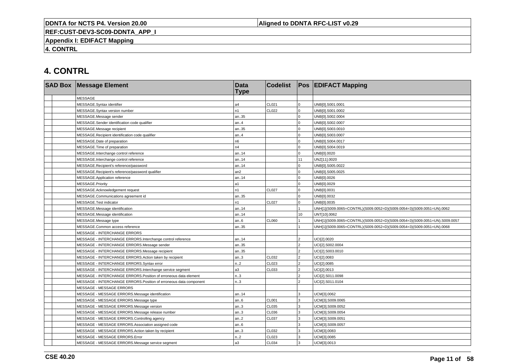**Aligned to DDNTA RFC-LIST v0.29**

**REF:CUST-DEV3-SC09-DDNTA\_APP\_I**

**Appendix I: EDIFACT Mapping**

**4. CONTRL**

# **4. CONTRL**

|  | <b>SAD Box Message Element</b>                                     | <b>Data</b><br><b>Type</b> | <b>Codelist</b> |                | <b>Pos EDIFACT Mapping</b>                                                 |
|--|--------------------------------------------------------------------|----------------------------|-----------------|----------------|----------------------------------------------------------------------------|
|  | <b>MESSAGE</b>                                                     |                            |                 |                |                                                                            |
|  | MESSAGE.Syntax identifier                                          | a4                         | CL021           | $\Omega$       | UNB[0].S001.0001                                                           |
|  | MESSAGE.Syntax version number                                      | n1                         | CL022           | $\Omega$       | UNB[0].S001.0002                                                           |
|  | MESSAGE.Message sender                                             | an35                       |                 | $\Omega$       | UNB[0].S002.0004                                                           |
|  | MESSAGE.Sender identification code qualifier                       | an4                        |                 |                | UNB[0].S002.0007                                                           |
|  | MESSAGE.Message recipient                                          | an35                       |                 | $\Omega$       | UNB[0].S003.0010                                                           |
|  | MESSAGE.Recipient identification code qualifier                    | an4                        |                 | $\Omega$       | UNB[0].S003.0007                                                           |
|  | MESSAGE.Date of preparation                                        | n6                         |                 | $\mathbf 0$    | UNB[0].S004.0017                                                           |
|  | MESSAGE. Time of preparation                                       | n4                         |                 | $\Omega$       | UNB[0].S004.0019                                                           |
|  | MESSAGE.Interchange control reference                              | an14                       |                 | $\Omega$       | UNB[0].0020                                                                |
|  | MESSAGE.Interchange control reference                              | an14                       |                 | 11             | UNZ[11].0020                                                               |
|  | MESSAGE.Recipient's reference/password                             | an14                       |                 |                | UNB[0].S005.0022                                                           |
|  | MESSAGE.Recipient's reference/password qualifier                   | an2                        |                 | $\Omega$       | UNB[0].S005.0025                                                           |
|  | MESSAGE.Application reference                                      | an14                       |                 | $\Omega$       | UNB[0].0026                                                                |
|  | MESSAGE.Priority                                                   | a1                         |                 | $\Omega$       | UNB[0].0029                                                                |
|  | MESSAGE.Acknowledgement request                                    | n1                         | <b>CL027</b>    | $\Omega$       | UNB[0].0031                                                                |
|  | MESSAGE.Communications agreement id                                | an35                       |                 | $\Omega$       | UNB[0].0032                                                                |
|  | MESSAGE.Test indicator                                             | n1                         | <b>CL027</b>    | $\mathbf 0$    | UNB[0].0035                                                                |
|  | MESSAGE.Message identification                                     | an14                       |                 |                | UNH[1](S009.0065=CONTRL)(S009.0052=D)(S009.0054=3)(S009.0051=UN).0062      |
|  | MESSAGE.Message identification                                     | an14                       |                 | 10             | UNT[10].0062                                                               |
|  | MESSAGE.Message type                                               | an6                        | CL060           |                | UNH[1](S009.0065=CONTRL)(S009.0052=D)(S009.0054=3)(S009.0051=UN).S009.0057 |
|  | MESSAGE.Common access reference                                    | an35                       |                 |                | UNH[1](S009.0065=CONTRL)(S009.0052=D)(S009.0054=3)(S009.0051=UN).0068      |
|  | <b>MESSAGE - INTERCHANGE ERRORS</b>                                |                            |                 |                |                                                                            |
|  | MESSAGE - INTERCHANGE ERRORS.Interchange control reference         | an14                       |                 | $\mathcal{P}$  | UCI[2].0020                                                                |
|  | MESSAGE - INTERCHANGE ERRORS.Message sender                        | an35                       |                 | $\mathcal{P}$  | UCI[2].S002.0004                                                           |
|  | MESSAGE - INTERCHANGE ERRORS.Message recipient                     | an35                       |                 | $\overline{ }$ | UCI[2].S003.0010                                                           |
|  | MESSAGE - INTERCHANGE ERRORS.Action taken by recipient             | an.3                       | CL032           | $\mathfrak{p}$ | UCI[2].0083                                                                |
|  | MESSAGE - INTERCHANGE ERRORS.Syntax error                          | n.2                        | CL023           | $\mathcal{P}$  | UCI[2].0085                                                                |
|  | MESSAGE - INTERCHANGE ERRORS.Interchange service segment           | a3                         | CL033           | $\mathcal{P}$  | UCI[2].0013                                                                |
|  | MESSAGE - INTERCHANGE ERRORS. Position of erroneous data element   | n.3                        |                 | $\mathcal{P}$  | UCI[2].S011.0098                                                           |
|  | MESSAGE - INTERCHANGE ERRORS. Position of erroneous data component | n.3                        |                 | $\mathcal{P}$  | UCI[2].S011.0104                                                           |
|  | MESSAGE - MESSAGE ERRORS                                           |                            |                 |                |                                                                            |
|  | MESSAGE - MESSAGE ERRORS.Message identification                    | an14                       |                 | 3              | UCM[3].0062                                                                |
|  | MESSAGE - MESSAGE ERRORS.Message type                              | an.6                       | <b>CL001</b>    | 3              | UCM[3].S009.0065                                                           |
|  | MESSAGE - MESSAGE ERRORS.Message version                           | an.3                       | CL035           | 3              | UCM[3].S009.0052                                                           |
|  | MESSAGE - MESSAGE ERRORS.Message release number                    | an.3                       | CL036           | 3              | UCM[3].S009.0054                                                           |
|  | MESSAGE - MESSAGE ERRORS.Controlling agency                        | an.2                       | <b>CL037</b>    | $\mathbf{R}$   | UCM[3].S009.0051                                                           |
|  | MESSAGE - MESSAGE ERRORS.Association assigned code                 | an.6                       |                 | 3              | UCM[3].S009.0057                                                           |
|  | MESSAGE - MESSAGE ERRORS.Action taken by recipient                 | an.3                       | CL032           | 3              | UCM[3].0083                                                                |
|  | MESSAGE - MESSAGE ERRORS.Error                                     | n.2                        | CL023           | 3              | UCM[3].0085                                                                |
|  | MESSAGE - MESSAGE ERRORS.Message service segment                   | a3                         | CL034           | 3              | UCM[3].0013                                                                |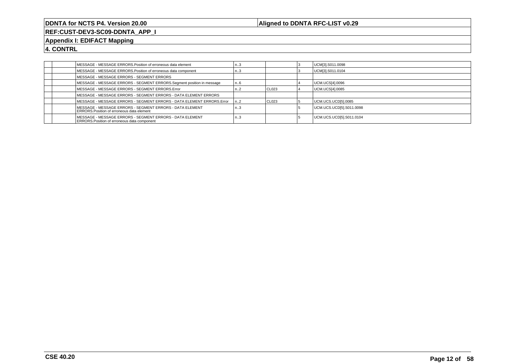### **Aligned to DDNTA RFC-LIST v0.29**

**REF:CUST-DEV3-SC09-DDNTA\_APP\_I**

#### **Appendix I: EDIFACT Mapping**

**4. CONTRL**

| MESSAGE - MESSAGE ERRORS. Position of erroneous data element                                                   | کا   |                   | UCM[3].S011.0098         |
|----------------------------------------------------------------------------------------------------------------|------|-------------------|--------------------------|
| MESSAGE - MESSAGE ERRORS. Position of erroneous data component                                                 | کا   |                   | UCM[3].S011.0104         |
| MESSAGE - MESSAGE ERRORS - SEGMENT ERRORS                                                                      |      |                   |                          |
| MESSAGE - MESSAGE ERRORS - SEGMENT ERRORS.Segment position in message                                          | n. 6 |                   | UCM.UCS[4].0096          |
| MESSAGE - MESSAGE ERRORS - SEGMENT ERRORS.Error                                                                | ı. 2 | I CL023           | UCM.UCS[4].0085          |
| MESSAGE - MESSAGE ERRORS - SEGMENT ERRORS - DATA ELEMENT ERRORS                                                |      |                   |                          |
| MESSAGE - MESSAGE ERRORS - SEGMENT ERRORS - DATA ELEMENT ERRORS. Error                                         | n2   | CL <sub>023</sub> | UCM.UCS.UCD[5].0085      |
| MESSAGE - MESSAGE ERRORS - SEGMENT ERRORS - DATA ELEMENT<br><b>ERRORS.Position of erroneous data element</b>   | ک…۱  |                   | UCM.UCS.UCD[5].S011.0098 |
| MESSAGE - MESSAGE ERRORS - SEGMENT ERRORS - DATA ELEMENT<br><b>ERRORS.Position of erroneous data component</b> | n3   |                   | UCM.UCS.UCD[5].S011.0104 |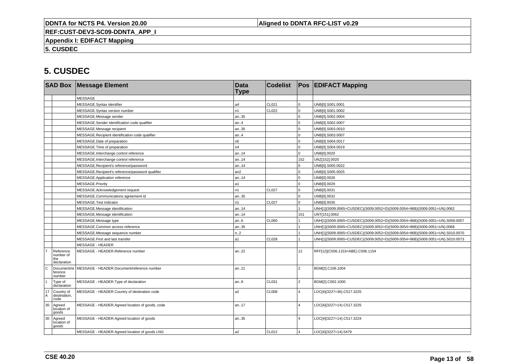**Aligned to DDNTA RFC-LIST v0.29**

**REF:CUST-DEV3-SC09-DDNTA\_APP\_I**

**Appendix I: EDIFACT Mapping**

**5. CUSDEC**

|              |                                              | <b>SAD Box Message Element</b>                   | <b>Data</b><br><b>Type</b> | <b>Codelist</b> |                 | <b>Pos EDIFACT Mapping</b>                                                   |
|--------------|----------------------------------------------|--------------------------------------------------|----------------------------|-----------------|-----------------|------------------------------------------------------------------------------|
|              |                                              | <b>MESSAGE</b>                                   |                            |                 |                 |                                                                              |
|              |                                              | MESSAGE.Syntax identifier                        | a4                         | CL021           | $\overline{0}$  | UNB[0].S001.0001                                                             |
|              |                                              | MESSAGE.Syntax version number                    | n1                         | CL022           | $\Omega$        | UNB[0].S001.0002                                                             |
|              |                                              | MESSAGE.Message sender                           | an35                       |                 | $\Omega$        | UNB[0].S002.0004                                                             |
|              |                                              | MESSAGE.Sender identification code qualifier     | an.4                       |                 | $\Omega$        | UNB[0].S002.0007                                                             |
|              |                                              | MESSAGE.Message recipient                        | an35                       |                 | $\overline{0}$  | UNB[0].S003.0010                                                             |
|              |                                              | MESSAGE.Recipient identification code qualifier  | an.4                       |                 | $\Omega$        | UNB[0].S003.0007                                                             |
|              |                                              | MESSAGE.Date of preparation                      | n <sub>6</sub>             |                 | $\Omega$        | UNB[0].S004.0017                                                             |
|              |                                              | MESSAGE.Time of preparation                      | n4                         |                 | $\Omega$        | UNB[0].S004.0019                                                             |
|              |                                              | MESSAGE.Interchange control reference            | an14                       |                 | $\mathbf 0$     | UNB[0].0020                                                                  |
|              |                                              | MESSAGE.Interchange control reference            | an14                       |                 | 152             | UNZ[152].0020                                                                |
|              |                                              | MESSAGE.Recipient's reference/password           | an14                       |                 | $\mathbf 0$     | UNB[0].S005.0022                                                             |
|              |                                              | MESSAGE.Recipient's reference/password qualifier | an2                        |                 | 0               | UNB[0].S005.0025                                                             |
|              |                                              | MESSAGE.Application reference                    | an14                       |                 | $\mathbf 0$     | UNB[0].0026                                                                  |
|              |                                              | MESSAGE.Priority                                 | a1                         |                 | $\overline{0}$  | UNB[0].0029                                                                  |
|              |                                              | MESSAGE.Acknowledgement request                  | n1                         | <b>CL027</b>    | $\overline{0}$  | UNB[0].0031                                                                  |
|              |                                              | MESSAGE.Communications agreement id              | an35                       |                 | $\mathbf 0$     | UNB[0].0032                                                                  |
|              |                                              | MESSAGE.Test indicator                           | n1                         | <b>CL027</b>    | $\overline{0}$  | UNB[0].0035                                                                  |
|              |                                              | MESSAGE.Message identification                   | an14                       |                 |                 | UNH[1](S009.0065=CUSDEC)(S009.0052=D)(S009.0054=96B)(S009.0051=UN).0062      |
|              |                                              | MESSAGE.Message identification                   | an14                       |                 | 151             | UNT[151].0062                                                                |
|              |                                              | MESSAGE.Message type                             | an.6                       | CL060           |                 | UNH[1](S009.0065=CUSDEC)(S009.0052=D)(S009.0054=96B)(S009.0051=UN).S009.0057 |
|              |                                              | MESSAGE.Common access reference                  | an35                       |                 |                 | UNH[1](S009.0065=CUSDEC)(S009.0052=D)(S009.0054=96B)(S009.0051=UN).0068      |
|              |                                              | MESSAGE.Message sequence number                  | n.2                        |                 |                 | UNH[1](S009.0065=CUSDEC)(S009.0052=D)(S009.0054=96B)(S009.0051=UN).S010.0070 |
|              |                                              | MESSAGE.First and last transfer                  | a1                         | <b>CL028</b>    |                 | UNH[1](S009.0065=CUSDEC)(S009.0052=D)(S009.0054=96B)(S009.0051=UN).S010.0073 |
|              |                                              | <b>MESSAGE - HEADER</b>                          |                            |                 |                 |                                                                              |
|              | Reference<br>number of<br>the<br>declaration | MESSAGE - HEADER.Reference number                | an.22                      |                 | 12 <sup>2</sup> | RFF[12](C506.1153=ABE).C506.1154                                             |
| l c          | Document/re<br>ference<br>number             | MESSAGE - HEADER.Document/reference number       | an21                       |                 | $\overline{2}$  | BGM[2].C106.1004                                                             |
| $\mathbf{1}$ | Type of<br>declaration                       | MESSAGE - HEADER. Type of declaration            | an.9                       | CL031           | $\overline{2}$  | BGM[2].C002.1000                                                             |
| 17<br>A      | Country of<br>destination,<br>code           | MESSAGE - HEADER.Country of destination code     | a2                         | <b>CL008</b>    | 4               | LOC[4](3227=36).C517.3225                                                    |
| 30           | Agreed<br>location of<br>goods               | MESSAGE - HEADER.Agreed location of goods, code  | an17                       |                 | $\Delta$        | LOC[4](3227=14).C517.3225                                                    |
| 30           | Agreed<br>location of<br>goods               | MESSAGE - HEADER.Agreed location of goods        | an35                       |                 | $\overline{4}$  | LOC[4](3227=14).C517.3224                                                    |
|              |                                              | MESSAGE - HEADER.Agreed location of goods LNG    | a2                         | CL012           | $\overline{a}$  | LOC[4](3227=14).5479                                                         |
|              |                                              |                                                  |                            |                 |                 |                                                                              |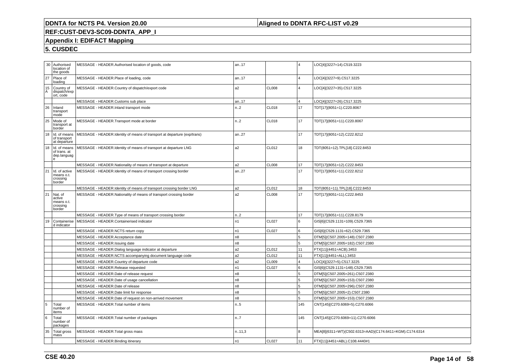### **Aligned to DDNTA RFC-LIST v0.29**

## **REF:CUST-DEV3-SC09-DDNTA\_APP\_I**

### **Appendix I: EDIFACT Mapping**

|         | 30 Authorised                                               | MESSAGE - HEADER.Authorised location of goods, code                      | an17           |              | 4              | LOC[4](3227=14).C519.3223                               |
|---------|-------------------------------------------------------------|--------------------------------------------------------------------------|----------------|--------------|----------------|---------------------------------------------------------|
|         | location of<br>the goods                                    |                                                                          |                |              |                |                                                         |
| 27      | Place of<br>loading                                         | MESSAGE - HEADER.Place of loading, code                                  | an17           |              | $\overline{4}$ | LOC[4](3227=9).C517.3225                                |
| 15<br>A | Country of<br>dispatch/exp<br>ort, code                     | MESSAGE - HEADER.Country of dispatch/export code                         | a <sub>2</sub> | <b>CL008</b> | $\overline{4}$ | LOC[4](3227=35).C517.3225                               |
|         |                                                             | MESSAGE - HEADER.Customs sub place                                       | an17           |              |                | LOC[4](3227=26).C517.3225                               |
| 26      | Inland<br>transport<br>mode                                 | MESSAGE - HEADER.Inland transport mode                                   | n2             | <b>CL018</b> | 17             | TDT[17](8051=1).C220.8067                               |
| 25      | Mode of<br>transport at<br>border                           | MESSAGE - HEADER. Transport mode at border                               | n.2            | <b>CL018</b> | 17             | TDT[17](8051=11).C220.8067                              |
| 18      | Id. of means<br>of transport<br>at departure                | MESSAGE - HEADER.Identity of means of transport at departure (exp/trans) | an27           |              | 17             | TDT[17](8051=12).C222.8212                              |
| 18      | Id. of means<br>of trans. at<br>dep.languag<br>$\mathbf{e}$ | MESSAGE - HEADER.Identity of means of transport at departure LNG         | a2             | CL012        | 18             | TDT(8051=12).TPL[18].C222.8453                          |
|         |                                                             | MESSAGE - HEADER. Nationality of means of transport at departure         | a <sub>2</sub> | <b>CL008</b> | 17             | TDT[17](8051=12).C222.8453                              |
| 21      | Id. of active<br>means o.t.<br>crossing<br>border           | MESSAGE - HEADER.Identity of means of transport crossing border          | an27           |              | 17             | TDT[17](8051=11).C222.8212                              |
|         |                                                             | MESSAGE - HEADER.Identity of means of transport crossing border LNG      | a <sub>2</sub> | CL012        | 18             | TDT(8051=11).TPL[18].C222.8453                          |
| 21      | Nat. of<br>active<br>means o.t.<br>crossing<br>border       | MESSAGE - HEADER. Nationality of means of transport crossing border      | a <sub>2</sub> | <b>CL008</b> | 17             | TDT[17](8051=11).C222.8453                              |
|         |                                                             | MESSAGE - HEADER. Type of means of transport crossing border             | n2             |              | 17             | TDT[17](8051=11).C228.8179                              |
| 19      | Containerise<br>d indicator                                 | MESSAGE - HEADER.Containerised indicator                                 | n1             | <b>CL027</b> | 6              | GIS[6](C529.1131=109).C529.7365                         |
|         |                                                             | MESSAGE - HEADER.NCTS return copy                                        | n1             | <b>CL027</b> | 6              | GIS[6](C529.1131=62).C529.7365                          |
|         |                                                             | MESSAGE - HEADER.Acceptance date                                         | n8             |              | 5              | DTM[5](C507.2005=148).C507.2380                         |
|         |                                                             | MESSAGE - HEADER.Issuing date                                            | n8             |              | 5              | DTM[5](C507.2005=182).C507.2380                         |
|         |                                                             | MESSAGE - HEADER.Dialog language indicator at departure                  | a2             | CL012        | 11             | FTX[11](4451=ACB).3453                                  |
|         |                                                             | MESSAGE - HEADER.NCTS accompanying document language code                | a2             | CL012        | 11             | FTX[11](4451=ALL).3453                                  |
|         |                                                             | MESSAGE - HEADER.Country of departure code                               | a <sub>2</sub> | <b>CL009</b> | $\overline{4}$ | LOC[4](3227=5).C517.3225                                |
|         |                                                             | MESSAGE - HEADER.Release requested                                       | n <sub>1</sub> | <b>CL027</b> | 6              | GIS[6](C529.1131=148).C529.7365                         |
|         |                                                             | MESSAGE - HEADER.Date of release request                                 | n8             |              | 5              | DTM[5](C507.2005=261).C507.2380                         |
|         |                                                             | MESSAGE - HEADER.Date of usage cancellation                              | n8             |              | 5              | DTM[5](C507.2005=153).C507.2380                         |
|         |                                                             | MESSAGE - HEADER.Date of release                                         | n8             |              | 5              | DTM[5](C507.2005=296).C507.2380                         |
|         |                                                             | MESSAGE - HEADER.Date limit for response                                 | n <sub>8</sub> |              | 5              | DTM[5](C507.2005=2).C507.2380                           |
|         |                                                             | MESSAGE - HEADER.Date of request on non-arrived movement                 | n8             |              | 5              | DTM[5](C507.2005=153).C507.2380                         |
| 5       | Total<br>number of<br>items                                 | MESSAGE - HEADER. Total number of items                                  | n.5            |              | 145            | CNT[145](C270.6069=5).C270.6066                         |
| 6       | Total<br>number of<br>packages                              | MESSAGE - HEADER. Total number of packages                               | n.7            |              | 145            | CNT[145](C270.6069=11).C270.6066                        |
| 35      | Total gross<br>mass                                         | MESSAGE - HEADER. Total gross mass                                       | n.11,3         |              | 8              | MEA[8](6311=WT)(C502.6313=AAD)(C174.6411=KGM).C174.6314 |
|         |                                                             | MESSAGE - HEADER.Binding itinerary                                       | n1             | <b>CL027</b> | 11             | FTX[11](4451=ABL).C108.4440#1                           |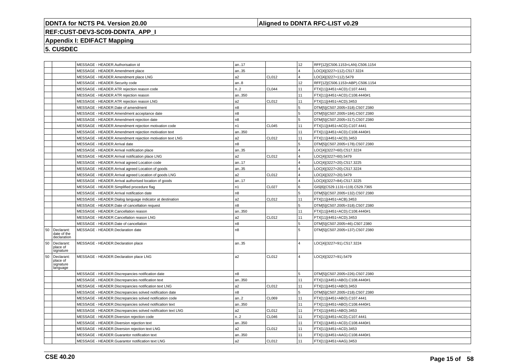#### **Aligned to DDNTA RFC-LIST v0.29**

### **REF:CUST-DEV3-SC09-DDNTA\_APP\_I**

### **Appendix I: EDIFACT Mapping**

|    |                                                 | MESSAGE - HEADER.Authorisation id                           | an17           |              | 12                      | RFF[12](C506.1153=LAN).C506.1154 |
|----|-------------------------------------------------|-------------------------------------------------------------|----------------|--------------|-------------------------|----------------------------------|
|    |                                                 | MESSAGE - HEADER.Amendment place                            | an35           |              | $\overline{4}$          | LOC[4](3227=112).C517.3224       |
|    |                                                 | MESSAGE - HEADER.Amendment place LNG                        | a2             | CL012        | $\overline{4}$          | LOC[4](3227=112).5479            |
|    |                                                 | MESSAGE - HEADER.Security code                              | an.8           |              | 12                      | RFF[12](C506.1153=ABP).C506.1154 |
|    |                                                 | MESSAGE - HEADER.ATR rejection reason code                  | n.2            | <b>CL044</b> | 11                      | FTX[11](4451=ACD).C107.4441      |
|    |                                                 | MESSAGE - HEADER.ATR rejection reason                       | an350          |              | 11                      | FTX[11](4451=ACD).C108.4440#1    |
|    |                                                 | MESSAGE - HEADER.ATR rejection reason LNG                   | a2             | CL012        | 11                      | FTX[11](4451=ACD).3453           |
|    |                                                 | MESSAGE - HEADER.Date of amendment                          | n <sub>8</sub> |              | 5                       | DTM[5](C507.2005=318).C507.2380  |
|    |                                                 | MESSAGE - HEADER.Amendment acceptance date                  | n8             |              | 5                       | DTM[5](C507.2005=184).C507.2380  |
|    |                                                 | MESSAGE - HEADER.Amendment rejection date                   | n8             |              | 5                       | DTM[5](C507.2005=317).C507.2380  |
|    |                                                 | MESSAGE - HEADER.Amendment rejection motivation code        | n1             | CL045        | 11                      | FTX[11](4451=ACD).C107.4441      |
|    |                                                 | MESSAGE - HEADER.Amendment rejection motivation text        | an350          |              | 11                      | FTX[11](4451=ACD).C108.4440#1    |
|    |                                                 | MESSAGE - HEADER.Amendment rejection motivation text LNG    | a2             | CL012        | 11                      | FTX[11](4451=ACD).3453           |
|    |                                                 | MESSAGE - HEADER.Arrival date                               | n8             |              | 5                       | DTM[5](C507.2005=178).C507.2380  |
|    |                                                 | MESSAGE - HEADER.Arrival notification place                 | an35           |              | $\overline{4}$          | LOC[4](3227=60).C517.3224        |
|    |                                                 | MESSAGE - HEADER.Arrival notification place LNG             | a2             | CL012        | $\overline{4}$          | LOC[4](3227=60).5479             |
|    |                                                 | MESSAGE - HEADER.Arrival agreed Location code               | an17           |              | $\overline{\mathbf{4}}$ | LOC[4](3227=20).C517.3225        |
|    |                                                 | MESSAGE - HEADER.Arrival agreed Location of goods           | an35           |              | $\overline{\mathbf{A}}$ | LOC[4](3227=20).C517.3224        |
|    |                                                 | MESSAGE - HEADER.Arrival agreed Location of goods LNG       | a2             | CL012        | $\overline{4}$          | LOC[4](3227=20).5479             |
|    |                                                 | MESSAGE - HEADER.Arrival authorised location of goods       | an17           |              | $\overline{\mathbf{A}}$ | LOC[4](3227=84).C517.3225        |
|    |                                                 | MESSAGE - HEADER.Simplified procedure flag                  | n1             | CL027        | l 6                     | GIS[6](C529.1131=119).C529.7365  |
|    |                                                 | MESSAGE - HEADER.Arrival notification date                  | n8             |              | 5                       | DTM[5](C507.2005=132).C507.2380  |
|    |                                                 | MESSAGE - HEADER.Dialog language indicator at destination   | a2             | CL012        | 11                      | FTX[11](4451=ACB).3453           |
|    |                                                 | MESSAGE - HEADER.Date of cancellation request               | n8             |              | 5                       | DTM[5](C507.2005=318).C507.2380  |
|    |                                                 | MESSAGE - HEADER.Cancellation reason                        | an350          |              | 11                      | FTX[11](4451=ACD).C108.4440#1    |
|    |                                                 | MESSAGE - HEADER.Cancellation reason LNG                    | a2             | CL012        | 11                      |                                  |
|    |                                                 |                                                             |                |              |                         | FTX[11](4451=ACD).3453           |
|    |                                                 | MESSAGE - HEADER.Date of cancellation                       | n8             |              | 5                       | DTM[5](C507.2005=46).C507.2380   |
| 50 | Declarant:<br>date of the<br>declaration        | MESSAGE - HEADER.Declaration date                           | n8             |              | 5                       | DTM[5](C507.2005=137).C507.2380  |
| 50 | Declarant:<br>place of<br>signature             | MESSAGE - HEADER.Declaration place                          | an35           |              | $\overline{4}$          | LOC[4](3227=91).C517.3224        |
| 50 | Declarant:<br>place of<br>signature<br>language | MESSAGE - HEADER.Declaration place LNG                      | a2             | CL012        | $\overline{4}$          | LOC[4](3227=91).5479             |
|    |                                                 | MESSAGE - HEADER.Discrepancies notification date            | n8             |              | 5                       | DTM[5](C507.2005=226).C507.2380  |
|    |                                                 | MESSAGE - HEADER.Discrepancies notification text            | an350          |              | 11                      | FTX[11](4451=ABO).C108.4440#1    |
|    |                                                 | MESSAGE - HEADER.Discrepancies notification text LNG        | a2             | CL012        | 11                      | FTX[11](4451=ABO).3453           |
|    |                                                 | MESSAGE - HEADER.Discrepancies solved notification date     | n8             |              | 5                       | DTM[5](C507.2005=218).C507.2380  |
|    |                                                 | MESSAGE - HEADER.Discrepancies solved notification code     | an.2           | CL069        | 11                      | FTX[11](4451=ABO).C107.4441      |
|    |                                                 | MESSAGE - HEADER.Discrepancies solved notification text     | an350          |              | 11                      | FTX[11](4451=ABO).C108.4440#1    |
|    |                                                 | MESSAGE - HEADER.Discrepancies solved notification text LNG | a2             | CL012        | 11                      | FTX[11](4451=ABO).3453           |
|    |                                                 | MESSAGE - HEADER.Diversion rejection code                   | n2             | <b>CL046</b> | 11                      | FTX[11](4451=ACD).C107.4441      |
|    |                                                 | MESSAGE - HEADER.Diversion rejection text                   | an350          |              | 11                      | FTX[11](4451=ACD).C108.4440#1    |
|    |                                                 | MESSAGE - HEADER. Diversion rejection text LNG              | a2             | CL012        | 11                      | FTX[11](4451=ACD).3453           |
|    |                                                 |                                                             |                |              |                         |                                  |
|    |                                                 | MESSAGE - HEADER.Guarantor notification text                | an350          |              | 11                      | FTX[11](4451=AAG).C108.4440#1    |
|    |                                                 | MESSAGE - HEADER.Guarantor notification text LNG            | a2             | CL012        | 11                      | FTX[11](4451=AAG).3453           |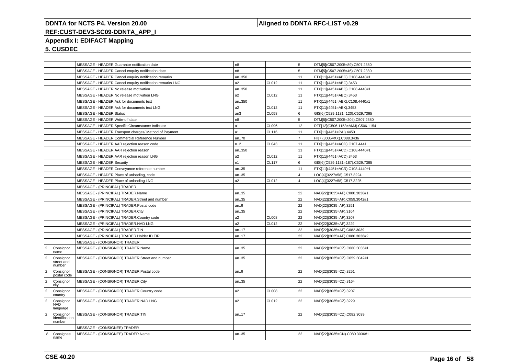### **Aligned to DDNTA RFC-LIST v0.29**

## **REF:CUST-DEV3-SC09-DDNTA\_APP\_I**

### **Appendix I: EDIFACT Mapping**

|                |                                       | MESSAGE - HEADER.Guarantor notification date             | n8             |       | 5.             | DTM[5](C507.2005=89).C507.2380   |
|----------------|---------------------------------------|----------------------------------------------------------|----------------|-------|----------------|----------------------------------|
|                |                                       | MESSAGE - HEADER.Cancel enquiry notification date        | n8             |       | 5.             | DTM[5](C507.2005=46).C507.2380   |
|                |                                       | MESSAGE - HEADER.Cancel enquiry notification remarks     | an350          |       | 11             | FTX[11](4451=ABG).C108.4440#1    |
|                |                                       | MESSAGE - HEADER.Cancel enquiry notification remarks LNG | a2             | CL012 | 11             | FTX[11](4451=ABG).3453           |
|                |                                       | MESSAGE - HEADER.No release motivation                   | an350          |       | 11             | FTX[11](4451=ABQ).C108.4440#1    |
|                |                                       | MESSAGE - HEADER.No release motivation LNG               | a <sub>2</sub> | CL012 | 11             | FTX[11](4451=ABQ).3453           |
|                |                                       | MESSAGE - HEADER.Ask for documents text                  | an350          |       | 11             | FTX[11](4451=ABX).C108.4440#1    |
|                |                                       | MESSAGE - HEADER.Ask for documents text LNG              | a2             | CL012 | 11             | FTX[11](4451=ABX).3453           |
|                |                                       | MESSAGE - HEADER.Status                                  | l an3          | CL058 | 6              | GIS[6](C529.1131=120).C529.7365  |
|                |                                       | MESSAGE - HEADER. Write-off date                         | n8             |       | 5              | DTM[5](C507.2005=204).C507.2380  |
|                |                                       | MESSAGE - HEADER.Specific Circumstance Indicator         | la1            | CL096 | 12             | RFF[12](C506.1153=AMJ).C506.1154 |
|                |                                       | MESSAGE - HEADER. Transport charges/ Method of Payment   | a1             | CL116 | 11             | FTX[11](4451=PAI).4453           |
|                |                                       | MESSAGE - HEADER.Commercial Reference Number             | an70           |       | $\overline{7}$ | FII[7](3035=XX).C088.3436        |
|                |                                       | MESSAGE - HEADER.AAR rejection reason code               | n.2            | CL043 | 11             | FTX[11](4451=ACD).C107.4441      |
|                |                                       | MESSAGE - HEADER.AAR rejection reason                    | an350          |       | 11             | FTX[11](4451=ACD).C108.4440#1    |
|                |                                       | MESSAGE - HEADER.AAR rejection reason LNG                | a <sub>2</sub> | CL012 | 11             | FTX[11](4451=ACD).3453           |
|                |                                       | MESSAGE - HEADER.Security                                | n <sub>1</sub> | CL117 | 6              | GIS[6](C529.1131=187).C529.7365  |
|                |                                       | MESSAGE - HEADER.Conveyance reference number             | an35           |       | 11             | FTX[11](4451=ACR).C108.4440#1    |
|                |                                       | MESSAGE - HEADER.Place of unloading, code                | an35           |       | $\overline{4}$ | LOC[4](3227=58).C517.3224        |
|                |                                       | MESSAGE - HEADER.Place of unloading LNG                  | a2             | CL012 | $\overline{4}$ | LOC[4](3227=58).C517.3225        |
|                |                                       | MESSAGE - (PRINCIPAL) TRADER                             |                |       |                |                                  |
|                |                                       | MESSAGE - (PRINCIPAL) TRADER.Name                        | an35           |       | 22             | NAD[22](3035=AF).C080.3036#1     |
|                |                                       | MESSAGE - (PRINCIPAL) TRADER.Street and number           | an35           |       | 22             | NAD[22](3035=AF).C059.3042#1     |
|                |                                       | MESSAGE - (PRINCIPAL) TRADER.Postal code                 | an9            |       | 22             | NAD[22](3035=AF).3251            |
|                |                                       | MESSAGE - (PRINCIPAL) TRADER.City                        | an35           |       | 22             | NAD[22](3035=AF).3164            |
|                |                                       | MESSAGE - (PRINCIPAL) TRADER.Country code                | a2             | CL008 | 22             | NAD[22](3035=AF).3207            |
|                |                                       | MESSAGE - (PRINCIPAL) TRADER.NAD LNG                     | a <sub>2</sub> | CL012 | 22             | NAD[22](3035=AF).3229            |
|                |                                       | MESSAGE - (PRINCIPAL) TRADER.TIN                         | an17           |       | 22             | NAD[22](3035=AF).C082.3039       |
|                |                                       | MESSAGE - (PRINCIPAL) TRADER.Holder ID TIR               | an17           |       | 22             | NAD[22](3035=AF).C080.3036#2     |
|                |                                       | MESSAGE - (CONSIGNOR) TRADER                             |                |       |                |                                  |
| $\overline{2}$ | Consignor<br>name                     | MESSAGE - (CONSIGNOR) TRADER.Name                        | an35           |       | 22             | NAD[22](3035=CZ).C080.3036#1     |
| $\overline{2}$ | Consignor<br>street and<br>number     | MESSAGE - (CONSIGNOR) TRADER.Street and number           | an35           |       | 22             | NAD[22](3035=CZ).C059.3042#1     |
| $\overline{2}$ | Consignor<br>postal code              | MESSAGE - (CONSIGNOR) TRADER.Postal code                 | an.9           |       | 22             | NAD[22](3035=CZ).3251            |
| $\overline{2}$ | Consignor<br>city                     | MESSAGE - (CONSIGNOR) TRADER.City                        | an35           |       | 22             | NAD[22](3035=CZ).3164            |
| $\overline{2}$ | Consignor<br>country                  | MESSAGE - (CONSIGNOR) TRADER.Country code                | a2             | CL008 | 22             | NAD[22](3035=CZ).3207            |
| $\overline{2}$ | Consignor<br><b>NAD</b><br>language   | MESSAGE - (CONSIGNOR) TRADER.NAD LNG                     | a2             | CL012 | 22             | NAD[22](3035=CZ).3229            |
| $\overline{2}$ | Consignor<br>identification<br>number | MESSAGE - (CONSIGNOR) TRADER.TIN                         | an17           |       | 22             | NAD[22](3035=CZ).C082.3039       |
|                |                                       | MESSAGE - (CONSIGNEE) TRADER                             |                |       |                |                                  |
| 8              | Consignee<br>name                     | MESSAGE - (CONSIGNEE) TRADER.Name                        | an35           |       | 22             | NAD[22](3035=CN).C080.3036#1     |
|                |                                       |                                                          |                |       |                |                                  |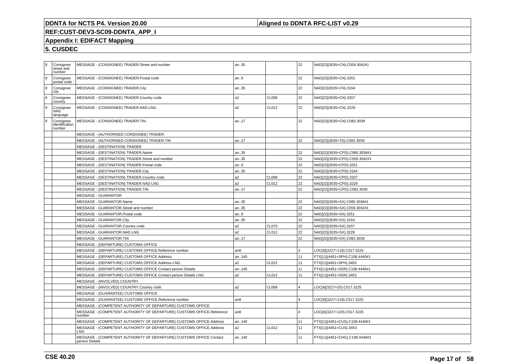### **Aligned to DDNTA RFC-LIST v0.29**

# **REF:CUST-DEV3-SC09-DDNTA\_APP\_I**

### **Appendix I: EDIFACT Mapping**

| 8 | Consignee<br>street and<br>number     | MESSAGE - (CONSIGNEE) TRADER.Street and number                                        | an35            |              | 22 | NAD[22](3035=CN).C059.3042#1  |
|---|---------------------------------------|---------------------------------------------------------------------------------------|-----------------|--------------|----|-------------------------------|
| 8 | Consignee<br>postal code              | MESSAGE - (CONSIGNEE) TRADER.Postal code                                              | lan9            |              | 22 | NAD[22](3035=CN).3251         |
| 8 | Consignee<br>city                     | MESSAGE - (CONSIGNEE) TRADER.City                                                     | an35            |              | 22 | NAD[22](3035=CN).3164         |
| 8 | Consignee<br>country                  | MESSAGE - (CONSIGNEE) TRADER.Country code                                             | a <sub>2</sub>  | <b>CL008</b> | 22 | NAD[22](3035=CN).3207         |
| 8 | Consignee<br>NAD<br>language          | MESSAGE - (CONSIGNEE) TRADER.NAD LNG                                                  | a <sub>2</sub>  | CL012        | 22 | NAD[22](3035=CN).3229         |
| 8 | Consignee<br>identification<br>number | MESSAGE - (CONSIGNEE) TRADER.TIN                                                      | an17            |              | 22 | NAD[22](3035=CN).C082.3039    |
|   |                                       | MESSAGE - (AUTHORISED CONSIGNEE) TRADER                                               |                 |              |    |                               |
|   |                                       | MESSAGE - (AUTHORISED CONSIGNEE) TRADER.TIN                                           | an17            |              | 22 | NAD[22](3035=TD).C082.3039    |
|   |                                       | MESSAGE - (DESTINATION) TRADER                                                        |                 |              |    |                               |
|   |                                       | MESSAGE - (DESTINATION) TRADER.Name                                                   | an35            |              | 22 | NAD[22](3035=CPD).C080.3036#1 |
|   |                                       | MESSAGE - (DESTINATION) TRADER.Street and number                                      | an35            |              | 22 | NAD[22](3035=CPD).C059.3042#1 |
|   |                                       | MESSAGE - (DESTINATION) TRADER.Postal code                                            | an9             |              | 22 | NAD[22](3035=CPD).3251        |
|   |                                       | MESSAGE - (DESTINATION) TRADER.City                                                   | an35            |              | 22 | NAD[22](3035=CPD).3164        |
|   |                                       | MESSAGE - (DESTINATION) TRADER.Country code                                           | a2              | <b>CL008</b> | 22 | NAD[22](3035=CPD).3207        |
|   |                                       | MESSAGE - (DESTINATION) TRADER.NAD LNG                                                | a2              | CL012        | 22 | NAD[22](3035=CPD).3229        |
|   |                                       | MESSAGE - (DESTINATION) TRADER.TIN                                                    | an17            |              | 22 | NAD[22](3035=CPD).C082.3039   |
|   |                                       | MESSAGE - GUARANTOR                                                                   |                 |              |    |                               |
|   |                                       | MESSAGE - GUARANTOR.Name                                                              | an35            |              | 22 | NAD[22](3035=SX).C080.3036#1  |
|   |                                       | MESSAGE - GUARANTOR.Street and number                                                 | an35            |              | 22 | NAD[22](3035=SX).C059.3042#1  |
|   |                                       | MESSAGE - GUARANTOR. Postal code                                                      | lan9            |              | 22 | NAD[22](3035=SX).3251         |
|   |                                       | MESSAGE - GUARANTOR.City                                                              | an35            |              | 22 | NAD[22](3035=SX).3164         |
|   |                                       | MESSAGE - GUARANTOR.Country code                                                      | a <sub>2</sub>  | <b>CL070</b> | 22 | NAD[22](3035=SX).3207         |
|   |                                       | MESSAGE - GUARANTOR.NAD LNG                                                           | a <sub>2</sub>  | CL012        | 22 | NAD[22](3035=SX).3229         |
|   |                                       | MESSAGE - GUARANTOR.TIN                                                               | an17            |              | 22 | NAD[22](3035=SX).C082.3039    |
|   |                                       | MESSAGE - (DEPARTURE) CUSTOMS OFFICE                                                  |                 |              |    |                               |
|   |                                       | MESSAGE - (DEPARTURE) CUSTOMS OFFICE.Reference number                                 | an <sub>8</sub> |              |    | LOC[4](3227=118).C517.3225    |
|   |                                       | MESSAGE - (DEPARTURE) CUSTOMS OFFICE.Address                                          | an140           |              | 11 | FTX[11](4451=SPH).C108.4440#1 |
|   |                                       | MESSAGE - (DEPARTURE) CUSTOMS OFFICE.Address LNG                                      | a2              | CL012        | 11 | FTX[11](4451=SPH).3453        |
|   |                                       | MESSAGE - (DEPARTURE) CUSTOMS OFFICE.Contact person Details                           | an140           |              | 11 | FTX[11](4451=SSR).C108.4440#1 |
|   |                                       | MESSAGE - (DEPARTURE) CUSTOMS OFFICE.Contact person Details LNG                       | a <sub>2</sub>  | CL012        | 11 | FTX[11](4451=SSR).3453        |
|   |                                       | MESSAGE - (INVOLVED) COUNTRY                                                          |                 |              |    |                               |
|   |                                       | MESSAGE - (INVOLVED) COUNTRY.Country code                                             | a2              | <b>CL008</b> |    | LOC[4](3227=25).C517.3225     |
|   |                                       | MESSAGE - (GUARANTEE) CUSTOMS OFFICE                                                  |                 |              |    |                               |
|   |                                       | MESSAGE - (GUARANTEE) CUSTOMS OFFICE.Reference number                                 | l an8           |              |    | LOC[4](3227=119).C517.3225    |
|   |                                       | MESSAGE - (COMPETENT AUTHORITY OF DEPARTURE) CUSTOMS OFFICE                           |                 |              |    |                               |
|   |                                       | MESSAGE - (COMPETENT AUTHORITY OF DEPARTURE) CUSTOMS OFFICE.Reference<br>number       | l an8           |              |    | LOC[4](3227=120).C517.3225    |
|   |                                       | MESSAGE - (COMPETENT AUTHORITY OF DEPARTURE) CUSTOMS OFFICE.Address                   | an140           |              | 11 | FTX[11](4451=CUS).C108.4440#1 |
|   |                                       | MESSAGE - (COMPETENT AUTHORITY OF DEPARTURE) CUSTOMS OFFICE.Address<br>LNG.           | a <sub>2</sub>  | CL012        | 11 | FTX[11](4451=CUS).3453        |
|   |                                       | MESSAGE - (COMPETENT AUTHORITY OF DEPARTURE) CUSTOMS OFFICE.Contact<br>person Details | an140           |              | 11 | FTX[11](4451=CHG).C108.4440#3 |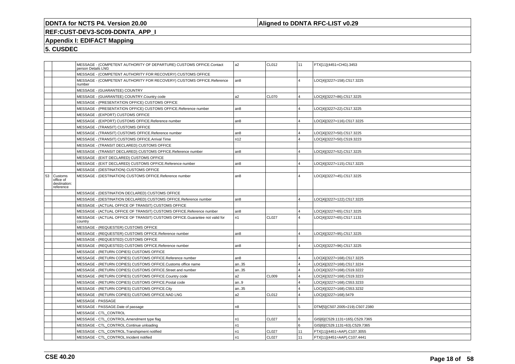### **Aligned to DDNTA RFC-LIST v0.29**

### **REF:CUST-DEV3-SC09-DDNTA\_APP\_I**

### **Appendix I: EDIFACT Mapping**

|    |                                                   | MESSAGE - (COMPETENT AUTHORITY OF DEPARTURE) CUSTOMS OFFICE.Contact<br>person Details LNG | a <sub>2</sub>  | CL012        | 11             | FTX[11](4451=CHG).3453          |
|----|---------------------------------------------------|-------------------------------------------------------------------------------------------|-----------------|--------------|----------------|---------------------------------|
|    |                                                   | MESSAGE - (COMPETENT AUTHORITY FOR RECOVERY) CUSTOMS OFFICE                               |                 |              |                |                                 |
|    |                                                   | MESSAGE - (COMPETENT AUTHORITY FOR RECOVERY) CUSTOMS OFFICE.Reference<br>number           | an8             |              | $\overline{4}$ | LOC[4](3227=158).C517.3225      |
|    |                                                   | MESSAGE - (GUARANTEE) COUNTRY                                                             |                 |              |                |                                 |
|    |                                                   | MESSAGE - (GUARANTEE) COUNTRY.Country code                                                | a <sub>2</sub>  | <b>CL070</b> | $\overline{4}$ | LOC[4](3227=86).C517.3225       |
|    |                                                   | MESSAGE - (PRESENTATION OFFICE) CUSTOMS OFFICE                                            |                 |              |                |                                 |
|    |                                                   | MESSAGE - (PRESENTATION OFFICE) CUSTOMS OFFICE.Reference number                           | an <sub>8</sub> |              | $\overline{4}$ | LOC[4](3227=22).C517.3225       |
|    |                                                   | MESSAGE - (EXPORT) CUSTOMS OFFICE                                                         |                 |              |                |                                 |
|    |                                                   | MESSAGE - (EXPORT) CUSTOMS OFFICE.Reference number                                        | an <sub>8</sub> |              | $\overline{4}$ | LOC[4](3227=116).C517.3225      |
|    |                                                   | MESSAGE - (TRANSIT) CUSTOMS OFFICE                                                        |                 |              |                |                                 |
|    |                                                   | MESSAGE - (TRANSIT) CUSTOMS OFFICE.Reference number                                       | an8             |              | $\overline{4}$ | LOC[4](3227=50).C517.3225       |
|    |                                                   | MESSAGE - (TRANSIT) CUSTOMS OFFICE.Arrival Time                                           | n12             |              | $\overline{4}$ | LOC[4](3227=50).C519.3223       |
|    |                                                   | MESSAGE - (TRANSIT DECLARED) CUSTOMS OFFICE                                               |                 |              |                |                                 |
|    |                                                   | MESSAGE - (TRANSIT DECLARED) CUSTOMS OFFICE.Reference number                              | an <sub>8</sub> |              | $\overline{4}$ | LOC[4](3227=52).C517.3225       |
|    |                                                   | MESSAGE - (EXIT DECLARED) CUSTOMS OFFICE                                                  |                 |              |                |                                 |
|    |                                                   | MESSAGE - (EXIT DECLARED) CUSTOMS OFFICE.Reference number                                 | an8             |              | $\overline{4}$ | LOC[4](3227=115).C517.3225      |
|    |                                                   | MESSAGE - (DESTINATION) CUSTOMS OFFICE                                                    |                 |              |                |                                 |
| 53 | Customs<br>office of<br>destination:<br>reference | MESSAGE - (DESTINATION) CUSTOMS OFFICE.Reference number                                   | an8             |              | $\overline{4}$ | LOC[4](3227=45).C517.3225       |
|    |                                                   | MESSAGE - (DESTINATION DECLARED) CUSTOMS OFFICE                                           |                 |              |                |                                 |
|    |                                                   | MESSAGE - (DESTINATION DECLARED) CUSTOMS OFFICE.Reference number                          | an8             |              | $\overline{4}$ | LOC[4](3227=122).C517.3225      |
|    |                                                   | MESSAGE - (ACTUAL OFFICE OF TRANSIT) CUSTOMS OFFICE                                       |                 |              |                |                                 |
|    |                                                   | MESSAGE - (ACTUAL OFFICE OF TRANSIT) CUSTOMS OFFICE.Reference number                      | l an8           |              | $\overline{4}$ | LOC[4](3227=65).C517.3225       |
|    |                                                   | MESSAGE - (ACTUAL OFFICE OF TRANSIT) CUSTOMS OFFICE.Guarantee not valid for<br>country    | n1              | <b>CL027</b> | $\overline{4}$ | LOC[4](3227=65).C517.1131       |
|    |                                                   | MESSAGE - (REQUESTER) CUSTOMS OFFICE                                                      |                 |              |                |                                 |
|    |                                                   | MESSAGE - (REQUESTER) CUSTOMS OFFICE.Reference number                                     | an8             |              | $\overline{4}$ | LOC[4](3227=95).C517.3225       |
|    |                                                   | MESSAGE - (REQUESTED) CUSTOMS OFFICE                                                      |                 |              |                |                                 |
|    |                                                   | MESSAGE - (REQUESTED) CUSTOMS OFFICE.Reference number                                     | an8             |              | $\overline{4}$ | LOC[4](3227=96).C517.3225       |
|    |                                                   | MESSAGE - (RETURN COPIES) CUSTOMS OFFICE                                                  |                 |              |                |                                 |
|    |                                                   | MESSAGE - (RETURN COPIES) CUSTOMS OFFICE.Reference number                                 | an <sub>8</sub> |              | $\overline{4}$ | LOC[4](3227=168).C517.3225      |
|    |                                                   | MESSAGE - (RETURN COPIES) CUSTOMS OFFICE.Customs office name                              | an35            |              | $\overline{4}$ | LOC[4](3227=168).C517.3224      |
|    |                                                   | MESSAGE - (RETURN COPIES) CUSTOMS OFFICE.Street and number                                | an35            |              | $\overline{4}$ | LOC[4](3227=168).C519.3222      |
|    |                                                   | MESSAGE - (RETURN COPIES) CUSTOMS OFFICE.Country code                                     | a2              | <b>CL009</b> | $\overline{4}$ | LOC[4](3227=168).C519.3223      |
|    |                                                   | MESSAGE - (RETURN COPIES) CUSTOMS OFFICE.Postal code                                      | an.9            |              | $\overline{4}$ | LOC[4](3227=168).C553.3233      |
|    |                                                   | MESSAGE - (RETURN COPIES) CUSTOMS OFFICE.City                                             | an35            |              | $\overline{4}$ | LOC[4](3227=168).C553.3232      |
|    |                                                   | MESSAGE - (RETURN COPIES) CUSTOMS OFFICE.NAD LNG                                          | a2              | CL012        | $\overline{4}$ | LOC[4](3227=168).5479           |
|    |                                                   | MESSAGE - PASSAGE                                                                         |                 |              |                |                                 |
|    |                                                   | MESSAGE - PASSAGE.Date of passage                                                         | n <sub>8</sub>  |              | 5              | DTM[5](C507.2005=219).C507.2380 |
|    |                                                   | MESSAGE - CTL_CONTROL                                                                     |                 |              |                |                                 |
|    |                                                   | MESSAGE - CTL_CONTROL.Amendment type flag                                                 | n <sub>1</sub>  | CL027        | 6              | GIS[6](C529.1131=165).C529.7365 |
|    |                                                   | MESSAGE - CTL_CONTROL.Continue unloading                                                  | n <sub>1</sub>  |              | l 6            | GIS[6](C529.1131=63).C529.7365  |
|    |                                                   | MESSAGE - CTL_CONTROL.Transhipment notified                                               | n <sub>1</sub>  | <b>CL027</b> | 11             | FTX[11](4451=AAP).C107.3055     |
|    |                                                   | MESSAGE - CTL CONTROL.Incident notified                                                   | n <sub>1</sub>  | <b>CL027</b> | 11             | FTX[11](4451=AAP).C107.4441     |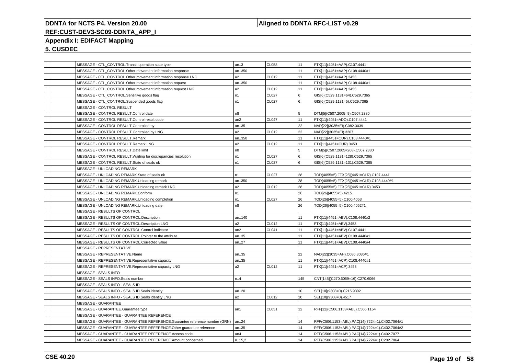### **Aligned to DDNTA RFC-LIST v0.29**

### **REF:CUST-DEV3-SC09-DDNTA\_APP\_I**

### **Appendix I: EDIFACT Mapping**

| MESSAGE - CTL_CONTROL.Transit operation state type                         | an.3           | <b>CL058</b> | 11  | FTX[11](4451=AAP).C107.4441                    |
|----------------------------------------------------------------------------|----------------|--------------|-----|------------------------------------------------|
| MESSAGE - CTL_CONTROL.Other movement information response                  | an350          |              | 11  | FTX[11](4451=AAP).C108.4440#1                  |
| MESSAGE - CTL_CONTROL.Other movement information response LNG              | a2             | CL012        | 11  | FTX[11](4451=AAP).3453                         |
| MESSAGE - CTL CONTROL.Other movement information request                   | an350          |              | 11  | FTX[11](4451=AAP).C108.4440#1                  |
| MESSAGE - CTL_CONTROL.Other movement information request LNG               | a2             | CL012        | 11  | FTX[11](4451=AAP).3453                         |
| MESSAGE - CTL_CONTROL.Sensitive goods flag                                 | n <sub>1</sub> | <b>CL027</b> | 6   | GIS[6](C529.1131=64).C529.7365                 |
| MESSAGE - CTL_CONTROL.Suspended goods flag                                 | n1             | <b>CL027</b> | 6   | GIS[6](C529.1131=5).C529.7365                  |
| MESSAGE - CONTROL RESULT                                                   |                |              |     |                                                |
| MESSAGE - CONTROL RESULT.Control date                                      | n8             |              | 5   | DTM[5](C507.2005=9).C507.2380                  |
| MESSAGE - CONTROL RESULT.Control result code                               | an2            | <b>CL047</b> | 11  | FTX[11](4451=ADO).C107.4441                    |
| MESSAGE - CONTROL RESULT.Controlled by                                     | an35           |              | 22  | NAD[22](3035=EI).C082.3039                     |
| MESSAGE - CONTROL RESULT.Controlled by LNG                                 | a2             | <b>CL012</b> | 22  | NAD[22](3035=EI).3207                          |
| MESSAGE - CONTROL RESULT.Remark                                            | an350          |              | 11  | FTX[11](4451=CUR).C108.4440#1                  |
| MESSAGE - CONTROL RESULT.Remark LNG                                        | a2             | CL012        | 11  | FTX[11](4451=CUR).3453                         |
| MESSAGE - CONTROL RESULT.Date limit                                        | n8             |              | 5   | DTM[5](C507.2005=268).C507.2380                |
| MESSAGE - CONTROL RESULT. Waiting for discrepancies resolution             | n1             | <b>CL027</b> | 6   | GIS[6](C529.1131=128).C529.7365                |
| MESSAGE - CONTROL RESULT.State of seals ok                                 | n1             | CL027        | 6   | GIS[6](C529.1131=131).C529.7365                |
| MESSAGE - UNLOADING REMARK                                                 |                |              |     |                                                |
| MESSAGE - UNLOADING REMARK.State of seals ok                               | n <sub>1</sub> | <b>CL027</b> | 28  | TOD(4055=5).FTX[28](4451=CLR).C107.4441        |
| MESSAGE - UNLOADING REMARK.Unloading remark                                | an350          |              | 28  | TOD(4055=5).FTX[28](4451=CLR).C108.4440#1      |
| MESSAGE - UNLOADING REMARK.Unloading remark LNG                            | a2             | CL012        | 28  | TOD(4055=5).FTX[28](4451=CLR).3453             |
| MESSAGE - UNLOADING REMARK.Conform                                         | n1             |              | 26  | TOD[26](4055=5).4215                           |
| MESSAGE - UNLOADING REMARK.Unloading completion                            | n <sub>1</sub> | <b>CL027</b> | 26  | TOD[26](4055=5).C100.4053                      |
| MESSAGE - UNLOADING REMARK.Unloading date                                  | n <sub>8</sub> |              | 26  | TOD[26](4055=5).C100.4052#1                    |
| MESSAGE - RESULTS OF CONTROL                                               |                |              |     |                                                |
| MESSAGE - RESULTS OF CONTROL.Description                                   | an140          |              | 11  | FTX[11](4451=ABV).C108.4440#2                  |
| MESSAGE - RESULTS OF CONTROL.Description LNG                               | a2             | CL012        | 11  | FTX[11](4451=ABV).3453                         |
| MESSAGE - RESULTS OF CONTROL.Control indicator                             | an2            | CL041        | 11  | FTX[11](4451=ABV).C107.4441                    |
| MESSAGE - RESULTS OF CONTROL.Pointer to the attribute                      | an35           |              | 11  | FTX[11](4451=ABV).C108.4440#1                  |
| MESSAGE - RESULTS OF CONTROL.Corrected value                               | an27           |              | 11  | FTX[11](4451=ABV).C108.4440#4                  |
| MESSAGE - REPRESENTATIVE                                                   |                |              |     |                                                |
| MESSAGE - REPRESENTATIVE.Name                                              | an35           |              | 22  | NAD[22](3035=AH).C080.3036#1                   |
| MESSAGE - REPRESENTATIVE.Representative capacity                           | an35           |              | 11  | FTX[11](4451=ACP).C108.4440#1                  |
| MESSAGE - REPRESENTATIVE.Representative capacity LNG                       | a2             | CL012        | 11  | FTX[11](4451=ACP).3453                         |
| MESSAGE - SEALS INFO                                                       |                |              |     |                                                |
| MESSAGE - SEALS INFO.Seals number                                          | n.A            |              | 145 | CNT[145](C270.6069=16).C270.6066               |
| MESSAGE - SEALS INFO - SEALS ID                                            |                |              |     |                                                |
| MESSAGE - SEALS INFO - SEALS ID.Seals identity                             | an20           |              | 10  | SEL[10](9308=0).C215.9302                      |
| MESSAGE - SEALS INFO - SEALS ID. Seals identity LNG                        | a2             | CL012        | 10  | SEL[10](9308=0).4517                           |
| MESSAGE - GUARANTEE                                                        |                |              |     |                                                |
| MESSAGE - GUARANTEE.Guarantee type                                         | an1            | CL051        | 12  | RFF[12](C506.1153=ABL).C506.1154               |
| MESSAGE - GUARANTEE - GUARANTEE REFERENCE                                  |                |              |     |                                                |
| MESSAGE - GUARANTEE - GUARANTEE REFERENCE.Guarantee reference number (GRN) | an24           |              | 14  | RFF(C506.1153=ABL).PAC[14](7224=1).C402.7064#1 |
| MESSAGE - GUARANTEE - GUARANTEE REFERENCE.Other guarantee reference        | an35           |              | 14  | RFF(C506.1153=ABL).PAC[14](7224=1).C402.7064#2 |
| MESSAGE - GUARANTEE - GUARANTEE REFERENCE.Access code                      | an4            |              | 14  | RFF(C506.1153=ABL).PAC[14](7224=1).C402.7077   |
| MESSAGE - GUARANTEE - GUARANTEE REFERENCE.Amount concerned                 | n.15,2         |              | 14  | RFF(C506.1153=ABL).PAC[14](7224=1).C202.7064   |
|                                                                            |                |              |     |                                                |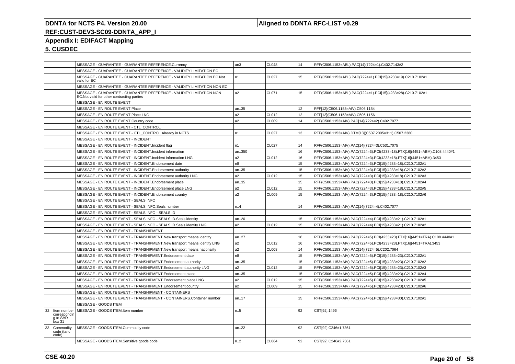### **Aligned to DDNTA RFC-LIST v0.29**

### **REF:CUST-DEV3-SC09-DDNTA\_APP\_I**

### **Appendix I: EDIFACT Mapping**

|    |                                                   |              | MESSAGE - GUARANTEE - GUARANTEE REFERENCE.Currency                                                                 | an3              | <b>CL048</b> | 14 | RFF(C506.1153=ABL).PAC[14](7224=1).C402.7143#2                            |
|----|---------------------------------------------------|--------------|--------------------------------------------------------------------------------------------------------------------|------------------|--------------|----|---------------------------------------------------------------------------|
|    |                                                   |              | MESSAGE - GUARANTEE - GUARANTEE REFERENCE - VALIDITY LIMITATION EC                                                 |                  |              |    |                                                                           |
|    |                                                   | valid for EC | MESSAGE - GUARANTEE - GUARANTEE REFERENCE - VALIDITY LIMITATION EC.Not                                             | n1               | CL027        | 15 | RFF(C506.1153=ABL).PAC(7224=1).PCI[15](4233=19).C210.7102#1               |
|    |                                                   |              | MESSAGE - GUARANTEE - GUARANTEE REFERENCE - VALIDITY LIMITATION NON EC                                             |                  |              |    |                                                                           |
|    |                                                   |              | MESSAGE - GUARANTEE - GUARANTEE REFERENCE - VALIDITY LIMITATION NON<br>EC. Not valid for other contracting parties | a2               | CL071        | 15 | RFF(C506.1153=ABL).PAC(7224=1).PCI[15](4233=28).C210.7102#1               |
|    |                                                   |              | MESSAGE - EN ROUTE EVENT                                                                                           |                  |              |    |                                                                           |
|    |                                                   |              | MESSAGE - EN ROUTE EVENT.Place                                                                                     | an35             |              | 12 | RFF[12](C506.1153=AIV).C506.1154                                          |
|    |                                                   |              | MESSAGE - EN ROUTE EVENT.Place LNG                                                                                 | a2               | CL012        | 12 | RFF[12](C506.1153=AIV).C506.1156                                          |
|    |                                                   |              | MESSAGE - EN ROUTE EVENT.Country code                                                                              | a2               | CL009        | 14 | RFF(C506.1153=AIV).PAC[14](7224=2).C402.7077                              |
|    |                                                   |              | MESSAGE - EN ROUTE EVENT - CTL_CONTROL                                                                             |                  |              |    |                                                                           |
|    |                                                   |              | MESSAGE - EN ROUTE EVENT - CTL CONTROL.Already in NCTS                                                             | n1               | <b>CL027</b> | 13 | RFF(C506.1153=AIV).DTM[13](C507.2005=311).C507.2380                       |
|    |                                                   |              | MESSAGE - EN ROUTE EVENT - INCIDENT                                                                                |                  |              |    |                                                                           |
|    |                                                   |              | MESSAGE - EN ROUTE EVENT - INCIDENT. Incident flag                                                                 | n1               | <b>CL027</b> | 14 | RFF(C506.1153=AIV).PAC[14](7224=3).C531.7075                              |
|    |                                                   |              | MESSAGE - EN ROUTE EVENT - INCIDENT.Incident information                                                           | an350            |              | 16 | RFF(C506.1153=AIV).PAC(7224=3).PCI(4233=18).FTX[16](4451=ABM).C108.4440#1 |
|    |                                                   |              | MESSAGE - EN ROUTE EVENT - INCIDENT. Incident information LNG                                                      | a2               | CL012        | 16 | RFF(C506.1153=AIV).PAC(7224=3).PCI(4233=18).FTX[16](4451=ABM).3453        |
|    |                                                   |              | MESSAGE - EN ROUTE EVENT - INCIDENT. Endorsement date                                                              | n8               |              | 15 | RFF(C506.1153=AIV).PAC(7224=3).PCI[15](4233=18).C210.7102#1               |
|    |                                                   |              | MESSAGE - EN ROUTE EVENT - INCIDENT. Endorsement authority                                                         | an35             |              | 15 | RFF(C506.1153=AIV).PAC(7224=3).PCI[15](4233=18).C210.7102#2               |
|    |                                                   |              | MESSAGE - EN ROUTE EVENT - INCIDENT. Endorsement authority LNG                                                     | a2               | CL012        | 15 | RFF(C506.1153=AIV).PAC(7224=3).PCI[15](4233=18).C210.7102#3               |
|    |                                                   |              | MESSAGE - EN ROUTE EVENT - INCIDENT. Endorsement place                                                             | an35             |              | 15 | RFF(C506.1153=AIV).PAC(7224=3).PCI[15](4233=18).C210.7102#4               |
|    |                                                   |              | MESSAGE - EN ROUTE EVENT - INCIDENT. Endorsement place LNG                                                         | a <sub>2</sub>   | CL012        | 15 | RFF(C506.1153=AIV).PAC(7224=3).PCI[15](4233=18).C210.7102#5               |
|    |                                                   |              | MESSAGE - EN ROUTE EVENT - INCIDENT. Endorsement country                                                           | a <sub>2</sub>   | <b>CL009</b> | 15 | RFF(C506.1153=AIV).PAC(7224=3).PCI[15](4233=18).C210.7102#6               |
|    |                                                   |              | MESSAGE - EN ROUTE EVENT - SEALS INFO                                                                              |                  |              |    |                                                                           |
|    |                                                   |              | MESSAGE - EN ROUTE EVENT - SEALS INFO.Seals number                                                                 | n.4              |              | 14 | RFF(C506.1153=AIV).PAC[14](7224=4).C402.7077                              |
|    |                                                   |              | MESSAGE - EN ROUTE EVENT - SEALS INFO - SEALS ID                                                                   |                  |              |    |                                                                           |
|    |                                                   |              | MESSAGE - EN ROUTE EVENT - SEALS INFO - SEALS ID. Seals identity                                                   | an20             |              | 15 | RFF(C506.1153=AIV).PAC(7224=4).PCI[15](4233=21).C210.7102#1               |
|    |                                                   |              | MESSAGE - EN ROUTE EVENT - SEALS INFO - SEALS ID. Seals identity LNG                                               | a2               | CL012        | 15 | RFF(C506.1153=AIV).PAC(7224=4).PCI[15](4233=21).C210.7102#2               |
|    |                                                   |              | MESSAGE - EN ROUTE EVENT - TRANSHIPMENT                                                                            |                  |              |    |                                                                           |
|    |                                                   |              | MESSAGE - EN ROUTE EVENT - TRANSHIPMENT. New transport means identity                                              | an27             |              | 16 | RFF(C506.1153=AIV).PAC(7224=5).PCI(4233=23).FTX[16](4451=TRA).C108.4440#1 |
|    |                                                   |              | MESSAGE - EN ROUTE EVENT - TRANSHIPMENT. New transport means identity LNG                                          | a <sub>2</sub>   | CL012        | 16 | RFF(C506.1153=AIV).PAC(7224=5).PCI(4233=23).FTX[16](4451=TRA).3453        |
|    |                                                   |              | MESSAGE - EN ROUTE EVENT - TRANSHIPMENT.New transport means nationality                                            | a2               | <b>CL008</b> | 14 | RFF(C506.1153=AIV).PAC[14](7224=5).C202.7064                              |
|    |                                                   |              | MESSAGE - EN ROUTE EVENT - TRANSHIPMENT. Endorsement date                                                          | n8               |              | 15 | RFF(C506.1153=AIV).PAC(7224=5).PCI[15](4233=23).C210.7102#1               |
|    |                                                   |              | MESSAGE - EN ROUTE EVENT - TRANSHIPMENT. Endorsement authority                                                     | an35             |              | 15 | RFF(C506.1153=AIV).PAC(7224=5).PCI[15](4233=23).C210.7102#2               |
|    |                                                   |              | MESSAGE - EN ROUTE EVENT - TRANSHIPMENT. Endorsement authority LNG                                                 | a2               | CL012        | 15 | RFF(C506.1153=AIV).PAC(7224=5).PCI[15](4233=23).C210.7102#3               |
|    |                                                   |              | MESSAGE - EN ROUTE EVENT - TRANSHIPMENT. Endorsement place                                                         | an35             |              | 15 | RFF(C506.1153=AIV).PAC(7224=5).PCI[15](4233=23).C210.7102#4               |
|    |                                                   |              | MESSAGE - EN ROUTE EVENT - TRANSHIPMENT. Endorsement place LNG                                                     | a2               | CL012        | 15 | RFF(C506.1153=AIV).PAC(7224=5).PCI[15](4233=23).C210.7102#5               |
|    |                                                   |              | MESSAGE - EN ROUTE EVENT - TRANSHIPMENT.Endorsement country                                                        | a2               | <b>CL009</b> | 15 | RFF(C506.1153=AIV).PAC(7224=5).PCI[15](4233=23).C210.7102#6               |
|    |                                                   |              | MESSAGE - EN ROUTE EVENT - TRANSHIPMENT - CONTAINERS                                                               |                  |              |    |                                                                           |
|    |                                                   |              | MESSAGE - EN ROUTE EVENT - TRANSHIPMENT - CONTAINERS.Container number                                              | an17             |              | 15 | RFF(C506.1153=AIV).PAC(7224=5).PCI[15](4233=30).C210.7102#1               |
|    |                                                   |              | MESSAGE - GOODS ITEM                                                                                               |                  |              |    |                                                                           |
| 32 | Item number<br>correspondin<br>q to SAD<br>box 31 |              | MESSAGE - GOODS ITEM.Item number                                                                                   | n.5              |              | 92 | CST[92].1496                                                              |
| 33 | Commodity<br>code (taric<br>code)                 |              | MESSAGE - GOODS ITEM.Commodity code                                                                                | an.22            |              | 92 | CST[92].C246#1.7361                                                       |
|    |                                                   |              | MESSAGE - GOODS ITEM.Sensitive goods code                                                                          | n <sub>1</sub> 2 | <b>CL064</b> | 92 | CST[92].C246#2.7361                                                       |
|    |                                                   |              |                                                                                                                    |                  |              |    |                                                                           |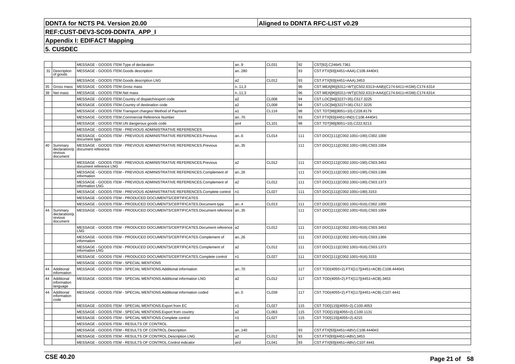### **Aligned to DDNTA RFC-LIST v0.29**

# **REF:CUST-DEV3-SC09-DDNTA\_APP\_I**

### **Appendix I: EDIFACT Mapping**

|    |                                                 | MESSAGE - GOODS ITEM. Type of declaration                                                              | an.9            | CL031        | 92   | CST[92].C246#5.7361                                          |
|----|-------------------------------------------------|--------------------------------------------------------------------------------------------------------|-----------------|--------------|------|--------------------------------------------------------------|
|    | 31   Description<br>of goods                    | MESSAGE - GOODS ITEM.Goods description                                                                 | an280           |              | 93   | CST.FTX[93](4451=AAA).C108.4440#1                            |
|    |                                                 | MESSAGE - GOODS ITEM.Goods description LNG                                                             | a <sub>2</sub>  | CL012        | l 93 | CST.FTX[93](4451=AAA).3453                                   |
| 35 | Gross mass                                      | MESSAGE - GOODS ITEM.Gross mass                                                                        | n.11,3          |              | 96   | CST.MEA[96](6311=WT)(C502.6313=AAB)(C174.6411=KGM).C174.6314 |
| 38 | Net mass                                        | MESSAGE - GOODS ITEM.Net mass                                                                          | n.11,3          |              | 96   | CST.MEA[96](6311=WT)(C502.6313=AAA)(C174.6411=KGM).C174.6314 |
|    |                                                 | MESSAGE - GOODS ITEM.Country of dispatch/export code                                                   | a <sub>2</sub>  | <b>CL008</b> | 94   | CST.LOC[94](3227=35).C517.3225                               |
|    |                                                 | MESSAGE - GOODS ITEM.Country of destination code                                                       | a <sub>2</sub>  | CL008        | 94   | CST.LOC[94](3227=36).C517.3225                               |
|    |                                                 | MESSAGE - GOODS ITEM. Transport charges/ Method of Payment                                             | l a1            | CL116        | 98   | CST.TDT[98](8051=10).C228.8179                               |
|    |                                                 | MESSAGE - GOODS ITEM.Commercial Reference Number                                                       | an70            |              | 93   | CST.FTX[93](4451=IND).C108.4440#1                            |
|    |                                                 | MESSAGE - GOODS ITEM.UN dangerous goods code                                                           | an4             | CL101        | 98   | CST.TDT[98](8051=10).C222.8213                               |
|    |                                                 | MESSAGE - GOODS ITEM - PREVIOUS ADMINISTRATIVE REFERENCES                                              |                 |              |      |                                                              |
|    |                                                 | MESSAGE - GOODS ITEM - PREVIOUS ADMINISTRATIVE REFERENCES.Previous<br>document type                    | an6             | CL014        | 111  | CST.DOC[111](C002.1001=190).C002.1000                        |
| 40 | Summary<br>revious<br>document                  | MESSAGE - GOODS ITEM - PREVIOUS ADMINISTRATIVE REFERENCES.Previous<br>declaration/p document reference | an35            |              | 111  | CST.DOC[111](C002.1001=190).C503.1004                        |
|    |                                                 | MESSAGE - GOODS ITEM - PREVIOUS ADMINISTRATIVE REFERENCES.Previous<br>document reference LNG           | a <sub>2</sub>  | CL012        | 111  | CST.DOC[111](C002.1001=190).C503.3453                        |
|    |                                                 | MESSAGE - GOODS ITEM - PREVIOUS ADMINISTRATIVE REFERENCES.Complement of<br>information                 | an26            |              | 111  | CST.DOC[111](C002.1001=190).C503.1366                        |
|    |                                                 | MESSAGE - GOODS ITEM - PREVIOUS ADMINISTRATIVE REFERENCES.Complement of<br>information LNG             | a <sub>2</sub>  | <b>CL012</b> | 111  | CST.DOC[111](C002.1001=190).C503.1373                        |
|    |                                                 | MESSAGE - GOODS ITEM - PREVIOUS ADMINISTRATIVE REFERENCES.Complete control                             | n <sub>1</sub>  | <b>CL027</b> | 111  | CST.DOC[111](C002.1001=190).3153                             |
|    |                                                 | MESSAGE - GOODS ITEM - PRODUCED DOCUMENTS/CERTIFICATES                                                 |                 |              |      |                                                              |
|    |                                                 | MESSAGE - GOODS ITEM - PRODUCED DOCUMENTS/CERTIFICATES.Document type                                   | l an4           | <b>CL013</b> | 111  | CST.DOC[111](C002.1001=916).C002.1000                        |
| 44 | Summary<br>declaration/p<br>revious<br>document | MESSAGE - GOODS ITEM - PRODUCED DOCUMENTS/CERTIFICATES.Document reference   an35                       |                 |              | 111  | CST.DOC[111](C002.1001=916).C503.1004                        |
|    |                                                 | MESSAGE - GOODS ITEM - PRODUCED DOCUMENTS/CERTIFICATES.Document reference a2<br><b>LNG</b>             |                 | CL012        | 111  | CST.DOC[111](C002.1001=916).C503.3453                        |
|    |                                                 | MESSAGE - GOODS ITEM - PRODUCED DOCUMENTS/CERTIFICATES.Complement of<br>information                    | an26            |              | 111  | CST.DOC[111](C002.1001=916).C503.1366                        |
|    |                                                 | MESSAGE - GOODS ITEM - PRODUCED DOCUMENTS/CERTIFICATES.Complement of<br>information LNG                | a <sub>2</sub>  | <b>CL012</b> | 111  | CST.DOC[111](C002.1001=916).C503.1373                        |
|    |                                                 | MESSAGE - GOODS ITEM - PRODUCED DOCUMENTS/CERTIFICATES.Complete control                                | n1              | <b>CL027</b> | 111  | CST.DOC[111](C002.1001=916).3153                             |
|    |                                                 | MESSAGE - GOODS ITEM - SPECIAL MENTIONS                                                                |                 |              |      |                                                              |
| 44 | Additional<br>information                       | MESSAGE - GOODS ITEM - SPECIAL MENTIONS.Additional information                                         | an70            |              | 117  | CST.TOD(4055=2).FTX[117](4451=ACB).C108.4440#1               |
| 44 | Additional<br>information<br>language           | MESSAGE - GOODS ITEM - SPECIAL MENTIONS.Additional information LNG                                     | a2              | CL012        | 117  | CST.TOD(4055=2).FTX[117](4451=ACB).3453                      |
| 44 | Additional<br>information<br>code               | MESSAGE - GOODS ITEM - SPECIAL MENTIONS.Additional information coded                                   | an5             | CL039        | 117  | CST.TOD(4055=2).FTX[117](4451=ACB).C107.4441                 |
|    |                                                 | MESSAGE - GOODS ITEM - SPECIAL MENTIONS. Export from EC                                                | n <sub>1</sub>  | <b>CL027</b> | 115  | CST.TOD[115](4055=2).C100.4053                               |
|    |                                                 | MESSAGE - GOODS ITEM - SPECIAL MENTIONS. Export from country                                           | a2              | CL063        | 115  | CST.TOD[115](4055=2).C100.1131                               |
|    |                                                 | MESSAGE - GOODS ITEM - SPECIAL MENTIONS.Complete control                                               | n <sub>1</sub>  | <b>CL027</b> | 115  | CST.TOD[115](4055=2).4215                                    |
|    |                                                 | MESSAGE - GOODS ITEM - RESULTS OF CONTROL                                                              |                 |              |      |                                                              |
|    |                                                 | MESSAGE - GOODS ITEM - RESULTS OF CONTROL.Description                                                  | an140           |              | 93   | CST.FTX[93](4451=ABV).C108.4440#2                            |
|    |                                                 | MESSAGE - GOODS ITEM - RESULTS OF CONTROL.Description LNG                                              | a <sub>2</sub>  | CL012        | 93   | CST.FTX[93](4451=ABV).3453                                   |
|    |                                                 | MESSAGE - GOODS ITEM - RESULTS OF CONTROL.Control indicator                                            | an <sub>2</sub> | <b>CL041</b> | 93   | CST.FTX[93](4451=ABV).C107.4441                              |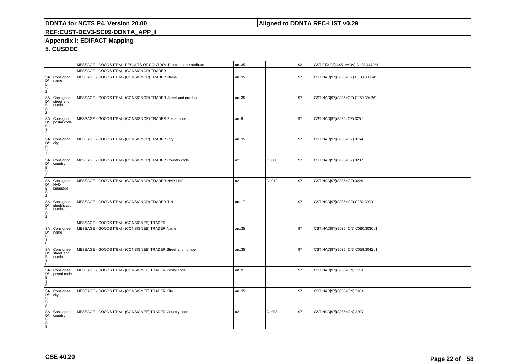#### **Aligned to DDNTA RFC-LIST v0.29**

### **REF:CUST-DEV3-SC09-DDNTA\_APP\_I**

#### **Appendix I: EDIFACT Mapping**

|                                                                                                                                                                                                                                |                                       | MESSAGE - GOODS ITEM - RESULTS OF CONTROL.Pointer to the attribute | an35           |              | 93   | CST.FTX[93](4451=ABV).C108.4440#1 |
|--------------------------------------------------------------------------------------------------------------------------------------------------------------------------------------------------------------------------------|---------------------------------------|--------------------------------------------------------------------|----------------|--------------|------|-----------------------------------|
|                                                                                                                                                                                                                                |                                       | MESSAGE - GOODS ITEM - (CONSIGNOR) TRADER                          |                |              |      |                                   |
|                                                                                                                                                                                                                                | Consignor<br>name <sup>1</sup>        | MESSAGE - GOODS ITEM - (CONSIGNOR) TRADER.Name                     | an35           |              | 97   | CST.NAD[97](3035=CZ).C080.3036#1  |
| ANDEN ANDEN ANDEN ANDEN ANDEN ANDEN ANDEN ANDEN ANDEN ANDEN ANDEN ANDEN ANDEN ANDEN ANDEN ANDEN ANDEN ANDEN ANDEN ANDEN ANDEN ANDEN ANDEN ANDEN ANDEN ANDEN ANDEN ANDEN ANDEN ANDEN ANDEN ANDEN ANDEN ANDEN ANDEN ANDEN ANDEN  | Consignor<br>street and<br>number     | MESSAGE - GOODS ITEM - (CONSIGNOR) TRADER.Street and number        | an35           |              | 97   | CST.NAD[97](3035=CZ).C059.3042#1  |
|                                                                                                                                                                                                                                | Consignor<br>postal code              | MESSAGE - GOODS ITEM - (CONSIGNOR) TRADER.Postal code              | an.9           |              | 97   | CST.NAD[97](3035=CZ).3251         |
|                                                                                                                                                                                                                                | Consignor<br>city                     | MESSAGE - GOODS ITEM - (CONSIGNOR) TRADER.City                     | an35           |              | 97   | CST.NAD[97](3035=CZ).3164         |
|                                                                                                                                                                                                                                | Consignor<br>country                  | MESSAGE - GOODS ITEM - (CONSIGNOR) TRADER.Country code             | a2             | <b>CL008</b> | 97   | CST.NAD[97](3035=CZ).3207         |
|                                                                                                                                                                                                                                | Consignor<br><b>NAD</b><br>language   | MESSAGE - GOODS ITEM - (CONSIGNOR) TRADER.NAD LNG                  | a <sub>2</sub> | CL012        | 97   | CST.NAD[97](3035=CZ).3229         |
|                                                                                                                                                                                                                                | Consignor<br>identification<br>number | MESSAGE - GOODS ITEM - (CONSIGNOR) TRADER.TIN                      | an.17          |              | 97   | CST.NAD[97](3035=CZ).C082.3039    |
|                                                                                                                                                                                                                                |                                       | MESSAGE - GOODS ITEM - (CONSIGNEE) TRADER                          |                |              |      |                                   |
|                                                                                                                                                                                                                                | Consignee<br>name                     | MESSAGE - GOODS ITEM - (CONSIGNEE) TRADER.Name                     | an35           |              | 97   | CST.NAD[97](3035=CN).C080.3036#1  |
|                                                                                                                                                                                                                                | Consignee<br>street and<br>number     | MESSAGE - GOODS ITEM - (CONSIGNEE) TRADER.Street and number        | an35           |              | l 97 | CST.NAD[97](3035=CN).C059.3042#1  |
|                                                                                                                                                                                                                                | Consignee<br>postal code              | MESSAGE - GOODS ITEM - (CONSIGNEE) TRADER.Postal code              | an.9           |              | 97   | CST.NAD[97](3035=CN).3251         |
| ANDES SANDES SANDES SANDES SANDERS SANDERS SANDERS SANDERS SANDERS SANDERS SANDERS SANDERS SANDERS SANDERS SANDERS SANDERS SANDERS SANDERS SANDERS SANDERS SANDERS SANDERS SANDERS SANDERS SANDERS SANDERS SANDERS SANDERS SAN | Consignee<br>city                     | MESSAGE - GOODS ITEM - (CONSIGNEE) TRADER.City                     | an35           |              | 97   | CST.NAD[97](3035=CN).3164         |
|                                                                                                                                                                                                                                | Consignee<br>country                  | MESSAGE - GOODS ITEM - (CONSIGNEE) TRADER.Country code             | a2             | CL008        | 97   | CST.NAD[97](3035=CN).3207         |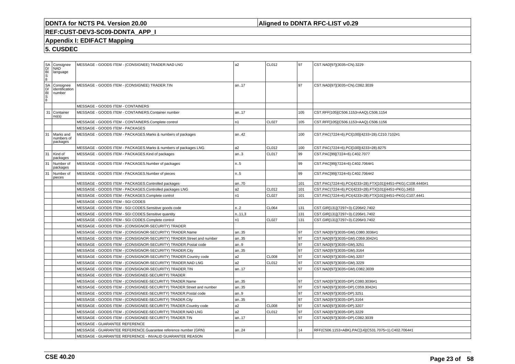### **Aligned to DDNTA RFC-LIST v0.29**

### **REF:CUST-DEV3-SC09-DDNTA\_APP\_I**

#### **Appendix I: EDIFACT Mapping**

| ®©<br>©<br>©<br>©<br>©<br>© | Consignee<br><b>NAD</b><br>language   |                                   | MESSAGE - GOODS ITEM - (CONSIGNEE) TRADER.NAD LNG                    | a2     | CL012        | 97   | CST.NAD[97](3035=CN).3229                                   |
|-----------------------------|---------------------------------------|-----------------------------------|----------------------------------------------------------------------|--------|--------------|------|-------------------------------------------------------------|
| 8<br>8<br>8<br>8<br>8<br>8  | Consignee<br>identification<br>number |                                   | MESSAGE - GOODS ITEM - (CONSIGNEE) TRADER.TIN                        | an17   |              | l 97 | CST.NAD[97](3035=CN).C082.3039                              |
|                             |                                       | MESSAGE - GOODS ITEM - CONTAINERS |                                                                      |        |              |      |                                                             |
| 31                          | Container<br>no(s)                    |                                   | MESSAGE - GOODS ITEM - CONTAINERS.Container number                   | an17   |              | 105  | CST.RFF[105](C506.1153=AAQ).C506.1154                       |
|                             |                                       |                                   | MESSAGE - GOODS ITEM - CONTAINERS.Complete control                   | n1     | <b>CL027</b> | 105  | CST.RFF[105](C506.1153=AAQ).C506.1156                       |
|                             |                                       | MESSAGE - GOODS ITEM - PACKAGES   |                                                                      |        |              |      |                                                             |
| 31                          | Marks and<br>numbers of<br>packages   |                                   | MESSAGE - GOODS ITEM - PACKAGES.Marks & numbers of packages          | an42   |              | 100  | CST.PAC(7224=6).PCI[100](4233=28).C210.7102#1               |
|                             |                                       |                                   | MESSAGE - GOODS ITEM - PACKAGES.Marks & numbers of packages LNG      | a2     | CL012        | 100  | CST.PAC(7224=6).PCI[100](4233=28).8275                      |
| 31                          | Kind of<br>packages                   |                                   | MESSAGE - GOODS ITEM - PACKAGES.Kind of packages                     | an.3   | <b>CL017</b> | 99   | CST.PAC[99](7224=6).C402.7077                               |
| 31                          | Number of<br>packages                 |                                   | MESSAGE - GOODS ITEM - PACKAGES.Number of packages                   | n.5    |              | 99   | CST.PAC[99](7224=6).C402.7064#1                             |
| 31                          | Number of<br>pieces                   |                                   | MESSAGE - GOODS ITEM - PACKAGES.Number of pieces                     | n5     |              | 99   | CST.PAC[99](7224=6).C402.7064#2                             |
|                             |                                       |                                   | MESSAGE - GOODS ITEM - PACKAGES.Controlled packages                  | an70   |              | 101  | CST.PAC(7224=6).PCI(4233=28).FTX[101](4451=PKG).C108.4440#1 |
|                             |                                       |                                   | MESSAGE - GOODS ITEM - PACKAGES.Controlled packages LNG              | a2     | <b>CL012</b> | 101  | CST.PAC(7224=6).PCI(4233=28).FTX[101](4451=PKG).3453        |
|                             |                                       |                                   | MESSAGE - GOODS ITEM - PACKAGES.Complete control                     | n1     | <b>CL027</b> | 101  | CST.PAC(7224=6).PCI(4233=28).FTX[101](4451=PKG).C107.4441   |
|                             |                                       | MESSAGE - GOODS ITEM - SGI CODES  |                                                                      |        |              |      |                                                             |
|                             |                                       |                                   | MESSAGE - GOODS ITEM - SGI CODES.Sensitive goods code                | n.2    | <b>CL064</b> | 131  | CST.GIR[131](7297=3).C206#2.7402                            |
|                             |                                       |                                   | MESSAGE - GOODS ITEM - SGI CODES.Sensitive quantity                  | n.11,3 |              | 131  | CST.GIR[131](7297=3).C206#1.7402                            |
|                             |                                       |                                   | MESSAGE - GOODS ITEM - SGI CODES.Complete control                    | n1     | <b>CL027</b> | 131  | CST.GIR[131](7297=3).C206#3.7402                            |
|                             |                                       |                                   | MESSAGE - GOODS ITEM - (CONSIGNOR-SECURITY) TRADER                   |        |              |      |                                                             |
|                             |                                       |                                   | MESSAGE - GOODS ITEM - (CONSIGNOR-SECURITY) TRADER.Name              | an35   |              | 97   | CST.NAD[97](3035=GM).C080.3036#1                            |
|                             |                                       |                                   | MESSAGE - GOODS ITEM - (CONSIGNOR-SECURITY) TRADER.Street and number | an35   |              | l 97 | CST.NAD[97](3035=GM).C059.3042#1                            |
|                             |                                       |                                   | MESSAGE - GOODS ITEM - (CONSIGNOR-SECURITY) TRADER.Postal code       | an.9   |              | 97   | CST.NAD[97](3035=GM).3251                                   |
|                             |                                       |                                   | MESSAGE - GOODS ITEM - (CONSIGNOR-SECURITY) TRADER.City              | an35   |              | 97   | CST.NAD[97](3035=GM).3164                                   |
|                             |                                       |                                   | MESSAGE - GOODS ITEM - (CONSIGNOR-SECURITY) TRADER.Country code      | a2     | CL008        | 97   | CST.NAD[97](3035=GM).3207                                   |
|                             |                                       |                                   | MESSAGE - GOODS ITEM - (CONSIGNOR-SECURITY) TRADER.NAD LNG           | a2     | CL012        | 97   | CST.NAD[97](3035=GM).3229                                   |
|                             |                                       |                                   | MESSAGE - GOODS ITEM - (CONSIGNOR-SECURITY) TRADER.TIN               | an17   |              | 97   | CST.NAD[97](3035=GM).C082.3039                              |
|                             |                                       |                                   | MESSAGE - GOODS ITEM - (CONSIGNEE-SECURITY) TRADER                   |        |              |      |                                                             |
|                             |                                       |                                   | MESSAGE - GOODS ITEM - (CONSIGNEE-SECURITY) TRADER.Name              | an35   |              | 97   | CST.NAD[97](3035=DP).C080.3036#1                            |
|                             |                                       |                                   | MESSAGE - GOODS ITEM - (CONSIGNEE-SECURITY) TRADER.Street and number | an35   |              | 97   | CST.NAD[97](3035=DP).C059.3042#1                            |
|                             |                                       |                                   | MESSAGE - GOODS ITEM - (CONSIGNEE-SECURITY) TRADER.Postal code       | an.9   |              | l 97 | CST.NAD[97](3035=DP).3251                                   |
|                             |                                       |                                   | MESSAGE - GOODS ITEM - (CONSIGNEE-SECURITY) TRADER.City              | an35   |              | l 97 | CST.NAD[97](3035=DP).3164                                   |
|                             |                                       |                                   | MESSAGE - GOODS ITEM - (CONSIGNEE-SECURITY) TRADER.Country code      | a2     | <b>CL008</b> | 97   | CST.NAD[97](3035=DP).3207                                   |
|                             |                                       |                                   | MESSAGE - GOODS ITEM - (CONSIGNEE-SECURITY) TRADER.NAD LNG           | a2     | CL012        | l 97 | CST.NAD[97](3035=DP).3229                                   |
|                             |                                       |                                   | MESSAGE - GOODS ITEM - (CONSIGNEE-SECURITY) TRADER.TIN               | an17   |              | 97   | CST.NAD[97](3035=DP).C082.3039                              |
|                             |                                       | MESSAGE - GUARANTEE REFERENCE     |                                                                      |        |              |      |                                                             |
|                             |                                       |                                   | MESSAGE - GUARANTEE REFERENCE.Guarantee reference number (GRN)       | an24   |              | 14   | RFF(C506.1153=ABK).PAC[14](C531.7075=1).C402.7064#1         |
|                             |                                       |                                   | MESSAGE - GUARANTEE REFERENCE - INVALID GUARANTEE REASON             |        |              |      |                                                             |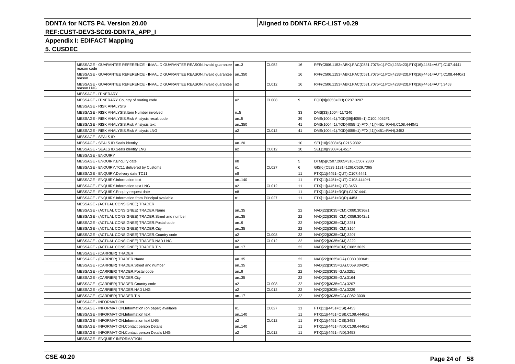### **Aligned to DDNTA RFC-LIST v0.29**

### **REF:CUST-DEV3-SC09-DDNTA\_APP\_I**

### **Appendix I: EDIFACT Mapping**

| MESSAGE - GUARANTEE REFERENCE - INVALID GUARANTEE REASON.Invalid quarantee   an3<br>reason code |                | CL052        | 16  | RFF(C506.1153=ABK).PAC(C531.7075=1).PCI(4233=23).FTX[16](4451=AUT).C107.4441   |
|-------------------------------------------------------------------------------------------------|----------------|--------------|-----|--------------------------------------------------------------------------------|
| MESSAGE - GUARANTEE REFERENCE - INVALID GUARANTEE REASON.Invalid quarantee<br>reason            | an350          |              | 16  | RFF(C506.1153=ABK).PAC(C531.7075=1).PCI(4233=23).FTX[16](4451=AUT).C108.4440#1 |
| MESSAGE - GUARANTEE REFERENCE - INVALID GUARANTEE REASON.Invalid quarantee   a2<br>reason LNG   |                | CL012        | 16  | RFF(C506.1153=ABK).PAC(C531.7075=1).PCI(4233=23).FTX[16](4451=AUT).3453        |
| <b>MESSAGE - ITINERARY</b>                                                                      |                |              |     |                                                                                |
| MESSAGE - ITINERARY.Country of routing code                                                     | a <sub>2</sub> | <b>CL008</b> | l 9 | EQD[9](8053=CH).C237.3207                                                      |
| MESSAGE - RISK ANALYSIS                                                                         |                |              |     |                                                                                |
| MESSAGE - RISK ANALYSIS.Item Number involved                                                    | n.5            |              | 33  | DMS[33](1004=1).7240                                                           |
| MESSAGE - RISK ANALYSIS. Risk Analysis result code                                              | an5            |              | 39  | DMS(1004=1).TOD[39](4055=1).C100.4052#1                                        |
| MESSAGE - RISK ANALYSIS.Risk Analysis text                                                      | an350          |              | 41  | DMS(1004=1).TOD(4055=1).FTX[41](4451=RAH).C108.4440#1                          |
| MESSAGE - RISK ANALYSIS.Risk Analysis LNG                                                       | a <sub>2</sub> | CL012        | 41  | DMS(1004=1).TOD(4055=1).FTX[41](4451=RAH).3453                                 |
| MESSAGE - SEALS ID                                                                              |                |              |     |                                                                                |
| MESSAGE - SEALS ID.Seals identity                                                               | an20           |              | 10  | SEL[10](9308=5).C215.9302                                                      |
| MESSAGE - SEALS ID.Seals identity LNG                                                           | a <sub>2</sub> | CL012        | 10  | SEL[10](9308=5).4517                                                           |
| <b>MESSAGE - ENQUIRY</b>                                                                        |                |              |     |                                                                                |
| MESSAGE - ENQUIRY. Enquiry date                                                                 | n <sub>8</sub> |              | 5   | DTM[5](C507.2005=316).C507.2380                                                |
| MESSAGE - ENQUIRY.TC11 delivered by Customs                                                     | n1             | <b>CL027</b> | l 6 | GIS[6](C529.1131=126).C529.7365                                                |
| MESSAGE - ENQUIRY.Delivery date TC11                                                            | n <sub>8</sub> |              | 11  | FTX[11](4451=QUT).C107.4441                                                    |
| MESSAGE - ENQUIRY.Information text                                                              | an140          |              | 11  | FTX[11](4451=QUT).C108.4440#1                                                  |
| MESSAGE - ENQUIRY.Information text LNG                                                          | a <sub>2</sub> | CL012        | 11  | FTX[11](4451=QUT).3453                                                         |
| MESSAGE - ENQUIRY. Enquiry request date                                                         | n <sub>8</sub> |              | 11  | FTX[11](4451=RQR).C107.4441                                                    |
| MESSAGE - ENQUIRY.Information from Principal available                                          | n <sub>1</sub> | CL027        | 11  | FTX[11](4451=RQR).4453                                                         |
| MESSAGE - (ACTUAL CONSIGNEE) TRADER                                                             |                |              |     |                                                                                |
| MESSAGE - (ACTUAL CONSIGNEE) TRADER.Name                                                        | an35           |              | 22  | NAD[22](3035=CM).C080.3036#1                                                   |
| MESSAGE - (ACTUAL CONSIGNEE) TRADER.Street and number                                           | an35           |              | 22  | NAD[22](3035=CM).C059.3042#1                                                   |
| MESSAGE - (ACTUAL CONSIGNEE) TRADER.Postal code                                                 | an9            |              | 22  | NAD[22](3035=CM).3251                                                          |
| MESSAGE - (ACTUAL CONSIGNEE) TRADER.City                                                        | an35           |              | 22  | NAD[22](3035=CM).3164                                                          |
| MESSAGE - (ACTUAL CONSIGNEE) TRADER.Country code                                                | a <sub>2</sub> | <b>CL008</b> | 22  | NAD[22](3035=CM).3207                                                          |
| MESSAGE - (ACTUAL CONSIGNEE) TRADER.NAD LNG                                                     | a <sub>2</sub> | CL012        | 22  | NAD[22](3035=CM).3229                                                          |
| MESSAGE - (ACTUAL CONSIGNEE) TRADER.TIN                                                         | an17           |              | 22  | NAD[22](3035=CM).C082.3039                                                     |
| <b>MESSAGE - (CARRIER) TRADER</b>                                                               |                |              |     |                                                                                |
| MESSAGE - (CARRIER) TRADER.Name                                                                 | an35           |              | 22  | NAD[22](3035=GA).C080.3036#1                                                   |
| MESSAGE - (CARRIER) TRADER.Street and number                                                    | an35           |              | 22  | NAD[22](3035=GA).C059.3042#1                                                   |
| MESSAGE - (CARRIER) TRADER. Postal code                                                         | an9            |              | 22  | NAD[22](3035=GA).3251                                                          |
| MESSAGE - (CARRIER) TRADER.City                                                                 | an35           |              | 22  | NAD[22](3035=GA).3164                                                          |
| MESSAGE - (CARRIER) TRADER.Country code                                                         | a <sub>2</sub> | <b>CL008</b> | 22  | NAD[22](3035=GA).3207                                                          |
| MESSAGE - (CARRIER) TRADER.NAD LNG                                                              | a <sub>2</sub> | <b>CL012</b> | 22  | NAD[22](3035=GA).3229                                                          |
| MESSAGE - (CARRIER) TRADER.TIN                                                                  | an17           |              | 22  | NAD[22](3035=GA).C082.3039                                                     |
| <b>MESSAGE - INFORMATION</b>                                                                    |                |              |     |                                                                                |
| MESSAGE - INFORMATION.Information (on paper) available                                          | n <sub>1</sub> | <b>CL027</b> | 11  | FTX[11](4451=OSI).4453                                                         |
| MESSAGE - INFORMATION.Information text                                                          | an140          |              | 11  | FTX[11](4451=OSI).C108.4440#1                                                  |
| MESSAGE - INFORMATION.Information text LNG                                                      | a <sub>2</sub> | CL012        | 11  | FTX[11](4451=OSI).3453                                                         |
| MESSAGE - INFORMATION.Contact person Details                                                    | an140          |              | 11  | FTX[11](4451=IND).C108.4440#1                                                  |
| MESSAGE - INFORMATION.Contact person Details LNG                                                | a <sub>2</sub> | CL012        | 11  | FTX[11](4451=IND).3453                                                         |
| MESSAGE - ENQUIRY INFORMATION                                                                   |                |              |     |                                                                                |
|                                                                                                 |                |              |     |                                                                                |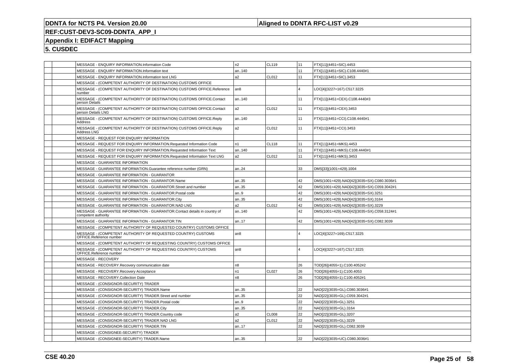#### **Aligned to DDNTA RFC-LIST v0.29**

# **REF:CUST-DEV3-SC09-DDNTA\_APP\_I**

### **Appendix I: EDIFACT Mapping**

|  | MESSAGE - ENQUIRY INFORMATION.Information Code                                                   | n2             | CL119        | 11             | FTX[11](4451=SIC).4453                     |
|--|--------------------------------------------------------------------------------------------------|----------------|--------------|----------------|--------------------------------------------|
|  | MESSAGE - ENQUIRY INFORMATION.Information text                                                   | an140          |              | 11             | FTX[11](4451=SIC).C108.4440#1              |
|  | MESSAGE - ENQUIRY INFORMATION.Information text LNG                                               | a2             | CL012        | 11             | FTX[11](4451=SIC).3453                     |
|  | MESSAGE - (COMPETENT AUTHORITY OF DESTINATION) CUSTOMS OFFICE                                    |                |              |                |                                            |
|  | MESSAGE - (COMPETENT AUTHORITY OF DESTINATION) CUSTOMS OFFICE.Reference<br>number                | an8            |              | $\overline{4}$ | LOC[4](3227=167).C517.3225                 |
|  | MESSAGE - (COMPETENT AUTHORITY OF DESTINATION) CUSTOMS OFFICE.Contact<br>person Details          | an140          |              | 11             | FTX[11](4451=CEX).C108.4440#3              |
|  | MESSAGE - (COMPETENT AUTHORITY OF DESTINATION) CUSTOMS OFFICE.Contact<br>person Details LNG      | a2             | CL012        | 11             | FTX[11](4451=CEX).3453                     |
|  | MESSAGE - (COMPETENT AUTHORITY OF DESTINATION) CUSTOMS OFFICE.Reply<br>Address                   | an140          |              | 11             | FTX[11](4451=CCI).C108.4440#1              |
|  | MESSAGE - (COMPETENT AUTHORITY OF DESTINATION) CUSTOMS OFFICE.Reply<br>Address LNG               | a2             | CL012        | 11             | FTX[11](4451=CCI).3453                     |
|  | MESSAGE - REQUEST FOR ENQUIRY INFORMATION                                                        |                |              |                |                                            |
|  | MESSAGE - REQUEST FOR ENQUIRY INFORMATION.Requested Information Code                             | n1             | <b>CL118</b> | 11             | FTX[11](4451=MKS).4453                     |
|  | MESSAGE - REQUEST FOR ENQUIRY INFORMATION.Requested Information Text                             | an140          |              | 11             | FTX[11](4451=MKS).C108.4440#1              |
|  | MESSAGE - REQUEST FOR ENQUIRY INFORMATION.Requested Information Text LNG                         | a <sub>2</sub> | CL012        | 11             | FTX[11](4451=MKS).3453                     |
|  | MESSAGE - GUARANTEE INFORMATION                                                                  |                |              |                |                                            |
|  | MESSAGE - GUARANTEE INFORMATION.Guarantee reference number (GRN)                                 | an24           |              | 33             | DMS[33](1001=429).1004                     |
|  | MESSAGE - GUARANTEE INFORMATION - GUARANTOR                                                      |                |              |                |                                            |
|  | MESSAGE - GUARANTEE INFORMATION - GUARANTOR.Name                                                 | an35           |              | 42             | DMS(1001=429).NAD[42](3035=SX).C080.3036#1 |
|  | MESSAGE - GUARANTEE INFORMATION - GUARANTOR.Street and number                                    | an35           |              | 42             | DMS(1001=429).NAD[42](3035=SX).C059.3042#1 |
|  | MESSAGE - GUARANTEE INFORMATION - GUARANTOR.Postal code                                          | an9            |              | 42             | DMS(1001=429).NAD[42](3035=SX).3251        |
|  | MESSAGE - GUARANTEE INFORMATION - GUARANTOR.City                                                 | an35           |              | 42             | DMS(1001=429).NAD[42](3035=SX).3164        |
|  | MESSAGE - GUARANTEE INFORMATION - GUARANTOR.NAD LNG                                              | a2             | CL012        | 42             | DMS(1001=429).NAD[42](3035=SX).3229        |
|  | MESSAGE - GUARANTEE INFORMATION - GUARANTOR.Contact details in country of<br>competent authority | an140          |              | 42             | DMS(1001=429).NAD[42](3035=SX).C058.3124#1 |
|  | MESSAGE - GUARANTEE INFORMATION - GUARANTOR.TIN                                                  | an17           |              | 42             | DMS(1001=429).NAD[42](3035=SX).C082.3039   |
|  | MESSAGE - (COMPETENT AUTHORITY OF REQUESTED COUNTRY) CUSTOMS OFFICE                              |                |              |                |                                            |
|  | MESSAGE - (COMPETENT AUTHORITY OF REQUESTED COUNTRY) CUSTOMS<br>OFFICE.Reference number          | an8            |              | $\overline{4}$ | LOC[4](3227=169).C517.3225                 |
|  | MESSAGE - (COMPETENT AUTHORITY OF REQUESTING COUNTRY) CUSTOMS OFFICE                             |                |              |                |                                            |
|  | MESSAGE - (COMPETENT AUTHORITY OF REQUESTING COUNTRY) CUSTOMS<br>OFFICE.Reference number         | an8            |              | $\overline{4}$ | LOC[4](3227=167).C517.3225                 |
|  | <b>MESSAGE - RECOVERY</b>                                                                        |                |              |                |                                            |
|  | MESSAGE - RECOVERY.Recovery communication date                                                   | n8             |              | 26             | TOD[26](4055=1).C100.4052#2                |
|  | MESSAGE - RECOVERY.Recovery Acceptance                                                           | n1             | <b>CL027</b> | 26             | TOD[26](4055=1).C100.4053                  |
|  | MESSAGE - RECOVERY.Collection Date                                                               | n8             |              | 26             | TOD[26](4055=1).C100.4052#1                |
|  | MESSAGE - (CONSIGNOR-SECURITY) TRADER                                                            |                |              |                |                                            |
|  | MESSAGE - (CONSIGNOR-SECURITY) TRADER.Name                                                       | an35           |              | 22             | NAD[22](3035=GL).C080.3036#1               |
|  | MESSAGE - (CONSIGNOR-SECURITY) TRADER.Street and number                                          | an35           |              | 22             | NAD[22](3035=GL).C059.3042#1               |
|  | MESSAGE - (CONSIGNOR-SECURITY) TRADER.Postal code                                                | an9            |              | 22             | NAD[22](3035=GL).3251                      |
|  | MESSAGE - (CONSIGNOR-SECURITY) TRADER.City                                                       | an35           |              | 22             | NAD[22](3035=GL).3164                      |
|  | MESSAGE - (CONSIGNOR-SECURITY) TRADER.Country code                                               | a2             | <b>CL008</b> | 22             | NAD[22](3035=GL).3207                      |
|  | MESSAGE - (CONSIGNOR-SECURITY) TRADER.NAD LNG                                                    | a2             | CL012        | 22             | NAD[22](3035=GL).3229                      |
|  | MESSAGE - (CONSIGNOR-SECURITY) TRADER.TIN                                                        | an17           |              | 22             | NAD[22](3035=GL).C082.3039                 |
|  | MESSAGE - (CONSIGNEE-SECURITY) TRADER                                                            |                |              |                |                                            |
|  | MESSAGE - (CONSIGNEE-SECURITY) TRADER.Name                                                       | an35           |              | 22             | NAD[22](3035=UC).C080.3036#1               |
|  |                                                                                                  |                |              |                |                                            |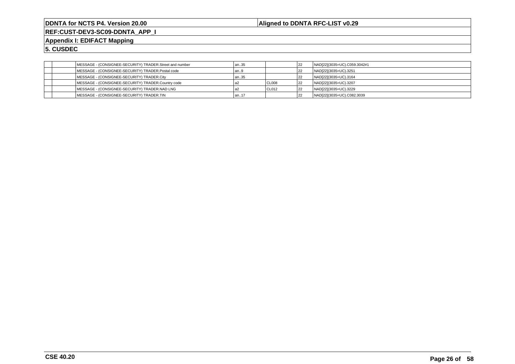**Aligned to DDNTA RFC-LIST v0.29**

**REF:CUST-DEV3-SC09-DDNTA\_APP\_I**

**Appendix I: EDIFACT Mapping**

|  | MESSAGE - (CONSIGNEE-SECURITY) TRADER.Street and number | an35   |         | 22 | NAD[22](3035=UC).C059.3042#1 |
|--|---------------------------------------------------------|--------|---------|----|------------------------------|
|  | MESSAGE - (CONSIGNEE-SECURITY) TRADER.Postal code       | lan9   |         | 22 | NAD[22](3035=UC).3251        |
|  | MESSAGE - (CONSIGNEE-SECURITY) TRADER.City              | an35   |         | 22 | NAD[22](3035=UC).3164        |
|  | MESSAGE - (CONSIGNEE-SECURITY) TRADER.Country code      |        | I CL008 | 22 | NAD[22](3035=UC).3207        |
|  | MESSAGE - (CONSIGNEE-SECURITY) TRADER.NAD LNG           |        | I CL012 | 22 | NAD[22](3035=UC).3229        |
|  | MESSAGE - (CONSIGNEE-SECURITY) TRADER.TIN               | l an17 |         | 22 | NAD[22](3035=UC).C082.3039   |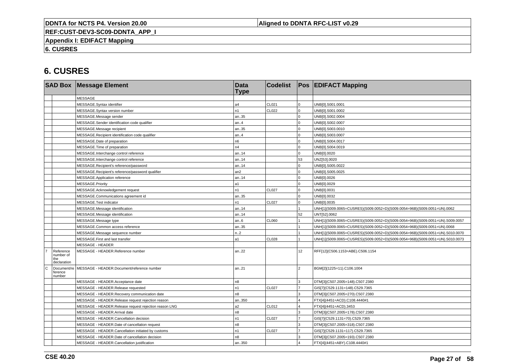**Aligned to DDNTA RFC-LIST v0.29**

**REF:CUST-DEV3-SC09-DDNTA\_APP\_I**

**Appendix I: EDIFACT Mapping**

**6. CUSRES**

|             |                                              | <b>SAD Box Message Element</b>                        | <b>Data</b><br><b>Type</b> | <b>Codelist</b> |                | <b>Pos EDIFACT Mapping</b>                                                   |
|-------------|----------------------------------------------|-------------------------------------------------------|----------------------------|-----------------|----------------|------------------------------------------------------------------------------|
|             |                                              | <b>MESSAGE</b>                                        |                            |                 |                |                                                                              |
|             |                                              | MESSAGE.Syntax identifier                             | a4                         | CL021           | $\Omega$       | UNB[0].S001.0001                                                             |
|             |                                              | MESSAGE.Syntax version number                         | n1                         | CL022           | $\Omega$       | UNB[0].S001.0002                                                             |
|             |                                              | MESSAGE.Message sender                                | an35                       |                 | $\Omega$       | UNB[0].S002.0004                                                             |
|             |                                              | MESSAGE.Sender identification code qualifier          | an.4                       |                 |                | UNB[0].S002.0007                                                             |
|             |                                              | MESSAGE.Message recipient                             | an35                       |                 | $\Omega$       | UNB[0].S003.0010                                                             |
|             |                                              | MESSAGE.Recipient identification code qualifier       | an.4                       |                 | $\Omega$       | UNB[0].S003.0007                                                             |
|             |                                              | MESSAGE.Date of preparation                           | n <sub>6</sub>             |                 | $\Omega$       | UNB[0].S004.0017                                                             |
|             |                                              | MESSAGE.Time of preparation                           | n4                         |                 | $\Omega$       | UNB[0].S004.0019                                                             |
|             |                                              | MESSAGE.Interchange control reference                 | an14                       |                 | $\mathbf 0$    | UNB[0].0020                                                                  |
|             |                                              | MESSAGE.Interchange control reference                 | an14                       |                 | 53             | UNZ[53].0020                                                                 |
|             |                                              | MESSAGE.Recipient's reference/password                | an14                       |                 | $\Omega$       | UNB[0].S005.0022                                                             |
|             |                                              | MESSAGE.Recipient's reference/password qualifier      | an2                        |                 | $\Omega$       | UNB[0].S005.0025                                                             |
|             |                                              | MESSAGE.Application reference                         | an14                       |                 | $\Omega$       | UNB[0].0026                                                                  |
|             |                                              | MESSAGE.Priority                                      | a1                         |                 | $\Omega$       | UNB[0].0029                                                                  |
|             |                                              | MESSAGE.Acknowledgement request                       | n1                         | <b>CL027</b>    | $\Omega$       | UNB[0].0031                                                                  |
|             |                                              | MESSAGE.Communications agreement id                   | an35                       |                 | $\Omega$       | UNB[0].0032                                                                  |
|             |                                              | MESSAGE.Test indicator                                | n1                         | <b>CL027</b>    | $\mathbf 0$    | UNB[0].0035                                                                  |
|             |                                              | MESSAGE.Message identification                        | an14                       |                 |                | UNH[1](S009.0065=CUSRES)(S009.0052=D)(S009.0054=96B)(S009.0051=UN).0062      |
|             |                                              | MESSAGE.Message identification                        | an14                       |                 | 52             | UNT[52].0062                                                                 |
|             |                                              | MESSAGE.Message type                                  | an.6                       | <b>CL060</b>    |                | UNH[1](S009.0065=CUSRES)(S009.0052=D)(S009.0054=96B)(S009.0051=UN).S009.0057 |
|             |                                              | MESSAGE.Common access reference                       | an35                       |                 |                | UNH[1](S009.0065=CUSRES)(S009.0052=D)(S009.0054=96B)(S009.0051=UN).0068      |
|             |                                              | MESSAGE.Message sequence number                       | n2                         |                 |                | UNH[1](S009.0065=CUSRES)(S009.0052=D)(S009.0054=96B)(S009.0051=UN).S010.0070 |
|             |                                              | MESSAGE.First and last transfer                       | a1                         | <b>CL028</b>    |                | UNH[1](S009.0065=CUSRES)(S009.0052=D)(S009.0054=96B)(S009.0051=UN).S010.0073 |
|             |                                              | <b>MESSAGE - HEADER</b>                               |                            |                 |                |                                                                              |
|             | Reference<br>number of<br>the<br>declaration | MESSAGE - HEADER.Reference number                     | an22                       |                 | 12             | RFF[12](C506.1153=ABE).C506.1154                                             |
| $\mathbf C$ | Document/re<br>ference<br>number             | MESSAGE - HEADER.Document/reference number            | an21                       |                 | $\overline{a}$ | BGM[2](1225=11).C106.1004                                                    |
|             |                                              | MESSAGE - HEADER.Acceptance date                      | n8                         |                 | 3              | DTM[3](C507.2005=148).C507.2380                                              |
|             |                                              | MESSAGE - HEADER.Release requested                    | n1                         | <b>CL027</b>    |                | GIS[7](C529.1131=148).C529.7365                                              |
|             |                                              | MESSAGE - HEADER.Recovery communication date          | n <sub>8</sub>             |                 | 3              | DTM[3](C507.2005=270).C507.2380                                              |
|             |                                              | MESSAGE - HEADER.Release request rejection reason     | an350                      |                 |                | FTX[4](4451=ACD).C108.4440#1                                                 |
|             |                                              | MESSAGE - HEADER.Release request rejection reason LNG | a2                         | CL012           |                | FTX[4](4451=ACD).3453                                                        |
|             |                                              | MESSAGE - HEADER.Arrival date                         | n8                         |                 | 3              | DTM[3](C507.2005=178).C507.2380                                              |
|             |                                              | MESSAGE - HEADER.Cancellation decision                | n1                         | <b>CL027</b>    |                | GIS[7](C529.1131=70).C529.7365                                               |
|             |                                              | MESSAGE - HEADER.Date of cancellation request         | n <sub>8</sub>             |                 | ٩              | DTM[3](C507.2005=318).C507.2380                                              |
|             |                                              | MESSAGE - HEADER.Cancellation initiated by customs    | n1                         | <b>CL027</b>    | $\overline{7}$ | GIS[7](C529.1131=117).C529.7365                                              |
|             |                                              | MESSAGE - HEADER.Date of cancellation decision        | n8                         |                 | 3              | DTM[3](C507.2005=193).C507.2380                                              |
|             |                                              | MESSAGE - HEADER.Cancellation justification           | an350                      |                 |                | FTX[4](4451=ABY).C108.4440#1                                                 |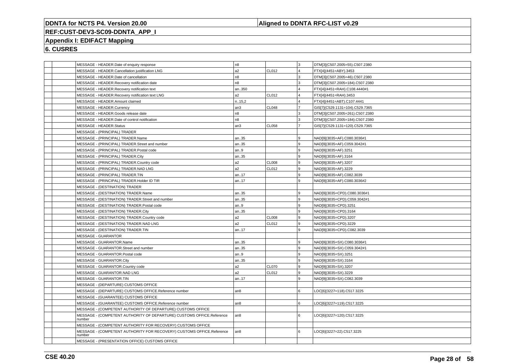### **Aligned to DDNTA RFC-LIST v0.29**

## **REF:CUST-DEV3-SC09-DDNTA\_APP\_I**

### **Appendix I: EDIFACT Mapping**

| MESSAGE - HEADER.Date of enquiry response                                       | n <sub>8</sub>  |              | lз             | DTM[3](C507.2005=55).C507.2380  |
|---------------------------------------------------------------------------------|-----------------|--------------|----------------|---------------------------------|
| MESSAGE - HEADER.Cancellation justification LNG                                 | a2              | CL012        | $\overline{4}$ | FTX[4](4451=ABY).3453           |
| MESSAGE - HEADER.Date of cancellation                                           | n <sub>8</sub>  |              | 3              | DTM[3](C507.2005=46).C507.2380  |
| MESSAGE - HEADER.Recovery notification date                                     | n8              |              | 3              | DTM[3](C507.2005=184).C507.2380 |
| MESSAGE - HEADER.Recovery notification text                                     | an350           |              | $\overline{4}$ | FTX[4](4451=RAH).C108.4440#1    |
| MESSAGE - HEADER.Recovery notification text LNG                                 | a2              | CL012        | $\overline{4}$ | FTX[4](4451=RAH).3453           |
| MESSAGE - HEADER.Amount claimed                                                 | n.15,2          |              | $\overline{4}$ | FTX[4](4451=ABT).C107.4441      |
| MESSAGE - HEADER.Currency                                                       | an3             | <b>CL048</b> | $\overline{7}$ | GIS[7](C529.1131=104).C529.7365 |
| MESSAGE - HEADER.Goods release date                                             | n8              |              | Iз             | DTM[3](C507.2005=261).C507.2380 |
| MESSAGE - HEADER.Date of control notification                                   | n <sub>8</sub>  |              | 3              | DTM[3](C507.2005=184).C507.2380 |
| MESSAGE - HEADER.Status                                                         | an3             | <b>CL058</b> | $\overline{7}$ | GIS[7](C529.1131=120).C529.7365 |
| MESSAGE - (PRINCIPAL) TRADER                                                    |                 |              |                |                                 |
| MESSAGE - (PRINCIPAL) TRADER.Name                                               | an35            |              | 9              | NAD[9](3035=AF).C080.3036#1     |
| MESSAGE - (PRINCIPAL) TRADER.Street and number                                  | an35            |              | 9              | NAD[9](3035=AF).C059.3042#1     |
| MESSAGE - (PRINCIPAL) TRADER.Postal code                                        | an.9            |              | l 9            | NAD[9](3035=AF).3251            |
| MESSAGE - (PRINCIPAL) TRADER.City                                               | an35            |              | 9              | NAD[9](3035=AF).3164            |
| MESSAGE - (PRINCIPAL) TRADER.Country code                                       | a2              | <b>CL008</b> | 9              | NAD[9](3035=AF).3207            |
| MESSAGE - (PRINCIPAL) TRADER.NAD LNG                                            | a2              | <b>CL012</b> | 9              | NAD[9](3035=AF).3229            |
| MESSAGE - (PRINCIPAL) TRADER.TIN                                                | an17            |              | l 9            | NAD[9](3035=AF).C082.3039       |
| MESSAGE - (PRINCIPAL) TRADER.Holder ID TIR                                      | an17            |              | 9              | NAD[9](3035=AF).C080.3036#2     |
| MESSAGE - (DESTINATION) TRADER                                                  |                 |              |                |                                 |
| MESSAGE - (DESTINATION) TRADER.Name                                             | an35            |              | 9              | NAD[9](3035=CPD).C080.3036#1    |
| MESSAGE - (DESTINATION) TRADER.Street and number                                | an35            |              | 9              | NAD[9](3035=CPD).C059.3042#1    |
| MESSAGE - (DESTINATION) TRADER.Postal code                                      | an.9            |              | l 9            | NAD[9](3035=CPD).3251           |
| MESSAGE - (DESTINATION) TRADER.City                                             | an35            |              | 9              | NAD[9](3035=CPD).3164           |
| MESSAGE - (DESTINATION) TRADER.Country code                                     | a2              | <b>CL008</b> | 9              | NAD[9](3035=CPD).3207           |
| MESSAGE - (DESTINATION) TRADER.NAD LNG                                          | a2              | CL012        | 9              | NAD[9](3035=CPD).3229           |
| MESSAGE - (DESTINATION) TRADER.TIN                                              | an17            |              | 9              | NAD[9](3035=CPD).C082.3039      |
| <b>MESSAGE - GUARANTOR</b>                                                      |                 |              |                |                                 |
| MESSAGE - GUARANTOR.Name                                                        | an35            |              | g              | NAD[9](3035=SX).C080.3036#1     |
| MESSAGE - GUARANTOR.Street and number                                           | an35            |              | 9              | NAD[9](3035=SX).C059.3042#1     |
| MESSAGE - GUARANTOR.Postal code                                                 | an.9            |              | 9              | NAD[9](3035=SX).3251            |
| MESSAGE - GUARANTOR.City                                                        | an35            |              | 9              | NAD[9](3035=SX).3164            |
| MESSAGE - GUARANTOR.Country code                                                | a2              | <b>CL070</b> | 9              | NAD[9](3035=SX).3207            |
| MESSAGE - GUARANTOR.NAD LNG                                                     | a2              | CL012        | 9              | NAD[9](3035=SX).3229            |
| MESSAGE - GUARANTOR.TIN                                                         | an17            |              | 9              | NAD[9](3035=SX).C082.3039       |
| MESSAGE - (DEPARTURE) CUSTOMS OFFICE                                            |                 |              |                |                                 |
| MESSAGE - (DEPARTURE) CUSTOMS OFFICE.Reference number                           | an <sub>8</sub> |              | 6              | LOC[6](3227=118).C517.3225      |
| MESSAGE - (GUARANTEE) CUSTOMS OFFICE                                            |                 |              |                |                                 |
| MESSAGE - (GUARANTEE) CUSTOMS OFFICE.Reference number                           | an8             |              | 6              | LOC[6](3227=119).C517.3225      |
| MESSAGE - (COMPETENT AUTHORITY OF DEPARTURE) CUSTOMS OFFICE                     |                 |              |                |                                 |
| MESSAGE - (COMPETENT AUTHORITY OF DEPARTURE) CUSTOMS OFFICE.Reference<br>number | an8             |              | 6              | LOC[6](3227=120).C517.3225      |
| MESSAGE - (COMPETENT AUTHORITY FOR RECOVERY) CUSTOMS OFFICE                     |                 |              |                |                                 |
| MESSAGE - (COMPETENT AUTHORITY FOR RECOVERY) CUSTOMS OFFICE.Reference<br>number | an <sub>8</sub> |              | 6              | LOC[6](3227=22).C517.3225       |
| MESSAGE - (PRESENTATION OFFICE) CUSTOMS OFFICE                                  |                 |              |                |                                 |
|                                                                                 |                 |              |                |                                 |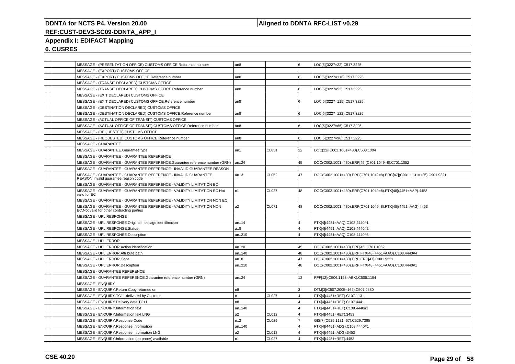### **Aligned to DDNTA RFC-LIST v0.29**

## **REF:CUST-DEV3-SC09-DDNTA\_APP\_I**

### **Appendix I: EDIFACT Mapping**

| MESSAGE - (PRESENTATION OFFICE) CUSTOMS OFFICE.Reference number                                                    | an8              |              | l6                      | LOC[6](3227=22).C517.3225                                            |
|--------------------------------------------------------------------------------------------------------------------|------------------|--------------|-------------------------|----------------------------------------------------------------------|
| MESSAGE - (EXPORT) CUSTOMS OFFICE                                                                                  |                  |              |                         |                                                                      |
| MESSAGE - (EXPORT) CUSTOMS OFFICE.Reference number                                                                 | an8              |              | l 6                     | LOC[6](3227=116).C517.3225                                           |
| MESSAGE - (TRANSIT DECLARED) CUSTOMS OFFICE                                                                        |                  |              |                         |                                                                      |
| MESSAGE - (TRANSIT DECLARED) CUSTOMS OFFICE.Reference number                                                       | an8              |              | 6                       | LOC[6](3227=52).C517.3225                                            |
| MESSAGE - (EXIT DECLARED) CUSTOMS OFFICE                                                                           |                  |              |                         |                                                                      |
| MESSAGE - (EXIT DECLARED) CUSTOMS OFFICE.Reference number                                                          | an8              |              | l 6                     | LOC[6](3227=115).C517.3225                                           |
| MESSAGE - (DESTINATION DECLARED) CUSTOMS OFFICE                                                                    |                  |              |                         |                                                                      |
| MESSAGE - (DESTINATION DECLARED) CUSTOMS OFFICE.Reference number                                                   | an8              |              | l 6                     | LOC[6](3227=122).C517.3225                                           |
| MESSAGE - (ACTUAL OFFICE OF TRANSIT) CUSTOMS OFFICE                                                                |                  |              |                         |                                                                      |
| MESSAGE - (ACTUAL OFFICE OF TRANSIT) CUSTOMS OFFICE.Reference number                                               | an8              |              | ۱6.                     | LOC[6](3227=65).C517.3225                                            |
| MESSAGE - (REQUESTED) CUSTOMS OFFICE                                                                               |                  |              |                         |                                                                      |
| MESSAGE - (REQUESTED) CUSTOMS OFFICE.Reference number                                                              | an8              |              | 6                       | LOC[6](3227=96).C517.3225                                            |
| <b>MESSAGE - GUARANTEE</b>                                                                                         |                  |              |                         |                                                                      |
| MESSAGE - GUARANTEE.Guarantee type                                                                                 | an1              | CL051        | 22                      | DOC[22](C002.1001=430).C503.1004                                     |
| MESSAGE - GUARANTEE - GUARANTEE REFERENCE                                                                          |                  |              |                         |                                                                      |
| MESSAGE - GUARANTEE - GUARANTEE REFERENCE.Guarantee reference number (GRN)                                         | an24             |              | 45                      | DOC(C002.1001=430).ERP[45](C701.1049=8).C701.1052                    |
| MESSAGE - GUARANTEE - GUARANTEE REFERENCE - INVALID GUARANTEE REASON                                               |                  |              |                         |                                                                      |
| MESSAGE - GUARANTEE - GUARANTEE REFERENCE - INVALID GUARANTEE<br>REASON.Invalid guarantee reason code              | an.3             | CL052        | 47                      | DOC(C002.1001=430).ERP(C701.1049=8).ERC[47](C901.1131=125).C901.9321 |
| MESSAGE - GUARANTEE - GUARANTEE REFERENCE - VALIDITY LIMITATION EC                                                 |                  |              |                         |                                                                      |
| MESSAGE - GUARANTEE - GUARANTEE REFERENCE - VALIDITY LIMITATION EC.Not<br>valid for EC                             | n <sub>1</sub>   | CL027        | 48                      | DOC(C002.1001=430).ERP(C701.1049=8).FTX[48](4451=AAP).4453           |
| MESSAGE - GUARANTEE - GUARANTEE REFERENCE - VALIDITY LIMITATION NON EC                                             |                  |              |                         |                                                                      |
| MESSAGE - GUARANTEE - GUARANTEE REFERENCE - VALIDITY LIMITATION NON<br>EC. Not valid for other contracting parties | a2               | CL071        | 48                      | DOC(C002.1001=430).ERP(C701.1049=8).FTX[48](4451=AAG).4453           |
| MESSAGE - UPL RESPONSE                                                                                             |                  |              |                         |                                                                      |
| MESSAGE - UPL RESPONSE.Original message identification                                                             | an14             |              | $\overline{4}$          | FTX[4](4451=AAQ).C108.4440#1                                         |
| MESSAGE - UPL RESPONSE.Status                                                                                      | a8               |              | $\overline{4}$          | FTX[4](4451=AAQ).C108.4440#2                                         |
| MESSAGE - UPL RESPONSE.Description                                                                                 | an210            |              | $\overline{4}$          | FTX[4](4451=AAQ).C108.4440#3                                         |
| MESSAGE - UPL ERROR                                                                                                |                  |              |                         |                                                                      |
| MESSAGE - UPL ERROR.Action identification                                                                          | an20             |              | 45                      | DOC(C002.1001=430).ERP[45].C701.1052                                 |
| MESSAGE - UPL ERROR.Attribute path                                                                                 | an140            |              | 48                      | DOC(C002.1001=430).ERP.FTX[48](4451=AAO).C108.4440#4                 |
| MESSAGE - UPL ERROR.Code                                                                                           | an.8             |              | 47                      | DOC(C002.1001=430).ERP.ERC[47].C901.9321                             |
| MESSAGE - UPL ERROR.Description                                                                                    | an210            |              | 48                      | DOC(C002.1001=430).ERP.FTX[48](4451=AAO).C108.4440#1                 |
| MESSAGE - GUARANTEE REFERENCE                                                                                      |                  |              |                         |                                                                      |
| MESSAGE - GUARANTEE REFERENCE.Guarantee reference number (GRN)                                                     | an24             |              | 12                      | RFF[12](C506.1153=ABK).C506.1154                                     |
| <b>MESSAGE - ENQUIRY</b>                                                                                           |                  |              |                         |                                                                      |
| MESSAGE - ENQUIRY.Return Copy returned on                                                                          | n8               |              | 3                       | DTM[3](C507.2005=162).C507.2380                                      |
| MESSAGE - ENQUIRY.TC11 delivered by Customs                                                                        | n1               | CL027        | $\overline{14}$         | FTX[4](4451=RET).C107.1131                                           |
| MESSAGE - ENQUIRY. Delivery date TC11                                                                              | n8               |              | $\overline{4}$          | FTX[4](4451=RET).C107.4441                                           |
| MESSAGE - ENQUIRY.Information text                                                                                 | an140            |              | $\overline{4}$          | FTX[4](4451=RET).C108.4440#1                                         |
| MESSAGE - ENQUIRY.Information text LNG                                                                             | a2               | CL012        | $\overline{4}$          | FTX[4](4451=RET).3453                                                |
| MESSAGE - ENQUIRY.Response Code                                                                                    | n <sub>1</sub> 2 | CL029        | $\overline{7}$          | GIS[7](C529.1131=67).C529.7365                                       |
| MESSAGE - ENQUIRY.Response Information                                                                             | an140            |              | $\overline{4}$          | FTX[4](4451=ADG).C108.4440#1                                         |
| MESSAGE - ENQUIRY.Response Information LNG                                                                         | a2               | CL012        | $\overline{4}$          | FTX[4](4451=ADG).3453                                                |
| MESSAGE - ENQUIRY.Information (on paper) available                                                                 | n1               | <b>CL027</b> | $\overline{\mathbf{A}}$ | FTX[4](4451=RET).4453                                                |
|                                                                                                                    |                  |              |                         |                                                                      |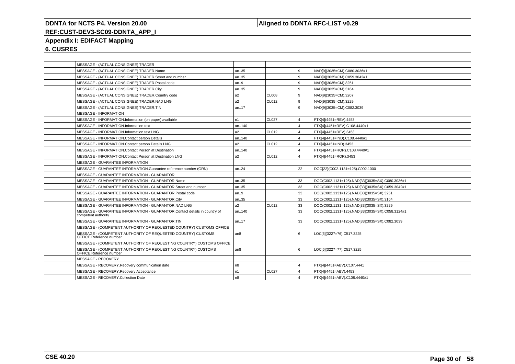### **Aligned to DDNTA RFC-LIST v0.29**

# **REF:CUST-DEV3-SC09-DDNTA\_APP\_I**

### **Appendix I: EDIFACT Mapping**

| MESSAGE - (ACTUAL CONSIGNEE) TRADER<br>MESSAGE - (ACTUAL CONSIGNEE) TRADER.Name<br>MESSAGE - (ACTUAL CONSIGNEE) TRADER.Street and number | an35            |                   | و ا                    |                                                 |
|------------------------------------------------------------------------------------------------------------------------------------------|-----------------|-------------------|------------------------|-------------------------------------------------|
|                                                                                                                                          |                 |                   |                        |                                                 |
|                                                                                                                                          |                 |                   |                        | NAD[9](3035=CM).C080.3036#1                     |
|                                                                                                                                          | an35            |                   | و ا                    | NAD[9](3035=CM).C059.3042#1                     |
| MESSAGE - (ACTUAL CONSIGNEE) TRADER.Postal code                                                                                          | an9             |                   | l 9                    | NAD[9](3035=CM).3251                            |
| MESSAGE - (ACTUAL CONSIGNEE) TRADER.City                                                                                                 | an35            |                   | و ا                    | NAD[9](3035=CM).3164                            |
| MESSAGE - (ACTUAL CONSIGNEE) TRADER.Country code                                                                                         | a <sub>2</sub>  | CL008             | l 9                    | NAD[9](3035=CM).3207                            |
| MESSAGE - (ACTUAL CONSIGNEE) TRADER.NAD LNG                                                                                              | a <sub>2</sub>  | CL <sub>012</sub> | و ا                    | NAD[9](3035=CM).3229                            |
| MESSAGE - (ACTUAL CONSIGNEE) TRADER.TIN                                                                                                  | an17            |                   | l 9                    | NAD[9](3035=CM).C082.3039                       |
| <b>MESSAGE - INFORMATION</b>                                                                                                             |                 |                   |                        |                                                 |
| MESSAGE - INFORMATION.Information (on paper) available                                                                                   | n <sub>1</sub>  | CL027             | $\overline{4}$         | FTX[4](4451=REV).4453                           |
| MESSAGE - INFORMATION.Information text                                                                                                   | an140           |                   | $\overline{4}$         | FTX[4](4451=REV).C108.4440#1                    |
| MESSAGE - INFORMATION.Information text LNG                                                                                               | a <sub>2</sub>  | CL012             | $\overline{4}$         | FTX[4](4451=REV).3453                           |
| MESSAGE - INFORMATION.Contact person Details                                                                                             | an140           |                   | $\Delta$               | FTX[4](4451=IND).C108.4440#1                    |
| MESSAGE - INFORMATION.Contact person Details LNG                                                                                         | a <sub>2</sub>  | CL <sub>012</sub> | $\overline{4}$         | FTX[4](4451=IND).3453                           |
| MESSAGE - INFORMATION.Contact Person at Destination                                                                                      | an140           |                   | $\boldsymbol{\Lambda}$ | FTX[4](4451=RQR).C108.4440#1                    |
| MESSAGE - INFORMATION.Contact Person at Destination LNG                                                                                  | a <sub>2</sub>  | CL012             | $\overline{4}$         | FTX[4](4451=RQR).3453                           |
| MESSAGE - GUARANTEE INFORMATION                                                                                                          |                 |                   |                        |                                                 |
| MESSAGE - GUARANTEE INFORMATION.Guarantee reference number (GRN)                                                                         | an24            |                   | 22                     | DOC[22](C002.1131=125).C002.1000                |
| <b>MESSAGE - GUARANTEE INFORMATION - GUARANTOR</b>                                                                                       |                 |                   |                        |                                                 |
| MESSAGE - GUARANTEE INFORMATION - GUARANTOR.Name                                                                                         | an35            |                   | 33                     | DOC(C002.1131=125).NAD[33](3035=SX).C080.3036#1 |
| MESSAGE - GUARANTEE INFORMATION - GUARANTOR.Street and number                                                                            | an35            |                   | 33                     | DOC(C002.1131=125).NAD[33](3035=SX).C059.3042#1 |
| MESSAGE - GUARANTEE INFORMATION - GUARANTOR.Postal code                                                                                  | an9             |                   | 33                     | DOC(C002.1131=125).NAD[33](3035=SX).3251        |
| MESSAGE - GUARANTEE INFORMATION - GUARANTOR.City                                                                                         | an35            |                   | 33                     | DOC(C002.1131=125).NAD[33](3035=SX).3164        |
| MESSAGE - GUARANTEE INFORMATION - GUARANTOR.NAD LNG                                                                                      | a <sub>2</sub>  | CL012             | 33                     | DOC(C002.1131=125).NAD[33](3035=SX).3229        |
| MESSAGE - GUARANTEE INFORMATION - GUARANTOR.Contact details in country of<br>competent authority                                         | an140           |                   | 33                     | DOC(C002.1131=125).NAD[33](3035=SX).C058.3124#1 |
| MESSAGE - GUARANTEE INFORMATION - GUARANTOR.TIN                                                                                          | an17            |                   | 33                     | DOC(C002.1131=125).NAD[33](3035=SX).C082.3039   |
| MESSAGE - (COMPETENT AUTHORITY OF REQUESTED COUNTRY) CUSTOMS OFFICE                                                                      |                 |                   |                        |                                                 |
| MESSAGE - (COMPETENT AUTHORITY OF REQUESTED COUNTRY) CUSTOMS<br>OFFICE.Reference number                                                  | an <sub>8</sub> |                   | l 6                    | LOC[6](3227=76).C517.3225                       |
| MESSAGE - (COMPETENT AUTHORITY OF REQUESTING COUNTRY) CUSTOMS OFFICE                                                                     |                 |                   |                        |                                                 |
| MESSAGE - (COMPETENT AUTHORITY OF REQUESTING COUNTRY) CUSTOMS<br>OFFICE.Reference number                                                 | an <sub>8</sub> |                   | l 6                    | LOC[6](3227=77).C517.3225                       |
| MESSAGE - RECOVERY                                                                                                                       |                 |                   |                        |                                                 |
| MESSAGE - RECOVERY.Recovery communication date                                                                                           | n <sub>8</sub>  |                   |                        | FTX[4](4451=ABV).C107.4441                      |
| MESSAGE - RECOVERY.Recovery Acceptance                                                                                                   | n <sub>1</sub>  | CL027             | $\overline{4}$         | FTX[4](4451=ABV).4453                           |
| MESSAGE - RECOVERY.Collection Date                                                                                                       | n <sub>8</sub>  |                   | $\overline{4}$         | FTX[4](4451=ABV).C108.4440#1                    |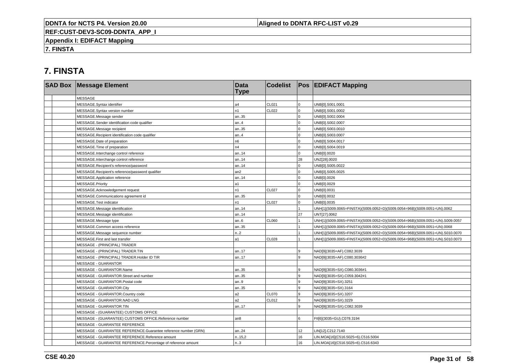### **Aligned to DDNTA RFC-LIST v0.29**

**REF:CUST-DEV3-SC09-DDNTA\_APP\_I**

**Appendix I: EDIFACT Mapping**

**7. FINSTA**

# **7. FINSTA**

| <b>SAD Box Message Element</b>                                 | <b>Data</b><br><b>Type</b> | <b>Codelist</b> |              | <b>Pos EDIFACT Mapping</b>                                                   |
|----------------------------------------------------------------|----------------------------|-----------------|--------------|------------------------------------------------------------------------------|
| <b>MESSAGE</b>                                                 |                            |                 |              |                                                                              |
| MESSAGE.Syntax identifier                                      | a4                         | CL021           | $\mathbf 0$  | UNB[0].S001.0001                                                             |
| MESSAGE.Syntax version number                                  | n1                         | CL022           | $\mathbf{0}$ | UNB[0].S001.0002                                                             |
| MESSAGE.Message sender                                         | an35                       |                 | $\Omega$     | UNB[0].S002.0004                                                             |
| MESSAGE.Sender identification code qualifier                   | an.4                       |                 | $\Omega$     | UNB[0].S002.0007                                                             |
| MESSAGE.Message recipient                                      | an35                       |                 | $\mathbf 0$  | UNB[0].S003.0010                                                             |
| MESSAGE.Recipient identification code qualifier                | an.4                       |                 | $\mathbf 0$  | UNB[0].S003.0007                                                             |
| MESSAGE.Date of preparation                                    | n <sub>6</sub>             |                 | $\Omega$     | UNB[0].S004.0017                                                             |
| MESSAGE. Time of preparation                                   | n4                         |                 | $\Omega$     | UNB[0].S004.0019                                                             |
| MESSAGE.Interchange control reference                          | an14                       |                 | $\mathbf{0}$ | UNB[0].0020                                                                  |
| MESSAGE.Interchange control reference                          | an14                       |                 | 28           | UNZ[28].0020                                                                 |
| MESSAGE.Recipient's reference/password                         | an14                       |                 | $\Omega$     | UNB[0].S005.0022                                                             |
| MESSAGE.Recipient's reference/password qualifier               | an <sub>2</sub>            |                 | $\Omega$     | UNB[0].S005.0025                                                             |
| MESSAGE.Application reference                                  | an14                       |                 | $\Omega$     | UNB[0].0026                                                                  |
| MESSAGE.Priority                                               | a1                         |                 | $\mathbf 0$  | UNB[0].0029                                                                  |
| MESSAGE.Acknowledgement request                                | n1                         | <b>CL027</b>    | $\Omega$     | UNB[0].0031                                                                  |
| MESSAGE.Communications agreement id                            | an35                       |                 | $\Omega$     | UNB[0].0032                                                                  |
| MESSAGE.Test indicator                                         | n1                         | <b>CL027</b>    | 0            | UNB[0].0035                                                                  |
| MESSAGE.Message identification                                 | an14                       |                 |              | UNH[1](S009.0065=FINSTA)(S009.0052=D)(S009.0054=96B)(S009.0051=UN).0062      |
| MESSAGE.Message identification                                 | an14                       |                 | 27           | UNT[27].0062                                                                 |
| MESSAGE.Message type                                           | an.6                       | CL060           |              | UNH[1](S009.0065=FINSTA)(S009.0052=D)(S009.0054=96B)(S009.0051=UN).S009.0057 |
| MESSAGE.Common access reference                                | an35                       |                 |              | UNH[1](S009.0065=FINSTA)(S009.0052=D)(S009.0054=96B)(S009.0051=UN).0068      |
| MESSAGE.Message sequence number                                | n2                         |                 |              | UNH[1](S009.0065=FINSTA)(S009.0052=D)(S009.0054=96B)(S009.0051=UN).S010.0070 |
| MESSAGE.First and last transfer                                | a1                         | <b>CL028</b>    |              | UNH[1](S009.0065=FINSTA)(S009.0052=D)(S009.0054=96B)(S009.0051=UN).S010.0073 |
| MESSAGE - (PRINCIPAL) TRADER                                   |                            |                 |              |                                                                              |
| MESSAGE - (PRINCIPAL) TRADER.TIN                               | an17                       |                 | 9            | NAD[9](3035=AF).C082.3039                                                    |
| MESSAGE - (PRINCIPAL) TRADER.Holder ID TIR                     | an17                       |                 | 9            | NAD[9](3035=AF).C080.3036#2                                                  |
| <b>MESSAGE - GUARANTOR</b>                                     |                            |                 |              |                                                                              |
| MESSAGE - GUARANTOR.Name                                       | an35                       |                 | g            | NAD[9](3035=SX).C080.3036#1                                                  |
| MESSAGE - GUARANTOR.Street and number                          | an35                       |                 | 9            | NAD[9](3035=SX).C059.3042#1                                                  |
| MESSAGE - GUARANTOR.Postal code                                | an.9                       |                 | 9            | NAD[9](3035=SX).3251                                                         |
| MESSAGE - GUARANTOR.City                                       | an35                       |                 | 9            | NAD[9](3035=SX).3164                                                         |
| MESSAGE - GUARANTOR.Country code                               | a2                         | <b>CL070</b>    | 9            | NAD[9](3035=SX).3207                                                         |
| MESSAGE - GUARANTOR.NAD LNG                                    | a2                         | CL012           | 9            | NAD[9](3035=SX).3229                                                         |
| MESSAGE - GUARANTOR.TIN                                        | an17                       |                 | 9            | NAD[9](3035=SX).C082.3039                                                    |
| MESSAGE - (GUARANTEE) CUSTOMS OFFICE                           |                            |                 |              |                                                                              |
| MESSAGE - (GUARANTEE) CUSTOMS OFFICE.Reference number          | an8                        |                 | 6            | FII[6](3035=GU).C078.3194                                                    |
| MESSAGE - GUARANTEE REFERENCE                                  |                            |                 |              |                                                                              |
| MESSAGE - GUARANTEE REFERENCE.Guarantee reference number (GRN) | an24                       |                 | 12           | LIN[12].C212.7140                                                            |
| MESSAGE - GUARANTEE REFERENCE.Reference amount                 | n.15,2                     |                 | 16           | LIN.MOA[16](C516.5025=6).C516.5004                                           |
| MESSAGE - GUARANTEE REFERENCE.Percentage of reference amount   | n.3                        |                 | 16           | LIN.MOA[16](C516.5025=6).C516.6343                                           |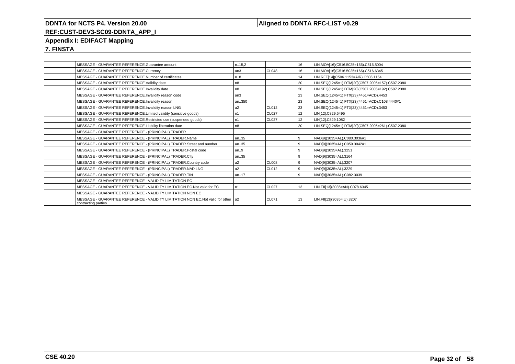### **Aligned to DDNTA RFC-LIST v0.29**

### **REF:CUST-DEV3-SC09-DDNTA\_APP\_I**

### **Appendix I: EDIFACT Mapping**

**7. FINSTA**

|  | MESSAGE - GUARANTEE REFERENCE.Guarantee amount                                                            | n.,15.2        |                   | 16   | LIN.MOA[16](C516.5025=166).C516.5004             |
|--|-----------------------------------------------------------------------------------------------------------|----------------|-------------------|------|--------------------------------------------------|
|  | MESSAGE - GUARANTEE REFERENCE.Currency                                                                    | an3            | CL048             | 16   | LIN.MOA[16](C516.5025=166).C516.6345             |
|  | MESSAGE - GUARANTEE REFERENCE.Number of certificates                                                      | n.8            |                   | 14   | LIN.RFF[14](C506.1153=AIR).C506.1154             |
|  | MESSAGE - GUARANTEE REFERENCE.Validity date                                                               | n8             |                   | 20   | LIN.SEQ(1245=1).DTM[20](C507.2005=157).C507.2380 |
|  | MESSAGE - GUARANTEE REFERENCE.Invalidity date                                                             | n8             |                   | 20   | LIN.SEQ(1245=1).DTM[20](C507.2005=192).C507.2380 |
|  | MESSAGE - GUARANTEE REFERENCE.Invalidity reason code                                                      | an3            |                   | 23   | LIN.SEQ(1245=1).FTX[23](4451=ACD).4453           |
|  | MESSAGE - GUARANTEE REFERENCE.Invalidity reason                                                           | an350          |                   | 23   | LIN.SEQ(1245=1).FTX[23](4451=ACD).C108.4440#1    |
|  | MESSAGE - GUARANTEE REFERENCE.Invalidity reason LNG                                                       | a2             | CL012             | l 23 | LIN.SEQ(1245=1).FTX[23](4451=ACD).3453           |
|  | MESSAGE - GUARANTEE REFERENCE.Limited validity (sensitive goods)                                          | n1             | CL027             | 12   | LIN[12].C829.5495                                |
|  | MESSAGE - GUARANTEE REFERENCE.Restricted use (suspended goods)                                            | n1             | CL <sub>027</sub> | 12   | LIN[12].C829.1082                                |
|  | MESSAGE - GUARANTEE REFERENCE.Liability liberation date                                                   | n8             |                   | l 20 | LIN.SEQ(1245=1).DTM[20](C507.2005=261).C507.2380 |
|  | MESSAGE - GUARANTEE REFERENCE - (PRINCIPAL) TRADER                                                        |                |                   |      |                                                  |
|  | MESSAGE - GUARANTEE REFERENCE - (PRINCIPAL) TRADER.Name                                                   | an35           |                   | و ا  | NAD[9](3035=AL).C080.3036#1                      |
|  | MESSAGE - GUARANTEE REFERENCE - (PRINCIPAL) TRADER.Street and number                                      | an35           |                   | و ا  | NAD[9](3035=AL).C059.3042#1                      |
|  | MESSAGE - GUARANTEE REFERENCE - (PRINCIPAL) TRADER. Postal code                                           | an9            |                   | و ا  | NAD[9](3035=AL).3251                             |
|  | MESSAGE - GUARANTEE REFERENCE - (PRINCIPAL) TRADER.City                                                   | an35           |                   | و ا  | NAD[9](3035=AL).3164                             |
|  | MESSAGE - GUARANTEE REFERENCE - (PRINCIPAL) TRADER.Country code                                           | a <sub>2</sub> | CL008             | l 9  | NAD[9](3035=AL).3207                             |
|  | MESSAGE - GUARANTEE REFERENCE - (PRINCIPAL) TRADER.NAD LNG                                                | a <sub>2</sub> | CL012             | l 9  | NAD[9](3035=AL).3229                             |
|  | MESSAGE - GUARANTEE REFERENCE - (PRINCIPAL) TRADER.TIN                                                    | an17           |                   | و ا  | NAD[9](3035=AL).C082.3039                        |
|  | MESSAGE - GUARANTEE REFERENCE - VALIDITY LIMITATION EC                                                    |                |                   |      |                                                  |
|  | MESSAGE - GUARANTEE REFERENCE - VALIDITY LIMITATION EC. Not valid for EC                                  | n1             | CL027             | 13   | LIN.FII[13](3035=AN).C078.6345                   |
|  | MESSAGE - GUARANTEE REFERENCE - VALIDITY LIMITATION NON EC                                                |                |                   |      |                                                  |
|  | MESSAGE - GUARANTEE REFERENCE - VALIDITY LIMITATION NON EC.Not valid for other 1a2<br>contracting parties |                | CL071             | 13   | LIN.FII[13](3035=IU).3207                        |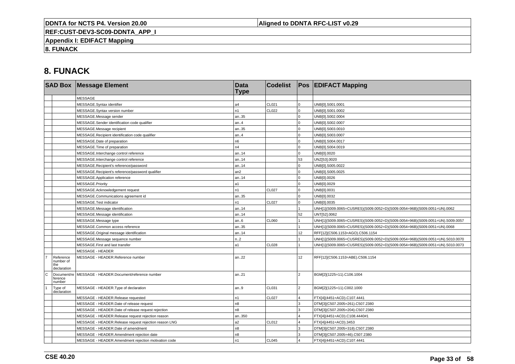### **Aligned to DDNTA RFC-LIST v0.29**

**REF:CUST-DEV3-SC09-DDNTA\_APP\_I**

**Appendix I: EDIFACT Mapping**

**8. FUNACK**

# **8. FUNACK**

|                |                                              | <b>SAD Box Message Element</b>                        | <b>Data</b><br><b>Type</b> | <b>Codelist</b> |                 | <b>Pos EDIFACT Mapping</b>                                                   |
|----------------|----------------------------------------------|-------------------------------------------------------|----------------------------|-----------------|-----------------|------------------------------------------------------------------------------|
|                |                                              | <b>MESSAGE</b>                                        |                            |                 |                 |                                                                              |
|                |                                              | MESSAGE.Syntax identifier                             | a4                         | CL021           | $\overline{0}$  | UNB[0].S001.0001                                                             |
|                |                                              | MESSAGE.Syntax version number                         | n1                         | CL022           | $\overline{0}$  | UNB[0].S001.0002                                                             |
|                |                                              | MESSAGE.Message sender                                | an35                       |                 | $\overline{0}$  | UNB[0].S002.0004                                                             |
|                |                                              | MESSAGE.Sender identification code qualifier          | an.4                       |                 | $\mathbf 0$     | UNB[0].S002.0007                                                             |
|                |                                              | MESSAGE.Message recipient                             | an35                       |                 | $\mathbf 0$     | UNB[0].S003.0010                                                             |
|                |                                              | MESSAGE.Recipient identification code qualifier       | an.4                       |                 | $\mathbf 0$     | UNB[0].S003.0007                                                             |
|                |                                              | MESSAGE.Date of preparation                           | n6                         |                 | $\overline{0}$  | UNB[0].S004.0017                                                             |
|                |                                              | MESSAGE.Time of preparation                           | n4                         |                 | $\mathsf 0$     | UNB[0].S004.0019                                                             |
|                |                                              | MESSAGE.Interchange control reference                 | an14                       |                 | $\overline{0}$  | UNB[0].0020                                                                  |
|                |                                              | MESSAGE.Interchange control reference                 | an14                       |                 | 53              | UNZ[53].0020                                                                 |
|                |                                              | MESSAGE.Recipient's reference/password                | an14                       |                 | $\mathbf 0$     | UNB[0].S005.0022                                                             |
|                |                                              | MESSAGE.Recipient's reference/password qualifier      | an2                        |                 | $\Omega$        | UNB[0].S005.0025                                                             |
|                |                                              | MESSAGE.Application reference                         | an14                       |                 | $\Omega$        | UNB[0].0026                                                                  |
|                |                                              | MESSAGE.Priority                                      | a1                         |                 | $\mathbf 0$     | UNB[0].0029                                                                  |
|                |                                              | MESSAGE.Acknowledgement request                       | n1                         | <b>CL027</b>    | $\mathbf 0$     | UNB[0].0031                                                                  |
|                |                                              | MESSAGE.Communications agreement id                   | an35                       |                 | $\Omega$        | UNB[0].0032                                                                  |
|                |                                              | MESSAGE.Test indicator                                | n1                         | <b>CL027</b>    | $\overline{0}$  | UNB[0].0035                                                                  |
|                |                                              | MESSAGE.Message identification                        | an14                       |                 |                 | UNH[1](S009.0065=CUSRES)(S009.0052=D)(S009.0054=96B)(S009.0051=UN).0062      |
|                |                                              | MESSAGE.Message identification                        | an14                       |                 | 52              | UNT[52].0062                                                                 |
|                |                                              | MESSAGE.Message type                                  | an.6                       | CL060           |                 | UNH[1](S009.0065=CUSRES)(S009.0052=D)(S009.0054=96B)(S009.0051=UN).S009.0057 |
|                |                                              | MESSAGE.Common access reference                       | an35                       |                 |                 | UNH[1](S009.0065=CUSRES)(S009.0052=D)(S009.0054=96B)(S009.0051=UN).0068      |
|                |                                              | MESSAGE.Original message identification               | an14                       |                 | 12              | RFF[12](C506.1153=AGO).C506.1154                                             |
|                |                                              | MESSAGE.Message sequence number                       | n.2                        |                 |                 | UNH[1](S009.0065=CUSRES)(S009.0052=D)(S009.0054=96B)(S009.0051=UN).S010.0070 |
|                |                                              | MESSAGE.First and last transfer                       | a1                         | <b>CL028</b>    |                 | UNH[1](S009.0065=CUSRES)(S009.0052=D)(S009.0054=96B)(S009.0051=UN).S010.0073 |
|                |                                              | <b>MESSAGE - HEADER</b>                               |                            |                 |                 |                                                                              |
| $\overline{7}$ | Reference<br>number of<br>the<br>declaration | MESSAGE - HEADER.Reference number                     | an22                       |                 | 12 <sup>°</sup> | RFF[12](C506.1153=ABE).C506.1154                                             |
| l c            | Document/re<br>ference<br>number             | MESSAGE - HEADER.Document/reference number            | an.21                      |                 | $\overline{2}$  | BGM[2](1225=11).C106.1004                                                    |
|                | Type of<br>declaration                       | MESSAGE - HEADER. Type of declaration                 | an.9                       | CL031           | $\overline{2}$  | BGM[2](1225=11).C002.1000                                                    |
|                |                                              | MESSAGE - HEADER.Release requested                    | n1                         | <b>CL027</b>    | $\overline{4}$  | FTX[4](4451=ACD).C107.4441                                                   |
|                |                                              | MESSAGE - HEADER.Date of release request              | n8                         |                 | 3               | DTM[3](C507.2005=261).C507.2380                                              |
|                |                                              | MESSAGE - HEADER.Date of release request rejection    | n <sub>8</sub>             |                 | 3               | DTM[3](C507.2005=204).C507.2380                                              |
|                |                                              | MESSAGE - HEADER.Release request rejection reason     | an350                      |                 | $\Delta$        | FTX[4](4451=ACD).C108.4440#1                                                 |
|                |                                              | MESSAGE - HEADER.Release request rejection reason LNG | a2                         | CL012           | $\overline{4}$  | FTX[4](4451=ACD).3453                                                        |
|                |                                              | MESSAGE - HEADER.Date of amendment                    | n8                         |                 | 3               | DTM[3](C507.2005=318).C507.2380                                              |
|                |                                              | MESSAGE - HEADER.Amendment rejection date             | n8                         |                 | 3               | DTM[3](C507.2005=46).C507.2380                                               |
|                |                                              | MESSAGE - HEADER.Amendment rejection motivation code  | n1                         | CL045           |                 | FTX[4](4451=ACD).C107.4441                                                   |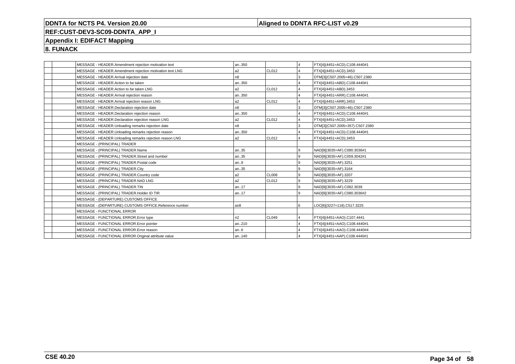### **Aligned to DDNTA RFC-LIST v0.29**

# **REF:CUST-DEV3-SC09-DDNTA\_APP\_I**

### **Appendix I: EDIFACT Mapping**

**8. FUNACK**

|  | MESSAGE - HEADER.Amendment rejection motivation text     | an350          |       | ا 4            | FTX[4](4451=ACD).C108.4440#1    |
|--|----------------------------------------------------------|----------------|-------|----------------|---------------------------------|
|  | MESSAGE - HEADER.Amendment rejection motivation text LNG | a2             | CL012 | 14             | FTX[4](4451=ACD).3453           |
|  | MESSAGE - HEADER.Arrival rejection date                  | n <sub>8</sub> |       | Iз             | DTM[3](C507.2005=46).C507.2380  |
|  | MESSAGE - HEADER.Action to be taken                      | an350          |       | 14             | FTX[4](4451=ABD).C108.4440#1    |
|  | MESSAGE - HEADER.Action to be taken LNG                  | a2             | CL012 | $\overline{4}$ | FTX[4](4451=ABD).3453           |
|  | MESSAGE - HEADER.Arrival rejection reason                | an350          |       | $\overline{4}$ | FTX[4](4451=ARR).C108.4440#1    |
|  | MESSAGE - HEADER.Arrival rejection reason LNG            | a2             | CL012 | $\overline{4}$ | FTX[4](4451=ARR).3453           |
|  | MESSAGE - HEADER.Declaration rejection date              | n <sub>8</sub> |       | Iз             | DTM[3](C507.2005=46).C507.2380  |
|  | MESSAGE - HEADER.Declaration rejection reason            | an350          |       | 14             | FTX[4](4451=ACD).C108.4440#1    |
|  | MESSAGE - HEADER.Declaration rejection reason LNG        | l a2           | CL012 | $\overline{4}$ | FTX[4](4451=ACD).3453           |
|  | MESSAGE - HEADER.Unloading remarks rejection date        | n8             |       | l3             | DTM[3](C507.2005=357).C507.2380 |
|  | MESSAGE - HEADER.Unloading remarks rejection reason      | an350          |       | l 4            | FTX[4](4451=ACD).C108.4440#1    |
|  | MESSAGE - HEADER.Unloading remarks rejection reason LNG  | a2             | CL012 | 14             | FTX[4](4451=ACD).3453           |
|  | MESSAGE - (PRINCIPAL) TRADER                             |                |       |                |                                 |
|  | MESSAGE - (PRINCIPAL) TRADER.Name                        | an35           |       | و ا            | NAD[9](3035=AF).C080.3036#1     |
|  | MESSAGE - (PRINCIPAL) TRADER.Street and number           | an35           |       | l 9            | NAD[9](3035=AF).C059.3042#1     |
|  | MESSAGE - (PRINCIPAL) TRADER.Postal code                 | an9            |       | l 9            | NAD[9](3035=AF).3251            |
|  | MESSAGE - (PRINCIPAL) TRADER.City                        | an35           |       | و ا            | NAD[9](3035=AF).3164            |
|  | MESSAGE - (PRINCIPAL) TRADER.Country code                | l a2           | CLOO8 | l 9            | NAD[9](3035=AF).3207            |
|  | MESSAGE - (PRINCIPAL) TRADER.NAD LNG                     | a2             | CL012 | l 9            | NAD[9](3035=AF).3229            |
|  | MESSAGE - (PRINCIPAL) TRADER.TIN                         | an17           |       | و ا            | NAD[9](3035=AF).C082.3039       |
|  | MESSAGE - (PRINCIPAL) TRADER.Holder ID TIR               | an17           |       | l 9            | NAD[9](3035=AF).C080.3036#2     |
|  | MESSAGE - (DEPARTURE) CUSTOMS OFFICE                     |                |       |                |                                 |
|  | MESSAGE - (DEPARTURE) CUSTOMS OFFICE.Reference number    | an8            |       | l 6            | LOC[6](3227=118).C517.3225      |
|  | MESSAGE - FUNCTIONAL ERROR                               |                |       |                |                                 |
|  | MESSAGE - FUNCTIONAL ERROR. Error type                   | n2             | CL049 | $\overline{4}$ | FTX[4](4451=AAO).C107.4441      |
|  | MESSAGE - FUNCTIONAL ERROR. Error pointer                | an210          |       | $\overline{4}$ | FTX[4](4451=AAO).C108.4440#1    |
|  | MESSAGE - FUNCTIONAL ERROR.Error reason                  | an6            |       | $\overline{4}$ | FTX[4](4451=AAO).C108.4440#4    |
|  | MESSAGE - FUNCTIONAL ERROR.Original attribute value      | an140          |       | $\overline{4}$ | FTX[4](4451=AAP).C108.4440#1    |
|  |                                                          |                |       |                |                                 |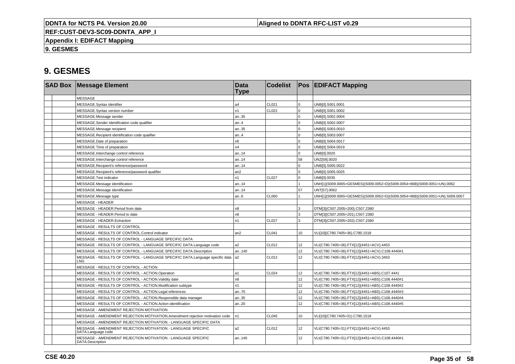**Aligned to DDNTA RFC-LIST v0.29**

**REF:CUST-DEV3-SC09-DDNTA\_APP\_I**

**Appendix I: EDIFACT Mapping**

**9. GESMES**

|  | <b>SAD Box Message Element</b>                                                         | <b>Data</b><br><b>Type</b> | <b>Codelist</b> |                  | <b>Pos EDIFACT Mapping</b>                                                   |
|--|----------------------------------------------------------------------------------------|----------------------------|-----------------|------------------|------------------------------------------------------------------------------|
|  | <b>MESSAGE</b>                                                                         |                            |                 |                  |                                                                              |
|  | MESSAGE.Syntax identifier                                                              | a <sub>4</sub>             | CL021           | $\Omega$         | UNB[0].S001.0001                                                             |
|  | MESSAGE.Syntax version number                                                          | n1                         | CL022           | $\Omega$         | UNB[0].S001.0002                                                             |
|  | MESSAGE.Message sender                                                                 | an35                       |                 | $\Omega$         | UNB[0].S002.0004                                                             |
|  | MESSAGE.Sender identification code qualifier                                           | an.4                       |                 | $\Omega$         | UNB[0].S002.0007                                                             |
|  | MESSAGE.Message recipient                                                              | an35                       |                 | $\Omega$         | UNB[0].S003.0010                                                             |
|  | MESSAGE.Recipient identification code qualifier                                        | an.4                       |                 | U                | UNB[0].S003.0007                                                             |
|  | MESSAGE.Date of preparation                                                            | n6                         |                 | <sup>n</sup>     | UNB[0].S004.0017                                                             |
|  | MESSAGE. Time of preparation                                                           | n4                         |                 | U                | UNB[0].S004.0019                                                             |
|  | MESSAGE.Interchange control reference                                                  | an14                       |                 | $\Omega$         | UNB[0].0020                                                                  |
|  | MESSAGE.Interchange control reference                                                  | an14                       |                 | 58               | UNZ[58].0020                                                                 |
|  | MESSAGE.Recipient's reference/password                                                 | an14                       |                 | $\Omega$         | UNB[0].S005.0022                                                             |
|  | MESSAGE.Recipient's reference/password qualifier                                       | an2                        |                 | $\Omega$         | UNB[0].S005.0025                                                             |
|  | MESSAGE.Test indicator                                                                 | n1                         | <b>CL027</b>    | $\Omega$         | UNB[0].0035                                                                  |
|  | MESSAGE.Message identification                                                         | an14                       |                 |                  | UNH[1](S009.0065=GESMES)(S009.0052=D)(S009.0054=96B)(S009.0051=UN).0062      |
|  | MESSAGE.Message identification                                                         | an14                       |                 | 57               | UNT[57].0062                                                                 |
|  | MESSAGE.Message type                                                                   | an.6                       | CL060           |                  | UNH[1](S009.0065=GESMES)(S009.0052=D)(S009.0054=96B)(S009.0051=UN).S009.0057 |
|  | <b>MESSAGE - HEADER</b>                                                                |                            |                 |                  |                                                                              |
|  | MESSAGE - HEADER.Period from date                                                      | n8                         |                 | $\mathbf{R}$     | DTM[3](C507.2005=200).C507.2380                                              |
|  | MESSAGE - HEADER.Period to date                                                        | n8                         |                 | 3                | DTM[3](C507.2005=201).C507.2380                                              |
|  | MESSAGE - HEADER.Extraction                                                            | n <sub>1</sub>             | <b>CL027</b>    | 3                | DTM[3](C507.2005=202).C507.2380                                              |
|  | MESSAGE - RESULTS OF CONTROL                                                           |                            |                 |                  |                                                                              |
|  | MESSAGE - RESULTS OF CONTROL.Control indicator                                         | an2                        | <b>CL041</b>    | 10               | VLI[10](C780.7405=36).C780.1518                                              |
|  | MESSAGE - RESULTS OF CONTROL - LANGUAGE SPECIFIC DATA                                  |                            |                 |                  |                                                                              |
|  | MESSAGE - RESULTS OF CONTROL - LANGUAGE SPECIFIC DATA.Language code                    | a2                         | CL012           | 12               | VLI(C780.7405=36).FTX[12](4451=ACV).4453                                     |
|  | MESSAGE - RESULTS OF CONTROL - LANGUAGE SPECIFIC DATA.Description                      | an140                      |                 | 12 <sup>12</sup> | VLI(C780.7405=36).FTX[12](4451=ACV).C108.4440#1                              |
|  | MESSAGE - RESULTS OF CONTROL - LANGUAGE SPECIFIC DATA.Language specific data a2<br>LNG |                            | CL012           | 12               | VLI(C780.7405=36).FTX[12](4451=ACV).3453                                     |
|  | MESSAGE - RESULTS OF CONTROL - ACTION                                                  |                            |                 |                  |                                                                              |
|  | MESSAGE - RESULTS OF CONTROL - ACTION.Operation                                        | l a1                       | CL024           | 12 <sup>°</sup>  | VLI(C780.7405=36).FTX[12](4451=ABS).C107.4441                                |
|  | MESSAGE - RESULTS OF CONTROL - ACTION. Validity date                                   | n <sub>8</sub>             |                 | 12               | VLI(C780.7405=36).FTX[12](4451=ABS).C108.4440#1                              |
|  | MESSAGE - RESULTS OF CONTROL - ACTION.Modification subtype                             | n1                         |                 | 12 <sup>°</sup>  | VLI(C780.7405=36).FTX[12](4451=ABS).C108.4440#2                              |
|  | MESSAGE - RESULTS OF CONTROL - ACTION.Legal references                                 | an70                       |                 | 12 <sup>2</sup>  | VLI(C780.7405=36).FTX[12](4451=ABS).C108.4440#3                              |
|  | MESSAGE - RESULTS OF CONTROL - ACTION.Responsible data manager                         | an35                       |                 | 12               | VLI(C780.7405=36).FTX[12](4451=ABS).C108.4440#4                              |
|  | MESSAGE - RESULTS OF CONTROL - ACTION.Action identification                            | an20                       |                 | 12 <sup>2</sup>  | VLI(C780.7405=36).FTX[12](4451=ABS).C108.4440#5                              |
|  | MESSAGE - AMENDMENT REJECTION MOTIVATION                                               |                            |                 |                  |                                                                              |
|  | MESSAGE - AMENDMENT REJECTION MOTIVATION.Amendment rejection motivation code           | In1                        | <b>CL045</b>    | 10               | VLI[10](C780.7405=31).C780.1518                                              |
|  | MESSAGE - AMENDMENT REJECTION MOTIVATION - LANGUAGE SPECIFIC DATA                      |                            |                 |                  |                                                                              |
|  | MESSAGE - AMENDMENT REJECTION MOTIVATION - LANGUAGE SPECIFIC<br>DATA.Language code     | a2                         | CL012           | 12               | VLI(C780.7405=31).FTX[12](4451=ACV).4453                                     |
|  | MESSAGE - AMENDMENT REJECTION MOTIVATION - LANGUAGE SPECIFIC<br>DATA.Description       | an.140                     |                 | 12 <sup>12</sup> | VLI(C780.7405=31).FTX[12](4451=ACV).C108.4440#1                              |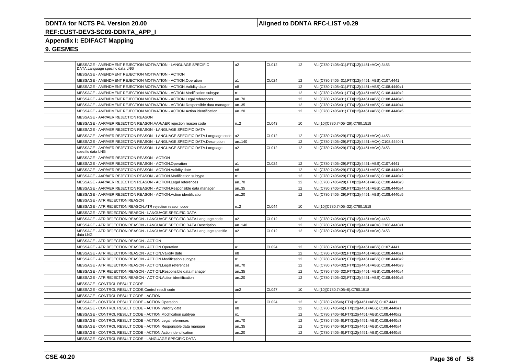### **Aligned to DDNTA RFC-LIST v0.29**

### **REF:CUST-DEV3-SC09-DDNTA\_APP\_I**

### **Appendix I: EDIFACT Mapping**

|  | MESSAGE - AMENDMENT REJECTION MOTIVATION - LANGUAGE SPECIFIC<br>DATA.Language specific data LNG | a2             | CL012        | 12              | VLI(C780.7405=31).FTX[12](4451=ACV).3453        |
|--|-------------------------------------------------------------------------------------------------|----------------|--------------|-----------------|-------------------------------------------------|
|  | MESSAGE - AMENDMENT REJECTION MOTIVATION - ACTION                                               |                |              |                 |                                                 |
|  | MESSAGE - AMENDMENT REJECTION MOTIVATION - ACTION.Operation                                     | a1             | CL024        | 12              | VLI(C780.7405=31).FTX[12](4451=ABS).C107.4441   |
|  | MESSAGE - AMENDMENT REJECTION MOTIVATION - ACTION. Validity date                                | n8             |              | 12              | VLI(C780.7405=31).FTX[12](4451=ABS).C108.4440#1 |
|  | MESSAGE - AMENDMENT REJECTION MOTIVATION - ACTION.Modification subtype                          | n1             |              | 12              | VLI(C780.7405=31).FTX[12](4451=ABS).C108.4440#2 |
|  | MESSAGE - AMENDMENT REJECTION MOTIVATION - ACTION.Legal references                              | an70           |              | 12              | VLI(C780.7405=31).FTX[12](4451=ABS).C108.4440#3 |
|  | MESSAGE - AMENDMENT REJECTION MOTIVATION - ACTION.Responsible data manager                      | an35           |              | 12              | VLI(C780.7405=31).FTX[12](4451=ABS).C108.4440#4 |
|  | MESSAGE - AMENDMENT REJECTION MOTIVATION - ACTION.Action identification                         | an20           |              | 12              | VLI(C780.7405=31).FTX[12](4451=ABS).C108.4440#5 |
|  | MESSAGE - AAR/AER REJECTION REASON                                                              |                |              |                 |                                                 |
|  | MESSAGE - AAR/AER REJECTION REASON.AAR/AER rejection reason code                                | n.2            | CL043        | 10              | VLI[10](C780.7405=29).C780.1518                 |
|  | MESSAGE - AAR/AER REJECTION REASON - LANGUAGE SPECIFIC DATA                                     |                |              |                 |                                                 |
|  | MESSAGE - AAR/AER REJECTION REASON - LANGUAGE SPECIFIC DATA.Language code                       | a <sub>2</sub> | CL012        | 12              | VLI(C780.7405=29).FTX[12](4451=ACV).4453        |
|  | MESSAGE - AAR/AER REJECTION REASON - LANGUAGE SPECIFIC DATA.Description                         | an140          |              | 12              | VLI(C780.7405=29).FTX[12](4451=ACV).C108.4440#1 |
|  | MESSAGE - AAR/AER REJECTION REASON - LANGUAGE SPECIFIC DATA.Language<br>specific data LNG       | a2             | CL012        | 12              | VLI(C780.7405=29).FTX[12](4451=ACV).3453        |
|  | MESSAGE - AAR/AER REJECTION REASON - ACTION                                                     |                |              |                 |                                                 |
|  | MESSAGE - AAR/AER REJECTION REASON - ACTION.Operation                                           | a1             | CL024        | 12              | VLI(C780.7405=29).FTX[12](4451=ABS).C107.4441   |
|  | MESSAGE - AAR/AER REJECTION REASON - ACTION. Validity date                                      | n8             |              | 12              | VLI(C780.7405=29).FTX[12](4451=ABS).C108.4440#1 |
|  | MESSAGE - AAR/AER REJECTION REASON - ACTION.Modification subtype                                | n1             |              | 12              | VLI(C780.7405=29).FTX[12](4451=ABS).C108.4440#2 |
|  | MESSAGE - AAR/AER REJECTION REASON - ACTION.Legal references                                    | an70           |              | 12              | VLI(C780.7405=29).FTX[12](4451=ABS).C108.4440#3 |
|  | MESSAGE - AAR/AER REJECTION REASON - ACTION.Responsible data manager                            | an35           |              | 12              | VLI(C780.7405=29).FTX[12](4451=ABS).C108.4440#4 |
|  | MESSAGE - AAR/AER REJECTION REASON - ACTION.Action identification                               | an20           |              | 12 <sup>°</sup> | VLI(C780.7405=29).FTX[12](4451=ABS).C108.4440#5 |
|  | MESSAGE - ATR REJECTION REASON                                                                  |                |              |                 |                                                 |
|  | MESSAGE - ATR REJECTION REASON.ATR rejection reason code                                        | n2             | <b>CL044</b> | 10              | VLI[10](C780.7405=32).C780.1518                 |
|  | MESSAGE - ATR REJECTION REASON - LANGUAGE SPECIFIC DATA                                         |                |              |                 |                                                 |
|  | MESSAGE - ATR REJECTION REASON - LANGUAGE SPECIFIC DATA.Language code                           | a2             | CL012        | 12              | VLI(C780.7405=32).FTX[12](4451=ACV).4453        |
|  | MESSAGE - ATR REJECTION REASON - LANGUAGE SPECIFIC DATA.Description                             | an140          |              | 12 <sup>°</sup> | VLI(C780.7405=32).FTX[12](4451=ACV).C108.4440#1 |
|  | MESSAGE - ATR REJECTION REASON - LANGUAGE SPECIFIC DATA.Language specific<br>data LNG           | a2             | CL012        | 12 <sup>°</sup> | VLI(C780.7405=32).FTX[12](4451=ACV).3453        |
|  | MESSAGE - ATR REJECTION REASON - ACTION                                                         |                |              |                 |                                                 |
|  | MESSAGE - ATR REJECTION REASON - ACTION.Operation                                               | a1             | CL024        | 12              | VLI(C780.7405=32).FTX[12](4451=ABS).C107.4441   |
|  | MESSAGE - ATR REJECTION REASON - ACTION. Validity date                                          | n <sub>8</sub> |              | 12 <sup>°</sup> | VLI(C780.7405=32).FTX[12](4451=ABS).C108.4440#1 |
|  | MESSAGE - ATR REJECTION REASON - ACTION.Modification subtype                                    | n1             |              | 12              | VLI(C780.7405=32).FTX[12](4451=ABS).C108.4440#2 |
|  | MESSAGE - ATR REJECTION REASON - ACTION.Legal references                                        | an70           |              | 12              | VLI(C780.7405=32).FTX[12](4451=ABS).C108.4440#3 |
|  | MESSAGE - ATR REJECTION REASON - ACTION.Responsible data manager                                | an35           |              | 12              | VLI(C780.7405=32).FTX[12](4451=ABS).C108.4440#4 |
|  | MESSAGE - ATR REJECTION REASON - ACTION.Action identification                                   | an20           |              | 12 <sup>°</sup> | VLI(C780.7405=32).FTX[12](4451=ABS).C108.4440#5 |
|  | MESSAGE - CONTROL RESULT CODE                                                                   |                |              |                 |                                                 |
|  | MESSAGE - CONTROL RESULT CODE.Control result code                                               | an2            | <b>CL047</b> | 10              | VLI[10](C780.7405=6).C780.1518                  |
|  | MESSAGE - CONTROL RESULT CODE - ACTION                                                          |                |              |                 |                                                 |
|  | MESSAGE - CONTROL RESULT CODE - ACTION.Operation                                                | a1             | CL024        | 12              | VLI(C780.7405=6).FTX[12](4451=ABS).C107.4441    |
|  | MESSAGE - CONTROL RESULT CODE - ACTION. Validity date                                           | n8             |              | 12              | VLI(C780.7405=6).FTX[12](4451=ABS).C108.4440#1  |
|  | MESSAGE - CONTROL RESULT CODE - ACTION.Modification subtype                                     | n1             |              | 12              | VLI(C780.7405=6).FTX[12](4451=ABS).C108.4440#2  |
|  | MESSAGE - CONTROL RESULT CODE - ACTION.Legal references                                         | an70           |              | 12              | VLI(C780.7405=6).FTX[12](4451=ABS).C108.4440#3  |
|  | MESSAGE - CONTROL RESULT CODE - ACTION.Responsible data manager                                 | an35           |              | 12              | VLI(C780.7405=6).FTX[12](4451=ABS).C108.4440#4  |
|  | MESSAGE - CONTROL RESULT CODE - ACTION.Action identification                                    | an20           |              | 12              | VLI(C780.7405=6).FTX[12](4451=ABS).C108.4440#5  |
|  | MESSAGE - CONTROL RESULT CODE - LANGUAGE SPECIFIC DATA                                          |                |              |                 |                                                 |
|  |                                                                                                 |                |              |                 |                                                 |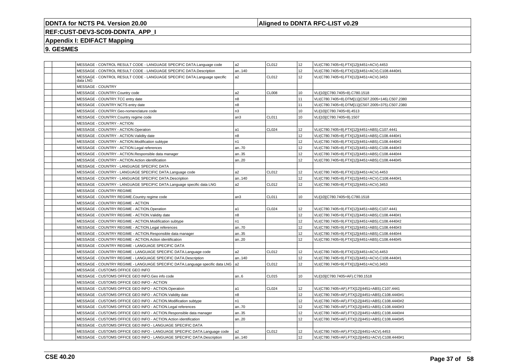### **Aligned to DDNTA RFC-LIST v0.29**

## **REF:CUST-DEV3-SC09-DDNTA\_APP\_I**

### **Appendix I: EDIFACT Mapping**

|  | MESSAGE - CONTROL RESULT CODE - LANGUAGE SPECIFIC DATA.Language code                 | l a2           | CL012        | 12              | VLI(C780.7405=6).FTX[12](4451=ACV).4453           |
|--|--------------------------------------------------------------------------------------|----------------|--------------|-----------------|---------------------------------------------------|
|  | MESSAGE - CONTROL RESULT CODE - LANGUAGE SPECIFIC DATA.Description                   | an140          |              | 12 <sup>°</sup> | VLI(C780.7405=6).FTX[12](4451=ACV).C108.4440#1    |
|  | MESSAGE - CONTROL RESULT CODE - LANGUAGE SPECIFIC DATA.Language specific<br>data LNG | a <sub>2</sub> | CL012        | 12              | VLI(C780.7405=6).FTX[12](4451=ACV).3453           |
|  | MESSAGE - COUNTRY                                                                    |                |              |                 |                                                   |
|  | MESSAGE - COUNTRY.Country code                                                       | a <sub>2</sub> | <b>CL008</b> | 10              | VLI[10](C780.7405=8).C780.1518                    |
|  | MESSAGE - COUNTRY.TCC entry date                                                     | n <sub>8</sub> |              | 11              | VLI(C780.7405=8).DTM[11](C507.2005=146).C507.2380 |
|  | MESSAGE - COUNTRY.NCTS entry date                                                    | n <sub>8</sub> |              | 11              | VLI(C780.7405=8).DTM[11](C507.2005=375).C507.2380 |
|  | MESSAGE - COUNTRY.Geo-nomenclature code                                              | n3             |              | 10              | VLI[10](C780.7405=8).4513                         |
|  | MESSAGE - COUNTRY.Country regime code                                                | an3            | CL011        | 10              | VLI[10](C780.7405=8).1507                         |
|  | MESSAGE - COUNTRY - ACTION                                                           |                |              |                 |                                                   |
|  | MESSAGE - COUNTRY - ACTION.Operation                                                 | la1            | CL024        | 12              | VLI(C780.7405=8).FTX[12](4451=ABS).C107.4441      |
|  | MESSAGE - COUNTRY - ACTION. Validity date                                            | n <sub>8</sub> |              | 12              | VLI(C780.7405=8).FTX[12](4451=ABS).C108.4440#1    |
|  | MESSAGE - COUNTRY - ACTION.Modification subtype                                      | n <sub>1</sub> |              | 12              | VLI(C780.7405=8).FTX[12](4451=ABS).C108.4440#2    |
|  | MESSAGE - COUNTRY - ACTION.Legal references                                          | an70           |              | 12              | VLI(C780.7405=8).FTX[12](4451=ABS).C108.4440#3    |
|  | MESSAGE - COUNTRY - ACTION.Responsible data manager                                  | an35           |              | 12              | VLI(C780.7405=8).FTX[12](4451=ABS).C108.4440#4    |
|  | MESSAGE - COUNTRY - ACTION.Action identification                                     | an20           |              | 12              | VLI(C780.7405=8).FTX[12](4451=ABS).C108.4440#5    |
|  | MESSAGE - COUNTRY - LANGUAGE SPECIFIC DATA                                           |                |              |                 |                                                   |
|  | MESSAGE - COUNTRY - LANGUAGE SPECIFIC DATA.Language code                             | a <sub>2</sub> | CL012        | 12              | VLI(C780.7405=8).FTX[12](4451=ACV).4453           |
|  | MESSAGE - COUNTRY - LANGUAGE SPECIFIC DATA.Description                               | an140          |              | 12              | VLI(C780.7405=8).FTX[12](4451=ACV).C108.4440#1    |
|  | MESSAGE - COUNTRY - LANGUAGE SPECIFIC DATA.Language specific data LNG                | a2             | CL012        | 12 <sup>2</sup> | VLI(C780.7405=8).FTX[12](4451=ACV).3453           |
|  | MESSAGE - COUNTRY REGIME                                                             |                |              |                 |                                                   |
|  | MESSAGE - COUNTRY REGIME.Country regime code                                         | an3            | CL011        | 10              | VLI[10](C780.7405=9).C780.1518                    |
|  | MESSAGE - COUNTRY REGIME - ACTION                                                    |                |              |                 |                                                   |
|  | MESSAGE - COUNTRY REGIME - ACTION.Operation                                          | la1            | CL024        | 12              | VLI(C780.7405=9).FTX[12](4451=ABS).C107.4441      |
|  | MESSAGE - COUNTRY REGIME - ACTION. Validity date                                     | n <sub>8</sub> |              | 12 <sup>°</sup> | VLI(C780.7405=9).FTX[12](4451=ABS).C108.4440#1    |
|  | MESSAGE - COUNTRY REGIME - ACTION.Modification subtype                               | n <sub>1</sub> |              | 12              | VLI(C780.7405=9).FTX[12](4451=ABS).C108.4440#2    |
|  | MESSAGE - COUNTRY REGIME - ACTION.Legal references                                   | an70           |              | 12              | VLI(C780.7405=9).FTX[12](4451=ABS).C108.4440#3    |
|  | MESSAGE - COUNTRY REGIME - ACTION.Responsible data manager                           | an35           |              | 12              | VLI(C780.7405=9).FTX[12](4451=ABS).C108.4440#4    |
|  | MESSAGE - COUNTRY REGIME - ACTION.Action identification                              | an20           |              | 12 <sup>°</sup> | VLI(C780.7405=9).FTX[12](4451=ABS).C108.4440#5    |
|  | MESSAGE - COUNTRY REGIME - LANGUAGE SPECIFIC DATA                                    |                |              |                 |                                                   |
|  | MESSAGE - COUNTRY REGIME - LANGUAGE SPECIFIC DATA.Language code                      | a <sub>2</sub> | CL012        | 12              | VLI(C780.7405=9).FTX[12](4451=ACV).4453           |
|  | MESSAGE - COUNTRY REGIME - LANGUAGE SPECIFIC DATA.Description                        | an140          |              | 12              | VLI(C780.7405=9).FTX[12](4451=ACV).C108.4440#1    |
|  | MESSAGE - COUNTRY REGIME - LANGUAGE SPECIFIC DATA.Language specific data LNG   a2    |                | CL012        | 12              | VLI(C780.7405=9).FTX[12](4451=ACV).3453           |
|  | MESSAGE - CUSTOMS OFFICE GEO INFO                                                    |                |              |                 |                                                   |
|  | MESSAGE - CUSTOMS OFFICE GEO INFO.Geo info code                                      | an6            | CL015        | 10              | VLI[10](C780.7405=AF).C780.1518                   |
|  | MESSAGE - CUSTOMS OFFICE GEO INFO - ACTION                                           |                |              |                 |                                                   |
|  | MESSAGE - CUSTOMS OFFICE GEO INFO - ACTION.Operation                                 | a1             | CL024        | 12              | VLI(C780.7405=AF).FTX[12](4451=ABS).C107.4441     |
|  | MESSAGE - CUSTOMS OFFICE GEO INFO - ACTION. Validity date                            | n8             |              | 12              | VLI(C780.7405=AF).FTX[12](4451=ABS).C108.4440#1   |
|  | MESSAGE - CUSTOMS OFFICE GEO INFO - ACTION.Modification subtype                      | n1             |              | 12              | VLI(C780.7405=AF).FTX[12](4451=ABS).C108.4440#2   |
|  | MESSAGE - CUSTOMS OFFICE GEO INFO - ACTION.Legal references                          | an70           |              | 12 <sup>2</sup> | VLI(C780.7405=AF).FTX[12](4451=ABS).C108.4440#3   |
|  | MESSAGE - CUSTOMS OFFICE GEO INFO - ACTION.Responsible data manager                  | an35           |              | 12              | VLI(C780.7405=AF).FTX[12](4451=ABS).C108.4440#4   |
|  | MESSAGE - CUSTOMS OFFICE GEO INFO - ACTION.Action identification                     | an20           |              | 12 <sup>°</sup> | VLI(C780.7405=AF).FTX[12](4451=ABS).C108.4440#5   |
|  | MESSAGE - CUSTOMS OFFICE GEO INFO - LANGUAGE SPECIFIC DATA                           |                |              |                 |                                                   |
|  | MESSAGE - CUSTOMS OFFICE GEO INFO - LANGUAGE SPECIFIC DATA.Language code             | a <sub>2</sub> | CL012        | 12              | VLI(C780.7405=AF).FTX[12](4451=ACV).4453          |
|  | MESSAGE - CUSTOMS OFFICE GEO INFO - LANGUAGE SPECIFIC DATA.Description               | an140          |              | 12              | VLI(C780.7405=AF).FTX[12](4451=ACV).C108.4440#1   |
|  |                                                                                      |                |              |                 |                                                   |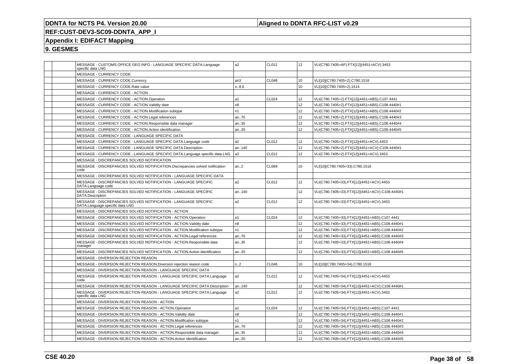### **Aligned to DDNTA RFC-LIST v0.29**

## **REF:CUST-DEV3-SC09-DDNTA\_APP\_I**

### **Appendix I: EDIFACT Mapping**

| MESSAGE - CUSTOMS OFFICE GEO INFO - LANGUAGE SPECIFIC DATA.Language<br>specific data LNG           | a <sub>2</sub>  | CL012             | 12              | VLI(C780.7405=AF).FTX[12](4451=ACV).3453        |
|----------------------------------------------------------------------------------------------------|-----------------|-------------------|-----------------|-------------------------------------------------|
| MESSAGE - CURRENCY CODE                                                                            |                 |                   |                 |                                                 |
| MESSAGE - CURRENCY CODE.Currency                                                                   | an <sub>3</sub> | CL048             | 10              | VLI[10](C780.7405=2).C780.1518                  |
| MESSAGE - CURRENCY CODE.Rate value                                                                 | n.86            |                   | 10              | VLI[10](C780.7405=2).1514                       |
| MESSAGE - CURRENCY CODE - ACTION                                                                   |                 |                   |                 |                                                 |
| MESSAGE - CURRENCY CODE - ACTION.Operation                                                         | l a1            | CL <sub>024</sub> | 12              | VLI(C780.7405=2).FTX[12](4451=ABS).C107.4441    |
| MESSAGE - CURRENCY CODE - ACTION. Validity date                                                    | n <sub>8</sub>  |                   | 12              | VLI(C780.7405=2).FTX[12](4451=ABS).C108.4440#1  |
| MESSAGE - CURRENCY CODE - ACTION.Modification subtype                                              | n <sub>1</sub>  |                   | 12              | VLI(C780.7405=2).FTX[12](4451=ABS).C108.4440#2  |
| MESSAGE - CURRENCY CODE - ACTION.Legal references                                                  | an70            |                   | 12              | VLI(C780.7405=2).FTX[12](4451=ABS).C108.4440#3  |
| MESSAGE - CURRENCY CODE - ACTION.Responsible data manager                                          | an35            |                   | 12              | VLI(C780.7405=2).FTX[12](4451=ABS).C108.4440#4  |
| MESSAGE - CURRENCY CODE - ACTION.Action identification                                             | an20            |                   | 12              | VLI(C780.7405=2).FTX[12](4451=ABS).C108.4440#5  |
| MESSAGE - CURRENCY CODE - LANGUAGE SPECIFIC DATA                                                   |                 |                   |                 |                                                 |
| MESSAGE - CURRENCY CODE - LANGUAGE SPECIFIC DATA.Language code                                     | a2              | CL012             | 12              | VLI(C780.7405=2).FTX[12](4451=ACV).4453         |
| MESSAGE - CURRENCY CODE - LANGUAGE SPECIFIC DATA.Description                                       | an140           |                   | 12              | VLI(C780.7405=2).FTX[12](4451=ACV).C108.4440#1  |
| MESSAGE - CURRENCY CODE - LANGUAGE SPECIFIC DATA.Language specific data LNG                        | l a2            | CL012             | 12              | VLI(C780.7405=2).FTX[12](4451=ACV).3453         |
| MESSAGE - DISCREPANCIES SOLVED NOTIFICATION                                                        |                 |                   |                 |                                                 |
| MESSAGE - DISCREPANCIES SOLVED NOTIFICATION.Discrepancies solved notification<br>code              | an.2            | CL069             | 10              | VLI[10](C780.7405=33).C780.1518                 |
| MESSAGE - DISCREPANCIES SOLVED NOTIFICATION - LANGUAGE SPECIFIC DATA                               |                 |                   |                 |                                                 |
| MESSAGE - DISCREPANCIES SOLVED NOTIFICATION - LANGUAGE SPECIFIC<br>DATA.Language code              | a <sub>2</sub>  | CL012             | 12 <sup>2</sup> | VLI(C780.7405=33).FTX[12](4451=ACV).4453        |
| MESSAGE - DISCREPANCIES SOLVED NOTIFICATION - LANGUAGE SPECIFIC<br>DATA.Description                | an140           |                   | 12              | VLI(C780.7405=33).FTX[12](4451=ACV).C108.4440#1 |
| MESSAGE - DISCREPANCIES SOLVED NOTIFICATION - LANGUAGE SPECIFIC<br>DATA.Language specific data LNG | a2              | CL012             | 12 <sup>2</sup> | VLI(C780.7405=33).FTX[12](4451=ACV).3453        |
| MESSAGE - DISCREPANCIES SOLVED NOTIFICATION - ACTION                                               |                 |                   |                 |                                                 |
| MESSAGE - DISCREPANCIES SOLVED NOTIFICATION - ACTION.Operation                                     | a1              | CL024             | 12              | VLI(C780.7405=33).FTX[12](4451=ABS).C107.4441   |
| MESSAGE - DISCREPANCIES SOLVED NOTIFICATION - ACTION. Validity date                                | n <sub>8</sub>  |                   | 12              | VLI(C780.7405=33).FTX[12](4451=ABS).C108.4440#1 |
| MESSAGE - DISCREPANCIES SOLVED NOTIFICATION - ACTION.Modification subtype                          | n <sub>1</sub>  |                   | 12              | VLI(C780.7405=33).FTX[12](4451=ABS).C108.4440#2 |
| MESSAGE - DISCREPANCIES SOLVED NOTIFICATION - ACTION.Legal references                              | l an70          |                   | 12              | VLI(C780.7405=33).FTX[12](4451=ABS).C108.4440#3 |
| MESSAGE - DISCREPANCIES SOLVED NOTIFICATION - ACTION.Responsible data<br>manager                   | an35            |                   | 12              | VLI(C780.7405=33).FTX[12](4451=ABS).C108.4440#4 |
| MESSAGE - DISCREPANCIES SOLVED NOTIFICATION - ACTION.Action identification                         | an20            |                   | 12              | VLI(C780.7405=33).FTX[12](4451=ABS).C108.4440#5 |
| MESSAGE - DIVERSION REJECTION REASON                                                               |                 |                   |                 |                                                 |
| MESSAGE - DIVERSION REJECTION REASON.Diversion rejection reason code                               | n.2             | CL046             | 10              | VLI[10](C780.7405=34).C780.1518                 |
| MESSAGE - DIVERSION REJECTION REASON - LANGUAGE SPECIFIC DATA                                      |                 |                   |                 |                                                 |
| MESSAGE - DIVERSION REJECTION REASON - LANGUAGE SPECIFIC DATA.Language<br>code                     | a2              | CL012             | 12              | VLI(C780.7405=34).FTX[12](4451=ACV).4453        |
| MESSAGE - DIVERSION REJECTION REASON - LANGUAGE SPECIFIC DATA.Description                          | an140           |                   | 12              | VLI(C780.7405=34).FTX[12](4451=ACV).C108.4440#1 |
| MESSAGE - DIVERSION REJECTION REASON - LANGUAGE SPECIFIC DATA.Language<br>specific data LNG        | a2              | CL012             | 12              | VLI(C780.7405=34).FTX[12](4451=ACV).3453        |
| MESSAGE - DIVERSION REJECTION REASON - ACTION                                                      |                 |                   |                 |                                                 |
| MESSAGE - DIVERSION REJECTION REASON - ACTION.Operation                                            | l a1            | CL024             | 12              | VLI(C780.7405=34).FTX[12](4451=ABS).C107.4441   |
| MESSAGE - DIVERSION REJECTION REASON - ACTION. Validity date                                       | n <sub>8</sub>  |                   | 12              | VLI(C780.7405=34).FTX[12](4451=ABS).C108.4440#1 |
| MESSAGE - DIVERSION REJECTION REASON - ACTION.Modification subtype                                 | n <sub>1</sub>  |                   | 12              | VLI(C780.7405=34).FTX[12](4451=ABS).C108.4440#2 |
| MESSAGE - DIVERSION REJECTION REASON - ACTION.Legal references                                     | an70            |                   | 12              | VLI(C780.7405=34).FTX[12](4451=ABS).C108.4440#3 |
| MESSAGE - DIVERSION REJECTION REASON - ACTION.Responsible data manager                             | an35            |                   | 12              | VLI(C780.7405=34).FTX[12](4451=ABS).C108.4440#4 |
| MESSAGE - DIVERSION REJECTION REASON - ACTION.Action identification                                | an20            |                   | 12              | VLI(C780.7405=34).FTX[12](4451=ABS).C108.4440#5 |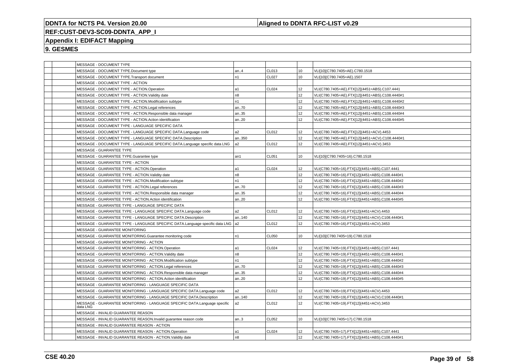### **Aligned to DDNTA RFC-LIST v0.29**

# **REF:CUST-DEV3-SC09-DDNTA\_APP\_I**

### **Appendix I: EDIFACT Mapping**

|  | MESSAGE - DOCUMENT TYPE                                                               |                |              |                 |                                                 |
|--|---------------------------------------------------------------------------------------|----------------|--------------|-----------------|-------------------------------------------------|
|  | MESSAGE - DOCUMENT TYPE.Document type                                                 | an.4           | CL013        | 10              | VLI[10](C780.7405=AE).C780.1518                 |
|  | MESSAGE - DOCUMENT TYPE.Transport document                                            | n1             | <b>CL027</b> | 10              | VLI[10](C780.7405=AE).1507                      |
|  | MESSAGE - DOCUMENT TYPE - ACTION                                                      |                |              |                 |                                                 |
|  | MESSAGE - DOCUMENT TYPE - ACTION.Operation                                            | l a1           | CL024        | 12 <sup>2</sup> | VLI(C780.7405=AE).FTX[12](4451=ABS).C107.4441   |
|  | MESSAGE - DOCUMENT TYPE - ACTION.Validity date                                        | n8             |              | 12              | VLI(C780.7405=AE).FTX[12](4451=ABS).C108.4440#1 |
|  | MESSAGE - DOCUMENT TYPE - ACTION.Modification subtype                                 | n <sub>1</sub> |              | 12              | VLI(C780.7405=AE).FTX[12](4451=ABS).C108.4440#2 |
|  | MESSAGE - DOCUMENT TYPE - ACTION.Legal references                                     | an70           |              | 12              | VLI(C780.7405=AE).FTX[12](4451=ABS).C108.4440#3 |
|  | MESSAGE - DOCUMENT TYPE - ACTION.Responsible data manager                             | an35           |              | 12 <sup>2</sup> | VLI(C780.7405=AE).FTX[12](4451=ABS).C108.4440#4 |
|  | MESSAGE - DOCUMENT TYPE - ACTION.Action identification                                | an20           |              | 12 <sup>°</sup> | VLI(C780.7405=AE).FTX[12](4451=ABS).C108.4440#5 |
|  | MESSAGE - DOCUMENT TYPE - LANGUAGE SPECIFIC DATA                                      |                |              |                 |                                                 |
|  | MESSAGE - DOCUMENT TYPE - LANGUAGE SPECIFIC DATA.Language code                        | a <sub>2</sub> | CL012        | 12              | VLI(C780.7405=AE).FTX[12](4451=ACV).4453        |
|  | MESSAGE - DOCUMENT TYPE - LANGUAGE SPECIFIC DATA.Description                          | an350          |              | 12              | VLI(C780.7405=AE).FTX[12](4451=ACV).C108.4440#1 |
|  | MESSAGE - DOCUMENT TYPE - LANGUAGE SPECIFIC DATA.Language specific data LNG           | a <sub>2</sub> | CL012        | 12 <sup>2</sup> | VLI(C780.7405=AE).FTX[12](4451=ACV).3453        |
|  | MESSAGE - GUARANTEE TYPE                                                              |                |              |                 |                                                 |
|  | MESSAGE - GUARANTEE TYPE.Guarantee type                                               | an1            | CL051        | 10              | VLI[10](C780.7405=16).C780.1518                 |
|  | MESSAGE - GUARANTEE TYPE - ACTION                                                     |                |              |                 |                                                 |
|  | MESSAGE - GUARANTEE TYPE - ACTION.Operation                                           | la1            | CL024        | 12              | VLI(C780.7405=16).FTX[12](4451=ABS).C107.4441   |
|  | MESSAGE - GUARANTEE TYPE - ACTION. Validity date                                      | n <sub>8</sub> |              | 12              | VLI(C780.7405=16).FTX[12](4451=ABS).C108.4440#1 |
|  | MESSAGE - GUARANTEE TYPE - ACTION.Modification subtype                                | n <sub>1</sub> |              | 12 <sup>2</sup> | VLI(C780.7405=16).FTX[12](4451=ABS).C108.4440#2 |
|  | MESSAGE - GUARANTEE TYPE - ACTION.Legal references                                    | an70           |              | 12              | VLI(C780.7405=16).FTX[12](4451=ABS).C108.4440#3 |
|  | MESSAGE - GUARANTEE TYPE - ACTION.Responsible data manager                            | an35           |              | 12 <sup>2</sup> | VLI(C780.7405=16).FTX[12](4451=ABS).C108.4440#4 |
|  | MESSAGE - GUARANTEE TYPE - ACTION.Action identification                               | an20           |              | 12 <sup>°</sup> | VLI(C780.7405=16).FTX[12](4451=ABS).C108.4440#5 |
|  | MESSAGE - GUARANTEE TYPE - LANGUAGE SPECIFIC DATA                                     |                |              |                 |                                                 |
|  | MESSAGE - GUARANTEE TYPE - LANGUAGE SPECIFIC DATA.Language code                       | a <sub>2</sub> | CL012        | 12              | VLI(C780.7405=16).FTX[12](4451=ACV).4453        |
|  | MESSAGE - GUARANTEE TYPE - LANGUAGE SPECIFIC DATA.Description                         | an140          |              | 12              | VLI(C780.7405=16).FTX[12](4451=ACV).C108.4440#1 |
|  | MESSAGE - GUARANTEE TYPE - LANGUAGE SPECIFIC DATA.Language specific data LNG   a2     |                | CL012        | 12 <sup>°</sup> | VLI(C780.7405=16).FTX[12](4451=ACV).3453        |
|  | MESSAGE - GUARANTEE MONITORING                                                        |                |              |                 |                                                 |
|  | MESSAGE - GUARANTEE MONITORING.Guarantee monitoring code                              | n1             | CL050        | 10              | VLI[10](C780.7405=19).C780.1518                 |
|  | MESSAGE - GUARANTEE MONITORING - ACTION                                               |                |              |                 |                                                 |
|  | MESSAGE - GUARANTEE MONITORING - ACTION.Operation                                     | l a1           | CL024        | 12              | VLI(C780.7405=19).FTX[12](4451=ABS).C107.4441   |
|  | MESSAGE - GUARANTEE MONITORING - ACTION.Validity date                                 | n <sub>8</sub> |              | 12              | VLI(C780.7405=19).FTX[12](4451=ABS).C108.4440#1 |
|  | MESSAGE - GUARANTEE MONITORING - ACTION.Modification subtype                          | n <sub>1</sub> |              | 12              | VLI(C780.7405=19).FTX[12](4451=ABS).C108.4440#2 |
|  | MESSAGE - GUARANTEE MONITORING - ACTION.Legal references                              | an70           |              | 12              | VLI(C780.7405=19).FTX[12](4451=ABS).C108.4440#3 |
|  | MESSAGE - GUARANTEE MONITORING - ACTION.Responsible data manager                      | an35           |              | 12              | VLI(C780.7405=19).FTX[12](4451=ABS).C108.4440#4 |
|  | MESSAGE - GUARANTEE MONITORING - ACTION.Action identification                         | an20           |              | 12 <sup>2</sup> | VLI(C780.7405=19).FTX[12](4451=ABS).C108.4440#5 |
|  | MESSAGE - GUARANTEE MONITORING - LANGUAGE SPECIFIC DATA                               |                |              |                 |                                                 |
|  | MESSAGE - GUARANTEE MONITORING - LANGUAGE SPECIFIC DATA.Language code                 | a <sub>2</sub> | CL012        | 12              | VLI(C780.7405=19).FTX[12](4451=ACV).4453        |
|  | MESSAGE - GUARANTEE MONITORING - LANGUAGE SPECIFIC DATA.Description                   | an140          |              | 12              | VLI(C780.7405=19).FTX[12](4451=ACV).C108.4440#1 |
|  | MESSAGE - GUARANTEE MONITORING - LANGUAGE SPECIFIC DATA.Language specific<br>data LNG | l a2           | CL012        | 12              | VLI(C780.7405=19).FTX[12](4451=ACV).3453        |
|  | MESSAGE - INVALID GUARANTEE REASON                                                    |                |              |                 |                                                 |
|  | MESSAGE - INVALID GUARANTEE REASON.Invalid guarantee reason code                      | an.3           | CL052        | 10              | VLI[10](C780.7405=17).C780.1518                 |
|  | MESSAGE - INVALID GUARANTEE REASON - ACTION                                           |                |              |                 |                                                 |
|  | MESSAGE - INVALID GUARANTEE REASON - ACTION.Operation                                 | la1            | CL024        | 12              | VLI(C780.7405=17).FTX[12](4451=ABS).C107.4441   |
|  | MESSAGE - INVALID GUARANTEE REASON - ACTION. Validity date                            | n <sub>8</sub> |              | 12              | VLI(C780.7405=17).FTX[12](4451=ABS).C108.4440#1 |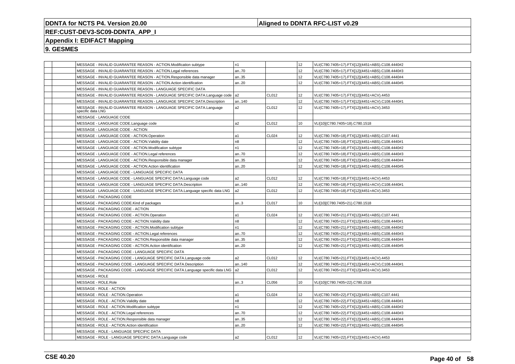### **Aligned to DDNTA RFC-LIST v0.29**

### **REF:CUST-DEV3-SC09-DDNTA\_APP\_I**

### **Appendix I: EDIFACT Mapping**

|  | MESSAGE - INVALID GUARANTEE REASON - ACTION.Modification subtype                          | n1             |       | 12              | VLI(C780.7405=17).FTX[12](4451=ABS).C108.4440#2 |
|--|-------------------------------------------------------------------------------------------|----------------|-------|-----------------|-------------------------------------------------|
|  | MESSAGE - INVALID GUARANTEE REASON - ACTION.Legal references                              | an70           |       | 12              | VLI(C780.7405=17).FTX[12](4451=ABS).C108.4440#3 |
|  | MESSAGE - INVALID GUARANTEE REASON - ACTION.Responsible data manager                      | an35           |       | 12              | VLI(C780.7405=17).FTX[12](4451=ABS).C108.4440#4 |
|  | MESSAGE - INVALID GUARANTEE REASON - ACTION.Action identification                         | an20           |       | 12              | VLI(C780.7405=17).FTX[12](4451=ABS).C108.4440#5 |
|  | MESSAGE - INVALID GUARANTEE REASON - LANGUAGE SPECIFIC DATA                               |                |       |                 |                                                 |
|  | MESSAGE - INVALID GUARANTEE REASON - LANGUAGE SPECIFIC DATA.Language code                 | l a2           | CL012 | 12              | VLI(C780.7405=17).FTX[12](4451=ACV).4453        |
|  | MESSAGE - INVALID GUARANTEE REASON - LANGUAGE SPECIFIC DATA.Description                   | an140          |       | 12              | VLI(C780.7405=17).FTX[12](4451=ACV).C108.4440#1 |
|  | MESSAGE - INVALID GUARANTEE REASON - LANGUAGE SPECIFIC DATA.Language<br>specific data LNG | a <sub>2</sub> | CL012 | 12              | VLI(C780.7405=17).FTX[12](4451=ACV).3453        |
|  | MESSAGE - LANGUAGE CODE                                                                   |                |       |                 |                                                 |
|  | MESSAGE - LANGUAGE CODE.Language code                                                     | a <sub>2</sub> | CL012 | 10              | VLI[10](C780.7405=18).C780.1518                 |
|  | MESSAGE - LANGUAGE CODE - ACTION                                                          |                |       |                 |                                                 |
|  | MESSAGE - LANGUAGE CODE - ACTION.Operation                                                | a1             | CL024 | 12              | VLI(C780.7405=18).FTX[12](4451=ABS).C107.4441   |
|  | MESSAGE - LANGUAGE CODE - ACTION. Validity date                                           | n8             |       | 12              | VLI(C780.7405=18).FTX[12](4451=ABS).C108.4440#1 |
|  | MESSAGE - LANGUAGE CODE - ACTION.Modification subtype                                     | n1             |       | 12              | VLI(C780.7405=18).FTX[12](4451=ABS).C108.4440#2 |
|  | MESSAGE - LANGUAGE CODE - ACTION.Legal references                                         | an70           |       | 12              | VLI(C780.7405=18).FTX[12](4451=ABS).C108.4440#3 |
|  | MESSAGE - LANGUAGE CODE - ACTION.Responsible data manager                                 | an35           |       | 12              | VLI(C780.7405=18).FTX[12](4451=ABS).C108.4440#4 |
|  | MESSAGE - LANGUAGE CODE - ACTION.Action identification                                    | an20           |       | 12              | VLI(C780.7405=18).FTX[12](4451=ABS).C108.4440#5 |
|  | MESSAGE - LANGUAGE CODE - LANGUAGE SPECIFIC DATA                                          |                |       |                 |                                                 |
|  | MESSAGE - LANGUAGE CODE - LANGUAGE SPECIFIC DATA.Language code                            | a2             | CL012 | 12              | VLI(C780.7405=18).FTX[12](4451=ACV).4453        |
|  | MESSAGE - LANGUAGE CODE - LANGUAGE SPECIFIC DATA.Description                              | an140          |       | 12 <sup>°</sup> | VLI(C780.7405=18).FTX[12](4451=ACV).C108.4440#1 |
|  | MESSAGE - LANGUAGE CODE - LANGUAGE SPECIFIC DATA.Language specific data LNG               | a <sub>2</sub> | CL012 | 12              | VLI(C780.7405=18).FTX[12](4451=ACV).3453        |
|  | MESSAGE - PACKAGING CODE                                                                  |                |       |                 |                                                 |
|  | MESSAGE - PACKAGING CODE.Kind of packages                                                 | an3            | CL017 | 10              | VLI[10](C780.7405=21).C780.1518                 |
|  | MESSAGE - PACKAGING CODE - ACTION                                                         |                |       |                 |                                                 |
|  | MESSAGE - PACKAGING CODE - ACTION.Operation                                               | a1             | CL024 | 12              | VLI(C780.7405=21).FTX[12](4451=ABS).C107.4441   |
|  | MESSAGE - PACKAGING CODE - ACTION. Validity date                                          | n8             |       | 12              | VLI(C780.7405=21).FTX[12](4451=ABS).C108.4440#1 |
|  | MESSAGE - PACKAGING CODE - ACTION.Modification subtype                                    | n1             |       | 12              | VLI(C780.7405=21).FTX[12](4451=ABS).C108.4440#2 |
|  | MESSAGE - PACKAGING CODE - ACTION.Legal references                                        | an70           |       | 12              | VLI(C780.7405=21).FTX[12](4451=ABS).C108.4440#3 |
|  | MESSAGE - PACKAGING CODE - ACTION.Responsible data manager                                | an35           |       | 12              | VLI(C780.7405=21).FTX[12](4451=ABS).C108.4440#4 |
|  | MESSAGE - PACKAGING CODE - ACTION.Action identification                                   | an20           |       | 12              | VLI(C780.7405=21).FTX[12](4451=ABS).C108.4440#5 |
|  | MESSAGE - PACKAGING CODE - LANGUAGE SPECIFIC DATA                                         |                |       |                 |                                                 |
|  | MESSAGE - PACKAGING CODE - LANGUAGE SPECIFIC DATA.Language code                           | a2             | CL012 | 12              | VLI(C780.7405=21).FTX[12](4451=ACV).4453        |
|  | MESSAGE - PACKAGING CODE - LANGUAGE SPECIFIC DATA.Description                             | an140          |       | 12              | VLI(C780.7405=21).FTX[12](4451=ACV).C108.4440#1 |
|  | MESSAGE - PACKAGING CODE - LANGUAGE SPECIFIC DATA.Language specific data LNG              | l a2           | CL012 | 12              | VLI(C780.7405=21).FTX[12](4451=ACV).3453        |
|  | MESSAGE - ROLE                                                                            |                |       |                 |                                                 |
|  | MESSAGE - ROLE.Role                                                                       | an.3           | CL056 | 10              | VLI[10](C780.7405=22).C780.1518                 |
|  | MESSAGE - ROLE - ACTION                                                                   |                |       |                 |                                                 |
|  | MESSAGE - ROLE - ACTION.Operation                                                         | a1             | CL024 | 12              | VLI(C780.7405=22).FTX[12](4451=ABS).C107.4441   |
|  | MESSAGE - ROLE - ACTION. Validity date                                                    | n <sub>8</sub> |       | 12 <sup>°</sup> | VLI(C780.7405=22).FTX[12](4451=ABS).C108.4440#1 |
|  | MESSAGE - ROLE - ACTION.Modification subtype                                              | n1             |       | 12              | VLI(C780.7405=22).FTX[12](4451=ABS).C108.4440#2 |
|  | MESSAGE - ROLE - ACTION.Legal references                                                  | an70           |       | 12              | VLI(C780.7405=22).FTX[12](4451=ABS).C108.4440#3 |
|  | MESSAGE - ROLE - ACTION.Responsible data manager                                          | an35           |       | 12              | VLI(C780.7405=22).FTX[12](4451=ABS).C108.4440#4 |
|  | MESSAGE - ROLE - ACTION.Action identification                                             | an20           |       | 12              | VLI(C780.7405=22).FTX[12](4451=ABS).C108.4440#5 |
|  | MESSAGE - ROLE - LANGUAGE SPECIFIC DATA                                                   |                |       |                 |                                                 |
|  | MESSAGE - ROLE - LANGUAGE SPECIFIC DATA.Language code                                     | a2             | CL012 | 12              | VLI(C780.7405=22).FTX[12](4451=ACV).4453        |
|  |                                                                                           |                |       |                 |                                                 |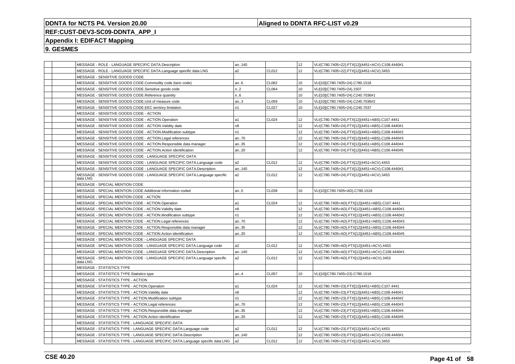### **Aligned to DDNTA RFC-LIST v0.29**

### **REF:CUST-DEV3-SC09-DDNTA\_APP\_I**

### **Appendix I: EDIFACT Mapping**

|  | MESSAGE - ROLE - LANGUAGE SPECIFIC DATA.Description                                   | an140          |              | 12               | VLI(C780.7405=22).FTX[12](4451=ACV).C108.4440#1 |
|--|---------------------------------------------------------------------------------------|----------------|--------------|------------------|-------------------------------------------------|
|  | MESSAGE - ROLE - LANGUAGE SPECIFIC DATA.Language specific data LNG                    | a2             | CL012        | 12               | VLI(C780.7405=22).FTX[12](4451=ACV).3453        |
|  | MESSAGE - SENSITIVE GOODS CODE                                                        |                |              |                  |                                                 |
|  | MESSAGE - SENSITIVE GOODS CODE.Commodity code (taric code)                            | an.6           | CL062        | 10               | VLI[10](C780.7405=24).C780.1518                 |
|  | MESSAGE - SENSITIVE GOODS CODE.Sensitive goods code                                   | n.2            | <b>CL064</b> | 10               | VLI[10](C780.7405=24).1507                      |
|  | MESSAGE - SENSITIVE GOODS CODE.Reference quantity                                     | n6             |              | 10               | VLI[10](C780.7405=24).C240.7036#1               |
|  | MESSAGE - SENSITIVE GOODS CODE.Unit of measure code                                   | an3            | <b>CL059</b> | 10               | VLI[10](C780.7405=24).C240.7036#2               |
|  | MESSAGE - SENSITIVE GOODS CODE.EEC territory limitation                               | n1             | <b>CL027</b> | 10               | VLI[10](C780.7405=24).C240.7037                 |
|  | MESSAGE - SENSITIVE GOODS CODE - ACTION                                               |                |              |                  |                                                 |
|  | MESSAGE - SENSITIVE GOODS CODE - ACTION.Operation                                     | a1             | CL024        | 12               | VLI(C780.7405=24).FTX[12](4451=ABS).C107.4441   |
|  | MESSAGE - SENSITIVE GOODS CODE - ACTION. Validity date                                | n <sub>8</sub> |              | 12               | VLI(C780.7405=24).FTX[12](4451=ABS).C108.4440#1 |
|  | MESSAGE - SENSITIVE GOODS CODE - ACTION.Modification subtype                          | n1             |              | 12               | VLI(C780.7405=24).FTX[12](4451=ABS).C108.4440#2 |
|  | MESSAGE - SENSITIVE GOODS CODE - ACTION.Legal references                              | an70           |              | 12               | VLI(C780.7405=24).FTX[12](4451=ABS).C108.4440#3 |
|  | MESSAGE - SENSITIVE GOODS CODE - ACTION.Responsible data manager                      | an35           |              | 12               | VLI(C780.7405=24).FTX[12](4451=ABS).C108.4440#4 |
|  | MESSAGE - SENSITIVE GOODS CODE - ACTION.Action identification                         | an.20          |              | 12               | VLI(C780.7405=24).FTX[12](4451=ABS).C108.4440#5 |
|  | MESSAGE - SENSITIVE GOODS CODE - LANGUAGE SPECIFIC DATA                               |                |              |                  |                                                 |
|  | MESSAGE - SENSITIVE GOODS CODE - LANGUAGE SPECIFIC DATA.Language code                 | a <sub>2</sub> | CL012        | 12               | VLI(C780.7405=24).FTX[12](4451=ACV).4453        |
|  | MESSAGE - SENSITIVE GOODS CODE - LANGUAGE SPECIFIC DATA.Description                   | an140          |              | 12               | VLI(C780.7405=24).FTX[12](4451=ACV).C108.4440#1 |
|  | MESSAGE - SENSITIVE GOODS CODE - LANGUAGE SPECIFIC DATA.Language specific<br>data LNG | a2             | CL012        | 12               | VLI(C780.7405=24).FTX[12](4451=ACV).3453        |
|  | MESSAGE - SPECIAL MENTION CODE                                                        |                |              |                  |                                                 |
|  | MESSAGE - SPECIAL MENTION CODE.Additional information coded                           | an5            | CL039        | 10 <sup>10</sup> | VLI[10](C780.7405=AD).C780.1518                 |
|  | MESSAGE - SPECIAL MENTION CODE - ACTION                                               |                |              |                  |                                                 |
|  | MESSAGE - SPECIAL MENTION CODE - ACTION.Operation                                     | a1             | CL024        | 12 <sup>2</sup>  | VLI(C780.7405=AD).FTX[12](4451=ABS).C107.4441   |
|  | MESSAGE - SPECIAL MENTION CODE - ACTION. Validity date                                | n8             |              | 12               | VLI(C780.7405=AD).FTX[12](4451=ABS).C108.4440#1 |
|  | MESSAGE - SPECIAL MENTION CODE - ACTION.Modification subtype                          | n1             |              | 12               | VLI(C780.7405=AD).FTX[12](4451=ABS).C108.4440#2 |
|  | MESSAGE - SPECIAL MENTION CODE - ACTION.Legal references                              | an70           |              | 12               | VLI(C780.7405=AD).FTX[12](4451=ABS).C108.4440#3 |
|  | MESSAGE - SPECIAL MENTION CODE - ACTION.Responsible data manager                      | an35           |              | 12               | VLI(C780.7405=AD).FTX[12](4451=ABS).C108.4440#4 |
|  | MESSAGE - SPECIAL MENTION CODE - ACTION.Action identification                         | an.20          |              | 12               | VLI(C780.7405=AD).FTX[12](4451=ABS).C108.4440#5 |
|  | MESSAGE - SPECIAL MENTION CODE - LANGUAGE SPECIFIC DATA                               |                |              |                  |                                                 |
|  | MESSAGE - SPECIAL MENTION CODE - LANGUAGE SPECIFIC DATA.Language code                 | a <sub>2</sub> | CL012        | 12               | VLI(C780.7405=AD).FTX[12](4451=ACV).4453        |
|  | MESSAGE - SPECIAL MENTION CODE - LANGUAGE SPECIFIC DATA.Description                   | an140          |              | 12               | VLI(C780.7405=AD).FTX[12](4451=ACV).C108.4440#1 |
|  | MESSAGE - SPECIAL MENTION CODE - LANGUAGE SPECIFIC DATA.Language specific<br>data LNG | a2             | CL012        | 12               | VLI(C780.7405=AD).FTX[12](4451=ACV).3453        |
|  | MESSAGE - STATISTICS TYPE                                                             |                |              |                  |                                                 |
|  | MESSAGE - STATISTICS TYPE.Statistics type                                             | an.4           | CL057        | 10 <sup>10</sup> | VLI[10](C780.7405=23).C780.1518                 |
|  | MESSAGE - STATISTICS TYPE - ACTION                                                    |                |              |                  |                                                 |
|  | MESSAGE - STATISTICS TYPE - ACTION.Operation                                          | a1             | CL024        | 12               | VLI(C780.7405=23).FTX[12](4451=ABS).C107.4441   |
|  | MESSAGE - STATISTICS TYPE - ACTION. Validity date                                     | n <sub>8</sub> |              | 12 <sup>2</sup>  | VLI(C780.7405=23).FTX[12](4451=ABS).C108.4440#1 |
|  | MESSAGE - STATISTICS TYPE - ACTION.Modification subtype                               | n1             |              | 12               | VLI(C780.7405=23).FTX[12](4451=ABS).C108.4440#2 |
|  | MESSAGE - STATISTICS TYPE - ACTION.Legal references                                   | an70           |              | 12               | VLI(C780.7405=23).FTX[12](4451=ABS).C108.4440#3 |
|  | MESSAGE - STATISTICS TYPE - ACTION.Responsible data manager                           | an35           |              | 12               | VLI(C780.7405=23).FTX[12](4451=ABS).C108.4440#4 |
|  | MESSAGE - STATISTICS TYPE - ACTION.Action identification                              | an20           |              | 12               | VLI(C780.7405=23).FTX[12](4451=ABS).C108.4440#5 |
|  | MESSAGE - STATISTICS TYPE - LANGUAGE SPECIFIC DATA                                    |                |              |                  |                                                 |
|  | MESSAGE - STATISTICS TYPE - LANGUAGE SPECIFIC DATA.Language code                      | a2             | CL012        | 12               | VLI(C780.7405=23).FTX[12](4451=ACV).4453        |
|  | MESSAGE - STATISTICS TYPE - LANGUAGE SPECIFIC DATA.Description                        | an140          |              | 12 <sup>2</sup>  | VLI(C780.7405=23).FTX[12](4451=ACV).C108.4440#1 |
|  | MESSAGE - STATISTICS TYPE - LANGUAGE SPECIFIC DATA.Language specific data LNG         | a <sub>2</sub> | CL012        | 12               | VLI(C780.7405=23).FTX[12](4451=ACV).3453        |
|  |                                                                                       |                |              |                  |                                                 |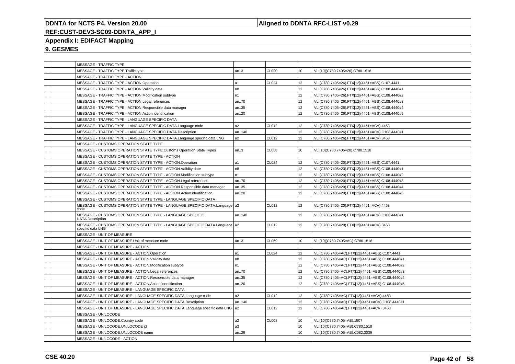### **Aligned to DDNTA RFC-LIST v0.29**

# **REF:CUST-DEV3-SC09-DDNTA\_APP\_I**

### **Appendix I: EDIFACT Mapping**

|  | MESSAGE - TRAFFIC TYPE                                                                             |                |                   |                 |                                                 |
|--|----------------------------------------------------------------------------------------------------|----------------|-------------------|-----------------|-------------------------------------------------|
|  | MESSAGE - TRAFFIC TYPE.Traffic type                                                                | an.3           | CL020             | 10              | VLI[10](C780.7405=26).C780.1518                 |
|  | MESSAGE - TRAFFIC TYPE - ACTION                                                                    |                |                   |                 |                                                 |
|  | MESSAGE - TRAFFIC TYPE - ACTION.Operation                                                          | a1             | CL024             | 12              | VLI(C780.7405=26).FTX[12](4451=ABS).C107.4441   |
|  | MESSAGE - TRAFFIC TYPE - ACTION. Validity date                                                     | n <sub>8</sub> |                   | 12 <sup>°</sup> | VLI(C780.7405=26).FTX[12](4451=ABS).C108.4440#1 |
|  | MESSAGE - TRAFFIC TYPE - ACTION.Modification subtype                                               | n <sub>1</sub> |                   | 12              | VLI(C780.7405=26).FTX[12](4451=ABS).C108.4440#2 |
|  | MESSAGE - TRAFFIC TYPE - ACTION.Legal references                                                   | an70           |                   | 12              | VLI(C780.7405=26).FTX[12](4451=ABS).C108.4440#3 |
|  | MESSAGE - TRAFFIC TYPE - ACTION.Responsible data manager                                           | an35           |                   | 12              | VLI(C780.7405=26).FTX[12](4451=ABS).C108.4440#4 |
|  | MESSAGE - TRAFFIC TYPE - ACTION.Action identification                                              | an20           |                   | 12              | VLI(C780.7405=26).FTX[12](4451=ABS).C108.4440#5 |
|  | MESSAGE - TRAFFIC TYPE - LANGUAGE SPECIFIC DATA                                                    |                |                   |                 |                                                 |
|  | MESSAGE - TRAFFIC TYPE - LANGUAGE SPECIFIC DATA.Language code                                      | a2             | CL012             | 12              | VLI(C780.7405=26).FTX[12](4451=ACV).4453        |
|  | MESSAGE - TRAFFIC TYPE - LANGUAGE SPECIFIC DATA.Description                                        | an140          |                   | 12              | VLI(C780.7405=26).FTX[12](4451=ACV).C108.4440#1 |
|  | MESSAGE - TRAFFIC TYPE - LANGUAGE SPECIFIC DATA.Language specific data LNG                         | a <sub>2</sub> | CL012             | 12              | VLI(C780.7405=26).FTX[12](4451=ACV).3453        |
|  | MESSAGE - CUSTOMS OPERATION STATE TYPE                                                             |                |                   |                 |                                                 |
|  | MESSAGE - CUSTOMS OPERATION STATE TYPE.Customs Operation State Types                               | an.3           | CL058             | 10              | VLI[10](C780.7405=20).C780.1518                 |
|  | MESSAGE - CUSTOMS OPERATION STATE TYPE - ACTION                                                    |                |                   |                 |                                                 |
|  | MESSAGE - CUSTOMS OPERATION STATE TYPE - ACTION.Operation                                          | l a1           | CL <sub>024</sub> | 12              | VLI(C780.7405=20).FTX[12](4451=ABS).C107.4441   |
|  | MESSAGE - CUSTOMS OPERATION STATE TYPE - ACTION.Validity date                                      | n8             |                   | 12              | VLI(C780.7405=20).FTX[12](4451=ABS).C108.4440#1 |
|  | MESSAGE - CUSTOMS OPERATION STATE TYPE - ACTION.Modification subtype                               | n1             |                   | 12 <sup>2</sup> | VLI(C780.7405=20).FTX[12](4451=ABS).C108.4440#2 |
|  | MESSAGE - CUSTOMS OPERATION STATE TYPE - ACTION.Legal references                                   | an70           |                   | 12              | VLI(C780.7405=20).FTX[12](4451=ABS).C108.4440#3 |
|  | MESSAGE - CUSTOMS OPERATION STATE TYPE - ACTION.Responsible data manager                           | an35           |                   | 12              | VLI(C780.7405=20).FTX[12](4451=ABS).C108.4440#4 |
|  | MESSAGE - CUSTOMS OPERATION STATE TYPE - ACTION.Action identification                              | an20           |                   | 12              | VLI(C780.7405=20).FTX[12](4451=ABS).C108.4440#5 |
|  | MESSAGE - CUSTOMS OPERATION STATE TYPE - LANGUAGE SPECIFIC DATA                                    |                |                   |                 |                                                 |
|  | MESSAGE - CUSTOMS OPERATION STATE TYPE - LANGUAGE SPECIFIC DATA.Language   a2<br>code              |                | CL012             | 12              | VLI(C780.7405=20).FTX[12](4451=ACV).4453        |
|  | MESSAGE - CUSTOMS OPERATION STATE TYPE - LANGUAGE SPECIFIC<br>DATA.Description                     | an140          |                   | 12 <sup>°</sup> | VLI(C780.7405=20).FTX[12](4451=ACV).C108.4440#1 |
|  | MESSAGE - CUSTOMS OPERATION STATE TYPE - LANGUAGE SPECIFIC DATA.Language   a2<br>specific data LNG |                | CL012             | 12              | VLI(C780.7405=20).FTX[12](4451=ACV).3453        |
|  | MESSAGE - UNIT OF MEASURE                                                                          |                |                   |                 |                                                 |
|  | MESSAGE - UNIT OF MEASURE.Unit of measure code                                                     | an3            | CL059             | 10              | VLI[10](C780.7405=AC).C780.1518                 |
|  | MESSAGE - UNIT OF MEASURE - ACTION                                                                 |                |                   |                 |                                                 |
|  | MESSAGE - UNIT OF MEASURE - ACTION.Operation                                                       | l a1           | CL024             | 12 <sup>°</sup> | VLI(C780.7405=AC).FTX[12](4451=ABS).C107.4441   |
|  | MESSAGE - UNIT OF MEASURE - ACTION. Validity date                                                  | n8             |                   | 12              | VLI(C780.7405=AC).FTX[12](4451=ABS).C108.4440#1 |
|  | MESSAGE - UNIT OF MEASURE - ACTION.Modification subtype                                            | n <sub>1</sub> |                   | 12              | VLI(C780.7405=AC).FTX[12](4451=ABS).C108.4440#2 |
|  | MESSAGE - UNIT OF MEASURE - ACTION.Legal references                                                | an70           |                   | 12              | VLI(C780.7405=AC).FTX[12](4451=ABS).C108.4440#3 |
|  | MESSAGE - UNIT OF MEASURE - ACTION.Responsible data manager                                        | an35           |                   | 12              | VLI(C780.7405=AC).FTX[12](4451=ABS).C108.4440#4 |
|  | MESSAGE - UNIT OF MEASURE - ACTION.Action identification                                           | an20           |                   | 12              | VLI(C780.7405=AC).FTX[12](4451=ABS).C108.4440#5 |
|  | MESSAGE - UNIT OF MEASURE - LANGUAGE SPECIFIC DATA                                                 |                |                   |                 |                                                 |
|  | MESSAGE - UNIT OF MEASURE - LANGUAGE SPECIFIC DATA.Language code                                   | a2             | CL012             | 12              | VLI(C780.7405=AC).FTX[12](4451=ACV).4453        |
|  | MESSAGE - UNIT OF MEASURE - LANGUAGE SPECIFIC DATA.Description                                     | an140          |                   | 12              | VLI(C780.7405=AC).FTX[12](4451=ACV).C108.4440#1 |
|  | MESSAGE - UNIT OF MEASURE - LANGUAGE SPECIFIC DATA.Language specific data LNG   a2                 |                | CL012             | 12              | VLI(C780.7405=AC).FTX[12](4451=ACV).3453        |
|  | MESSAGE - UN/LOCODE                                                                                |                |                   |                 |                                                 |
|  | MESSAGE - UN/LOCODE.Country code                                                                   | a <sub>2</sub> | CL008             | 10              | VLI[10](C780.7405=AB).1507                      |
|  | MESSAGE - UN/LOCODE.UN/LOCODE id                                                                   | a3             |                   | 10              | VLI[10](C780.7405=AB).C780.1518                 |
|  | MESSAGE - UN/LOCODE.UN/LOCODE name                                                                 | an29           |                   | 10              | VLI[10](C780.7405=AB).C082.3039                 |
|  | MESSAGE - UN/LOCODE - ACTION                                                                       |                |                   |                 |                                                 |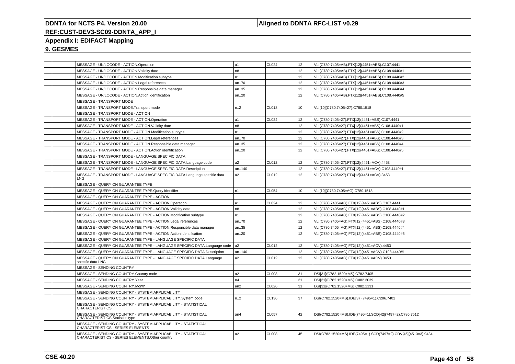### **Aligned to DDNTA RFC-LIST v0.29**

# **REF:CUST-DEV3-SC09-DDNTA\_APP\_I**

### **Appendix I: EDIFACT Mapping**

|  | MESSAGE - UN/LOCODE - ACTION.Operation                                                                            | a1              | CL024        | 12              | VLI(C780.7405=AB).FTX[12](4451=ABS).C107.4441                  |
|--|-------------------------------------------------------------------------------------------------------------------|-----------------|--------------|-----------------|----------------------------------------------------------------|
|  | MESSAGE - UN/LOCODE - ACTION. Validity date                                                                       | n8              |              | 12              | VLI(C780.7405=AB).FTX[12](4451=ABS).C108.4440#1                |
|  | MESSAGE - UN/LOCODE - ACTION.Modification subtype                                                                 | n1              |              | 12              | VLI(C780.7405=AB).FTX[12](4451=ABS).C108.4440#2                |
|  | MESSAGE - UN/LOCODE - ACTION.Legal references                                                                     | an70            |              | 12              | VLI(C780.7405=AB).FTX[12](4451=ABS).C108.4440#3                |
|  | MESSAGE - UN/LOCODE - ACTION.Responsible data manager                                                             | an35            |              | 12              | VLI(C780.7405=AB).FTX[12](4451=ABS).C108.4440#4                |
|  | MESSAGE - UN/LOCODE - ACTION.Action identification                                                                | an20            |              | 12              | VLI(C780.7405=AB).FTX[12](4451=ABS).C108.4440#5                |
|  | <b>MESSAGE - TRANSPORT MODE</b>                                                                                   |                 |              |                 |                                                                |
|  | MESSAGE - TRANSPORT MODE.Transport mode                                                                           | n. 2            | <b>CL018</b> | 10              | VLI[10](C780.7405=27).C780.1518                                |
|  | MESSAGE - TRANSPORT MODE - ACTION                                                                                 |                 |              |                 |                                                                |
|  | MESSAGE - TRANSPORT MODE - ACTION.Operation                                                                       | a1              | CL024        | 12              | VLI(C780.7405=27).FTX[12](4451=ABS).C107.4441                  |
|  | MESSAGE - TRANSPORT MODE - ACTION. Validity date                                                                  | n8              |              | 12 <sup>°</sup> | VLI(C780.7405=27).FTX[12](4451=ABS).C108.4440#1                |
|  | MESSAGE - TRANSPORT MODE - ACTION.Modification subtype                                                            | n1              |              | 12              | VLI(C780.7405=27).FTX[12](4451=ABS).C108.4440#2                |
|  | MESSAGE - TRANSPORT MODE - ACTION.Legal references                                                                | an70            |              | 12              | VLI(C780.7405=27).FTX[12](4451=ABS).C108.4440#3                |
|  | MESSAGE - TRANSPORT MODE - ACTION.Responsible data manager                                                        | an35            |              | 12              | VLI(C780.7405=27).FTX[12](4451=ABS).C108.4440#4                |
|  | MESSAGE - TRANSPORT MODE - ACTION.Action identification                                                           | an20            |              | 12              | VLI(C780.7405=27).FTX[12](4451=ABS).C108.4440#5                |
|  | MESSAGE - TRANSPORT MODE - LANGUAGE SPECIFIC DATA                                                                 |                 |              |                 |                                                                |
|  | MESSAGE - TRANSPORT MODE - LANGUAGE SPECIFIC DATA.Language code                                                   | a2              | CL012        | 12              | VLI(C780.7405=27).FTX[12](4451=ACV).4453                       |
|  | MESSAGE - TRANSPORT MODE - LANGUAGE SPECIFIC DATA.Description                                                     | an140           |              | 12              | VLI(C780.7405=27).FTX[12](4451=ACV).C108.4440#1                |
|  | MESSAGE - TRANSPORT MODE - LANGUAGE SPECIFIC DATA.Language specific data<br>LNG                                   | a2              | CL012        | 12              | VLI(C780.7405=27).FTX[12](4451=ACV).3453                       |
|  | MESSAGE - QUERY ON GUARANTEE TYPE                                                                                 |                 |              |                 |                                                                |
|  | MESSAGE - QUERY ON GUARANTEE TYPE.Query identifier                                                                | n1              | CL054        | 10              | VLI[10](C780.7405=AG).C780.1518                                |
|  | MESSAGE - QUERY ON GUARANTEE TYPE - ACTION                                                                        |                 |              |                 |                                                                |
|  | MESSAGE - QUERY ON GUARANTEE TYPE - ACTION.Operation                                                              | a1              | CL024        | 12              | VLI(C780.7405=AG).FTX[12](4451=ABS).C107.4441                  |
|  | MESSAGE - QUERY ON GUARANTEE TYPE - ACTION. Validity date                                                         | n <sub>8</sub>  |              | 12              | VLI(C780.7405=AG).FTX[12](4451=ABS).C108.4440#1                |
|  | MESSAGE - QUERY ON GUARANTEE TYPE - ACTION.Modification subtype                                                   | n1              |              | 12              | VLI(C780.7405=AG).FTX[12](4451=ABS).C108.4440#2                |
|  | MESSAGE - QUERY ON GUARANTEE TYPE - ACTION.Legal references                                                       | an70            |              | 12 <sup>°</sup> | VLI(C780.7405=AG).FTX[12](4451=ABS).C108.4440#3                |
|  | MESSAGE - QUERY ON GUARANTEE TYPE - ACTION.Responsible data manager                                               | an35            |              | 12              | VLI(C780.7405=AG).FTX[12](4451=ABS).C108.4440#4                |
|  | MESSAGE - QUERY ON GUARANTEE TYPE - ACTION.Action identification                                                  | an20            |              | 12              | VLI(C780.7405=AG).FTX[12](4451=ABS).C108.4440#5                |
|  | MESSAGE - QUERY ON GUARANTEE TYPE - LANGUAGE SPECIFIC DATA                                                        |                 |              |                 |                                                                |
|  | MESSAGE - QUERY ON GUARANTEE TYPE - LANGUAGE SPECIFIC DATA.Language code                                          | a <sub>2</sub>  | CL012        | 12              | VLI(C780.7405=AG).FTX[12](4451=ACV).4453                       |
|  | MESSAGE - QUERY ON GUARANTEE TYPE - LANGUAGE SPECIFIC DATA.Description                                            | an140           |              | 12              | VLI(C780.7405=AG).FTX[12](4451=ACV).C108.4440#1                |
|  | MESSAGE - QUERY ON GUARANTEE TYPE - LANGUAGE SPECIFIC DATA.Language<br>specific data LNG                          | a2              | CL012        | 12              | VLI(C780.7405=AG).FTX[12](4451=ACV).3453                       |
|  | MESSAGE - SENDING COUNTRY                                                                                         |                 |              |                 |                                                                |
|  | MESSAGE - SENDING COUNTRY.Country code                                                                            | a2              | <b>CL008</b> | 31              | DSI[31](C782.1520=MS).C782.7405                                |
|  | MESSAGE - SENDING COUNTRY.Year                                                                                    | n4              |              | 31              | DSI[31](C782.1520=MS).C082.3039                                |
|  | MESSAGE - SENDING COUNTRY.Month                                                                                   | an2             | CL026        | 31              | DSI[31](C782.1520=MS).C082.1131                                |
|  | MESSAGE - SENDING COUNTRY - SYSTEM APPLICABILITY                                                                  |                 |              |                 |                                                                |
|  | MESSAGE - SENDING COUNTRY - SYSTEM APPLICABILITY.System code                                                      | n.2             | CL136        | 37              | DSI(C782.1520=MS).IDE[37](7495=1).C206.7402                    |
|  | MESSAGE - SENDING COUNTRY - SYSTEM APPLICABILITY - STATISTICAL<br><b>CHARACTERISTICS</b>                          |                 |              |                 |                                                                |
|  | MESSAGE - SENDING COUNTRY - SYSTEM APPLICABILITY - STATISTICAL<br>CHARACTERISTICS.Statistics type                 | an <sub>4</sub> | <b>CL057</b> | 42              | DSI(C782.1520=MS).IDE(7495=1).SCD[42](7497=2).C786.7512        |
|  | MESSAGE - SENDING COUNTRY - SYSTEM APPLICABILITY - STATISTICAL<br>CHARACTERISTICS - SERIES ELEMENTS               |                 |              |                 |                                                                |
|  | MESSAGE - SENDING COUNTRY - SYSTEM APPLICABILITY - STATISTICAL<br>CHARACTERISTICS - SERIES ELEMENTS.Other country | a2              | <b>CL008</b> | 45              | DSI(C782.1520=MS).IDE(7495=1).SCD(7497=2).CDV[45](4513=3).9434 |
|  |                                                                                                                   |                 |              |                 |                                                                |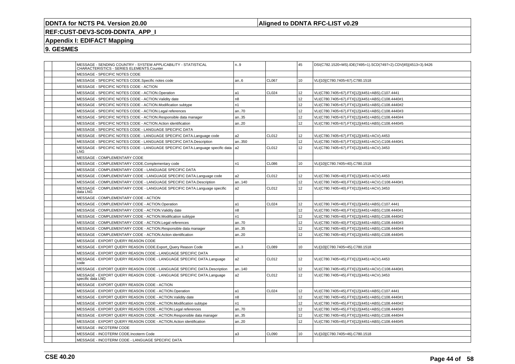### **Aligned to DDNTA RFC-LIST v0.29**

## **REF:CUST-DEV3-SC09-DDNTA\_APP\_I**

### **Appendix I: EDIFACT Mapping**

|  | MESSAGE - SENDING COUNTRY - SYSTEM APPLICABILITY - STATISTICAL<br>CHARACTERISTICS - SERIES ELEMENTS.Counter | n.9            |              | 45              | DSI(C782.1520=MS).IDE(7495=1).SCD(7497=2).CDV[45](4513=3).9426 |
|--|-------------------------------------------------------------------------------------------------------------|----------------|--------------|-----------------|----------------------------------------------------------------|
|  | MESSAGE - SPECIFIC NOTES CODE                                                                               |                |              |                 |                                                                |
|  | MESSAGE - SPECIFIC NOTES CODE.Specific notes code                                                           | an6            | <b>CL067</b> | 10              | VLI[10](C780.7405=67).C780.1518                                |
|  | MESSAGE - SPECIFIC NOTES CODE - ACTION                                                                      |                |              |                 |                                                                |
|  | MESSAGE - SPECIFIC NOTES CODE - ACTION.Operation                                                            | a1             | <b>CL024</b> | 12 <sup>2</sup> | VLI(C780.7405=67).FTX[12](4451=ABS).C107.4441                  |
|  | MESSAGE - SPECIFIC NOTES CODE - ACTION. Validity date                                                       | n <sub>8</sub> |              | 12              | VLI(C780.7405=67).FTX[12](4451=ABS).C108.4440#1                |
|  | MESSAGE - SPECIFIC NOTES CODE - ACTION.Modification subtype                                                 | n <sub>1</sub> |              | 12              | VLI(C780.7405=67).FTX[12](4451=ABS).C108.4440#2                |
|  | MESSAGE - SPECIFIC NOTES CODE - ACTION.Legal references                                                     | an70           |              | 12 <sup>2</sup> | VLI(C780.7405=67).FTX[12](4451=ABS).C108.4440#3                |
|  | MESSAGE - SPECIFIC NOTES CODE - ACTION.Responsible data manager                                             | an35           |              | 12 <sup>2</sup> | VLI(C780.7405=67).FTX[12](4451=ABS).C108.4440#4                |
|  | MESSAGE - SPECIFIC NOTES CODE - ACTION.Action identification                                                | an20           |              | 12 <sup>2</sup> | VLI(C780.7405=67).FTX[12](4451=ABS).C108.4440#5                |
|  | MESSAGE - SPECIFIC NOTES CODE - LANGUAGE SPECIFIC DATA                                                      |                |              |                 |                                                                |
|  | MESSAGE - SPECIFIC NOTES CODE - LANGUAGE SPECIFIC DATA.Language code                                        | a2             | CL012        | 12 <sup>2</sup> | VLI(C780.7405=67).FTX[12](4451=ACV).4453                       |
|  | MESSAGE - SPECIFIC NOTES CODE - LANGUAGE SPECIFIC DATA.Description                                          | an350          |              | 12              | VLI(C780.7405=67).FTX[12](4451=ACV).C108.4440#1                |
|  | MESSAGE - SPECIFIC NOTES CODE - LANGUAGE SPECIFIC DATA.Language specific data   a2<br>LNG-                  |                | CL012        | 12              | VLI(C780.7405=67).FTX[12](4451=ACV).3453                       |
|  | MESSAGE - COMPLEMENTARY CODE                                                                                |                |              |                 |                                                                |
|  | MESSAGE - COMPLEMENTARY CODE.Complementary code                                                             | n <sub>1</sub> | <b>CL086</b> | 10              | VLI[10](C780.7405=40).C780.1518                                |
|  | MESSAGE - COMPLEMENTARY CODE - LANGUAGE SPECIFIC DATA                                                       |                |              |                 |                                                                |
|  | MESSAGE - COMPLEMENTARY CODE - LANGUAGE SPECIFIC DATA.Language code                                         | a2             | CL012        | 12              | VLI(C780.7405=40).FTX[12](4451=ACV).4453                       |
|  | MESSAGE - COMPLEMENTARY CODE - LANGUAGE SPECIFIC DATA.Description                                           | an140          |              | 12 <sup>2</sup> | VLI(C780.7405=40).FTX[12](4451=ACV).C108.4440#1                |
|  | MESSAGE - COMPLEMENTARY CODE - LANGUAGE SPECIFIC DATA.Language specific<br>data LNG                         | a2             | CL012        | 12              | VLI(C780.7405=40).FTX[12](4451=ACV).3453                       |
|  | MESSAGE - COMPLEMENTARY CODE - ACTION                                                                       |                |              |                 |                                                                |
|  | MESSAGE - COMPLEMENTARY CODE - ACTION.Operation                                                             | a1             | <b>CL024</b> | 12 <sup>2</sup> | VLI(C780.7405=40).FTX[12](4451=ABS).C107.4441                  |
|  | MESSAGE - COMPLEMENTARY CODE - ACTION. Validity date                                                        | n <sub>8</sub> |              | 12 <sup>2</sup> | VLI(C780.7405=40).FTX[12](4451=ABS).C108.4440#1                |
|  | MESSAGE - COMPLEMENTARY CODE - ACTION.Modification subtype                                                  | n1             |              | 12              | VLI(C780.7405=40).FTX[12](4451=ABS).C108.4440#2                |
|  | MESSAGE - COMPLEMENTARY CODE - ACTION.Legal references                                                      | an70           |              | 12              | VLI(C780.7405=40).FTX[12](4451=ABS).C108.4440#3                |
|  | MESSAGE - COMPLEMENTARY CODE - ACTION.Responsible data manager                                              | an35           |              | 12              | VLI(C780.7405=40).FTX[12](4451=ABS).C108.4440#4                |
|  | MESSAGE - COMPLEMENTARY CODE - ACTION.Action identification                                                 | an20           |              | 12 <sup>2</sup> | VLI(C780.7405=40).FTX[12](4451=ABS).C108.4440#5                |
|  | MESSAGE - EXPORT QUERY REASON CODE                                                                          |                |              |                 |                                                                |
|  | MESSAGE - EXPORT QUERY REASON CODE.Export_Query Reason Code                                                 | an.3           | <b>CL089</b> | 10              | VLI[10](C780.7405=45).C780.1518                                |
|  | MESSAGE - EXPORT QUERY REASON CODE - LANGUAGE SPECIFIC DATA                                                 |                |              |                 |                                                                |
|  | MESSAGE - EXPORT QUERY REASON CODE - LANGUAGE SPECIFIC DATA.Language<br>code                                | a2             | CL012        | 12              | VLI(C780.7405=45).FTX[12](4451=ACV).4453                       |
|  | MESSAGE - EXPORT QUERY REASON CODE - LANGUAGE SPECIFIC DATA.Description                                     | an140          |              | 12 <sup>2</sup> | VLI(C780.7405=45).FTX[12](4451=ACV).C108.4440#1                |
|  | MESSAGE - EXPORT QUERY REASON CODE - LANGUAGE SPECIFIC DATA.Language<br>specific data LNG                   | a2             | CL012        | 12              | VLI(C780.7405=45).FTX[12](4451=ACV).3453                       |
|  | MESSAGE - EXPORT QUERY REASON CODE - ACTION                                                                 |                |              |                 |                                                                |
|  | MESSAGE - EXPORT QUERY REASON CODE - ACTION.Operation                                                       | a1             | <b>CL024</b> | 12 <sup>2</sup> | VLI(C780.7405=45).FTX[12](4451=ABS).C107.4441                  |
|  | MESSAGE - EXPORT QUERY REASON CODE - ACTION. Validity date                                                  | n <sub>8</sub> |              | 12              | VLI(C780.7405=45).FTX[12](4451=ABS).C108.4440#1                |
|  | MESSAGE - EXPORT QUERY REASON CODE - ACTION.Modification subtype                                            | n1             |              | 12              | VLI(C780.7405=45).FTX[12](4451=ABS).C108.4440#2                |
|  | MESSAGE - EXPORT QUERY REASON CODE - ACTION.Legal references                                                | an70           |              | 12 <sup>2</sup> | VLI(C780.7405=45).FTX[12](4451=ABS).C108.4440#3                |
|  | MESSAGE - EXPORT QUERY REASON CODE - ACTION.Responsible data manager                                        | an35           |              | 12              | VLI(C780.7405=45).FTX[12](4451=ABS).C108.4440#4                |
|  | MESSAGE - EXPORT QUERY REASON CODE - ACTION.Action identification                                           | an.20          |              | 12              | VLI(C780.7405=45).FTX[12](4451=ABS).C108.4440#5                |
|  | <b>MESSAGE - INCOTERM CODE</b>                                                                              |                |              |                 |                                                                |
|  | MESSAGE - INCOTERM CODE.Incoterm Code                                                                       | a3             | <b>CL090</b> | 10              | VLI[10](C780.7405=46).C780.1518                                |
|  | MESSAGE - INCOTERM CODE - LANGUAGE SPECIFIC DATA                                                            |                |              |                 |                                                                |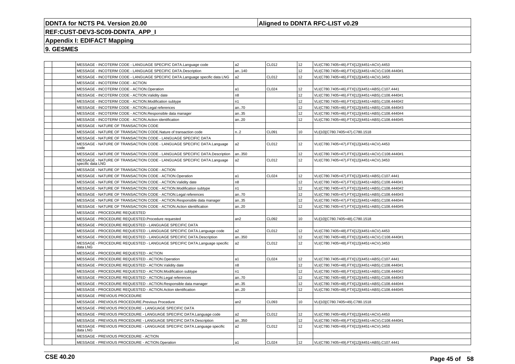### **Aligned to DDNTA RFC-LIST v0.29**

## **REF:CUST-DEV3-SC09-DDNTA\_APP\_I**

### **Appendix I: EDIFACT Mapping**

|  | MESSAGE - INCOTERM CODE - LANGUAGE SPECIFIC DATA.Language code                              | a2             | CL012        | 12 <sup>2</sup>  | VLI(C780.7405=46).FTX[12](4451=ACV).4453        |
|--|---------------------------------------------------------------------------------------------|----------------|--------------|------------------|-------------------------------------------------|
|  | MESSAGE - INCOTERM CODE - LANGUAGE SPECIFIC DATA.Description                                | an140          |              | 12 <sup>2</sup>  | VLI(C780.7405=46).FTX[12](4451=ACV).C108.4440#1 |
|  | MESSAGE - INCOTERM CODE - LANGUAGE SPECIFIC DATA.Language specific data LNG                 | a <sub>2</sub> | CL012        | 12 <sup>2</sup>  | VLI(C780.7405=46).FTX[12](4451=ACV).3453        |
|  | MESSAGE - INCOTERM CODE - ACTION                                                            |                |              |                  |                                                 |
|  | MESSAGE - INCOTERM CODE - ACTION.Operation                                                  | a1             | CL024        | 12 <sup>2</sup>  | VLI(C780.7405=46).FTX[12](4451=ABS).C107.4441   |
|  | MESSAGE - INCOTERM CODE - ACTION. Validity date                                             | n8             |              | 12               | VLI(C780.7405=46).FTX[12](4451=ABS).C108.4440#1 |
|  | MESSAGE - INCOTERM CODE - ACTION.Modification subtype                                       | n1             |              | 12               | VLI(C780.7405=46).FTX[12](4451=ABS).C108.4440#2 |
|  | MESSAGE - INCOTERM CODE - ACTION.Legal references                                           | an70           |              | 12 <sup>2</sup>  | VLI(C780.7405=46).FTX[12](4451=ABS).C108.4440#3 |
|  | MESSAGE - INCOTERM CODE - ACTION.Responsible data manager                                   | an35           |              | 12               | VLI(C780.7405=46).FTX[12](4451=ABS).C108.4440#4 |
|  | MESSAGE - INCOTERM CODE - ACTION.Action identification                                      | an.20          |              | 12               | VLI(C780.7405=46).FTX[12](4451=ABS).C108.4440#5 |
|  | MESSAGE - NATURE OF TRANSACTION CODE                                                        |                |              |                  |                                                 |
|  | MESSAGE - NATURE OF TRANSACTION CODE.Nature of transaction code                             | n.2            | CL091        | 10 <sup>10</sup> | VLI[10](C780.7405=47).C780.1518                 |
|  | MESSAGE - NATURE OF TRANSACTION CODE - LANGUAGE SPECIFIC DATA                               |                |              |                  |                                                 |
|  | MESSAGE - NATURE OF TRANSACTION CODE - LANGUAGE SPECIFIC DATA.Language<br>code              | a2             | CL012        | 12 <sup>2</sup>  | VLI(C780.7405=47).FTX[12](4451=ACV).4453        |
|  | MESSAGE - NATURE OF TRANSACTION CODE - LANGUAGE SPECIFIC DATA.Description                   | an350          |              | 12               | VLI(C780.7405=47).FTX[12](4451=ACV).C108.4440#1 |
|  | MESSAGE - NATURE OF TRANSACTION CODE - LANGUAGE SPECIFIC DATA.Language<br>specific data LNG | a2             | CL012        | 12               | VLI(C780.7405=47).FTX[12](4451=ACV).3453        |
|  | MESSAGE - NATURE OF TRANSACTION CODE - ACTION                                               |                |              |                  |                                                 |
|  | MESSAGE - NATURE OF TRANSACTION CODE - ACTION.Operation                                     | a1             | CL024        | 12               | VLI(C780.7405=47).FTX[12](4451=ABS).C107.4441   |
|  | MESSAGE - NATURE OF TRANSACTION CODE - ACTION. Validity date                                | n8             |              | 12               | VLI(C780.7405=47).FTX[12](4451=ABS).C108.4440#1 |
|  | MESSAGE - NATURE OF TRANSACTION CODE - ACTION.Modification subtype                          | n1             |              | 12               | VLI(C780.7405=47).FTX[12](4451=ABS).C108.4440#2 |
|  | MESSAGE - NATURE OF TRANSACTION CODE - ACTION.Legal references                              | an70           |              | 12               | VLI(C780.7405=47).FTX[12](4451=ABS).C108.4440#3 |
|  | MESSAGE - NATURE OF TRANSACTION CODE - ACTION.Responsible data manager                      | an35           |              | 12               | VLI(C780.7405=47).FTX[12](4451=ABS).C108.4440#4 |
|  | MESSAGE - NATURE OF TRANSACTION CODE - ACTION.Action identification                         | an.20          |              | 12               | VLI(C780.7405=47).FTX[12](4451=ABS).C108.4440#5 |
|  | MESSAGE - PROCEDURE REQUESTED                                                               |                |              |                  |                                                 |
|  | MESSAGE - PROCEDURE REQUESTED.Procedure requested                                           | an2            | CL092        | 10               | VLI[10](C780.7405=48).C780.1518                 |
|  | MESSAGE - PROCEDURE REQUESTED - LANGUAGE SPECIFIC DATA                                      |                |              |                  |                                                 |
|  | MESSAGE - PROCEDURE REQUESTED - LANGUAGE SPECIFIC DATA.Language code                        | a <sub>2</sub> | CL012        | 12               | VLI(C780.7405=48).FTX[12](4451=ACV).4453        |
|  | MESSAGE - PROCEDURE REQUESTED - LANGUAGE SPECIFIC DATA.Description                          | an350          |              | 12 <sup>2</sup>  | VLI(C780.7405=48).FTX[12](4451=ACV).C108.4440#1 |
|  | MESSAGE - PROCEDURE REQUESTED - LANGUAGE SPECIFIC DATA.Language specific<br>data LNG        | a <sub>2</sub> | CL012        | 12               | VLI(C780.7405=48).FTX[12](4451=ACV).3453        |
|  | MESSAGE - PROCEDURE REQUESTED - ACTION                                                      |                |              |                  |                                                 |
|  | MESSAGE - PROCEDURE REQUESTED - ACTION.Operation                                            | a1             | CL024        | 12               | VLI(C780.7405=48).FTX[12](4451=ABS).C107.4441   |
|  | MESSAGE - PROCEDURE REQUESTED - ACTION. Validity date                                       | n8             |              | 12               | VLI(C780.7405=48).FTX[12](4451=ABS).C108.4440#1 |
|  | MESSAGE - PROCEDURE REQUESTED - ACTION.Modification subtype                                 | n1             |              | 12               | VLI(C780.7405=48).FTX[12](4451=ABS).C108.4440#2 |
|  | MESSAGE - PROCEDURE REQUESTED - ACTION.Legal references                                     | an70           |              | 12 <sup>2</sup>  | VLI(C780.7405=48).FTX[12](4451=ABS).C108.4440#3 |
|  | MESSAGE - PROCEDURE REQUESTED - ACTION.Responsible data manager                             | an35           |              | 12 <sup>2</sup>  | VLI(C780.7405=48).FTX[12](4451=ABS).C108.4440#4 |
|  | MESSAGE - PROCEDURE REQUESTED - ACTION.Action identification                                | an20           |              | 12 <sup>2</sup>  | VLI(C780.7405=48).FTX[12](4451=ABS).C108.4440#5 |
|  | MESSAGE - PREVIOUS PROCEDURE                                                                |                |              |                  |                                                 |
|  | MESSAGE - PREVIOUS PROCEDURE.Previous Procedure                                             | an2            | CL093        | 10 <sup>10</sup> | VLI[10](C780.7405=49).C780.1518                 |
|  | MESSAGE - PREVIOUS PROCEDURE - LANGUAGE SPECIFIC DATA                                       |                |              |                  |                                                 |
|  | MESSAGE - PREVIOUS PROCEDURE - LANGUAGE SPECIFIC DATA.Language code                         | a2             | CL012        | 12               | VLI(C780.7405=49).FTX[12](4451=ACV).4453        |
|  | MESSAGE - PREVIOUS PROCEDURE - LANGUAGE SPECIFIC DATA.Description                           | an350          |              | 12 <sup>2</sup>  | VLI(C780.7405=49).FTX[12](4451=ACV).C108.4440#1 |
|  | MESSAGE - PREVIOUS PROCEDURE - LANGUAGE SPECIFIC DATA.Language specific<br>data LNG         | a2             | CL012        | 12               | VLI(C780.7405=49).FTX[12](4451=ACV).3453        |
|  | MESSAGE - PREVIOUS PROCEDURE - ACTION                                                       |                |              |                  |                                                 |
|  | MESSAGE - PREVIOUS PROCEDURE - ACTION.Operation                                             | a1             | <b>CL024</b> | 12               | VLI(C780.7405=49).FTX[12](4451=ABS).C107.4441   |
|  |                                                                                             |                |              |                  |                                                 |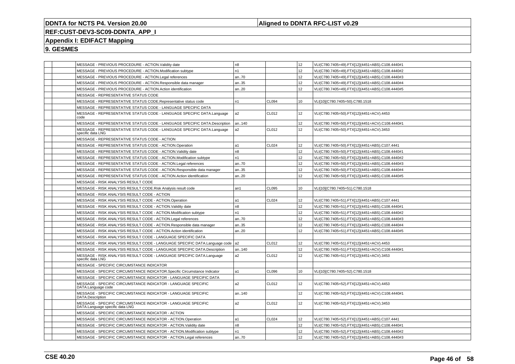### **Aligned to DDNTA RFC-LIST v0.29**

### **REF:CUST-DEV3-SC09-DDNTA\_APP\_I**

### **Appendix I: EDIFACT Mapping**

|  | MESSAGE - PREVIOUS PROCEDURE - ACTION. Validity date                                             | n8             |                   | 12               | VLI(C780.7405=49).FTX[12](4451=ABS).C108.4440#1 |
|--|--------------------------------------------------------------------------------------------------|----------------|-------------------|------------------|-------------------------------------------------|
|  | MESSAGE - PREVIOUS PROCEDURE - ACTION.Modification subtype                                       | n1             |                   | 12               | VLI(C780.7405=49).FTX[12](4451=ABS).C108.4440#2 |
|  | MESSAGE - PREVIOUS PROCEDURE - ACTION.Legal references                                           | an70           |                   | 12               | VLI(C780.7405=49).FTX[12](4451=ABS).C108.4440#3 |
|  | MESSAGE - PREVIOUS PROCEDURE - ACTION.Responsible data manager                                   | an35           |                   | 12               | VLI(C780.7405=49).FTX[12](4451=ABS).C108.4440#4 |
|  | MESSAGE - PREVIOUS PROCEDURE - ACTION.Action identification                                      | an20           |                   | 12               | VLI(C780.7405=49).FTX[12](4451=ABS).C108.4440#5 |
|  | MESSAGE - REPRESENTATIVE STATUS CODE                                                             |                |                   |                  |                                                 |
|  | MESSAGE - REPRESENTATIVE STATUS CODE.Representative status code                                  | n1             | CL094             | 10 <sup>10</sup> | VLI[10](C780.7405=50).C780.1518                 |
|  | MESSAGE - REPRESENTATIVE STATUS CODE - LANGUAGE SPECIFIC DATA                                    |                |                   |                  |                                                 |
|  | MESSAGE - REPRESENTATIVE STATUS CODE - LANGUAGE SPECIFIC DATA.Language<br>code                   | a2             | CL012             | 12               | VLI(C780.7405=50).FTX[12](4451=ACV).4453        |
|  | MESSAGE - REPRESENTATIVE STATUS CODE - LANGUAGE SPECIFIC DATA.Description                        | an140          |                   | 12               | VLI(C780.7405=50).FTX[12](4451=ACV).C108.4440#1 |
|  | MESSAGE - REPRESENTATIVE STATUS CODE - LANGUAGE SPECIFIC DATA.Language<br>specific data LNG      | a2             | CL012             | 12               | VLI(C780.7405=50).FTX[12](4451=ACV).3453        |
|  | MESSAGE - REPRESENTATIVE STATUS CODE - ACTION                                                    |                |                   |                  |                                                 |
|  | MESSAGE - REPRESENTATIVE STATUS CODE - ACTION.Operation                                          | a1             | CL <sub>024</sub> | 12               | VLI(C780.7405=50).FTX[12](4451=ABS).C107.4441   |
|  | MESSAGE - REPRESENTATIVE STATUS CODE - ACTION. Validity date                                     | n8             |                   | 12               | VLI(C780.7405=50).FTX[12](4451=ABS).C108.4440#1 |
|  | MESSAGE - REPRESENTATIVE STATUS CODE - ACTION.Modification subtype                               | n1             |                   | 12               | VLI(C780.7405=50).FTX[12](4451=ABS).C108.4440#2 |
|  | MESSAGE - REPRESENTATIVE STATUS CODE - ACTION.Legal references                                   | an70           |                   | 12               | VLI(C780.7405=50).FTX[12](4451=ABS).C108.4440#3 |
|  | MESSAGE - REPRESENTATIVE STATUS CODE - ACTION.Responsible data manager                           | an35           |                   | 12               | VLI(C780.7405=50).FTX[12](4451=ABS).C108.4440#4 |
|  | MESSAGE - REPRESENTATIVE STATUS CODE - ACTION.Action identification                              | an20           |                   | 12               | VLI(C780.7405=50).FTX[12](4451=ABS).C108.4440#5 |
|  | MESSAGE - RISK ANALYSIS RESULT CODE                                                              |                |                   |                  |                                                 |
|  | MESSAGE - RISK ANALYSIS RESULT CODE.Risk Analysis result code                                    | an1            | <b>CL095</b>      | 10               | VLI[10](C780.7405=51).C780.1518                 |
|  | MESSAGE - RISK ANALYSIS RESULT CODE - ACTION                                                     |                |                   |                  |                                                 |
|  | MESSAGE - RISK ANALYSIS RESULT CODE - ACTION.Operation                                           | a1             | CL024             | 12               | VLI(C780.7405=51).FTX[12](4451=ABS).C107.4441   |
|  | MESSAGE - RISK ANALYSIS RESULT CODE - ACTION. Validity date                                      | n8             |                   | 12 <sup>2</sup>  | VLI(C780.7405=51).FTX[12](4451=ABS).C108.4440#1 |
|  | MESSAGE - RISK ANALYSIS RESULT CODE - ACTION.Modification subtype                                | n1             |                   | 12               | VLI(C780.7405=51).FTX[12](4451=ABS).C108.4440#2 |
|  | MESSAGE - RISK ANALYSIS RESULT CODE - ACTION.Legal references                                    | an70           |                   | 12               | VLI(C780.7405=51).FTX[12](4451=ABS).C108.4440#3 |
|  | MESSAGE - RISK ANALYSIS RESULT CODE - ACTION.Responsible data manager                            | an35           |                   | 12               | VLI(C780.7405=51).FTX[12](4451=ABS).C108.4440#4 |
|  | MESSAGE - RISK ANALYSIS RESULT CODE - ACTION.Action identification                               | an20           |                   | 12               | VLI(C780.7405=51).FTX[12](4451=ABS).C108.4440#5 |
|  | MESSAGE - RISK ANALYSIS RESULT CODE - LANGUAGE SPECIFIC DATA                                     |                |                   |                  |                                                 |
|  | MESSAGE - RISK ANALYSIS RESULT CODE - LANGUAGE SPECIFIC DATA.Language code                       | a2             | CL012             | 12               | VLI(C780.7405=51).FTX[12](4451=ACV).4453        |
|  | MESSAGE - RISK ANALYSIS RESULT CODE - LANGUAGE SPECIFIC DATA.Description                         | an140          |                   | 12               | VLI(C780.7405=51).FTX[12](4451=ACV).C108.4440#1 |
|  | MESSAGE - RISK ANALYSIS RESULT CODE - LANGUAGE SPECIFIC DATA.Language<br>specific data LNG       | a2             | CL012             | 12               | VLI(C780.7405=51).FTX[12](4451=ACV).3453        |
|  | MESSAGE - SPECIFIC CIRCUMSTANCE INDICATOR                                                        |                |                   |                  |                                                 |
|  | MESSAGE - SPECIFIC CIRCUMSTANCE INDICATOR.Specific Circumstance Indicator                        | a1             | CL096             | 10               | VLI[10](C780.7405=52).C780.1518                 |
|  | MESSAGE - SPECIFIC CIRCUMSTANCE INDICATOR - LANGUAGE SPECIFIC DATA                               |                |                   |                  |                                                 |
|  | MESSAGE - SPECIFIC CIRCUMSTANCE INDICATOR - LANGUAGE SPECIFIC<br>DATA.Language code              | a2             | CL012             | 12               | VLI(C780.7405=52).FTX[12](4451=ACV).4453        |
|  | MESSAGE - SPECIFIC CIRCUMSTANCE INDICATOR - LANGUAGE SPECIFIC<br>DATA.Description                | an140          |                   | 12               | VLI(C780.7405=52).FTX[12](4451=ACV).C108.4440#1 |
|  | MESSAGE - SPECIFIC CIRCUMSTANCE INDICATOR - LANGUAGE SPECIFIC<br>DATA.Language specific data LNG | a2             | CL012             | 12               | VLI(C780.7405=52).FTX[12](4451=ACV).3453        |
|  | MESSAGE - SPECIFIC CIRCUMSTANCE INDICATOR - ACTION                                               |                |                   |                  |                                                 |
|  | MESSAGE - SPECIFIC CIRCUMSTANCE INDICATOR - ACTION.Operation                                     | a1             | CL024             | 12               | VLI(C780.7405=52).FTX[12](4451=ABS).C107.4441   |
|  | MESSAGE - SPECIFIC CIRCUMSTANCE INDICATOR - ACTION. Validity date                                | n <sub>8</sub> |                   | 12               | VLI(C780.7405=52).FTX[12](4451=ABS).C108.4440#1 |
|  | MESSAGE - SPECIFIC CIRCUMSTANCE INDICATOR - ACTION.Modification subtype                          | n1             |                   | 12 <sup>2</sup>  | VLI(C780.7405=52).FTX[12](4451=ABS).C108.4440#2 |
|  | MESSAGE - SPECIFIC CIRCUMSTANCE INDICATOR - ACTION.Legal references                              | an70           |                   | 12 <sup>2</sup>  | VLI(C780.7405=52).FTX[12](4451=ABS).C108.4440#3 |
|  |                                                                                                  |                |                   |                  |                                                 |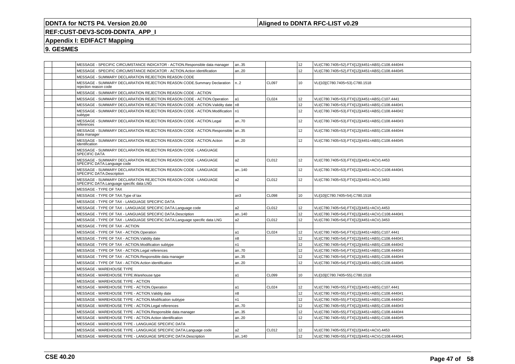### **Aligned to DDNTA RFC-LIST v0.29**

## **REF:CUST-DEV3-SC09-DDNTA\_APP\_I**

### **Appendix I: EDIFACT Mapping**

| MESSAGE - SPECIFIC CIRCUMSTANCE INDICATOR - ACTION.Responsible data manager                                | an35            |              | 12              | VLI(C780.7405=52).FTX[12](4451=ABS).C108.4440#4 |
|------------------------------------------------------------------------------------------------------------|-----------------|--------------|-----------------|-------------------------------------------------|
| MESSAGE - SPECIFIC CIRCUMSTANCE INDICATOR - ACTION.Action identification                                   | an20            |              | 12              | VLI(C780.7405=52).FTX[12](4451=ABS).C108.4440#5 |
| MESSAGE - SUMMARY DECLARATION REJECTION REASON CODE                                                        |                 |              |                 |                                                 |
| MESSAGE - SUMMARY DECLARATION REJECTION REASON CODE.Summary Declaration<br>rejection reason code           | n2              | <b>CL097</b> | 10              | VLI[10](C780.7405=53).C780.1518                 |
| MESSAGE - SUMMARY DECLARATION REJECTION REASON CODE - ACTION                                               |                 |              |                 |                                                 |
| MESSAGE - SUMMARY DECLARATION REJECTION REASON CODE - ACTION.Operation                                     | a1              | CL024        | 12              | VLI(C780.7405=53).FTX[12](4451=ABS).C107.4441   |
| MESSAGE - SUMMARY DECLARATION REJECTION REASON CODE - ACTION. Validity date   n8                           |                 |              | 12              | VLI(C780.7405=53).FTX[12](4451=ABS).C108.4440#1 |
| MESSAGE - SUMMARY DECLARATION REJECTION REASON CODE - ACTION.Modification<br>subtype                       | In1             |              | 12              | VLI(C780.7405=53).FTX[12](4451=ABS).C108.4440#2 |
| MESSAGE - SUMMARY DECLARATION REJECTION REASON CODE - ACTION.Legal<br>references                           | an70            |              | 12              | VLI(C780.7405=53).FTX[12](4451=ABS).C108.4440#3 |
| MESSAGE - SUMMARY DECLARATION REJECTION REASON CODE - ACTION.Responsible   an35<br>data manager            |                 |              | 12              | VLI(C780.7405=53).FTX[12](4451=ABS).C108.4440#4 |
| MESSAGE - SUMMARY DECLARATION REJECTION REASON CODE - ACTION. Action<br>identification                     | an20            |              | 12              | VLI(C780.7405=53).FTX[12](4451=ABS).C108.4440#5 |
| MESSAGE - SUMMARY DECLARATION REJECTION REASON CODE - LANGUAGE<br>SPECIFIC DATA                            |                 |              |                 |                                                 |
| MESSAGE - SUMMARY DECLARATION REJECTION REASON CODE - LANGUAGE<br>SPECIFIC DATA.Language code              | a2              | CL012        | 12              | VLI(C780.7405=53).FTX[12](4451=ACV).4453        |
| MESSAGE - SUMMARY DECLARATION REJECTION REASON CODE - LANGUAGE<br>SPECIFIC DATA.Description                | an140           |              | 12              | VLI(C780.7405=53).FTX[12](4451=ACV).C108.4440#1 |
| MESSAGE - SUMMARY DECLARATION REJECTION REASON CODE - LANGUAGE<br>SPECIFIC DATA.Language specific data LNG | a2              | CL012        | 12              | VLI(C780.7405=53).FTX[12](4451=ACV).3453        |
| MESSAGE - TYPE OF TAX                                                                                      |                 |              |                 |                                                 |
| MESSAGE - TYPE OF TAX. Type of tax                                                                         | an <sub>3</sub> | <b>CL098</b> | 10              | VLI[10](C780.7405=54).C780.1518                 |
| MESSAGE - TYPE OF TAX - LANGUAGE SPECIFIC DATA                                                             |                 |              |                 |                                                 |
| MESSAGE - TYPE OF TAX - LANGUAGE SPECIFIC DATA.Language code                                               | a2              | CL012        | 12              | VLI(C780.7405=54).FTX[12](4451=ACV).4453        |
| MESSAGE - TYPE OF TAX - LANGUAGE SPECIFIC DATA.Description                                                 | an140           |              | 12 <sup>°</sup> | VLI(C780.7405=54).FTX[12](4451=ACV).C108.4440#1 |
| MESSAGE - TYPE OF TAX - LANGUAGE SPECIFIC DATA.Language specific data LNG                                  | a <sub>2</sub>  | CL012        | 12              | VLI(C780.7405=54).FTX[12](4451=ACV).3453        |
| MESSAGE - TYPE OF TAX - ACTION                                                                             |                 |              |                 |                                                 |
| MESSAGE - TYPE OF TAX - ACTION.Operation                                                                   | a1              | <b>CL024</b> | 12              | VLI(C780.7405=54).FTX[12](4451=ABS).C107.4441   |
| MESSAGE - TYPE OF TAX - ACTION. Validity date                                                              | n <sub>8</sub>  |              | 12              | VLI(C780.7405=54).FTX[12](4451=ABS).C108.4440#1 |
| MESSAGE - TYPE OF TAX - ACTION.Modification subtype                                                        | n1              |              | 12              | VLI(C780.7405=54).FTX[12](4451=ABS).C108.4440#2 |
| MESSAGE - TYPE OF TAX - ACTION.Legal references                                                            | an70            |              | 12              | VLI(C780.7405=54).FTX[12](4451=ABS).C108.4440#3 |
| MESSAGE - TYPE OF TAX - ACTION.Responsible data manager                                                    | an35            |              | 12              | VLI(C780.7405=54).FTX[12](4451=ABS).C108.4440#4 |
| MESSAGE - TYPE OF TAX - ACTION.Action identification                                                       | an20            |              | 12              | VLI(C780.7405=54).FTX[12](4451=ABS).C108.4440#5 |
| MESSAGE - WAREHOUSE TYPE                                                                                   |                 |              |                 |                                                 |
| MESSAGE - WAREHOUSE TYPE.Warehouse type                                                                    | a1              | <b>CL099</b> | 10              | VLI[10](C780.7405=55).C780.1518                 |
| MESSAGE - WAREHOUSE TYPE - ACTION                                                                          |                 |              |                 |                                                 |
| MESSAGE - WAREHOUSE TYPE - ACTION.Operation                                                                | a1              | CL024        | 12              | VLI(C780.7405=55).FTX[12](4451=ABS).C107.4441   |
| MESSAGE - WAREHOUSE TYPE - ACTION. Validity date                                                           | n8              |              | 12              | VLI(C780.7405=55).FTX[12](4451=ABS).C108.4440#1 |
| MESSAGE - WAREHOUSE TYPE - ACTION.Modification subtype                                                     | n <sub>1</sub>  |              | 12              | VLI(C780.7405=55).FTX[12](4451=ABS).C108.4440#2 |
| MESSAGE - WAREHOUSE TYPE - ACTION.Legal references                                                         | an70            |              | 12              | VLI(C780.7405=55).FTX[12](4451=ABS).C108.4440#3 |
| MESSAGE - WAREHOUSE TYPE - ACTION.Responsible data manager                                                 | an35            |              | 12 <sup>2</sup> | VLI(C780.7405=55).FTX[12](4451=ABS).C108.4440#4 |
| MESSAGE - WAREHOUSE TYPE - ACTION.Action identification                                                    | an20            |              | 12              | VLI(C780.7405=55).FTX[12](4451=ABS).C108.4440#5 |
| MESSAGE - WAREHOUSE TYPE - LANGUAGE SPECIFIC DATA                                                          |                 |              |                 |                                                 |
| MESSAGE - WAREHOUSE TYPE - LANGUAGE SPECIFIC DATA.Language code                                            | a2              | <b>CL012</b> | 12 <sup>2</sup> | VLI(C780.7405=55).FTX[12](4451=ACV).4453        |
| MESSAGE - WAREHOUSE TYPE - LANGUAGE SPECIFIC DATA.Description                                              | an140           |              | 12              | VLI(C780.7405=55).FTX[12](4451=ACV).C108.4440#1 |
|                                                                                                            |                 |              |                 |                                                 |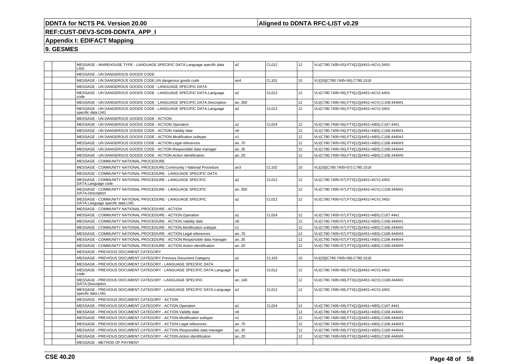### **Aligned to DDNTA RFC-LIST v0.29**

## **REF:CUST-DEV3-SC09-DDNTA\_APP\_I**

### **Appendix I: EDIFACT Mapping**

|  | MESSAGE - WAREHOUSE TYPE - LANGUAGE SPECIFIC DATA.Language specific data<br>LNG               | a2             | CL012 | 12              | VLI(C780.7405=55).FTX[12](4451=ACV).3453        |
|--|-----------------------------------------------------------------------------------------------|----------------|-------|-----------------|-------------------------------------------------|
|  | MESSAGE - UN DANGEROUS GOODS CODE                                                             |                |       |                 |                                                 |
|  | MESSAGE - UN DANGEROUS GOODS CODE.UN dangerous goods code                                     | an4            | CL101 | 10              | VLI[10](C780.7405=56).C780.1518                 |
|  | MESSAGE - UN DANGEROUS GOODS CODE - LANGUAGE SPECIFIC DATA                                    |                |       |                 |                                                 |
|  | MESSAGE - UN DANGEROUS GOODS CODE - LANGUAGE SPECIFIC DATA.Language<br>code                   | a2             | CL012 | 12              | VLI(C780.7405=56).FTX[12](4451=ACV).4453        |
|  | MESSAGE - UN DANGEROUS GOODS CODE - LANGUAGE SPECIFIC DATA.Description                        | an350          |       | 12              | VLI(C780.7405=56).FTX[12](4451=ACV).C108.4440#1 |
|  | MESSAGE - UN DANGEROUS GOODS CODE - LANGUAGE SPECIFIC DATA.Language<br>specific data LNG      | a2             | CL012 | 12              | VLI(C780.7405=56).FTX[12](4451=ACV).3453        |
|  | MESSAGE - UN DANGEROUS GOODS CODE - ACTION                                                    |                |       |                 |                                                 |
|  | MESSAGE - UN DANGEROUS GOODS CODE - ACTION.Operation                                          | a1             | CL024 | 12              | VLI(C780.7405=56).FTX[12](4451=ABS).C107.4441   |
|  | MESSAGE - UN DANGEROUS GOODS CODE - ACTION.Validity date                                      | n8             |       | 12              | VLI(C780.7405=56).FTX[12](4451=ABS).C108.4440#1 |
|  | MESSAGE - UN DANGEROUS GOODS CODE - ACTION.Modification subtype                               | n1             |       | 12              | VLI(C780.7405=56).FTX[12](4451=ABS).C108.4440#2 |
|  | MESSAGE - UN DANGEROUS GOODS CODE - ACTION.Legal references                                   | an.70          |       | 12              | VLI(C780.7405=56).FTX[12](4451=ABS).C108.4440#3 |
|  | MESSAGE - UN DANGEROUS GOODS CODE - ACTION.Responsible data manager                           | an35           |       | 12 <sup>2</sup> | VLI(C780.7405=56).FTX[12](4451=ABS).C108.4440#4 |
|  | MESSAGE - UN DANGEROUS GOODS CODE - ACTION.Action identification                              | an.20          |       | 12              | VLI(C780.7405=56).FTX[12](4451=ABS).C108.4440#5 |
|  | MESSAGE - COMMUNITY NATIONAL PROCEDURE                                                        |                |       |                 |                                                 |
|  | MESSAGE - COMMUNITY NATIONAL PROCEDURE.Community / National Procedure                         | an3            | CL102 | 10              | VLI[10](C780.7405=57).C780.1518                 |
|  | MESSAGE - COMMUNITY NATIONAL PROCEDURE - LANGUAGE SPECIFIC DATA                               |                |       |                 |                                                 |
|  | MESSAGE - COMMUNITY NATIONAL PROCEDURE - LANGUAGE SPECIFIC<br>DATA.Language code              | a2             | CL012 | 12              | VLI(C780.7405=57).FTX[12](4451=ACV).4453        |
|  | MESSAGE - COMMUNITY NATIONAL PROCEDURE - LANGUAGE SPECIFIC<br>DATA.Description                | an350          |       | 12 <sup>2</sup> | VLI(C780.7405=57).FTX[12](4451=ACV).C108.4440#1 |
|  | MESSAGE - COMMUNITY NATIONAL PROCEDURE - LANGUAGE SPECIFIC<br>DATA.Language specific data LNG | a2             | CL012 | 12              | VLI(C780.7405=57).FTX[12](4451=ACV).3453        |
|  | MESSAGE - COMMUNITY NATIONAL PROCEDURE - ACTION                                               |                |       |                 |                                                 |
|  | MESSAGE - COMMUNITY NATIONAL PROCEDURE - ACTION.Operation                                     | a1             | CL024 | 12              | VLI(C780.7405=57).FTX[12](4451=ABS).C107.4441   |
|  | MESSAGE - COMMUNITY NATIONAL PROCEDURE - ACTION. Validity date                                | n8             |       | 12              | VLI(C780.7405=57).FTX[12](4451=ABS).C108.4440#1 |
|  | MESSAGE - COMMUNITY NATIONAL PROCEDURE - ACTION.Modification subtype                          | n1             |       | 12              | VLI(C780.7405=57).FTX[12](4451=ABS).C108.4440#2 |
|  | MESSAGE - COMMUNITY NATIONAL PROCEDURE - ACTION.Legal references                              | an70           |       | 12              | VLI(C780.7405=57).FTX[12](4451=ABS).C108.4440#3 |
|  | MESSAGE - COMMUNITY NATIONAL PROCEDURE - ACTION.Responsible data manager                      | an35           |       | 12              | VLI(C780.7405=57).FTX[12](4451=ABS).C108.4440#4 |
|  | MESSAGE - COMMUNITY NATIONAL PROCEDURE - ACTION.Action identification                         | an20           |       | 12              | VLI(C780.7405=57).FTX[12](4451=ABS).C108.4440#5 |
|  | MESSAGE - PREVIOUS DOCUMENT CATEGORY                                                          |                |       |                 |                                                 |
|  | MESSAGE - PREVIOUS DOCUMENT CATEGORY.Previous Document Category                               | a1             | CL103 | 10              | VLI[10](C780.7405=58).C780.1518                 |
|  | MESSAGE - PREVIOUS DOCUMENT CATEGORY - LANGUAGE SPECIFIC DATA                                 |                |       |                 |                                                 |
|  | MESSAGE - PREVIOUS DOCUMENT CATEGORY - LANGUAGE SPECIFIC DATA.Language<br>code                | a <sub>2</sub> | CL012 | 12              | VLI(C780.7405=58).FTX[12](4451=ACV).4453        |
|  | MESSAGE - PREVIOUS DOCUMENT CATEGORY - LANGUAGE SPECIFIC<br>DATA.Description                  | an140          |       | 12 <sup>2</sup> | VLI(C780.7405=58).FTX[12](4451=ACV).C108.4440#1 |
|  | MESSAGE - PREVIOUS DOCUMENT CATEGORY - LANGUAGE SPECIFIC DATA.Language<br>specific data LNG   | l a2           | CL012 | 12              | VLI(C780.7405=58).FTX[12](4451=ACV).3453        |
|  | MESSAGE - PREVIOUS DOCUMENT CATEGORY - ACTION                                                 |                |       |                 |                                                 |
|  | MESSAGE - PREVIOUS DOCUMENT CATEGORY - ACTION.Operation                                       | a1             | CL024 | 12              | VLI(C780.7405=58).FTX[12](4451=ABS).C107.4441   |
|  | MESSAGE - PREVIOUS DOCUMENT CATEGORY - ACTION. Validity date                                  | n8             |       | 12 <sup>2</sup> | VLI(C780.7405=58).FTX[12](4451=ABS).C108.4440#1 |
|  | MESSAGE - PREVIOUS DOCUMENT CATEGORY - ACTION.Modification subtype                            | n1             |       | 12              | VLI(C780.7405=58).FTX[12](4451=ABS).C108.4440#2 |
|  | MESSAGE - PREVIOUS DOCUMENT CATEGORY - ACTION.Legal references                                | an70           |       | 12 <sup>2</sup> | VLI(C780.7405=58).FTX[12](4451=ABS).C108.4440#3 |
|  | MESSAGE - PREVIOUS DOCUMENT CATEGORY - ACTION.Responsible data manager                        | an35           |       | 12              | VLI(C780.7405=58).FTX[12](4451=ABS).C108.4440#4 |
|  | MESSAGE - PREVIOUS DOCUMENT CATEGORY - ACTION.Action identification                           | an20           |       | 12              | VLI(C780.7405=58).FTX[12](4451=ABS).C108.4440#5 |
|  | MESSAGE - METHOD OF PAYMENT                                                                   |                |       |                 |                                                 |
|  |                                                                                               |                |       |                 |                                                 |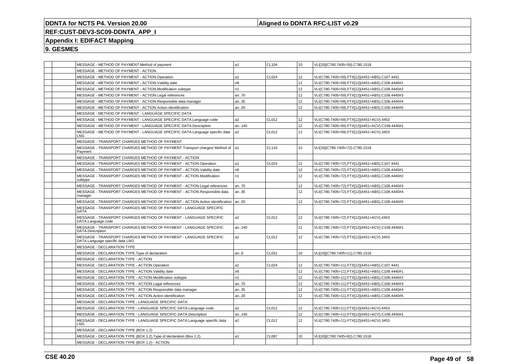### **Aligned to DDNTA RFC-LIST v0.29**

## **REF:CUST-DEV3-SC09-DDNTA\_APP\_I**

### **Appendix I: EDIFACT Mapping**

|  | MESSAGE - METHOD OF PAYMENT.Method of payment                                                        | a1             | CL104        | 10               | VLI[10](C780.7405=59).C780.1518                 |
|--|------------------------------------------------------------------------------------------------------|----------------|--------------|------------------|-------------------------------------------------|
|  | MESSAGE - METHOD OF PAYMENT - ACTION                                                                 |                |              |                  |                                                 |
|  | MESSAGE - METHOD OF PAYMENT - ACTION.Operation                                                       | a1             | CL024        | 12               | VLI(C780.7405=59).FTX[12](4451=ABS).C107.4441   |
|  | MESSAGE - METHOD OF PAYMENT - ACTION. Validity date                                                  | n <sub>8</sub> |              | 12 <sup>2</sup>  | VLI(C780.7405=59).FTX[12](4451=ABS).C108.4440#1 |
|  | MESSAGE - METHOD OF PAYMENT - ACTION.Modification subtype                                            | n1             |              | 12 <sup>2</sup>  | VLI(C780.7405=59).FTX[12](4451=ABS).C108.4440#2 |
|  | MESSAGE - METHOD OF PAYMENT - ACTION.Legal references                                                | an70           |              | 12               | VLI(C780.7405=59).FTX[12](4451=ABS).C108.4440#3 |
|  | MESSAGE - METHOD OF PAYMENT - ACTION.Responsible data manager                                        | an35           |              | 12               | VLI(C780.7405=59).FTX[12](4451=ABS).C108.4440#4 |
|  | MESSAGE - METHOD OF PAYMENT - ACTION.Action identification                                           | an20           |              | 12 <sup>2</sup>  | VLI(C780.7405=59).FTX[12](4451=ABS).C108.4440#5 |
|  | MESSAGE - METHOD OF PAYMENT - LANGUAGE SPECIFIC DATA                                                 |                |              |                  |                                                 |
|  | MESSAGE - METHOD OF PAYMENT - LANGUAGE SPECIFIC DATA.Language code                                   | a2             | CL012        | 12 <sup>2</sup>  | VLI(C780.7405=59).FTX[12](4451=ACV).4453        |
|  | MESSAGE - METHOD OF PAYMENT - LANGUAGE SPECIFIC DATA.Description                                     | an140          |              | 12 <sup>2</sup>  | VLI(C780.7405=59).FTX[12](4451=ACV).C108.4440#1 |
|  | MESSAGE - METHOD OF PAYMENT - LANGUAGE SPECIFIC DATA.Language specific data<br><b>LNG</b>            | a <sub>2</sub> | CL012        | 12               | VLI(C780.7405=59).FTX[12](4451=ACV).3453        |
|  | MESSAGE - TRANSPORT CHARGES METHOD OF PAYMENT                                                        |                |              |                  |                                                 |
|  | MESSAGE - TRANSPORT CHARGES METHOD OF PAYMENT. Transport charges/ Method of a1<br>Payment            |                | CL116        | 10               | VLI[10](C780.7405=72).C780.1518                 |
|  | MESSAGE - TRANSPORT CHARGES METHOD OF PAYMENT - ACTION                                               |                |              |                  |                                                 |
|  | MESSAGE - TRANSPORT CHARGES METHOD OF PAYMENT - ACTION.Operation                                     | a1             | CL024        | 12 <sup>2</sup>  | VLI(C780.7405=72).FTX[12](4451=ABS).C107.4441   |
|  | MESSAGE - TRANSPORT CHARGES METHOD OF PAYMENT - ACTION. Validity date                                | n8             |              | 12               | VLI(C780.7405=72).FTX[12](4451=ABS).C108.4440#1 |
|  | MESSAGE - TRANSPORT CHARGES METHOD OF PAYMENT - ACTION.Modification<br>subtype                       | n <sub>1</sub> |              | 12               | VLI(C780.7405=72).FTX[12](4451=ABS).C108.4440#2 |
|  | MESSAGE - TRANSPORT CHARGES METHOD OF PAYMENT - ACTION. Legal references                             | an70           |              | 12 <sup>2</sup>  | VLI(C780.7405=72).FTX[12](4451=ABS).C108.4440#3 |
|  | MESSAGE - TRANSPORT CHARGES METHOD OF PAYMENT - ACTION.Responsible data<br>manager                   | an35           |              | 12 <sup>2</sup>  | VLI(C780.7405=72).FTX[12](4451=ABS).C108.4440#4 |
|  | MESSAGE - TRANSPORT CHARGES METHOD OF PAYMENT - ACTION.Action identification                         | an20           |              | 12 <sup>2</sup>  | VLI(C780.7405=72).FTX[12](4451=ABS).C108.4440#5 |
|  | MESSAGE - TRANSPORT CHARGES METHOD OF PAYMENT - LANGUAGE SPECIFIC<br><b>DATA</b>                     |                |              |                  |                                                 |
|  | MESSAGE - TRANSPORT CHARGES METHOD OF PAYMENT - LANGUAGE SPECIFIC<br>DATA.Language code              | a2             | <b>CL012</b> | 12 <sup>2</sup>  | VLI(C780.7405=72).FTX[12](4451=ACV).4453        |
|  | MESSAGE - TRANSPORT CHARGES METHOD OF PAYMENT - LANGUAGE SPECIFIC<br>DATA.Description                | an140          |              | 12 <sup>2</sup>  | VLI(C780.7405=72).FTX[12](4451=ACV).C108.4440#1 |
|  | MESSAGE - TRANSPORT CHARGES METHOD OF PAYMENT - LANGUAGE SPECIFIC<br>DATA.Language specific data LNG | a <sub>2</sub> | CL012        | 12               | VLI(C780.7405=72).FTX[12](4451=ACV).3453        |
|  | MESSAGE - DECLARATION TYPE                                                                           |                |              |                  |                                                 |
|  | MESSAGE - DECLARATION TYPE. Type of declaration                                                      | an9            | CL031        | 10               | VLI[10](C780.7405=11).C780.1518                 |
|  | MESSAGE - DECLARATION TYPE - ACTION                                                                  |                |              |                  |                                                 |
|  | MESSAGE - DECLARATION TYPE - ACTION.Operation                                                        | a1             | CL024        | 12               | VLI(C780.7405=11).FTX[12](4451=ABS).C107.4441   |
|  | MESSAGE - DECLARATION TYPE - ACTION. Validity date                                                   | n8             |              | 12               | VLI(C780.7405=11).FTX[12](4451=ABS).C108.4440#1 |
|  | MESSAGE - DECLARATION TYPE - ACTION.Modification subtype                                             | n1             |              | 12               | VLI(C780.7405=11).FTX[12](4451=ABS).C108.4440#2 |
|  | MESSAGE - DECLARATION TYPE - ACTION.Legal references                                                 | an70           |              | 12               | VLI(C780.7405=11).FTX[12](4451=ABS).C108.4440#3 |
|  | MESSAGE - DECLARATION TYPE - ACTION.Responsible data manager                                         | an35           |              | 12               | VLI(C780.7405=11).FTX[12](4451=ABS).C108.4440#4 |
|  | MESSAGE - DECLARATION TYPE - ACTION.Action identification                                            | an.20          |              | 12               | VLI(C780.7405=11).FTX[12](4451=ABS).C108.4440#5 |
|  | MESSAGE - DECLARATION TYPE - LANGUAGE SPECIFIC DATA                                                  |                |              |                  |                                                 |
|  | MESSAGE - DECLARATION TYPE - LANGUAGE SPECIFIC DATA.Language code                                    | a <sub>2</sub> | <b>CL012</b> | 12 <sup>2</sup>  | VLI(C780.7405=11).FTX[12](4451=ACV).4453        |
|  | MESSAGE - DECLARATION TYPE - LANGUAGE SPECIFIC DATA.Description                                      | an140          |              | 12 <sup>2</sup>  | VLI(C780.7405=11).FTX[12](4451=ACV).C108.4440#1 |
|  | MESSAGE - DECLARATION TYPE - LANGUAGE SPECIFIC DATA.Language specific data<br>LNG                    | a2             | CL012        | 12 <sup>2</sup>  | VLI(C780.7405=11).FTX[12](4451=ACV).3453        |
|  | MESSAGE - DECLARATION TYPE (BOX 1.2)                                                                 |                |              |                  |                                                 |
|  | MESSAGE - DECLARATION TYPE (BOX 1.2). Type of declaration (Box 1.2)                                  | a1             | <b>CL087</b> | 10 <sup>10</sup> | VLI[10](C780.7405=82).C780.1518                 |
|  | MESSAGE - DECLARATION TYPE (BOX 1.2) - ACTION                                                        |                |              |                  |                                                 |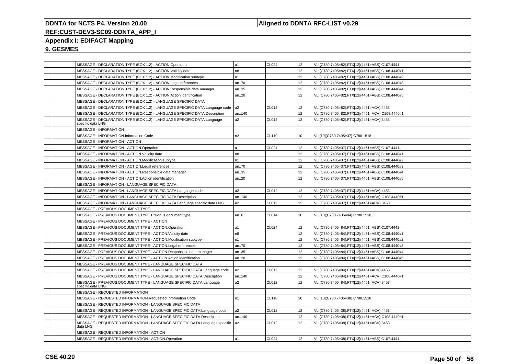### **Aligned to DDNTA RFC-LIST v0.29**

### **REF:CUST-DEV3-SC09-DDNTA\_APP\_I**

### **Appendix I: EDIFACT Mapping**

| MESSAGE - DECLARATION TYPE (BOX 1.2) - ACTION.Operation                                     | la1            | <b>CL024</b> | 12 | VLI(C780.7405=82).FTX[12](4451=ABS).C107.4441   |
|---------------------------------------------------------------------------------------------|----------------|--------------|----|-------------------------------------------------|
| MESSAGE - DECLARATION TYPE (BOX 1.2) - ACTION. Validity date                                | n8             |              | 12 | VLI(C780.7405=82).FTX[12](4451=ABS).C108.4440#1 |
| MESSAGE - DECLARATION TYPE (BOX 1.2) - ACTION.Modification subtype                          | n1             |              | 12 | VLI(C780.7405=82).FTX[12](4451=ABS).C108.4440#2 |
| MESSAGE - DECLARATION TYPE (BOX 1.2) - ACTION.Legal references                              | an70           |              | 12 | VLI(C780.7405=82).FTX[12](4451=ABS).C108.4440#3 |
| MESSAGE - DECLARATION TYPE (BOX 1.2) - ACTION.Responsible data manager                      | an35           |              | 12 | VLI(C780.7405=82).FTX[12](4451=ABS).C108.4440#4 |
| MESSAGE - DECLARATION TYPE (BOX 1.2) - ACTION.Action identification                         | an20           |              | 12 | VLI(C780.7405=82).FTX[12](4451=ABS).C108.4440#5 |
| MESSAGE - DECLARATION TYPE (BOX 1.2) - LANGUAGE SPECIFIC DATA                               |                |              |    |                                                 |
| MESSAGE - DECLARATION TYPE (BOX 1.2) - LANGUAGE SPECIFIC DATA.Language code                 | a <sub>2</sub> | CL012        | 12 | VLI(C780.7405=82).FTX[12](4451=ACV).4453        |
| MESSAGE - DECLARATION TYPE (BOX 1.2) - LANGUAGE SPECIFIC DATA.Description                   | an140          |              | 12 | VLI(C780.7405=82).FTX[12](4451=ACV).C108.4440#1 |
| MESSAGE - DECLARATION TYPE (BOX 1.2) - LANGUAGE SPECIFIC DATA.Language<br>specific data LNG | a <sub>2</sub> | CL012        | 12 | VLI(C780.7405=82).FTX[12](4451=ACV).3453        |
| <b>MESSAGE - INFORMATION</b>                                                                |                |              |    |                                                 |
| <b>MESSAGE - INFORMATION.Information Code</b>                                               | n <sub>2</sub> | CL119        | 10 | VLI[10](C780.7405=37).C780.1518                 |
| MESSAGE - INFORMATION - ACTION                                                              |                |              |    |                                                 |
| MESSAGE - INFORMATION - ACTION.Operation                                                    | a1             | CL024        | 12 | VLI(C780.7405=37).FTX[12](4451=ABS).C107.4441   |
| MESSAGE - INFORMATION - ACTION. Validity date                                               | n8             |              | 12 | VLI(C780.7405=37).FTX[12](4451=ABS).C108.4440#1 |
| MESSAGE - INFORMATION - ACTION.Modification subtype                                         | n1             |              | 12 | VLI(C780.7405=37).FTX[12](4451=ABS).C108.4440#2 |
| MESSAGE - INFORMATION - ACTION.Legal references                                             | an70           |              | 12 | VLI(C780.7405=37).FTX[12](4451=ABS).C108.4440#3 |
| MESSAGE - INFORMATION - ACTION.Responsible data manager                                     | an35           |              | 12 | VLI(C780.7405=37).FTX[12](4451=ABS).C108.4440#4 |
| MESSAGE - INFORMATION - ACTION.Action identification                                        | an20           |              | 12 | VLI(C780.7405=37).FTX[12](4451=ABS).C108.4440#5 |
| MESSAGE - INFORMATION - LANGUAGE SPECIFIC DATA                                              |                |              |    |                                                 |
| MESSAGE - INFORMATION - LANGUAGE SPECIFIC DATA.Language code                                | a2             | CL012        | 12 | VLI(C780.7405=37).FTX[12](4451=ACV).4453        |
| MESSAGE - INFORMATION - LANGUAGE SPECIFIC DATA.Description                                  | an140          |              | 12 | VLI(C780.7405=37).FTX[12](4451=ACV).C108.4440#1 |
| MESSAGE - INFORMATION - LANGUAGE SPECIFIC DATA.Language specific data LNG                   | a2             | CL012        | 12 | VLI(C780.7405=37).FTX[12](4451=ACV).3453        |
| MESSAGE - PREVIOUS DOCUMENT TYPE                                                            |                |              |    |                                                 |
| MESSAGE - PREVIOUS DOCUMENT TYPE. Previous document type                                    | an6            | CL014        | 10 | VLI[10](C780.7405=84).C780.1518                 |
| MESSAGE - PREVIOUS DOCUMENT TYPE - ACTION                                                   |                |              |    |                                                 |
| MESSAGE - PREVIOUS DOCUMENT TYPE - ACTION.Operation                                         | а1             | CL024        | 12 | VLI(C780.7405=84).FTX[12](4451=ABS).C107.4441   |
| MESSAGE - PREVIOUS DOCUMENT TYPE - ACTION. Validity date                                    | n8             |              | 12 | VLI(C780.7405=84).FTX[12](4451=ABS).C108.4440#1 |
| MESSAGE - PREVIOUS DOCUMENT TYPE - ACTION.Modification subtype                              | n1             |              | 12 | VLI(C780.7405=84).FTX[12](4451=ABS).C108.4440#2 |
| MESSAGE - PREVIOUS DOCUMENT TYPE - ACTION.Legal references                                  | an70           |              | 12 | VLI(C780.7405=84).FTX[12](4451=ABS).C108.4440#3 |
| MESSAGE - PREVIOUS DOCUMENT TYPE - ACTION.Responsible data manager                          | an35           |              | 12 | VLI(C780.7405=84).FTX[12](4451=ABS).C108.4440#4 |
| MESSAGE - PREVIOUS DOCUMENT TYPE - ACTION.Action identification                             | an20           |              | 12 | VLI(C780.7405=84).FTX[12](4451=ABS).C108.4440#5 |
| MESSAGE - PREVIOUS DOCUMENT TYPE - LANGUAGE SPECIFIC DATA                                   |                |              |    |                                                 |
| MESSAGE - PREVIOUS DOCUMENT TYPE - LANGUAGE SPECIFIC DATA.Language code                     | a2             | CL012        | 12 | VLI(C780.7405=84).FTX[12](4451=ACV).4453        |
| MESSAGE - PREVIOUS DOCUMENT TYPE - LANGUAGE SPECIFIC DATA.Description                       | an140          |              | 12 | VLI(C780.7405=84).FTX[12](4451=ACV).C108.4440#1 |
| MESSAGE - PREVIOUS DOCUMENT TYPE - LANGUAGE SPECIFIC DATA.Language<br>specific data LNG     | a2             | CL012        | 12 | VLI(C780.7405=84).FTX[12](4451=ACV).3453        |
| MESSAGE - REQUESTED INFORMATION                                                             |                |              |    |                                                 |
| MESSAGE - REQUESTED INFORMATION.Requested Information Code                                  | n <sub>1</sub> | CL118        | 10 | VLI[10](C780.7405=38).C780.1518                 |
| MESSAGE - REQUESTED INFORMATION - LANGUAGE SPECIFIC DATA                                    |                |              |    |                                                 |
| MESSAGE - REQUESTED INFORMATION - LANGUAGE SPECIFIC DATA.Language code                      | a2             | CL012        | 12 | VLI(C780.7405=38).FTX[12](4451=ACV).4453        |
| MESSAGE - REQUESTED INFORMATION - LANGUAGE SPECIFIC DATA.Description                        | an140          |              | 12 | VLI(C780.7405=38).FTX[12](4451=ACV).C108.4440#1 |
| MESSAGE - REQUESTED INFORMATION - LANGUAGE SPECIFIC DATA.Language specific<br>data LNG      | a <sub>2</sub> | CL012        | 12 | VLI(C780.7405=38).FTX[12](4451=ACV).3453        |
| MESSAGE - REQUESTED INFORMATION - ACTION                                                    |                |              |    |                                                 |
| MESSAGE - REQUESTED INFORMATION - ACTION.Operation                                          | a1             | CL024        | 12 | VLI(C780.7405=38).FTX[12](4451=ABS).C107.4441   |
|                                                                                             |                |              |    |                                                 |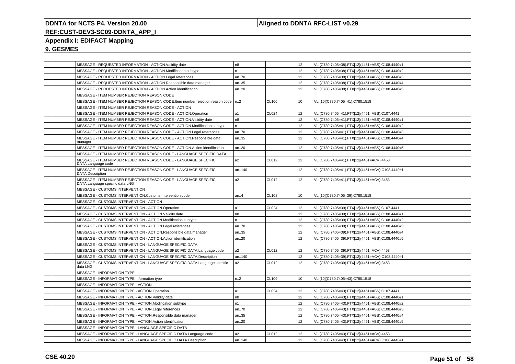### **Aligned to DDNTA RFC-LIST v0.29**

### **REF:CUST-DEV3-SC09-DDNTA\_APP\_I**

### **Appendix I: EDIFACT Mapping**

|  | MESSAGE - REQUESTED INFORMATION - ACTION. Validity date                                            | n8             |       | 12              | VLI(C780.7405=38).FTX[12](4451=ABS).C108.4440#1 |
|--|----------------------------------------------------------------------------------------------------|----------------|-------|-----------------|-------------------------------------------------|
|  | MESSAGE - REQUESTED INFORMATION - ACTION.Modification subtype                                      | n1             |       | 12              | VLI(C780.7405=38).FTX[12](4451=ABS).C108.4440#2 |
|  | MESSAGE - REQUESTED INFORMATION - ACTION.Legal references                                          | an70           |       | 12              | VLI(C780.7405=38).FTX[12](4451=ABS).C108.4440#3 |
|  | MESSAGE - REQUESTED INFORMATION - ACTION.Responsible data manager                                  | an35           |       | 12              | VLI(C780.7405=38).FTX[12](4451=ABS).C108.4440#4 |
|  | MESSAGE - REQUESTED INFORMATION - ACTION.Action identification                                     | an20           |       | 12 <sup>2</sup> | VLI(C780.7405=38).FTX[12](4451=ABS).C108.4440#5 |
|  | MESSAGE - ITEM NUMBER REJECTION REASON CODE                                                        |                |       |                 |                                                 |
|  | MESSAGE - ITEM NUMBER REJECTION REASON CODE. Item number rejection reason code   n2                |                | CL106 | 10              | VLI[10](C780.7405=41).C780.1518                 |
|  | MESSAGE - ITEM NUMBER REJECTION REASON CODE - ACTION                                               |                |       |                 |                                                 |
|  | MESSAGE - ITEM NUMBER REJECTION REASON CODE - ACTION.Operation                                     | a1             | CL024 | 12              | VLI(C780.7405=41).FTX[12](4451=ABS).C107.4441   |
|  | MESSAGE - ITEM NUMBER REJECTION REASON CODE - ACTION.Validity date                                 | n8             |       | 12              | VLI(C780.7405=41).FTX[12](4451=ABS).C108.4440#1 |
|  | MESSAGE - ITEM NUMBER REJECTION REASON CODE - ACTION.Modification subtype                          | n1             |       | 12              | VLI(C780.7405=41).FTX[12](4451=ABS).C108.4440#2 |
|  | MESSAGE - ITEM NUMBER REJECTION REASON CODE - ACTION.Legal references                              | an70           |       | 12              | VLI(C780.7405=41).FTX[12](4451=ABS).C108.4440#3 |
|  | MESSAGE - ITEM NUMBER REJECTION REASON CODE - ACTION.Responsible data<br>manager                   | an35           |       | 12              | VLI(C780.7405=41).FTX[12](4451=ABS).C108.4440#4 |
|  | MESSAGE - ITEM NUMBER REJECTION REASON CODE - ACTION.Action identification                         | an20           |       | 12 <sup>2</sup> | VLI(C780.7405=41).FTX[12](4451=ABS).C108.4440#5 |
|  | MESSAGE - ITEM NUMBER REJECTION REASON CODE - LANGUAGE SPECIFIC DATA                               |                |       |                 |                                                 |
|  | MESSAGE - ITEM NUMBER REJECTION REASON CODE - LANGUAGE SPECIFIC<br>DATA.Language code              | a2             | CL012 | 12              | VLI(C780.7405=41).FTX[12](4451=ACV).4453        |
|  | MESSAGE - ITEM NUMBER REJECTION REASON CODE - LANGUAGE SPECIFIC<br>DATA.Description                | an140          |       | 12              | VLI(C780.7405=41).FTX[12](4451=ACV).C108.4440#1 |
|  | MESSAGE - ITEM NUMBER REJECTION REASON CODE - LANGUAGE SPECIFIC<br>DATA.Language specific data LNG | a2             | CL012 | 12              | VLI(C780.7405=41).FTX[12](4451=ACV).3453        |
|  | MESSAGE - CUSTOMS INTERVENTION                                                                     |                |       |                 |                                                 |
|  | MESSAGE - CUSTOMS INTERVENTION.Customs Intervention code                                           | an.4           | CL108 | 10              | VLI[10](C780.7405=39).C780.1518                 |
|  | MESSAGE - CUSTOMS INTERVENTION - ACTION                                                            |                |       |                 |                                                 |
|  | MESSAGE - CUSTOMS INTERVENTION - ACTION.Operation                                                  | a1             | CL024 | 12              | VLI(C780.7405=39).FTX[12](4451=ABS).C107.4441   |
|  | MESSAGE - CUSTOMS INTERVENTION - ACTION. Validity date                                             | n8             |       | 12              | VLI(C780.7405=39).FTX[12](4451=ABS).C108.4440#1 |
|  | MESSAGE - CUSTOMS INTERVENTION - ACTION.Modification subtype                                       | n1             |       | 12              | VLI(C780.7405=39).FTX[12](4451=ABS).C108.4440#2 |
|  | MESSAGE - CUSTOMS INTERVENTION - ACTION.Legal references                                           | an70           |       | 12              | VLI(C780.7405=39).FTX[12](4451=ABS).C108.4440#3 |
|  | MESSAGE - CUSTOMS INTERVENTION - ACTION.Responsible data manager                                   | an35           |       | 12              | VLI(C780.7405=39).FTX[12](4451=ABS).C108.4440#4 |
|  | MESSAGE - CUSTOMS INTERVENTION - ACTION.Action identification                                      | an.20          |       | 12 <sup>2</sup> | VLI(C780.7405=39).FTX[12](4451=ABS).C108.4440#5 |
|  | MESSAGE - CUSTOMS INTERVENTION - LANGUAGE SPECIFIC DATA                                            |                |       |                 |                                                 |
|  | MESSAGE - CUSTOMS INTERVENTION - LANGUAGE SPECIFIC DATA.Language code                              | a2             | CL012 | 12              | VLI(C780.7405=39).FTX[12](4451=ACV).4453        |
|  | MESSAGE - CUSTOMS INTERVENTION - LANGUAGE SPECIFIC DATA.Description                                | an140          |       | 12              | VLI(C780.7405=39).FTX[12](4451=ACV).C108.4440#1 |
|  | MESSAGE - CUSTOMS INTERVENTION - LANGUAGE SPECIFIC DATA.Language specific<br>data LNG              | a2             | CL012 | 12              | VLI(C780.7405=39).FTX[12](4451=ACV).3453        |
|  | <b>MESSAGE - INFORMATION TYPE</b>                                                                  |                |       |                 |                                                 |
|  | MESSAGE - INFORMATION TYPE.Information type                                                        | n2             | CL109 | 10              | VLI[10](C780.7405=43).C780.1518                 |
|  | MESSAGE - INFORMATION TYPE - ACTION                                                                |                |       |                 |                                                 |
|  | MESSAGE - INFORMATION TYPE - ACTION.Operation                                                      | a1             | CL024 | 12              | VLI(C780.7405=43).FTX[12](4451=ABS).C107.4441   |
|  | MESSAGE - INFORMATION TYPE - ACTION. Validity date                                                 | n <sub>8</sub> |       | 12              | VLI(C780.7405=43).FTX[12](4451=ABS).C108.4440#1 |
|  | MESSAGE - INFORMATION TYPE - ACTION.Modification subtype                                           | n1             |       | 12              | VLI(C780.7405=43).FTX[12](4451=ABS).C108.4440#2 |
|  | MESSAGE - INFORMATION TYPE - ACTION.Legal references                                               | an70           |       | 12              | VLI(C780.7405=43).FTX[12](4451=ABS).C108.4440#3 |
|  | MESSAGE - INFORMATION TYPE - ACTION.Responsible data manager                                       | an35           |       | 12              | VLI(C780.7405=43).FTX[12](4451=ABS).C108.4440#4 |
|  | MESSAGE - INFORMATION TYPE - ACTION.Action identification                                          | an20           |       | 12 <sup>2</sup> | VLI(C780.7405=43).FTX[12](4451=ABS).C108.4440#5 |
|  | MESSAGE - INFORMATION TYPE - LANGUAGE SPECIFIC DATA                                                |                |       |                 |                                                 |
|  | MESSAGE - INFORMATION TYPE - LANGUAGE SPECIFIC DATA.Language code                                  | a2             | CL012 | 12 <sup>2</sup> | VLI(C780.7405=43).FTX[12](4451=ACV).4453        |
|  | MESSAGE - INFORMATION TYPE - LANGUAGE SPECIFIC DATA.Description                                    | an140          |       | 12 <sup>2</sup> | VLI(C780.7405=43).FTX[12](4451=ACV).C108.4440#1 |
|  |                                                                                                    |                |       |                 |                                                 |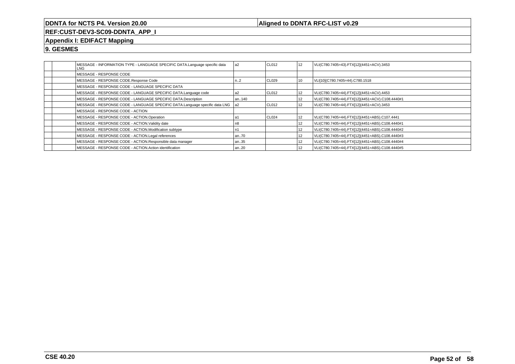### **Aligned to DDNTA RFC-LIST v0.29**

**REF:CUST-DEV3-SC09-DDNTA\_APP\_I**

### **Appendix I: EDIFACT Mapping**

|  | MESSAGE - INFORMATION TYPE - LANGUAGE SPECIFIC DATA.Language specific data<br>LNG | a <sub>2</sub>   | CL012  | 12 | VLI(C780.7405=43).FTX[12](4451=ACV).3453        |
|--|-----------------------------------------------------------------------------------|------------------|--------|----|-------------------------------------------------|
|  | MESSAGE - RESPONSE CODE                                                           |                  |        |    |                                                 |
|  | MESSAGE - RESPONSE CODE.Response Code                                             | n <sub>1</sub> 2 | CL029  | 10 | VLI[10](C780.7405=44).C780.1518                 |
|  | MESSAGE - RESPONSE CODE - LANGUAGE SPECIFIC DATA                                  |                  |        |    |                                                 |
|  | MESSAGE - RESPONSE CODE - LANGUAGE SPECIFIC DATA.Language code                    | a2               | CL012  | 12 | VLI(C780.7405=44).FTX[12](4451=ACV).4453        |
|  | MESSAGE - RESPONSE CODE - LANGUAGE SPECIFIC DATA.Description                      | an140            |        | 12 | VLI(C780.7405=44).FTX[12](4451=ACV).C108.4440#1 |
|  | MESSAGE - RESPONSE CODE - LANGUAGE SPECIFIC DATA.Language specific data LNG       | l a2             | ICL012 | 12 | VLI(C780.7405=44).FTX[12](4451=ACV).3453        |
|  | MESSAGE - RESPONSE CODE - ACTION                                                  |                  |        |    |                                                 |
|  | MESSAGE - RESPONSE CODE - ACTION.Operation                                        |                  | CL024  | 12 | VLI(C780.7405=44).FTX[12](4451=ABS).C107.4441   |
|  | MESSAGE - RESPONSE CODE - ACTION. Validity date                                   | უ8               |        | 12 | VLI(C780.7405=44).FTX[12](4451=ABS).C108.4440#1 |
|  | MESSAGE - RESPONSE CODE - ACTION.Modification subtype                             |                  |        | 12 | VLI(C780.7405=44).FTX[12](4451=ABS).C108.4440#2 |
|  | MESSAGE - RESPONSE CODE - ACTION.Legal references                                 | an70             |        | 12 | VLI(C780.7405=44).FTX[12](4451=ABS).C108.4440#3 |
|  | MESSAGE - RESPONSE CODE - ACTION.Responsible data manager                         | an35             |        | 12 | VLI(C780.7405=44).FTX[12](4451=ABS).C108.4440#4 |
|  | MESSAGE - RESPONSE CODE - ACTION.Action identification                            | an20             |        | 12 | VLI(C780.7405=44).FTX[12](4451=ABS).C108.4440#5 |
|  |                                                                                   |                  |        |    |                                                 |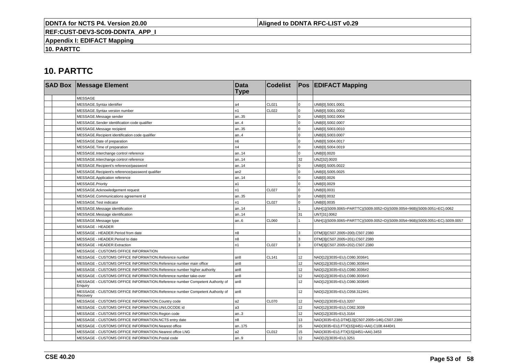### **Aligned to DDNTA RFC-LIST v0.29**

**REF:CUST-DEV3-SC09-DDNTA\_APP\_I**

**Appendix I: EDIFACT Mapping**

**10. PARTTC**

|  | <b>SAD Box Message Element</b>                                                           | <b>Data</b><br><b>Type</b> | <b>Codelist</b> |                 | <b>Pos EDIFACT Mapping</b>                                                   |
|--|------------------------------------------------------------------------------------------|----------------------------|-----------------|-----------------|------------------------------------------------------------------------------|
|  | <b>MESSAGE</b>                                                                           |                            |                 |                 |                                                                              |
|  | MESSAGE.Syntax identifier                                                                | a4                         | CL021           | $\Omega$        | UNB[0].S001.0001                                                             |
|  | MESSAGE.Syntax version number                                                            | n <sub>1</sub>             | <b>CL022</b>    | $\Omega$        | UNB[0].S001.0002                                                             |
|  | MESSAGE.Message sender                                                                   | an35                       |                 |                 | UNB[0].S002.0004                                                             |
|  | MESSAGE.Sender identification code qualifier                                             | an.4                       |                 | $\Omega$        | UNB[0].S002.0007                                                             |
|  | MESSAGE.Message recipient                                                                | an35                       |                 |                 | UNB[0].S003.0010                                                             |
|  | MESSAGE.Recipient identification code qualifier                                          | an.4                       |                 | $\Omega$        | UNB[0].S003.0007                                                             |
|  | MESSAGE.Date of preparation                                                              | n6                         |                 | $\Omega$        | UNB[0].S004.0017                                                             |
|  | MESSAGE. Time of preparation                                                             | n4                         |                 | 0               | UNB[0].S004.0019                                                             |
|  | MESSAGE.Interchange control reference                                                    | an14                       |                 |                 | UNB[0].0020                                                                  |
|  | MESSAGE.Interchange control reference                                                    | an14                       |                 | 32              | UNZ[32].0020                                                                 |
|  | MESSAGE.Recipient's reference/password                                                   | an14                       |                 | $\Omega$        | UNB[0].S005.0022                                                             |
|  | MESSAGE.Recipient's reference/password qualifier                                         | an2                        |                 | $\Omega$        | UNB[0].S005.0025                                                             |
|  | MESSAGE.Application reference                                                            | an14                       |                 |                 | UNB[0].0026                                                                  |
|  | MESSAGE.Priority                                                                         | a <sub>1</sub>             |                 | $\Omega$        | UNB[0].0029                                                                  |
|  | MESSAGE.Acknowledgement request                                                          | n1                         | <b>CL027</b>    | $\Omega$        | UNB[0].0031                                                                  |
|  | MESSAGE.Communications agreement id                                                      | an35                       |                 | $\Omega$        | UNB[0].0032                                                                  |
|  | MESSAGE.Test indicator                                                                   | n1                         | CL027           |                 | UNB[0].0035                                                                  |
|  | MESSAGE.Message identification                                                           | an14                       |                 |                 | UNH[1](S009.0065=PARTTC)(S009.0052=D)(S009.0054=96B)(S009.0051=EC).0062      |
|  | MESSAGE.Message identification                                                           | an14                       |                 | 31              | UNT[31].0062                                                                 |
|  | MESSAGE.Message type                                                                     | an.6                       | CL060           |                 | UNH[1](S009.0065=PARTTC)(S009.0052=D)(S009.0054=96B)(S009.0051=EC).S009.0057 |
|  | <b>MESSAGE - HEADER</b>                                                                  |                            |                 |                 |                                                                              |
|  | MESSAGE - HEADER.Period from date                                                        | n8                         |                 | 3               | DTM[3](C507.2005=200).C507.2380                                              |
|  | MESSAGE - HEADER.Period to date                                                          | n8                         |                 | 3               | DTM[3](C507.2005=201).C507.2380                                              |
|  | MESSAGE - HEADER.Extraction                                                              | n <sub>1</sub>             | <b>CL027</b>    | 3               | DTM[3](C507.2005=202).C507.2380                                              |
|  | MESSAGE - CUSTOMS OFFICE INFORMATION                                                     |                            |                 |                 |                                                                              |
|  | MESSAGE - CUSTOMS OFFICE INFORMATION.Reference number                                    | an <sub>8</sub>            | <b>CL141</b>    | 12              | NAD[12](3035=EU).C080.3036#1                                                 |
|  | MESSAGE - CUSTOMS OFFICE INFORMATION.Reference number main office                        | an <sub>8</sub>            |                 | 12              | NAD[12](3035=EU).C080.3036#4                                                 |
|  | MESSAGE - CUSTOMS OFFICE INFORMATION. Reference number higher authority                  | an <sub>8</sub>            |                 | 12              | NAD[12](3035=EU).C080.3036#2                                                 |
|  | MESSAGE - CUSTOMS OFFICE INFORMATION.Reference number take-over                          | an8                        |                 | 12              | NAD[12](3035=EU).C080.3036#3                                                 |
|  | MESSAGE - CUSTOMS OFFICE INFORMATION.Reference number Competent Authority of<br>Enguiry  | an <sub>8</sub>            |                 | 12 <sup>2</sup> | NAD[12](3035=EU).C080.3036#5                                                 |
|  | MESSAGE - CUSTOMS OFFICE INFORMATION.Reference number Competent Authority of<br>Recovery | an8                        |                 | 12              | NAD[12](3035=EU).C058.3124#1                                                 |
|  | MESSAGE - CUSTOMS OFFICE INFORMATION.Country code                                        | a2                         | <b>CL070</b>    | 12              | NAD[12](3035=EU).3207                                                        |
|  | MESSAGE - CUSTOMS OFFICE INFORMATION.UN/LOCODE id                                        | a3                         |                 | 12              | NAD[12](3035=EU).C082.3039                                                   |
|  | MESSAGE - CUSTOMS OFFICE INFORMATION.Region code                                         | an.3                       |                 | 12 <sup>2</sup> | NAD[12](3035=EU).3164                                                        |
|  | MESSAGE - CUSTOMS OFFICE INFORMATION.NCTS entry date                                     | n8                         |                 | 13              | NAD(3035=EU).DTM[13](C507.2005=146).C507.2380                                |
|  | MESSAGE - CUSTOMS OFFICE INFORMATION.Nearest office                                      | an175                      |                 | 15              | NAD(3035=EU).FTX[15](4451=AAI).C108.4440#1                                   |
|  | MESSAGE - CUSTOMS OFFICE INFORMATION.Nearest office LNG                                  | a2                         | CL012           | 15              | NAD(3035=EU).FTX[15](4451=AAI).3453                                          |
|  | MESSAGE - CUSTOMS OFFICE INFORMATION.Postal code                                         | an.9                       |                 | 12 <sup>2</sup> | NAD[12](3035=EU).3251                                                        |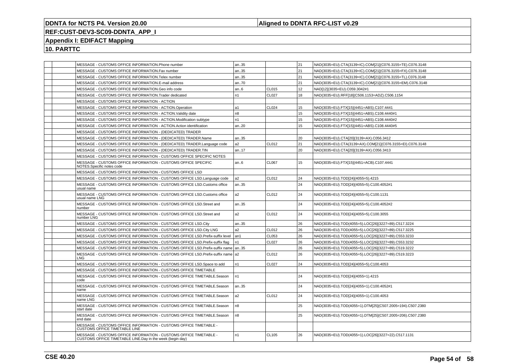### **Aligned to DDNTA RFC-LIST v0.29**

## **REF:CUST-DEV3-SC09-DDNTA\_APP\_I**

### **Appendix I: EDIFACT Mapping**

|  | MESSAGE - CUSTOMS OFFICE INFORMATION.Phone number                                                                              | an35           |              | 21 | NAD(3035=EU).CTA(3139=IC).COM[21](C076.3155=TE).C076.3148 |
|--|--------------------------------------------------------------------------------------------------------------------------------|----------------|--------------|----|-----------------------------------------------------------|
|  | MESSAGE - CUSTOMS OFFICE INFORMATION.Fax number                                                                                | an35           |              | 21 | NAD(3035=EU).CTA(3139=IC).COM[21](C076.3155=FX).C076.3148 |
|  | MESSAGE - CUSTOMS OFFICE INFORMATION. Telex number                                                                             | an35           |              | 21 | NAD(3035=EU).CTA(3139=IC).COM[21](C076.3155=TL).C076.3148 |
|  | MESSAGE - CUSTOMS OFFICE INFORMATION.E-mail address                                                                            | an70           |              | 21 | NAD(3035=EU).CTA(3139=IC).COM[21](C076.3155=EM).C076.3148 |
|  | MESSAGE - CUSTOMS OFFICE INFORMATION.Geo info code                                                                             | an.6           | CL015        | 12 | NAD[12](3035=EU).C059.3042#1                              |
|  | MESSAGE - CUSTOMS OFFICE INFORMATION. Trader dedicated                                                                         | n <sub>1</sub> | <b>CL027</b> | 18 | NAD(3035=EU).RFF[18](C506.1153=ADZ).C506.1154             |
|  | MESSAGE - CUSTOMS OFFICE INFORMATION - ACTION                                                                                  |                |              |    |                                                           |
|  | MESSAGE - CUSTOMS OFFICE INFORMATION - ACTION.Operation                                                                        | a1             | CL024        | 15 | NAD(3035=EU).FTX[15](4451=ABS).C107.4441                  |
|  | MESSAGE - CUSTOMS OFFICE INFORMATION - ACTION. Validity date                                                                   | n8             |              | 15 | NAD(3035=EU).FTX[15](4451=ABS).C108.4440#1                |
|  | MESSAGE - CUSTOMS OFFICE INFORMATION - ACTION.Modification subtype                                                             | n1             |              | 15 | NAD(3035=EU).FTX[15](4451=ABS).C108.4440#2                |
|  | MESSAGE - CUSTOMS OFFICE INFORMATION - ACTION.Action identification                                                            | an20           |              | 15 | NAD(3035=EU).FTX[15](4451=ABS).C108.4440#5                |
|  | MESSAGE - CUSTOMS OFFICE INFORMATION - (DEDICATED) TRADER                                                                      |                |              |    |                                                           |
|  | MESSAGE - CUSTOMS OFFICE INFORMATION - (DEDICATED) TRADER.Name                                                                 | an35           |              | 20 | NAD(3035=EU).CTA[20](3139=AX).C056.3412                   |
|  | MESSAGE - CUSTOMS OFFICE INFORMATION - (DEDICATED) TRADER.Language code                                                        | a2             | CL012        | 21 | NAD(3035=EU).CTA(3139=AX).COM[21](C076.3155=EI).C076.3148 |
|  | MESSAGE - CUSTOMS OFFICE INFORMATION - (DEDICATED) TRADER.TIN                                                                  | an17           |              | 20 | NAD(3035=EU).CTA[20](3139=AX).C056.3413                   |
|  | MESSAGE - CUSTOMS OFFICE INFORMATION - CUSTOMS OFFICE SPECIFIC NOTES                                                           |                |              |    |                                                           |
|  | MESSAGE - CUSTOMS OFFICE INFORMATION - CUSTOMS OFFICE SPECIFIC<br>NOTES.Specific notes code                                    | an.6           | <b>CL067</b> | 15 | NAD(3035=EU).FTX[15](4451=ACB).C107.4441                  |
|  | MESSAGE - CUSTOMS OFFICE INFORMATION - CUSTOMS OFFICE LSD                                                                      |                |              |    |                                                           |
|  | MESSAGE - CUSTOMS OFFICE INFORMATION - CUSTOMS OFFICE LSD.Language code                                                        | a2             | CL012        | 24 | NAD(3035=EU).TOD[24](4055=5).4215                         |
|  | MESSAGE - CUSTOMS OFFICE INFORMATION - CUSTOMS OFFICE LSD.Customs office<br>usual name                                         | an35           |              | 24 | NAD(3035=EU).TOD[24](4055=5).C100.4052#1                  |
|  | MESSAGE - CUSTOMS OFFICE INFORMATION - CUSTOMS OFFICE LSD.Customs office<br>usual name LNG                                     | a2             | CL012        | 24 | NAD(3035=EU).TOD[24](4055=5).C100.1131                    |
|  | MESSAGE - CUSTOMS OFFICE INFORMATION - CUSTOMS OFFICE LSD. Street and<br>number                                                | an35           |              | 24 | NAD(3035=EU).TOD[24](4055=5).C100.4052#2                  |
|  | MESSAGE - CUSTOMS OFFICE INFORMATION - CUSTOMS OFFICE LSD. Street and<br>number LNG                                            | a2             | CL012        | 24 | NAD(3035=EU).TOD[24](4055=5).C100.3055                    |
|  | MESSAGE - CUSTOMS OFFICE INFORMATION - CUSTOMS OFFICE LSD.City                                                                 | an35           |              | 26 | NAD(3035=EU).TOD(4055=5).LOC[26](3227=89).C517.3224       |
|  | MESSAGE - CUSTOMS OFFICE INFORMATION - CUSTOMS OFFICE LSD.City LNG                                                             | a <sub>2</sub> | CL012        | 26 | NAD(3035=EU).TOD(4055=5).LOC[26](3227=89).C517.3225       |
|  | MESSAGE - CUSTOMS OFFICE INFORMATION - CUSTOMS OFFICE LSD. Prefix-suffix level                                                 | an1            | CL053        | 26 | NAD(3035=EU).TOD(4055=5).LOC[26](3227=89).C553.3233       |
|  | MESSAGE - CUSTOMS OFFICE INFORMATION - CUSTOMS OFFICE LSD. Prefix-suffix flag                                                  | n1             | <b>CL027</b> | 26 | NAD(3035=EU).TOD(4055=5).LOC[26](3227=89).C553.3232       |
|  | MESSAGE - CUSTOMS OFFICE INFORMATION - CUSTOMS OFFICE LSD.Prefix-suffix name   an35                                            |                |              | 26 | NAD(3035=EU).TOD(4055=5).LOC[26](3227=89).C519.3222       |
|  | MESSAGE - CUSTOMS OFFICE INFORMATION - CUSTOMS OFFICE LSD.Prefix-suffix name   a2<br>LNG                                       |                | CL012        | 26 | NAD(3035=EU).TOD(4055=5).LOC[26](3227=89).C519.3223       |
|  | MESSAGE - CUSTOMS OFFICE INFORMATION - CUSTOMS OFFICE LSD. Space to add                                                        | n <sub>1</sub> | CL027        | 24 | NAD(3035=EU).TOD[24](4055=5).C100.4053                    |
|  | MESSAGE - CUSTOMS OFFICE INFORMATION - CUSTOMS OFFICE TIMETABLE                                                                |                |              |    |                                                           |
|  | MESSAGE - CUSTOMS OFFICE INFORMATION - CUSTOMS OFFICE TIMETABLE.Season<br>code                                                 | n1             |              | 24 | NAD(3035=EU).TOD[24](4055=1).4215                         |
|  | MESSAGE - CUSTOMS OFFICE INFORMATION - CUSTOMS OFFICE TIMETABLE.Season<br>name                                                 | an35           |              | 24 | NAD(3035=EU).TOD[24](4055=1).C100.4052#1                  |
|  | MESSAGE - CUSTOMS OFFICE INFORMATION - CUSTOMS OFFICE TIMETABLE.Season<br>name LNG                                             | a2             | CL012        | 24 | NAD(3035=EU).TOD[24](4055=1).C100.4053                    |
|  | MESSAGE - CUSTOMS OFFICE INFORMATION - CUSTOMS OFFICE TIMETABLE.Season<br>start date                                           | n8             |              | 25 | NAD(3035=EU).TOD(4055=1).DTM[25](C507.2005=194).C507.2380 |
|  | MESSAGE - CUSTOMS OFFICE INFORMATION - CUSTOMS OFFICE TIMETABLE.Season<br>end date                                             | n8             |              | 25 | NAD(3035=EU).TOD(4055=1).DTM[25](C507.2005=206).C507.2380 |
|  | MESSAGE - CUSTOMS OFFICE INFORMATION - CUSTOMS OFFICE TIMETABLE -<br><b>CUSTOMS OFFICE TIMETABLE LINE</b>                      |                |              |    |                                                           |
|  | MESSAGE - CUSTOMS OFFICE INFORMATION - CUSTOMS OFFICE TIMETABLE -<br>CUSTOMS OFFICE TIMETABLE LINE.Day in the week (begin day) | n1             | CL105        | 26 | NAD(3035=EU).TOD(4055=1).LOC[26](3227=22).C517.1131       |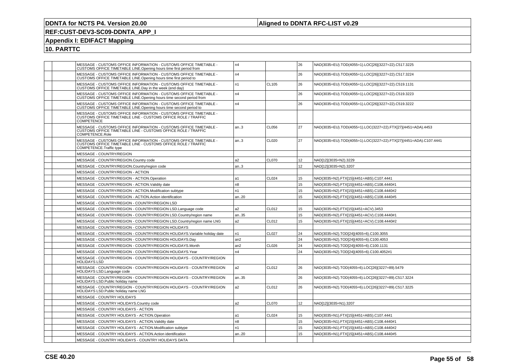### **Aligned to DDNTA RFC-LIST v0.29**

## **REF:CUST-DEV3-SC09-DDNTA\_APP\_I**

### **Appendix I: EDIFACT Mapping**

|  | MESSAGE - CUSTOMS OFFICE INFORMATION - CUSTOMS OFFICE TIMETABLE -<br>CUSTOMS OFFICE TIMETABLE LINE.Opening hours time first period from                       | n4             |              | 26              | NAD(3035=EU).TOD(4055=1).LOC[26](3227=22).C517.3225               |
|--|---------------------------------------------------------------------------------------------------------------------------------------------------------------|----------------|--------------|-----------------|-------------------------------------------------------------------|
|  | MESSAGE - CUSTOMS OFFICE INFORMATION - CUSTOMS OFFICE TIMETABLE -<br>CUSTOMS OFFICE TIMETABLE LINE.Opening hours time first period to                         | n4             |              | 26              | NAD(3035=EU).TOD(4055=1).LOC[26](3227=22).C517.3224               |
|  | MESSAGE - CUSTOMS OFFICE INFORMATION - CUSTOMS OFFICE TIMETABLE -<br>CUSTOMS OFFICE TIMETABLE LINE.Day in the week (end day)                                  | n1             | CL105        | 26              | NAD(3035=EU).TOD(4055=1).LOC[26](3227=22).C519.1131               |
|  | MESSAGE - CUSTOMS OFFICE INFORMATION - CUSTOMS OFFICE TIMETABLE -<br>CUSTOMS OFFICE TIMETABLE LINE.Opening hours time second period from                      | n4             |              | 26              | NAD(3035=EU).TOD(4055=1).LOC[26](3227=22).C519.3223               |
|  | MESSAGE - CUSTOMS OFFICE INFORMATION - CUSTOMS OFFICE TIMETABLE -<br>CUSTOMS OFFICE TIMETABLE LINE. Opening hours time second period to                       | n4             |              | 26              | NAD(3035=EU).TOD(4055=1).LOC[26](3227=22).C519.3222               |
|  | MESSAGE - CUSTOMS OFFICE INFORMATION - CUSTOMS OFFICE TIMETABLE -<br>CUSTOMS OFFICE TIMETABLE LINE - CUSTOMS OFFICE ROLE / TRAFFIC<br><b>COMPETENCE</b>       |                |              |                 |                                                                   |
|  | MESSAGE - CUSTOMS OFFICE INFORMATION - CUSTOMS OFFICE TIMETABLE -<br>CUSTOMS OFFICE TIMETABLE LINE - CUSTOMS OFFICE ROLE / TRAFFIC<br>COMPETENCE.Role         | an.3           | CL056        | 27              | NAD(3035=EU).TOD(4055=1).LOC(3227=22).FTX[27](4451=ADA).4453      |
|  | MESSAGE - CUSTOMS OFFICE INFORMATION - CUSTOMS OFFICE TIMETABLE -<br>CUSTOMS OFFICE TIMETABLE LINE - CUSTOMS OFFICE ROLE / TRAFFIC<br>COMPETENCE.Traffic type | an.3           | <b>CL020</b> | 27              | NAD(3035=EU).TOD(4055=1).LOC(3227=22).FTX[27](4451=ADA).C107.4441 |
|  | <b>MESSAGE - COUNTRY/REGION</b>                                                                                                                               |                |              |                 |                                                                   |
|  | MESSAGE - COUNTRY/REGION.Country code                                                                                                                         | a2             | <b>CL070</b> | 12 <sup>2</sup> | NAD[12](3035=N2).3229                                             |
|  | MESSAGE - COUNTRY/REGION.Country/region code                                                                                                                  | an.3           |              | 12 <sup>2</sup> | NAD[12](3035=N2).3207                                             |
|  | MESSAGE - COUNTRY/REGION - ACTION                                                                                                                             |                |              |                 |                                                                   |
|  | MESSAGE - COUNTRY/REGION - ACTION.Operation                                                                                                                   | a1             | CL024        | 15              | NAD(3035=N2).FTX[15](4451=ABS).C107.4441                          |
|  | MESSAGE - COUNTRY/REGION - ACTION.Validity date                                                                                                               | n <sub>8</sub> |              | 15              | NAD(3035=N2).FTX[15](4451=ABS).C108.4440#1                        |
|  | MESSAGE - COUNTRY/REGION - ACTION.Modification subtype                                                                                                        | n1             |              | 15              | NAD(3035=N2).FTX[15](4451=ABS).C108.4440#2                        |
|  | MESSAGE - COUNTRY/REGION - ACTION.Action identification                                                                                                       | an20           |              | 15              | NAD(3035=N2).FTX[15](4451=ABS).C108.4440#5                        |
|  | MESSAGE - COUNTRY/REGION - COUNTRY/REGION LSD                                                                                                                 |                |              |                 |                                                                   |
|  | MESSAGE - COUNTRY/REGION - COUNTRY/REGION LSD.Language code                                                                                                   | a2             | CL012        | 15              | NAD(3035=N2).FTX[15](4451=ACV).3453                               |
|  | MESSAGE - COUNTRY/REGION - COUNTRY/REGION LSD.Country/region name                                                                                             | an35           |              | 15              | NAD(3035=N2).FTX[15](4451=ACV).C108.4440#1                        |
|  | MESSAGE - COUNTRY/REGION - COUNTRY/REGION LSD.Country/region name LNG                                                                                         | a2             | CL012        | 15              | NAD(3035=N2).FTX[15](4451=ACV).C108.4440#2                        |
|  | MESSAGE - COUNTRY/REGION - COUNTRY/REGION HOLIDAYS                                                                                                            |                |              |                 |                                                                   |
|  | MESSAGE - COUNTRY/REGION - COUNTRY/REGION HOLIDAYS.Variable holiday date                                                                                      | n1             | CL027        | 24              | NAD(3035=N2).TOD[24](4055=6).C100.3055                            |
|  | MESSAGE - COUNTRY/REGION - COUNTRY/REGION HOLIDAYS.Day                                                                                                        | an2            |              | 24              | NAD(3035=N2).TOD[24](4055=6).C100.4053                            |
|  | MESSAGE - COUNTRY/REGION - COUNTRY/REGION HOLIDAYS.Month                                                                                                      | an2            | CL026        | 24              | NAD(3035=N2).TOD[24](4055=6).C100.1131                            |
|  | MESSAGE - COUNTRY/REGION - COUNTRY/REGION HOLIDAYS.Year                                                                                                       | n4             |              | 24              | NAD(3035=N2).TOD[24](4055=6).C100.4052#1                          |
|  | MESSAGE - COUNTRY/REGION - COUNTRY/REGION HOLIDAYS - COUNTRY/REGION<br><b>HOLIDAYS LSD</b>                                                                    |                |              |                 |                                                                   |
|  | MESSAGE - COUNTRY/REGION - COUNTRY/REGION HOLIDAYS - COUNTRY/REGION<br>HOLIDAYS LSD.Language code                                                             | a2             | CL012        | 26              | NAD(3035=N2).TOD(4055=6).LOC[26](3227=89).5479                    |
|  | MESSAGE - COUNTRY/REGION - COUNTRY/REGION HOLIDAYS - COUNTRY/REGION<br>HOLIDAYS LSD. Public holiday name                                                      | an35           |              | 26              | NAD(3035=N2).TOD(4055=6).LOC[26](3227=89).C517.3224               |
|  | MESSAGE - COUNTRY/REGION - COUNTRY/REGION HOLIDAYS - COUNTRY/REGION<br>HOLIDAYS LSD.Public holiday name LNG                                                   | a2             | CL012        | 26              | NAD(3035=N2).TOD(4055=6).LOC[26](3227=89).C517.3225               |
|  | MESSAGE - COUNTRY HOLIDAYS                                                                                                                                    |                |              |                 |                                                                   |
|  | MESSAGE - COUNTRY HOLIDAYS.Country code                                                                                                                       | a2             | <b>CL070</b> | 12 <sup>2</sup> | NAD[12](3035=N1).3207                                             |
|  | MESSAGE - COUNTRY HOLIDAYS - ACTION                                                                                                                           |                |              |                 |                                                                   |
|  | MESSAGE - COUNTRY HOLIDAYS - ACTION.Operation                                                                                                                 | a1             | CL024        | 15              | NAD(3035=N1).FTX[15](4451=ABS).C107.4441                          |
|  | MESSAGE - COUNTRY HOLIDAYS - ACTION. Validity date                                                                                                            | n8             |              | 15              | NAD(3035=N1).FTX[15](4451=ABS).C108.4440#1                        |
|  | MESSAGE - COUNTRY HOLIDAYS - ACTION.Modification subtype                                                                                                      | n1             |              | 15              | NAD(3035=N1).FTX[15](4451=ABS).C108.4440#2                        |
|  | MESSAGE - COUNTRY HOLIDAYS - ACTION.Action identification                                                                                                     | an20           |              | 15              | NAD(3035=N1).FTX[15](4451=ABS).C108.4440#5                        |
|  | MESSAGE - COUNTRY HOLIDAYS - COUNTRY HOLIDAYS DATA                                                                                                            |                |              |                 |                                                                   |
|  |                                                                                                                                                               |                |              |                 |                                                                   |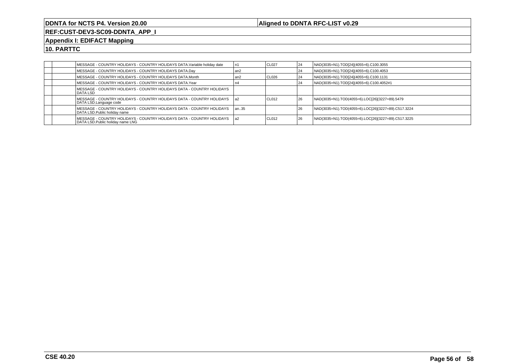### **Aligned to DDNTA RFC-LIST v0.29**

**REF:CUST-DEV3-SC09-DDNTA\_APP\_I**

#### **Appendix I: EDIFACT Mapping**

|  | MESSAGE - COUNTRY HOLIDAYS - COUNTRY HOLIDAYS DATA.Variable holiday date                                   | l n1  | I CL027 | 24 | NAD(3035=N1).TOD[24](4055=6).C100.3055              |
|--|------------------------------------------------------------------------------------------------------------|-------|---------|----|-----------------------------------------------------|
|  | MESSAGE - COUNTRY HOLIDAYS - COUNTRY HOLIDAYS DATA.Day                                                     | l an2 |         | 24 | NAD(3035=N1).TOD[24](4055=6).C100.4053              |
|  | IMESSAGE - COUNTRY HOLIDAYS - COUNTRY HOLIDAYS DATA.Month                                                  | l an2 | CL026   | 24 | NAD(3035=N1).TOD[24](4055=6).C100.1131              |
|  | MESSAGE - COUNTRY HOLIDAYS - COUNTRY HOLIDAYS DATA.Year                                                    |       |         | 24 | NAD(3035=N1).TOD[24](4055=6).C100.4052#1            |
|  | MESSAGE - COUNTRY HOLIDAYS - COUNTRY HOLIDAYS DATA - COUNTRY HOLIDAYS<br><b>IDATA LSD</b>                  |       |         |    |                                                     |
|  | IMESSAGE - COUNTRY HOLIDAYS - COUNTRY HOLIDAYS DATA - COUNTRY HOLIDAYS       la2<br>DATA LSD.Language code |       | I CL012 | 26 | NAD(3035=N1).TOD(4055=6).LOC[26](3227=89).5479      |
|  | IMESSAGE - COUNTRY HOLIDAYS - COUNTRY HOLIDAYS DATA - COUNTRY HOLIDAYS<br>DATA LSD.Public holiday name     | lan35 |         | 26 | NAD(3035=N1).TOD(4055=6).LOC[26](3227=89).C517.3224 |
|  | MESSAGE - COUNTRY HOLIDAYS - COUNTRY HOLIDAYS DATA - COUNTRY HOLIDAYS<br>DATA LSD. Public holiday name LNG | l a2  | I CL012 | 26 | NAD(3035=N1).TOD(4055=6).LOC[26](3227=89).C517.3225 |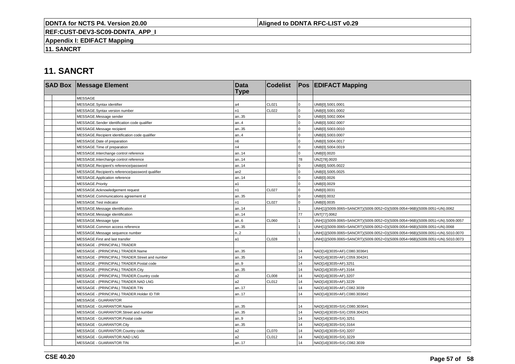### **Aligned to DDNTA RFC-LIST v0.29**

**REF:CUST-DEV3-SC09-DDNTA\_APP\_I**

**Appendix I: EDIFACT Mapping**

**11. SANCRT**

# **11. SANCRT**

| <b>SAD Box Message Element</b>                   | <b>Data</b><br><b>Type</b> | <b>Codelist</b> |                | <b>Pos EDIFACT Mapping</b>                                                   |
|--------------------------------------------------|----------------------------|-----------------|----------------|------------------------------------------------------------------------------|
| <b>MESSAGE</b>                                   |                            |                 |                |                                                                              |
| MESSAGE.Syntax identifier                        | a4                         | CL021           | $\mathbf 0$    | UNB[0].S001.0001                                                             |
| MESSAGE.Syntax version number                    | n1                         | CL022           | 0              | UNB[0].S001.0002                                                             |
| MESSAGE.Message sender                           | an35                       |                 | <sup>n</sup>   | UNB[0].S002.0004                                                             |
| MESSAGE.Sender identification code qualifier     | an.4                       |                 | 0              | UNB[0].S002.0007                                                             |
| MESSAGE.Message recipient                        | an35                       |                 | 0              | UNB[0].S003.0010                                                             |
| MESSAGE.Recipient identification code qualifier  | an.4                       |                 | $\overline{0}$ | UNB[0].S003.0007                                                             |
| MESSAGE.Date of preparation                      | n6                         |                 | $\Omega$       | UNB[0].S004.0017                                                             |
| MESSAGE. Time of preparation                     | n4                         |                 | $\Omega$       | UNB[0].S004.0019                                                             |
| MESSAGE.Interchange control reference            | an14                       |                 | $\Omega$       | UNB[0].0020                                                                  |
| MESSAGE.Interchange control reference            | an14                       |                 | 78             | UNZ[78].0020                                                                 |
| MESSAGE.Recipient's reference/password           | an14                       |                 | 0              | UNB[0].S005.0022                                                             |
| MESSAGE.Recipient's reference/password qualifier | an <sub>2</sub>            |                 | $\Omega$       | UNB[0].S005.0025                                                             |
| MESSAGE.Application reference                    | an14                       |                 | $\Omega$       | UNB[0].0026                                                                  |
| MESSAGE.Priority                                 | a1                         |                 | $\Omega$       | UNB[0].0029                                                                  |
| MESSAGE.Acknowledgement request                  | n1                         | <b>CL027</b>    | $\Omega$       | UNB[0].0031                                                                  |
| MESSAGE.Communications agreement id              | an35                       |                 | $\overline{0}$ | UNB[0].0032                                                                  |
| MESSAGE.Test indicator                           | n1                         | <b>CL027</b>    | $\mathbf{0}$   | UNB[0].0035                                                                  |
| MESSAGE.Message identification                   | an14                       |                 |                | UNH[1](S009.0065=SANCRT)(S009.0052=D)(S009.0054=96B)(S009.0051=UN).0062      |
| MESSAGE.Message identification                   | an14                       |                 | 77             | UNT[77].0062                                                                 |
| MESSAGE.Message type                             | an.6                       | CL060           |                | UNH[1](S009.0065=SANCRT)(S009.0052=D)(S009.0054=96B)(S009.0051=UN).S009.0057 |
| MESSAGE.Common access reference                  | an35                       |                 |                | UNH[1](S009.0065=SANCRT)(S009.0052=D)(S009.0054=96B)(S009.0051=UN).0068      |
| MESSAGE.Message sequence number                  | n2                         |                 |                | UNH[1](S009.0065=SANCRT)(S009.0052=D)(S009.0054=96B)(S009.0051=UN).S010.0070 |
| MESSAGE.First and last transfer                  | a1                         | <b>CL028</b>    |                | UNH[1](S009.0065=SANCRT)(S009.0052=D)(S009.0054=96B)(S009.0051=UN).S010.0073 |
| MESSAGE - (PRINCIPAL) TRADER                     |                            |                 |                |                                                                              |
| MESSAGE - (PRINCIPAL) TRADER.Name                | an35                       |                 | 14             | NAD[14](3035=AF).C080.3036#1                                                 |
| MESSAGE - (PRINCIPAL) TRADER.Street and number   | an35                       |                 | 14             | NAD[14](3035=AF).C059.3042#1                                                 |
| MESSAGE - (PRINCIPAL) TRADER.Postal code         | an.9                       |                 | 14             | NAD[14](3035=AF).3251                                                        |
| MESSAGE - (PRINCIPAL) TRADER.City                | an35                       |                 | 14             | NAD[14](3035=AF).3164                                                        |
| MESSAGE - (PRINCIPAL) TRADER.Country code        | a2                         | <b>CL008</b>    | 14             | NAD[14](3035=AF).3207                                                        |
| MESSAGE - (PRINCIPAL) TRADER.NAD LNG             | a2                         | CL012           | 14             | NAD[14](3035=AF).3229                                                        |
| MESSAGE - (PRINCIPAL) TRADER.TIN                 | an17                       |                 | 14             | NAD[14](3035=AF).C082.3039                                                   |
| MESSAGE - (PRINCIPAL) TRADER.Holder ID TIR       | an17                       |                 | 14             | NAD[14](3035=AF).C080.3036#2                                                 |
| MESSAGE - GUARANTOR                              |                            |                 |                |                                                                              |
| MESSAGE - GUARANTOR.Name                         | an35                       |                 | 14             | NAD[14](3035=SX).C080.3036#1                                                 |
| MESSAGE - GUARANTOR.Street and number            | an35                       |                 | 14             | NAD[14](3035=SX).C059.3042#1                                                 |
| MESSAGE - GUARANTOR. Postal code                 | an9                        |                 | 14             | NAD[14](3035=SX).3251                                                        |
| MESSAGE - GUARANTOR.City                         | an35                       |                 | 14             | NAD[14](3035=SX).3164                                                        |
| MESSAGE - GUARANTOR.Country code                 | a2                         | <b>CL070</b>    | 14             | NAD[14](3035=SX).3207                                                        |
| MESSAGE - GUARANTOR.NAD LNG                      | a2                         | CL012           | 14             | NAD[14](3035=SX).3229                                                        |
| MESSAGE - GUARANTOR.TIN                          | an17                       |                 | 14             | NAD[14](3035=SX).C082.3039                                                   |